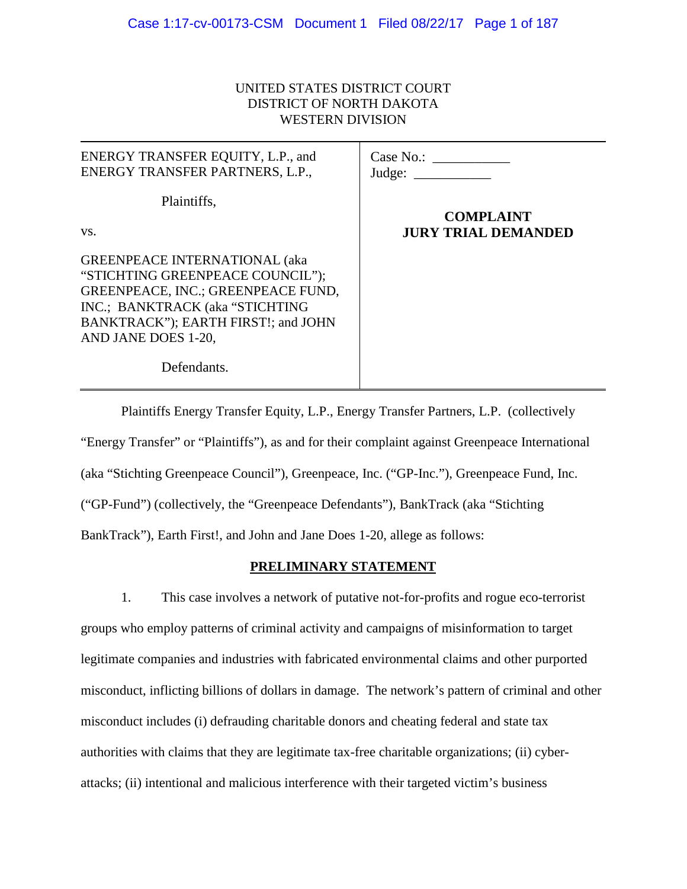# UNITED STATES DISTRICT COURT DISTRICT OF NORTH DAKOTA WESTERN DIVISION

| ENERGY TRANSFER EQUITY, L.P., and<br>ENERGY TRANSFER PARTNERS, L.P.,                                                                                                                                            | Case No.:<br>Judge:        |
|-----------------------------------------------------------------------------------------------------------------------------------------------------------------------------------------------------------------|----------------------------|
| Plaintiffs,                                                                                                                                                                                                     | <b>COMPLAINT</b>           |
| VS.                                                                                                                                                                                                             | <b>JURY TRIAL DEMANDED</b> |
| <b>GREENPEACE INTERNATIONAL (aka</b><br>"STICHTING GREENPEACE COUNCIL");<br>GREENPEACE, INC.; GREENPEACE FUND,<br>INC.; BANKTRACK (aka "STICHTING<br>BANKTRACK"); EARTH FIRST!; and JOHN<br>AND JANE DOES 1-20, |                            |
| Defendants.                                                                                                                                                                                                     |                            |

Plaintiffs Energy Transfer Equity, L.P., Energy Transfer Partners, L.P. (collectively "Energy Transfer" or "Plaintiffs"), as and for their complaint against Greenpeace International (aka "Stichting Greenpeace Council"), Greenpeace, Inc. ("GP-Inc."), Greenpeace Fund, Inc. ("GP-Fund") (collectively, the "Greenpeace Defendants"), BankTrack (aka "Stichting BankTrack"), Earth First!, and John and Jane Does 1-20, allege as follows:

# **PRELIMINARY STATEMENT**

1. This case involves a network of putative not-for-profits and rogue eco-terrorist groups who employ patterns of criminal activity and campaigns of misinformation to target legitimate companies and industries with fabricated environmental claims and other purported misconduct, inflicting billions of dollars in damage. The network's pattern of criminal and other misconduct includes (i) defrauding charitable donors and cheating federal and state tax authorities with claims that they are legitimate tax-free charitable organizations; (ii) cyberattacks; (ii) intentional and malicious interference with their targeted victim's business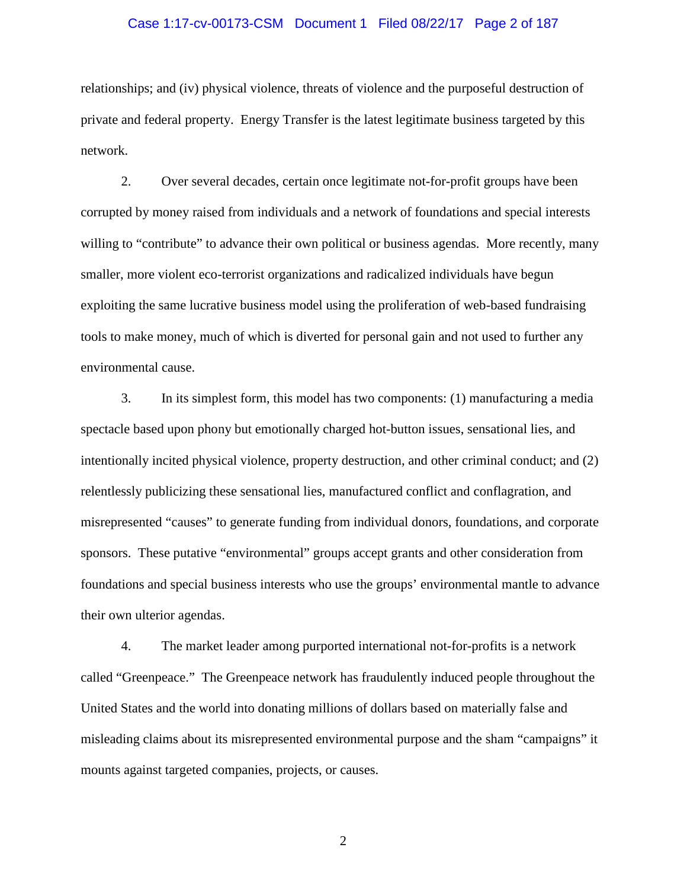### Case 1:17-cv-00173-CSM Document 1 Filed 08/22/17 Page 2 of 187

relationships; and (iv) physical violence, threats of violence and the purposeful destruction of private and federal property. Energy Transfer is the latest legitimate business targeted by this network.

2. Over several decades, certain once legitimate not-for-profit groups have been corrupted by money raised from individuals and a network of foundations and special interests willing to "contribute" to advance their own political or business agendas. More recently, many smaller, more violent eco-terrorist organizations and radicalized individuals have begun exploiting the same lucrative business model using the proliferation of web-based fundraising tools to make money, much of which is diverted for personal gain and not used to further any environmental cause.

3. In its simplest form, this model has two components: (1) manufacturing a media spectacle based upon phony but emotionally charged hot-button issues, sensational lies, and intentionally incited physical violence, property destruction, and other criminal conduct; and (2) relentlessly publicizing these sensational lies, manufactured conflict and conflagration, and misrepresented "causes" to generate funding from individual donors, foundations, and corporate sponsors. These putative "environmental" groups accept grants and other consideration from foundations and special business interests who use the groups' environmental mantle to advance their own ulterior agendas.

4. The market leader among purported international not-for-profits is a network called "Greenpeace." The Greenpeace network has fraudulently induced people throughout the United States and the world into donating millions of dollars based on materially false and misleading claims about its misrepresented environmental purpose and the sham "campaigns" it mounts against targeted companies, projects, or causes.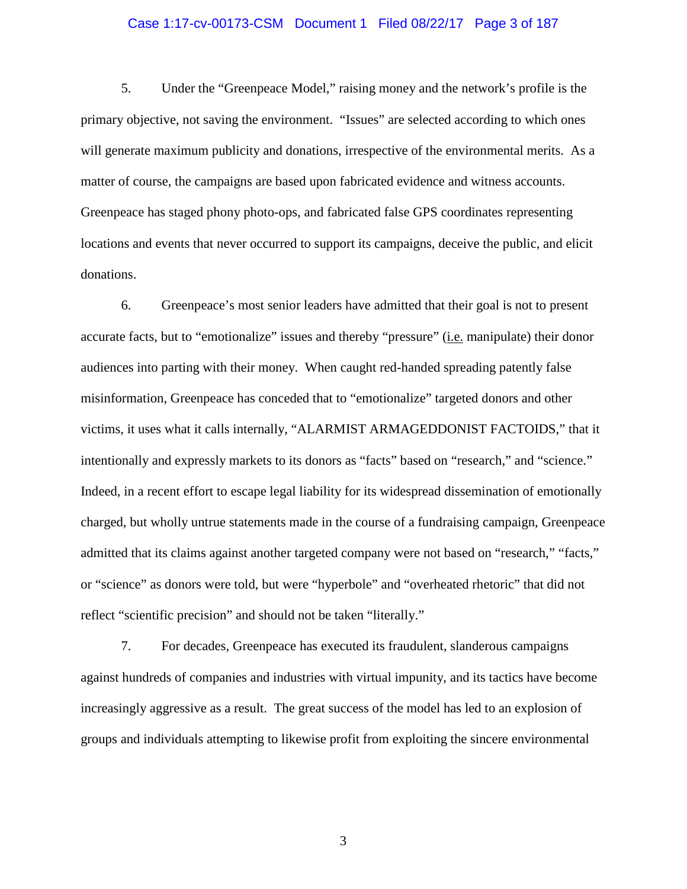### Case 1:17-cv-00173-CSM Document 1 Filed 08/22/17 Page 3 of 187

5. Under the "Greenpeace Model," raising money and the network's profile is the primary objective, not saving the environment. "Issues" are selected according to which ones will generate maximum publicity and donations, irrespective of the environmental merits. As a matter of course, the campaigns are based upon fabricated evidence and witness accounts. Greenpeace has staged phony photo-ops, and fabricated false GPS coordinates representing locations and events that never occurred to support its campaigns, deceive the public, and elicit donations.

6. Greenpeace's most senior leaders have admitted that their goal is not to present accurate facts, but to "emotionalize" issues and thereby "pressure" (i.e. manipulate) their donor audiences into parting with their money. When caught red-handed spreading patently false misinformation, Greenpeace has conceded that to "emotionalize" targeted donors and other victims, it uses what it calls internally, "ALARMIST ARMAGEDDONIST FACTOIDS," that it intentionally and expressly markets to its donors as "facts" based on "research," and "science." Indeed, in a recent effort to escape legal liability for its widespread dissemination of emotionally charged, but wholly untrue statements made in the course of a fundraising campaign, Greenpeace admitted that its claims against another targeted company were not based on "research," "facts," or "science" as donors were told, but were "hyperbole" and "overheated rhetoric" that did not reflect "scientific precision" and should not be taken "literally."

7. For decades, Greenpeace has executed its fraudulent, slanderous campaigns against hundreds of companies and industries with virtual impunity, and its tactics have become increasingly aggressive as a result. The great success of the model has led to an explosion of groups and individuals attempting to likewise profit from exploiting the sincere environmental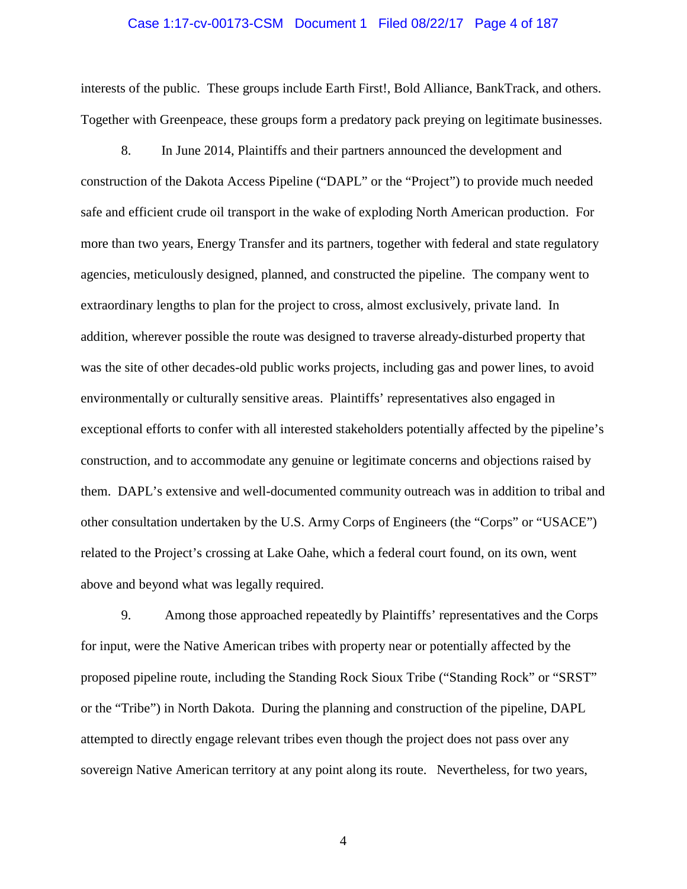#### Case 1:17-cv-00173-CSM Document 1 Filed 08/22/17 Page 4 of 187

interests of the public. These groups include Earth First!, Bold Alliance, BankTrack, and others. Together with Greenpeace, these groups form a predatory pack preying on legitimate businesses.

8. In June 2014, Plaintiffs and their partners announced the development and construction of the Dakota Access Pipeline ("DAPL" or the "Project") to provide much needed safe and efficient crude oil transport in the wake of exploding North American production. For more than two years, Energy Transfer and its partners, together with federal and state regulatory agencies, meticulously designed, planned, and constructed the pipeline. The company went to extraordinary lengths to plan for the project to cross, almost exclusively, private land. In addition, wherever possible the route was designed to traverse already-disturbed property that was the site of other decades-old public works projects, including gas and power lines, to avoid environmentally or culturally sensitive areas. Plaintiffs' representatives also engaged in exceptional efforts to confer with all interested stakeholders potentially affected by the pipeline's construction, and to accommodate any genuine or legitimate concerns and objections raised by them. DAPL's extensive and well-documented community outreach was in addition to tribal and other consultation undertaken by the U.S. Army Corps of Engineers (the "Corps" or "USACE") related to the Project's crossing at Lake Oahe, which a federal court found, on its own, went above and beyond what was legally required.

9. Among those approached repeatedly by Plaintiffs' representatives and the Corps for input, were the Native American tribes with property near or potentially affected by the proposed pipeline route, including the Standing Rock Sioux Tribe ("Standing Rock" or "SRST" or the "Tribe") in North Dakota. During the planning and construction of the pipeline, DAPL attempted to directly engage relevant tribes even though the project does not pass over any sovereign Native American territory at any point along its route. Nevertheless, for two years,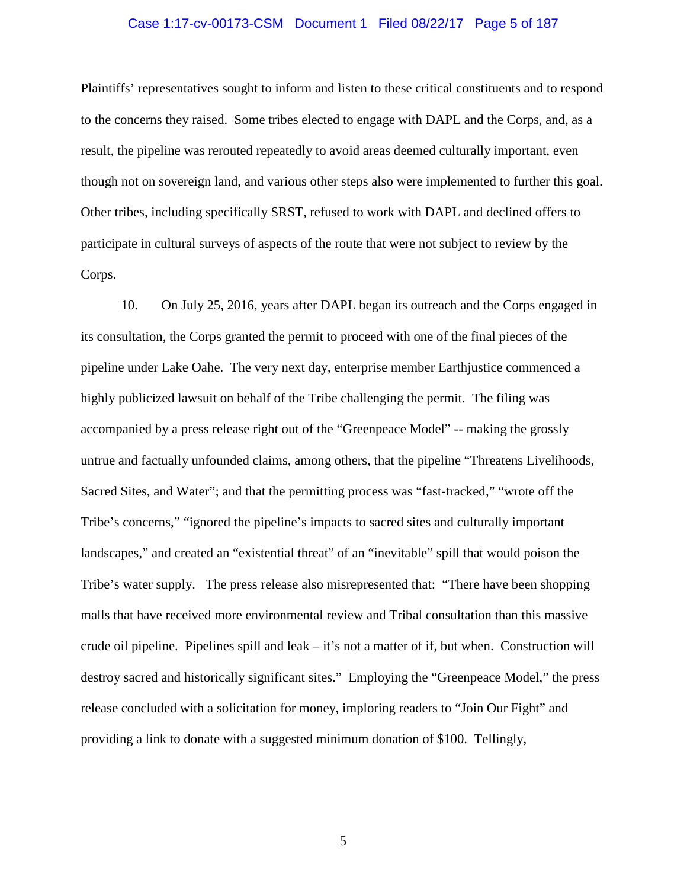### Case 1:17-cv-00173-CSM Document 1 Filed 08/22/17 Page 5 of 187

Plaintiffs' representatives sought to inform and listen to these critical constituents and to respond to the concerns they raised. Some tribes elected to engage with DAPL and the Corps, and, as a result, the pipeline was rerouted repeatedly to avoid areas deemed culturally important, even though not on sovereign land, and various other steps also were implemented to further this goal. Other tribes, including specifically SRST, refused to work with DAPL and declined offers to participate in cultural surveys of aspects of the route that were not subject to review by the Corps.

10. On July 25, 2016, years after DAPL began its outreach and the Corps engaged in its consultation, the Corps granted the permit to proceed with one of the final pieces of the pipeline under Lake Oahe. The very next day, enterprise member Earthjustice commenced a highly publicized lawsuit on behalf of the Tribe challenging the permit. The filing was accompanied by a press release right out of the "Greenpeace Model" -- making the grossly untrue and factually unfounded claims, among others, that the pipeline "Threatens Livelihoods, Sacred Sites, and Water"; and that the permitting process was "fast-tracked," "wrote off the Tribe's concerns," "ignored the pipeline's impacts to sacred sites and culturally important landscapes," and created an "existential threat" of an "inevitable" spill that would poison the Tribe's water supply. The press release also misrepresented that: "There have been shopping malls that have received more environmental review and Tribal consultation than this massive crude oil pipeline. Pipelines spill and leak – it's not a matter of if, but when. Construction will destroy sacred and historically significant sites." Employing the "Greenpeace Model," the press release concluded with a solicitation for money, imploring readers to "Join Our Fight" and providing a link to donate with a suggested minimum donation of \$100. Tellingly,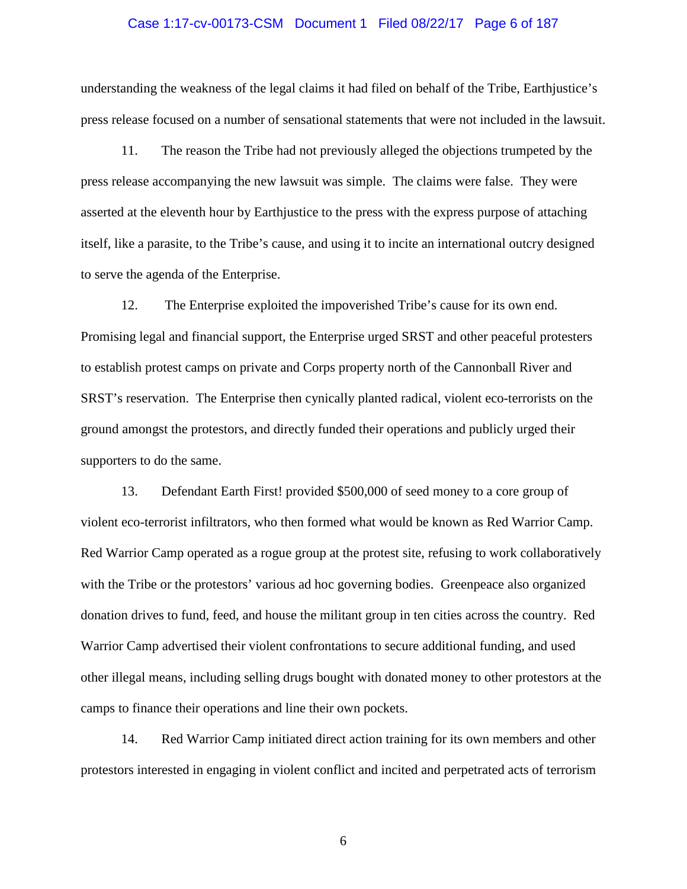### Case 1:17-cv-00173-CSM Document 1 Filed 08/22/17 Page 6 of 187

understanding the weakness of the legal claims it had filed on behalf of the Tribe, Earthjustice's press release focused on a number of sensational statements that were not included in the lawsuit.

11. The reason the Tribe had not previously alleged the objections trumpeted by the press release accompanying the new lawsuit was simple. The claims were false. They were asserted at the eleventh hour by Earthjustice to the press with the express purpose of attaching itself, like a parasite, to the Tribe's cause, and using it to incite an international outcry designed to serve the agenda of the Enterprise.

12. The Enterprise exploited the impoverished Tribe's cause for its own end. Promising legal and financial support, the Enterprise urged SRST and other peaceful protesters to establish protest camps on private and Corps property north of the Cannonball River and SRST's reservation. The Enterprise then cynically planted radical, violent eco-terrorists on the ground amongst the protestors, and directly funded their operations and publicly urged their supporters to do the same.

13. Defendant Earth First! provided \$500,000 of seed money to a core group of violent eco-terrorist infiltrators, who then formed what would be known as Red Warrior Camp. Red Warrior Camp operated as a rogue group at the protest site, refusing to work collaboratively with the Tribe or the protestors' various ad hoc governing bodies. Greenpeace also organized donation drives to fund, feed, and house the militant group in ten cities across the country. Red Warrior Camp advertised their violent confrontations to secure additional funding, and used other illegal means, including selling drugs bought with donated money to other protestors at the camps to finance their operations and line their own pockets.

14. Red Warrior Camp initiated direct action training for its own members and other protestors interested in engaging in violent conflict and incited and perpetrated acts of terrorism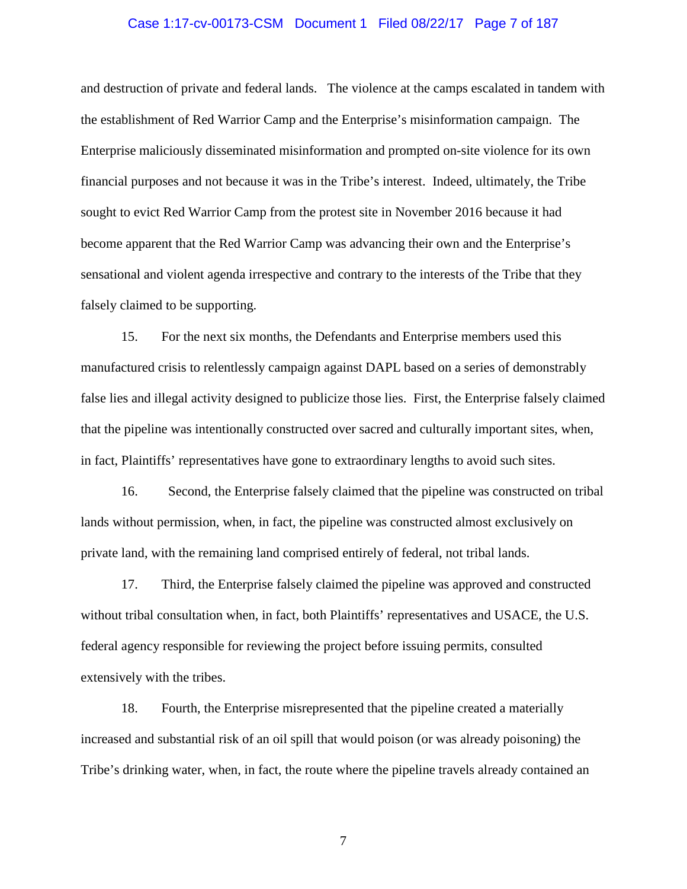### Case 1:17-cv-00173-CSM Document 1 Filed 08/22/17 Page 7 of 187

and destruction of private and federal lands. The violence at the camps escalated in tandem with the establishment of Red Warrior Camp and the Enterprise's misinformation campaign. The Enterprise maliciously disseminated misinformation and prompted on-site violence for its own financial purposes and not because it was in the Tribe's interest. Indeed, ultimately, the Tribe sought to evict Red Warrior Camp from the protest site in November 2016 because it had become apparent that the Red Warrior Camp was advancing their own and the Enterprise's sensational and violent agenda irrespective and contrary to the interests of the Tribe that they falsely claimed to be supporting.

15. For the next six months, the Defendants and Enterprise members used this manufactured crisis to relentlessly campaign against DAPL based on a series of demonstrably false lies and illegal activity designed to publicize those lies. First, the Enterprise falsely claimed that the pipeline was intentionally constructed over sacred and culturally important sites, when, in fact, Plaintiffs' representatives have gone to extraordinary lengths to avoid such sites.

16. Second, the Enterprise falsely claimed that the pipeline was constructed on tribal lands without permission, when, in fact, the pipeline was constructed almost exclusively on private land, with the remaining land comprised entirely of federal, not tribal lands.

17. Third, the Enterprise falsely claimed the pipeline was approved and constructed without tribal consultation when, in fact, both Plaintiffs' representatives and USACE, the U.S. federal agency responsible for reviewing the project before issuing permits, consulted extensively with the tribes.

18. Fourth, the Enterprise misrepresented that the pipeline created a materially increased and substantial risk of an oil spill that would poison (or was already poisoning) the Tribe's drinking water, when, in fact, the route where the pipeline travels already contained an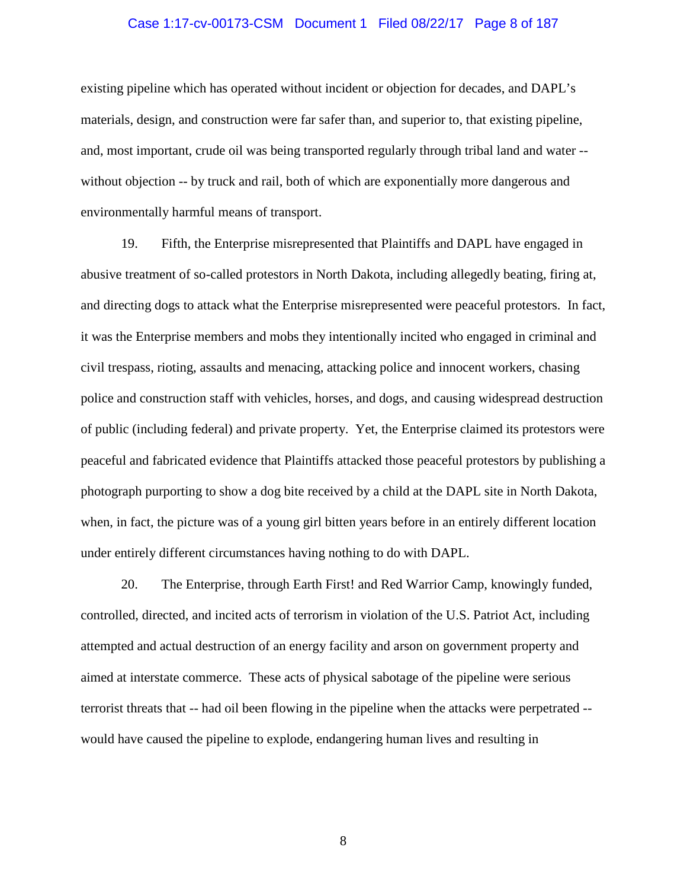### Case 1:17-cv-00173-CSM Document 1 Filed 08/22/17 Page 8 of 187

existing pipeline which has operated without incident or objection for decades, and DAPL's materials, design, and construction were far safer than, and superior to, that existing pipeline, and, most important, crude oil was being transported regularly through tribal land and water - without objection -- by truck and rail, both of which are exponentially more dangerous and environmentally harmful means of transport.

19. Fifth, the Enterprise misrepresented that Plaintiffs and DAPL have engaged in abusive treatment of so-called protestors in North Dakota, including allegedly beating, firing at, and directing dogs to attack what the Enterprise misrepresented were peaceful protestors. In fact, it was the Enterprise members and mobs they intentionally incited who engaged in criminal and civil trespass, rioting, assaults and menacing, attacking police and innocent workers, chasing police and construction staff with vehicles, horses, and dogs, and causing widespread destruction of public (including federal) and private property. Yet, the Enterprise claimed its protestors were peaceful and fabricated evidence that Plaintiffs attacked those peaceful protestors by publishing a photograph purporting to show a dog bite received by a child at the DAPL site in North Dakota, when, in fact, the picture was of a young girl bitten years before in an entirely different location under entirely different circumstances having nothing to do with DAPL.

20. The Enterprise, through Earth First! and Red Warrior Camp, knowingly funded, controlled, directed, and incited acts of terrorism in violation of the U.S. Patriot Act, including attempted and actual destruction of an energy facility and arson on government property and aimed at interstate commerce. These acts of physical sabotage of the pipeline were serious terrorist threats that -- had oil been flowing in the pipeline when the attacks were perpetrated - would have caused the pipeline to explode, endangering human lives and resulting in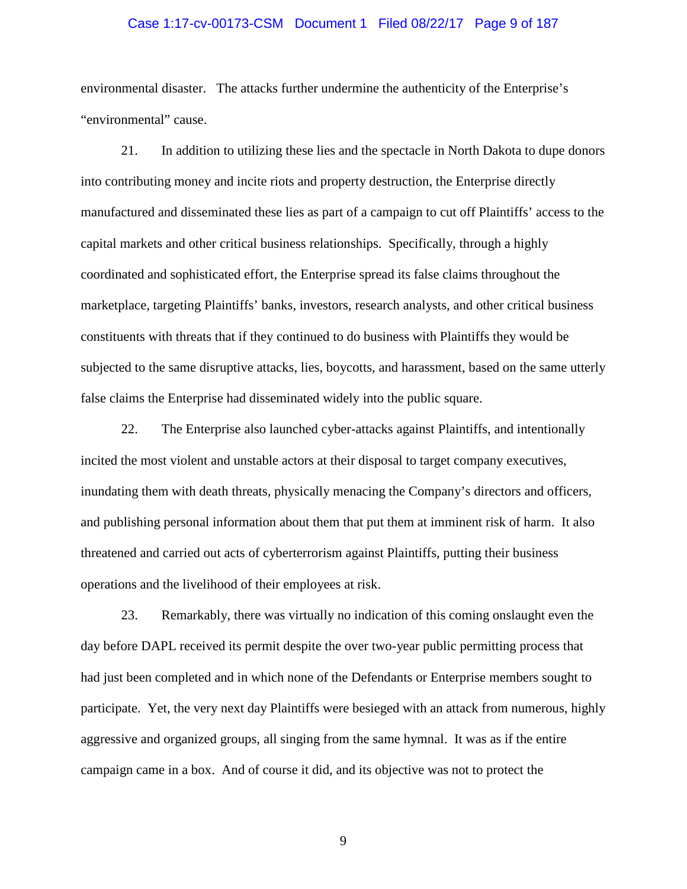### Case 1:17-cv-00173-CSM Document 1 Filed 08/22/17 Page 9 of 187

environmental disaster. The attacks further undermine the authenticity of the Enterprise's "environmental" cause.

21. In addition to utilizing these lies and the spectacle in North Dakota to dupe donors into contributing money and incite riots and property destruction, the Enterprise directly manufactured and disseminated these lies as part of a campaign to cut off Plaintiffs' access to the capital markets and other critical business relationships. Specifically, through a highly coordinated and sophisticated effort, the Enterprise spread its false claims throughout the marketplace, targeting Plaintiffs' banks, investors, research analysts, and other critical business constituents with threats that if they continued to do business with Plaintiffs they would be subjected to the same disruptive attacks, lies, boycotts, and harassment, based on the same utterly false claims the Enterprise had disseminated widely into the public square.

22. The Enterprise also launched cyber-attacks against Plaintiffs, and intentionally incited the most violent and unstable actors at their disposal to target company executives, inundating them with death threats, physically menacing the Company's directors and officers, and publishing personal information about them that put them at imminent risk of harm. It also threatened and carried out acts of cyberterrorism against Plaintiffs, putting their business operations and the livelihood of their employees at risk.

23. Remarkably, there was virtually no indication of this coming onslaught even the day before DAPL received its permit despite the over two-year public permitting process that had just been completed and in which none of the Defendants or Enterprise members sought to participate. Yet, the very next day Plaintiffs were besieged with an attack from numerous, highly aggressive and organized groups, all singing from the same hymnal. It was as if the entire campaign came in a box. And of course it did, and its objective was not to protect the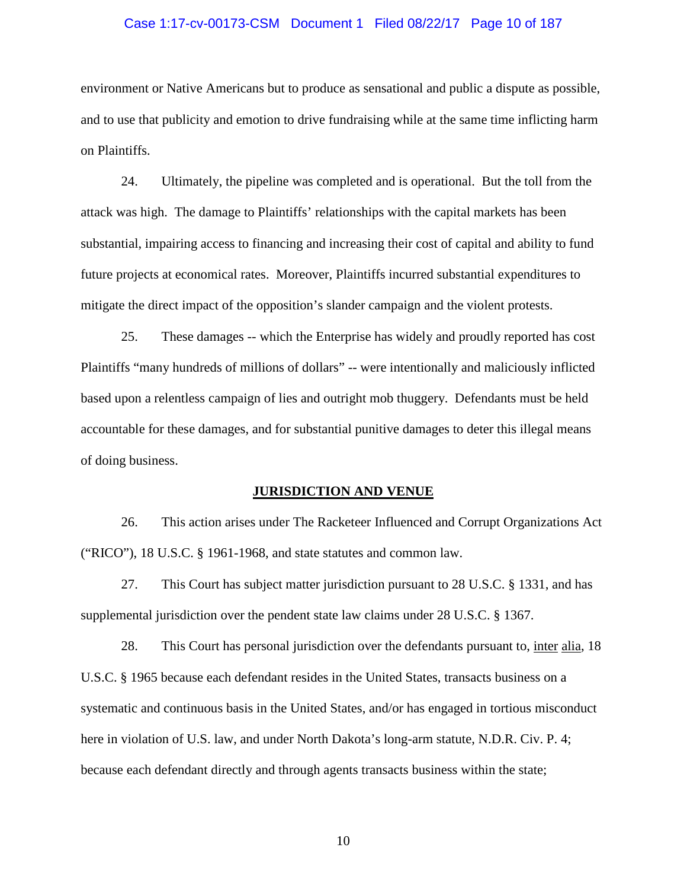### Case 1:17-cv-00173-CSM Document 1 Filed 08/22/17 Page 10 of 187

environment or Native Americans but to produce as sensational and public a dispute as possible, and to use that publicity and emotion to drive fundraising while at the same time inflicting harm on Plaintiffs.

24. Ultimately, the pipeline was completed and is operational. But the toll from the attack was high. The damage to Plaintiffs' relationships with the capital markets has been substantial, impairing access to financing and increasing their cost of capital and ability to fund future projects at economical rates. Moreover, Plaintiffs incurred substantial expenditures to mitigate the direct impact of the opposition's slander campaign and the violent protests.

25. These damages -- which the Enterprise has widely and proudly reported has cost Plaintiffs "many hundreds of millions of dollars" -- were intentionally and maliciously inflicted based upon a relentless campaign of lies and outright mob thuggery. Defendants must be held accountable for these damages, and for substantial punitive damages to deter this illegal means of doing business.

#### **JURISDICTION AND VENUE**

26. This action arises under The Racketeer Influenced and Corrupt Organizations Act ("RICO"), 18 U.S.C. § 1961-1968, and state statutes and common law.

27. This Court has subject matter jurisdiction pursuant to 28 U.S.C. § 1331, and has supplemental jurisdiction over the pendent state law claims under 28 U.S.C. § 1367.

28. This Court has personal jurisdiction over the defendants pursuant to, inter alia, 18 U.S.C. § 1965 because each defendant resides in the United States, transacts business on a systematic and continuous basis in the United States, and/or has engaged in tortious misconduct here in violation of U.S. law, and under North Dakota's long-arm statute, N.D.R. Civ. P. 4; because each defendant directly and through agents transacts business within the state;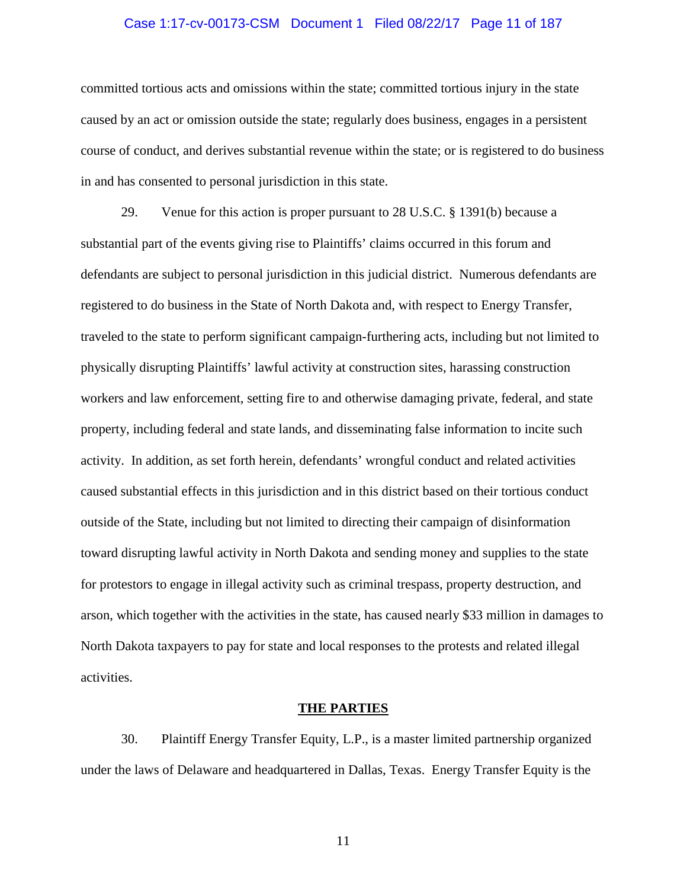### Case 1:17-cv-00173-CSM Document 1 Filed 08/22/17 Page 11 of 187

committed tortious acts and omissions within the state; committed tortious injury in the state caused by an act or omission outside the state; regularly does business, engages in a persistent course of conduct, and derives substantial revenue within the state; or is registered to do business in and has consented to personal jurisdiction in this state.

29. Venue for this action is proper pursuant to 28 U.S.C. § 1391(b) because a substantial part of the events giving rise to Plaintiffs' claims occurred in this forum and defendants are subject to personal jurisdiction in this judicial district. Numerous defendants are registered to do business in the State of North Dakota and, with respect to Energy Transfer, traveled to the state to perform significant campaign-furthering acts, including but not limited to physically disrupting Plaintiffs' lawful activity at construction sites, harassing construction workers and law enforcement, setting fire to and otherwise damaging private, federal, and state property, including federal and state lands, and disseminating false information to incite such activity. In addition, as set forth herein, defendants' wrongful conduct and related activities caused substantial effects in this jurisdiction and in this district based on their tortious conduct outside of the State, including but not limited to directing their campaign of disinformation toward disrupting lawful activity in North Dakota and sending money and supplies to the state for protestors to engage in illegal activity such as criminal trespass, property destruction, and arson, which together with the activities in the state, has caused nearly \$33 million in damages to North Dakota taxpayers to pay for state and local responses to the protests and related illegal activities.

#### **THE PARTIES**

30. Plaintiff Energy Transfer Equity, L.P., is a master limited partnership organized under the laws of Delaware and headquartered in Dallas, Texas. Energy Transfer Equity is the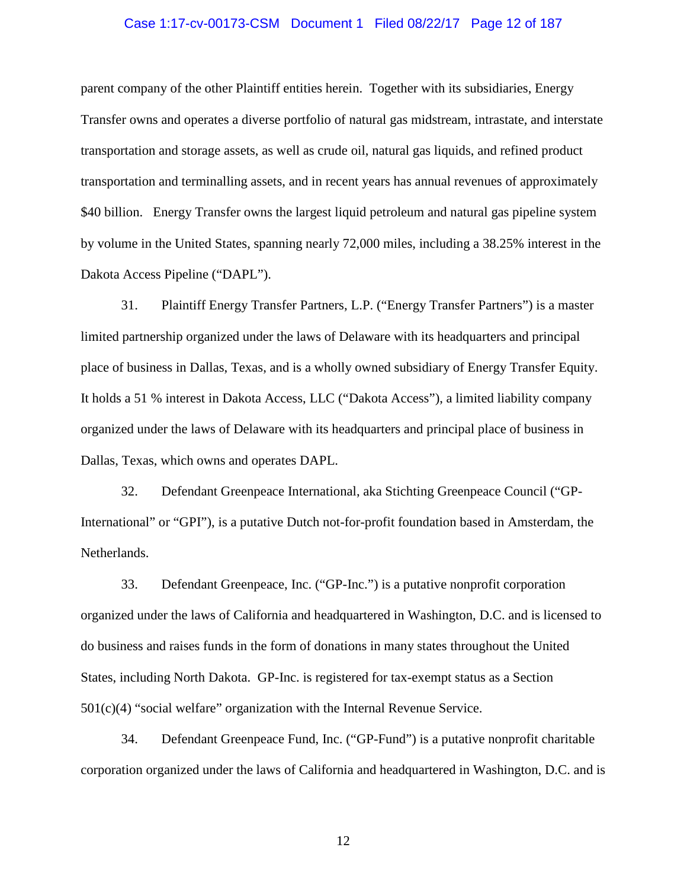### Case 1:17-cv-00173-CSM Document 1 Filed 08/22/17 Page 12 of 187

parent company of the other Plaintiff entities herein. Together with its subsidiaries, Energy Transfer owns and operates a diverse portfolio of natural gas midstream, intrastate, and interstate transportation and storage assets, as well as crude oil, natural gas liquids, and refined product transportation and terminalling assets, and in recent years has annual revenues of approximately \$40 billion. Energy Transfer owns the largest liquid petroleum and natural gas pipeline system by volume in the United States, spanning nearly 72,000 miles, including a 38.25% interest in the Dakota Access Pipeline ("DAPL").

31. Plaintiff Energy Transfer Partners, L.P. ("Energy Transfer Partners") is a master limited partnership organized under the laws of Delaware with its headquarters and principal place of business in Dallas, Texas, and is a wholly owned subsidiary of Energy Transfer Equity. It holds a 51 % interest in Dakota Access, LLC ("Dakota Access"), a limited liability company organized under the laws of Delaware with its headquarters and principal place of business in Dallas, Texas, which owns and operates DAPL.

32. Defendant Greenpeace International, aka Stichting Greenpeace Council ("GP-International" or "GPI"), is a putative Dutch not-for-profit foundation based in Amsterdam, the Netherlands.

33. Defendant Greenpeace, Inc. ("GP-Inc.") is a putative nonprofit corporation organized under the laws of California and headquartered in Washington, D.C. and is licensed to do business and raises funds in the form of donations in many states throughout the United States, including North Dakota. GP-Inc. is registered for tax-exempt status as a Section  $501(c)(4)$  "social welfare" organization with the Internal Revenue Service.

34. Defendant Greenpeace Fund, Inc. ("GP-Fund") is a putative nonprofit charitable corporation organized under the laws of California and headquartered in Washington, D.C. and is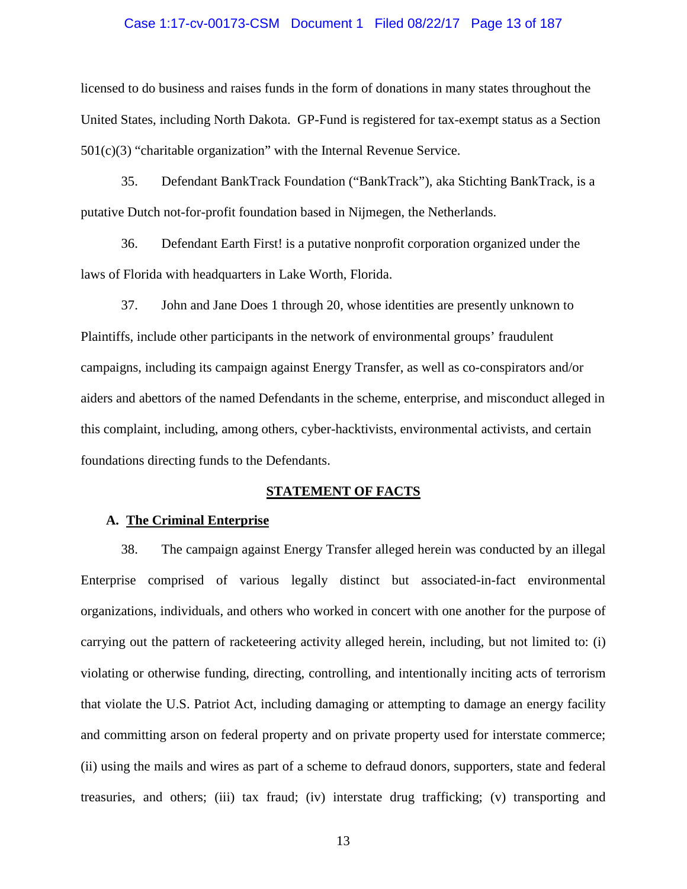### Case 1:17-cv-00173-CSM Document 1 Filed 08/22/17 Page 13 of 187

licensed to do business and raises funds in the form of donations in many states throughout the United States, including North Dakota. GP-Fund is registered for tax-exempt status as a Section 501(c)(3) "charitable organization" with the Internal Revenue Service.

35. Defendant BankTrack Foundation ("BankTrack"), aka Stichting BankTrack, is a putative Dutch not-for-profit foundation based in Nijmegen, the Netherlands.

36. Defendant Earth First! is a putative nonprofit corporation organized under the laws of Florida with headquarters in Lake Worth, Florida.

37. John and Jane Does 1 through 20, whose identities are presently unknown to Plaintiffs, include other participants in the network of environmental groups' fraudulent campaigns, including its campaign against Energy Transfer, as well as co-conspirators and/or aiders and abettors of the named Defendants in the scheme, enterprise, and misconduct alleged in this complaint, including, among others, cyber-hacktivists, environmental activists, and certain foundations directing funds to the Defendants.

#### **STATEMENT OF FACTS**

# **A. The Criminal Enterprise**

38. The campaign against Energy Transfer alleged herein was conducted by an illegal Enterprise comprised of various legally distinct but associated-in-fact environmental organizations, individuals, and others who worked in concert with one another for the purpose of carrying out the pattern of racketeering activity alleged herein, including, but not limited to: (i) violating or otherwise funding, directing, controlling, and intentionally inciting acts of terrorism that violate the U.S. Patriot Act, including damaging or attempting to damage an energy facility and committing arson on federal property and on private property used for interstate commerce; (ii) using the mails and wires as part of a scheme to defraud donors, supporters, state and federal treasuries, and others; (iii) tax fraud; (iv) interstate drug trafficking; (v) transporting and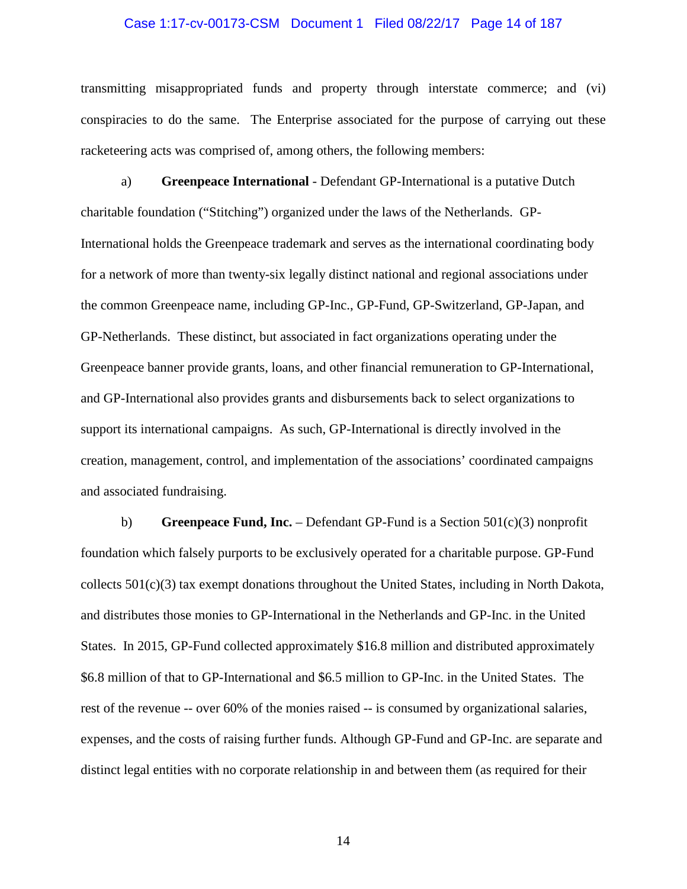### Case 1:17-cv-00173-CSM Document 1 Filed 08/22/17 Page 14 of 187

transmitting misappropriated funds and property through interstate commerce; and (vi) conspiracies to do the same. The Enterprise associated for the purpose of carrying out these racketeering acts was comprised of, among others, the following members:

a) **Greenpeace International** - Defendant GP-International is a putative Dutch charitable foundation ("Stitching") organized under the laws of the Netherlands. GP-International holds the Greenpeace trademark and serves as the international coordinating body for a network of more than twenty-six legally distinct national and regional associations under the common Greenpeace name, including GP-Inc., GP-Fund, GP-Switzerland, GP-Japan, and GP-Netherlands. These distinct, but associated in fact organizations operating under the Greenpeace banner provide grants, loans, and other financial remuneration to GP-International, and GP-International also provides grants and disbursements back to select organizations to support its international campaigns. As such, GP-International is directly involved in the creation, management, control, and implementation of the associations' coordinated campaigns and associated fundraising.

b) **Greenpeace Fund, Inc.** – Defendant GP-Fund is a Section 501(c)(3) nonprofit foundation which falsely purports to be exclusively operated for a charitable purpose. GP-Fund collects  $501(c)(3)$  tax exempt donations throughout the United States, including in North Dakota, and distributes those monies to GP-International in the Netherlands and GP-Inc. in the United States. In 2015, GP-Fund collected approximately \$16.8 million and distributed approximately \$6.8 million of that to GP-International and \$6.5 million to GP-Inc. in the United States. The rest of the revenue -- over 60% of the monies raised -- is consumed by organizational salaries, expenses, and the costs of raising further funds. Although GP-Fund and GP-Inc. are separate and distinct legal entities with no corporate relationship in and between them (as required for their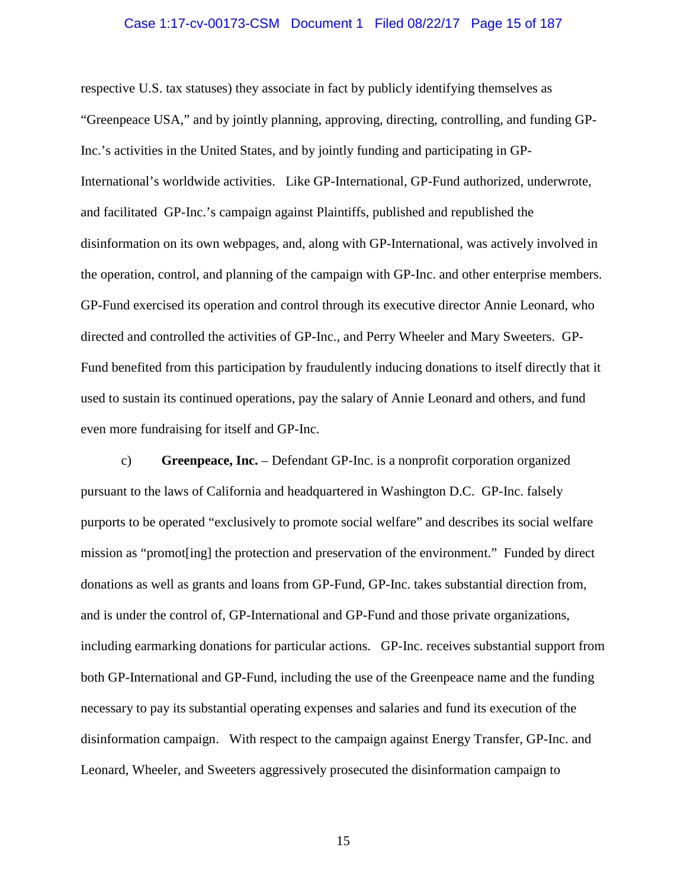#### Case 1:17-cv-00173-CSM Document 1 Filed 08/22/17 Page 15 of 187

respective U.S. tax statuses) they associate in fact by publicly identifying themselves as "Greenpeace USA," and by jointly planning, approving, directing, controlling, and funding GP-Inc.'s activities in the United States, and by jointly funding and participating in GP-International's worldwide activities. Like GP-International, GP-Fund authorized, underwrote, and facilitated GP-Inc.'s campaign against Plaintiffs, published and republished the disinformation on its own webpages, and, along with GP-International, was actively involved in the operation, control, and planning of the campaign with GP-Inc. and other enterprise members. GP-Fund exercised its operation and control through its executive director Annie Leonard, who directed and controlled the activities of GP-Inc., and Perry Wheeler and Mary Sweeters. GP-Fund benefited from this participation by fraudulently inducing donations to itself directly that it used to sustain its continued operations, pay the salary of Annie Leonard and others, and fund even more fundraising for itself and GP-Inc.

c) **Greenpeace, Inc.** – Defendant GP-Inc. is a nonprofit corporation organized pursuant to the laws of California and headquartered in Washington D.C. GP-Inc. falsely purports to be operated "exclusively to promote social welfare" and describes its social welfare mission as "promot[ing] the protection and preservation of the environment." Funded by direct donations as well as grants and loans from GP-Fund, GP-Inc. takes substantial direction from, and is under the control of, GP-International and GP-Fund and those private organizations, including earmarking donations for particular actions. GP-Inc. receives substantial support from both GP-International and GP-Fund, including the use of the Greenpeace name and the funding necessary to pay its substantial operating expenses and salaries and fund its execution of the disinformation campaign. With respect to the campaign against Energy Transfer, GP-Inc. and Leonard, Wheeler, and Sweeters aggressively prosecuted the disinformation campaign to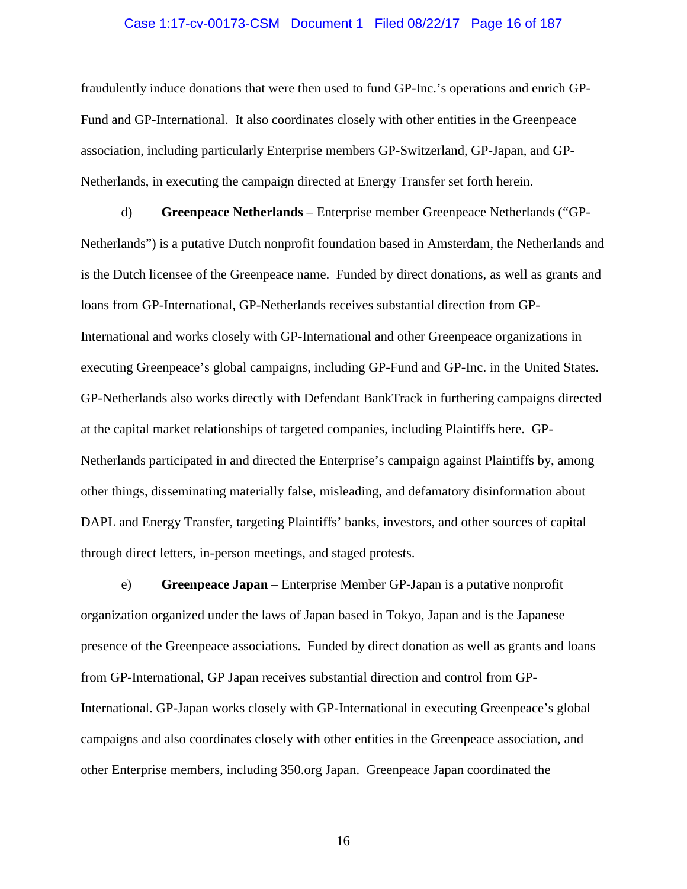### Case 1:17-cv-00173-CSM Document 1 Filed 08/22/17 Page 16 of 187

fraudulently induce donations that were then used to fund GP-Inc.'s operations and enrich GP-Fund and GP-International. It also coordinates closely with other entities in the Greenpeace association, including particularly Enterprise members GP-Switzerland, GP-Japan, and GP-Netherlands, in executing the campaign directed at Energy Transfer set forth herein.

d) **Greenpeace Netherlands** – Enterprise member Greenpeace Netherlands ("GP-Netherlands") is a putative Dutch nonprofit foundation based in Amsterdam, the Netherlands and is the Dutch licensee of the Greenpeace name. Funded by direct donations, as well as grants and loans from GP-International, GP-Netherlands receives substantial direction from GP-International and works closely with GP-International and other Greenpeace organizations in executing Greenpeace's global campaigns, including GP-Fund and GP-Inc. in the United States. GP-Netherlands also works directly with Defendant BankTrack in furthering campaigns directed at the capital market relationships of targeted companies, including Plaintiffs here. GP-Netherlands participated in and directed the Enterprise's campaign against Plaintiffs by, among other things, disseminating materially false, misleading, and defamatory disinformation about DAPL and Energy Transfer, targeting Plaintiffs' banks, investors, and other sources of capital through direct letters, in-person meetings, and staged protests.

e) **Greenpeace Japan** – Enterprise Member GP-Japan is a putative nonprofit organization organized under the laws of Japan based in Tokyo, Japan and is the Japanese presence of the Greenpeace associations. Funded by direct donation as well as grants and loans from GP-International, GP Japan receives substantial direction and control from GP-International. GP-Japan works closely with GP-International in executing Greenpeace's global campaigns and also coordinates closely with other entities in the Greenpeace association, and other Enterprise members, including 350.org Japan. Greenpeace Japan coordinated the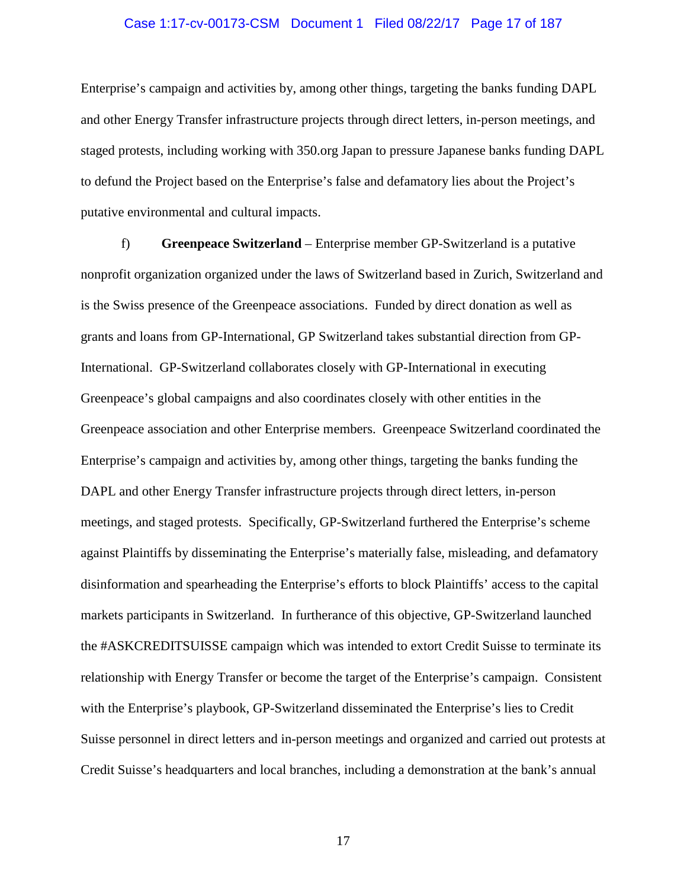### Case 1:17-cv-00173-CSM Document 1 Filed 08/22/17 Page 17 of 187

Enterprise's campaign and activities by, among other things, targeting the banks funding DAPL and other Energy Transfer infrastructure projects through direct letters, in-person meetings, and staged protests, including working with 350.org Japan to pressure Japanese banks funding DAPL to defund the Project based on the Enterprise's false and defamatory lies about the Project's putative environmental and cultural impacts.

f) **Greenpeace Switzerland** – Enterprise member GP-Switzerland is a putative nonprofit organization organized under the laws of Switzerland based in Zurich, Switzerland and is the Swiss presence of the Greenpeace associations. Funded by direct donation as well as grants and loans from GP-International, GP Switzerland takes substantial direction from GP-International. GP-Switzerland collaborates closely with GP-International in executing Greenpeace's global campaigns and also coordinates closely with other entities in the Greenpeace association and other Enterprise members. Greenpeace Switzerland coordinated the Enterprise's campaign and activities by, among other things, targeting the banks funding the DAPL and other Energy Transfer infrastructure projects through direct letters, in-person meetings, and staged protests. Specifically, GP-Switzerland furthered the Enterprise's scheme against Plaintiffs by disseminating the Enterprise's materially false, misleading, and defamatory disinformation and spearheading the Enterprise's efforts to block Plaintiffs' access to the capital markets participants in Switzerland. In furtherance of this objective, GP-Switzerland launched the #ASKCREDITSUISSE campaign which was intended to extort Credit Suisse to terminate its relationship with Energy Transfer or become the target of the Enterprise's campaign. Consistent with the Enterprise's playbook, GP-Switzerland disseminated the Enterprise's lies to Credit Suisse personnel in direct letters and in-person meetings and organized and carried out protests at Credit Suisse's headquarters and local branches, including a demonstration at the bank's annual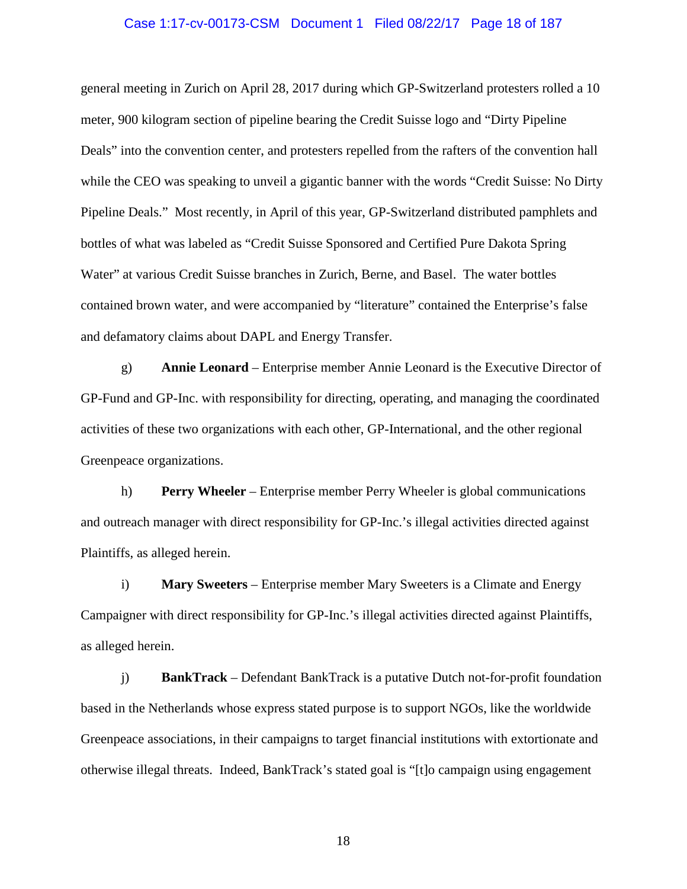### Case 1:17-cv-00173-CSM Document 1 Filed 08/22/17 Page 18 of 187

general meeting in Zurich on April 28, 2017 during which GP-Switzerland protesters rolled a 10 meter, 900 kilogram section of pipeline bearing the Credit Suisse logo and "Dirty Pipeline Deals" into the convention center, and protesters repelled from the rafters of the convention hall while the CEO was speaking to unveil a gigantic banner with the words "Credit Suisse: No Dirty Pipeline Deals." Most recently, in April of this year, GP-Switzerland distributed pamphlets and bottles of what was labeled as "Credit Suisse Sponsored and Certified Pure Dakota Spring Water" at various Credit Suisse branches in Zurich, Berne, and Basel. The water bottles contained brown water, and were accompanied by "literature" contained the Enterprise's false and defamatory claims about DAPL and Energy Transfer.

g) **Annie Leonard** – Enterprise member Annie Leonard is the Executive Director of GP-Fund and GP-Inc. with responsibility for directing, operating, and managing the coordinated activities of these two organizations with each other, GP-International, and the other regional Greenpeace organizations.

h) **Perry Wheeler** – Enterprise member Perry Wheeler is global communications and outreach manager with direct responsibility for GP-Inc.'s illegal activities directed against Plaintiffs, as alleged herein.

i) **Mary Sweeters** – Enterprise member Mary Sweeters is a Climate and Energy Campaigner with direct responsibility for GP-Inc.'s illegal activities directed against Plaintiffs, as alleged herein.

j) **BankTrack** – Defendant BankTrack is a putative Dutch not-for-profit foundation based in the Netherlands whose express stated purpose is to support NGOs, like the worldwide Greenpeace associations, in their campaigns to target financial institutions with extortionate and otherwise illegal threats. Indeed, BankTrack's stated goal is "[t]o campaign using engagement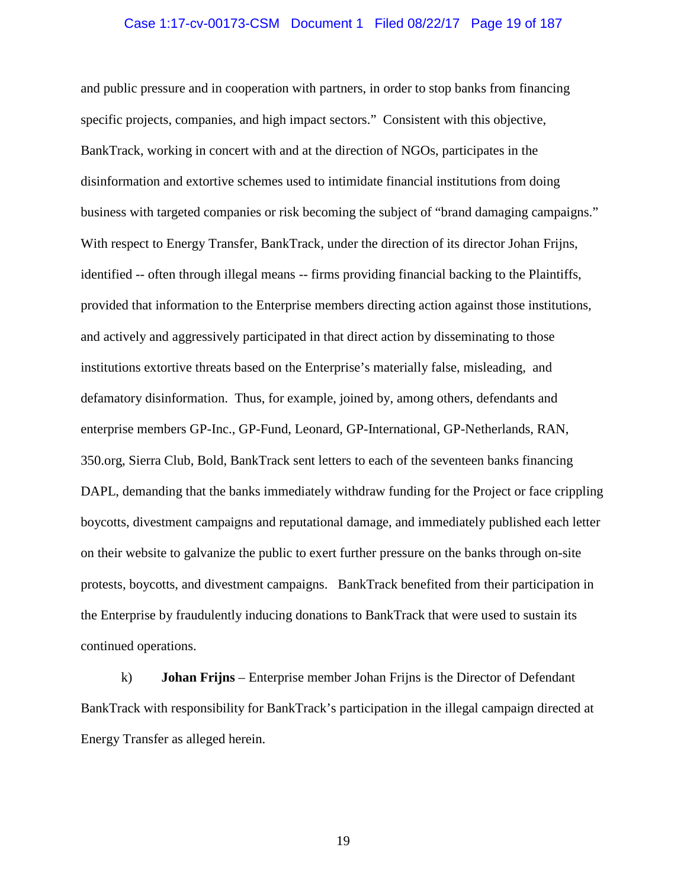#### Case 1:17-cv-00173-CSM Document 1 Filed 08/22/17 Page 19 of 187

and public pressure and in cooperation with partners, in order to stop banks from financing specific projects, companies, and high impact sectors." Consistent with this objective, BankTrack, working in concert with and at the direction of NGOs, participates in the disinformation and extortive schemes used to intimidate financial institutions from doing business with targeted companies or risk becoming the subject of "brand damaging campaigns." With respect to Energy Transfer, BankTrack, under the direction of its director Johan Frijns, identified -- often through illegal means -- firms providing financial backing to the Plaintiffs, provided that information to the Enterprise members directing action against those institutions, and actively and aggressively participated in that direct action by disseminating to those institutions extortive threats based on the Enterprise's materially false, misleading, and defamatory disinformation. Thus, for example, joined by, among others, defendants and enterprise members GP-Inc., GP-Fund, Leonard, GP-International, GP-Netherlands, RAN, 350.org, Sierra Club, Bold, BankTrack sent letters to each of the seventeen banks financing DAPL, demanding that the banks immediately withdraw funding for the Project or face crippling boycotts, divestment campaigns and reputational damage, and immediately published each letter on their website to galvanize the public to exert further pressure on the banks through on-site protests, boycotts, and divestment campaigns. BankTrack benefited from their participation in the Enterprise by fraudulently inducing donations to BankTrack that were used to sustain its continued operations.

k) **Johan Frijns** – Enterprise member Johan Frijns is the Director of Defendant BankTrack with responsibility for BankTrack's participation in the illegal campaign directed at Energy Transfer as alleged herein.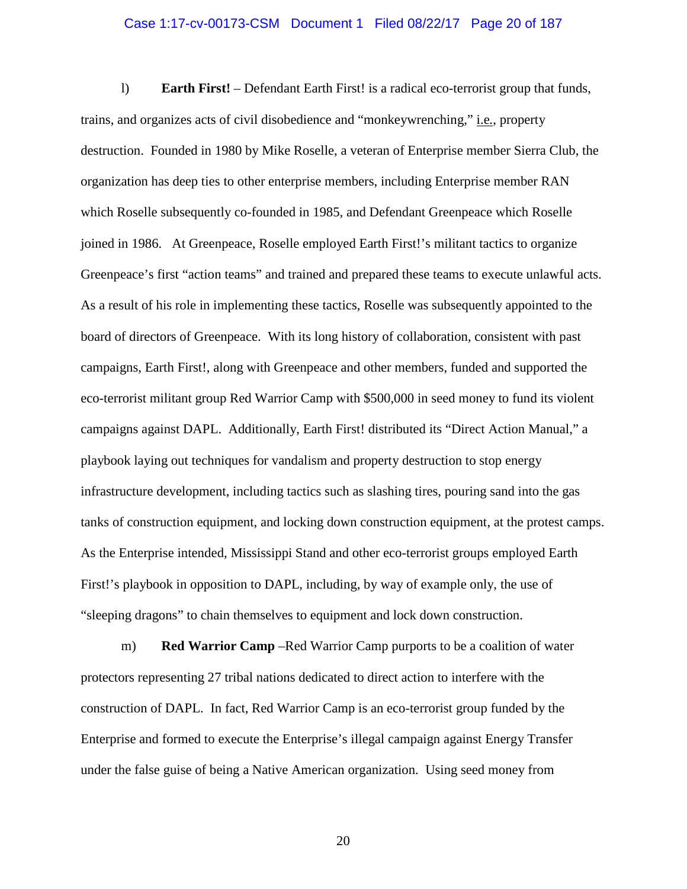### Case 1:17-cv-00173-CSM Document 1 Filed 08/22/17 Page 20 of 187

l) **Earth First!** – Defendant Earth First! is a radical eco-terrorist group that funds, trains, and organizes acts of civil disobedience and "monkeywrenching," i.e*.*, property destruction. Founded in 1980 by Mike Roselle, a veteran of Enterprise member Sierra Club, the organization has deep ties to other enterprise members, including Enterprise member RAN which Roselle subsequently co-founded in 1985, and Defendant Greenpeace which Roselle joined in 1986. At Greenpeace, Roselle employed Earth First!'s militant tactics to organize Greenpeace's first "action teams" and trained and prepared these teams to execute unlawful acts. As a result of his role in implementing these tactics, Roselle was subsequently appointed to the board of directors of Greenpeace. With its long history of collaboration, consistent with past campaigns, Earth First!, along with Greenpeace and other members, funded and supported the eco-terrorist militant group Red Warrior Camp with \$500,000 in seed money to fund its violent campaigns against DAPL. Additionally, Earth First! distributed its "Direct Action Manual," a playbook laying out techniques for vandalism and property destruction to stop energy infrastructure development, including tactics such as slashing tires, pouring sand into the gas tanks of construction equipment, and locking down construction equipment, at the protest camps. As the Enterprise intended, Mississippi Stand and other eco-terrorist groups employed Earth First!'s playbook in opposition to DAPL, including, by way of example only, the use of "sleeping dragons" to chain themselves to equipment and lock down construction.

m) **Red Warrior Camp** –Red Warrior Camp purports to be a coalition of water protectors representing 27 tribal nations dedicated to direct action to interfere with the construction of DAPL. In fact, Red Warrior Camp is an eco-terrorist group funded by the Enterprise and formed to execute the Enterprise's illegal campaign against Energy Transfer under the false guise of being a Native American organization. Using seed money from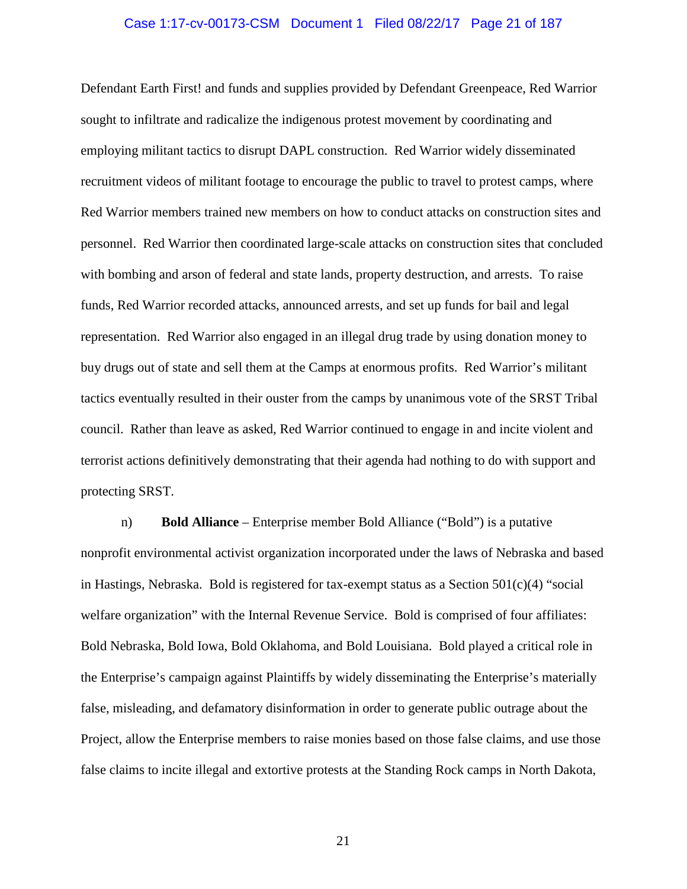### Case 1:17-cv-00173-CSM Document 1 Filed 08/22/17 Page 21 of 187

Defendant Earth First! and funds and supplies provided by Defendant Greenpeace, Red Warrior sought to infiltrate and radicalize the indigenous protest movement by coordinating and employing militant tactics to disrupt DAPL construction. Red Warrior widely disseminated recruitment videos of militant footage to encourage the public to travel to protest camps, where Red Warrior members trained new members on how to conduct attacks on construction sites and personnel. Red Warrior then coordinated large-scale attacks on construction sites that concluded with bombing and arson of federal and state lands, property destruction, and arrests. To raise funds, Red Warrior recorded attacks, announced arrests, and set up funds for bail and legal representation. Red Warrior also engaged in an illegal drug trade by using donation money to buy drugs out of state and sell them at the Camps at enormous profits. Red Warrior's militant tactics eventually resulted in their ouster from the camps by unanimous vote of the SRST Tribal council. Rather than leave as asked, Red Warrior continued to engage in and incite violent and terrorist actions definitively demonstrating that their agenda had nothing to do with support and protecting SRST.

n) **Bold Alliance** – Enterprise member Bold Alliance ("Bold") is a putative nonprofit environmental activist organization incorporated under the laws of Nebraska and based in Hastings, Nebraska. Bold is registered for tax-exempt status as a Section  $501(c)(4)$  "social" welfare organization" with the Internal Revenue Service. Bold is comprised of four affiliates: Bold Nebraska, Bold Iowa, Bold Oklahoma, and Bold Louisiana. Bold played a critical role in the Enterprise's campaign against Plaintiffs by widely disseminating the Enterprise's materially false, misleading, and defamatory disinformation in order to generate public outrage about the Project, allow the Enterprise members to raise monies based on those false claims, and use those false claims to incite illegal and extortive protests at the Standing Rock camps in North Dakota,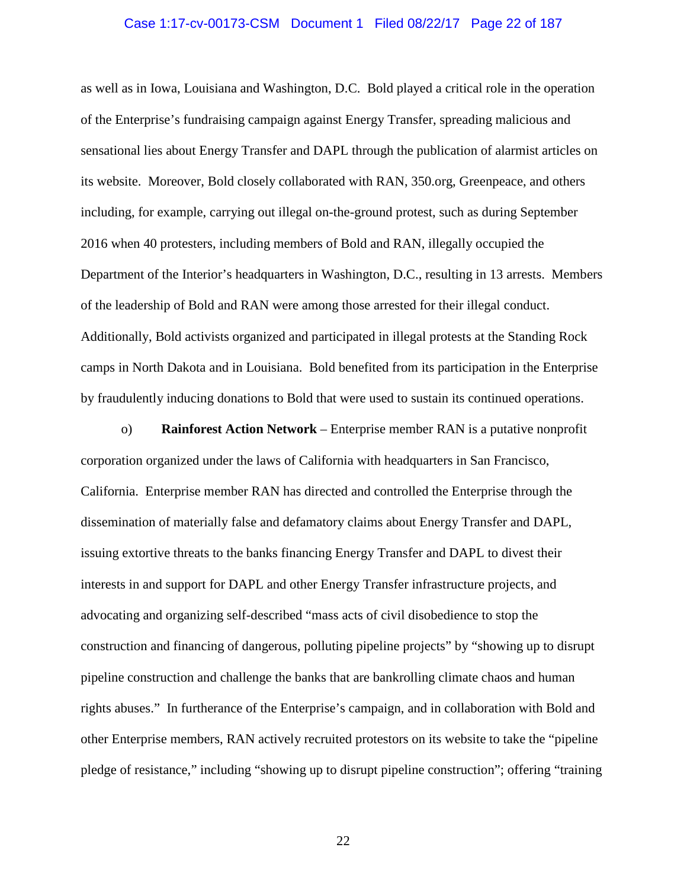#### Case 1:17-cv-00173-CSM Document 1 Filed 08/22/17 Page 22 of 187

as well as in Iowa, Louisiana and Washington, D.C. Bold played a critical role in the operation of the Enterprise's fundraising campaign against Energy Transfer, spreading malicious and sensational lies about Energy Transfer and DAPL through the publication of alarmist articles on its website. Moreover, Bold closely collaborated with RAN, 350.org, Greenpeace, and others including, for example, carrying out illegal on-the-ground protest, such as during September 2016 when 40 protesters, including members of Bold and RAN, illegally occupied the Department of the Interior's headquarters in Washington, D.C., resulting in 13 arrests. Members of the leadership of Bold and RAN were among those arrested for their illegal conduct. Additionally, Bold activists organized and participated in illegal protests at the Standing Rock camps in North Dakota and in Louisiana. Bold benefited from its participation in the Enterprise by fraudulently inducing donations to Bold that were used to sustain its continued operations.

o) **Rainforest Action Network** – Enterprise member RAN is a putative nonprofit corporation organized under the laws of California with headquarters in San Francisco, California. Enterprise member RAN has directed and controlled the Enterprise through the dissemination of materially false and defamatory claims about Energy Transfer and DAPL, issuing extortive threats to the banks financing Energy Transfer and DAPL to divest their interests in and support for DAPL and other Energy Transfer infrastructure projects, and advocating and organizing self-described "mass acts of civil disobedience to stop the construction and financing of dangerous, polluting pipeline projects" by "showing up to disrupt pipeline construction and challenge the banks that are bankrolling climate chaos and human rights abuses." In furtherance of the Enterprise's campaign, and in collaboration with Bold and other Enterprise members, RAN actively recruited protestors on its website to take the "pipeline pledge of resistance," including "showing up to disrupt pipeline construction"; offering "training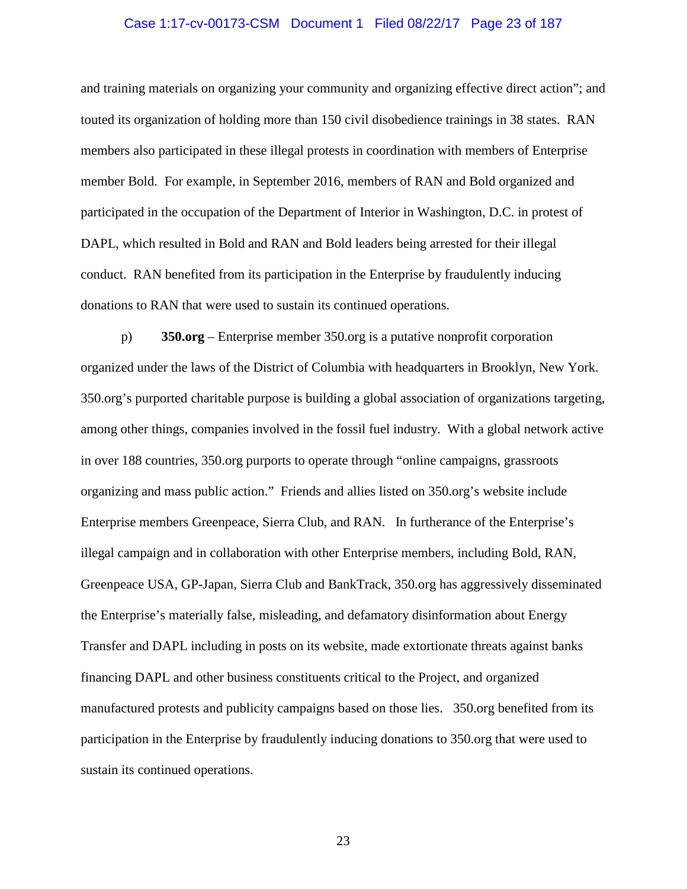### Case 1:17-cv-00173-CSM Document 1 Filed 08/22/17 Page 23 of 187

and training materials on organizing your community and organizing effective direct action"; and touted its organization of holding more than 150 civil disobedience trainings in 38 states. RAN members also participated in these illegal protests in coordination with members of Enterprise member Bold. For example, in September 2016, members of RAN and Bold organized and participated in the occupation of the Department of Interior in Washington, D.C. in protest of DAPL, which resulted in Bold and RAN and Bold leaders being arrested for their illegal conduct. RAN benefited from its participation in the Enterprise by fraudulently inducing donations to RAN that were used to sustain its continued operations.

p) **350.org** – Enterprise member 350.org is a putative nonprofit corporation organized under the laws of the District of Columbia with headquarters in Brooklyn, New York. 350.org's purported charitable purpose is building a global association of organizations targeting, among other things, companies involved in the fossil fuel industry. With a global network active in over 188 countries, 350.org purports to operate through "online campaigns, grassroots organizing and mass public action." Friends and allies listed on 350.org's website include Enterprise members Greenpeace, Sierra Club, and RAN. In furtherance of the Enterprise's illegal campaign and in collaboration with other Enterprise members, including Bold, RAN, Greenpeace USA, GP-Japan, Sierra Club and BankTrack, 350.org has aggressively disseminated the Enterprise's materially false, misleading, and defamatory disinformation about Energy Transfer and DAPL including in posts on its website, made extortionate threats against banks financing DAPL and other business constituents critical to the Project, and organized manufactured protests and publicity campaigns based on those lies. 350.org benefited from its participation in the Enterprise by fraudulently inducing donations to 350.org that were used to sustain its continued operations.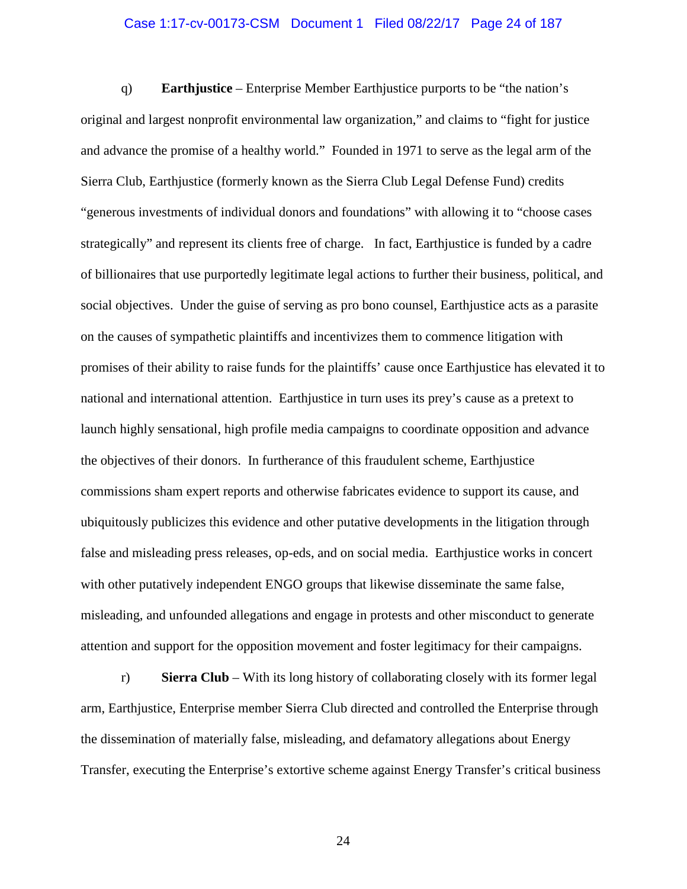### Case 1:17-cv-00173-CSM Document 1 Filed 08/22/17 Page 24 of 187

q) **Earthjustice** – Enterprise Member Earthjustice purports to be "the nation's original and largest nonprofit environmental law organization," and claims to "fight for justice and advance the promise of a healthy world." Founded in 1971 to serve as the legal arm of the Sierra Club, Earthjustice (formerly known as the Sierra Club Legal Defense Fund) credits "generous investments of individual donors and foundations" with allowing it to "choose cases strategically" and represent its clients free of charge. In fact, Earthjustice is funded by a cadre of billionaires that use purportedly legitimate legal actions to further their business, political, and social objectives. Under the guise of serving as pro bono counsel, Earthjustice acts as a parasite on the causes of sympathetic plaintiffs and incentivizes them to commence litigation with promises of their ability to raise funds for the plaintiffs' cause once Earthjustice has elevated it to national and international attention. Earthjustice in turn uses its prey's cause as a pretext to launch highly sensational, high profile media campaigns to coordinate opposition and advance the objectives of their donors. In furtherance of this fraudulent scheme, Earthjustice commissions sham expert reports and otherwise fabricates evidence to support its cause, and ubiquitously publicizes this evidence and other putative developments in the litigation through false and misleading press releases, op-eds, and on social media. Earthjustice works in concert with other putatively independent ENGO groups that likewise disseminate the same false, misleading, and unfounded allegations and engage in protests and other misconduct to generate attention and support for the opposition movement and foster legitimacy for their campaigns.

r) **Sierra Club** – With its long history of collaborating closely with its former legal arm, Earthjustice, Enterprise member Sierra Club directed and controlled the Enterprise through the dissemination of materially false, misleading, and defamatory allegations about Energy Transfer, executing the Enterprise's extortive scheme against Energy Transfer's critical business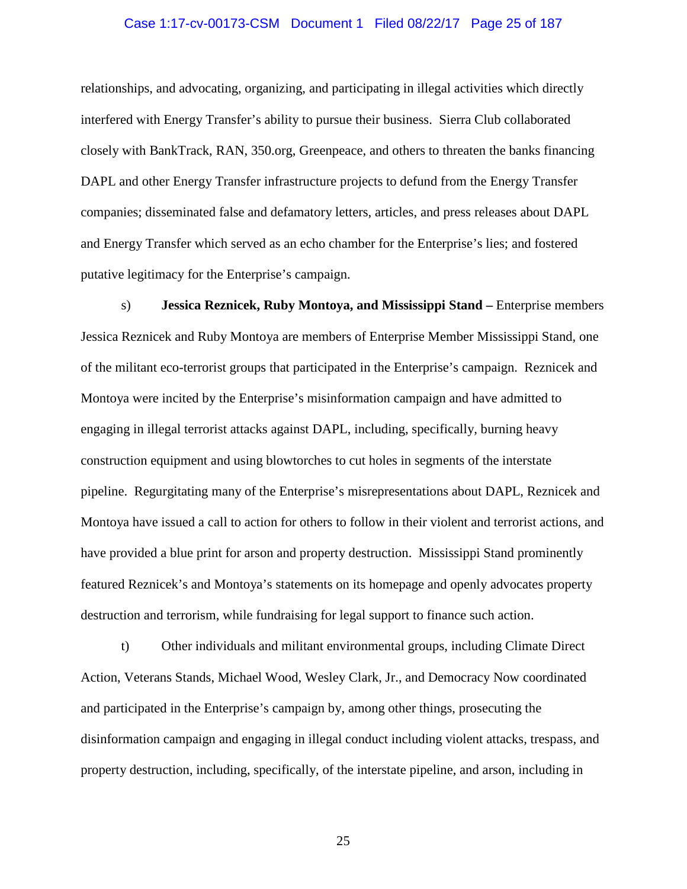### Case 1:17-cv-00173-CSM Document 1 Filed 08/22/17 Page 25 of 187

relationships, and advocating, organizing, and participating in illegal activities which directly interfered with Energy Transfer's ability to pursue their business. Sierra Club collaborated closely with BankTrack, RAN, 350.org, Greenpeace, and others to threaten the banks financing DAPL and other Energy Transfer infrastructure projects to defund from the Energy Transfer companies; disseminated false and defamatory letters, articles, and press releases about DAPL and Energy Transfer which served as an echo chamber for the Enterprise's lies; and fostered putative legitimacy for the Enterprise's campaign.

s) **Jessica Reznicek, Ruby Montoya, and Mississippi Stand –** Enterprise members Jessica Reznicek and Ruby Montoya are members of Enterprise Member Mississippi Stand, one of the militant eco-terrorist groups that participated in the Enterprise's campaign. Reznicek and Montoya were incited by the Enterprise's misinformation campaign and have admitted to engaging in illegal terrorist attacks against DAPL, including, specifically, burning heavy construction equipment and using blowtorches to cut holes in segments of the interstate pipeline. Regurgitating many of the Enterprise's misrepresentations about DAPL, Reznicek and Montoya have issued a call to action for others to follow in their violent and terrorist actions, and have provided a blue print for arson and property destruction. Mississippi Stand prominently featured Reznicek's and Montoya's statements on its homepage and openly advocates property destruction and terrorism, while fundraising for legal support to finance such action.

t) Other individuals and militant environmental groups, including Climate Direct Action, Veterans Stands, Michael Wood, Wesley Clark, Jr., and Democracy Now coordinated and participated in the Enterprise's campaign by, among other things, prosecuting the disinformation campaign and engaging in illegal conduct including violent attacks, trespass, and property destruction, including, specifically, of the interstate pipeline, and arson, including in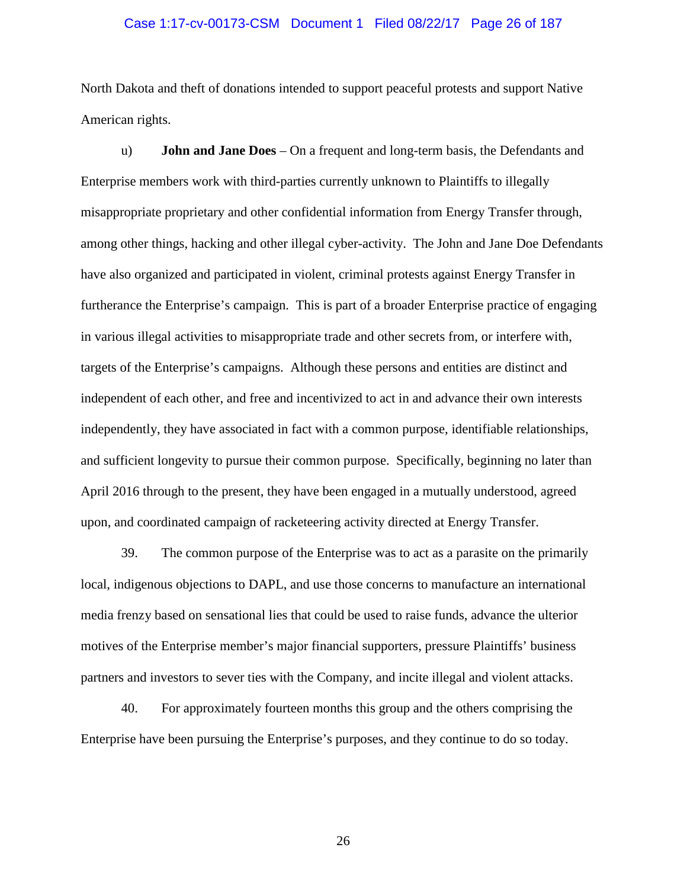### Case 1:17-cv-00173-CSM Document 1 Filed 08/22/17 Page 26 of 187

North Dakota and theft of donations intended to support peaceful protests and support Native American rights.

u) **John and Jane Does** – On a frequent and long-term basis, the Defendants and Enterprise members work with third-parties currently unknown to Plaintiffs to illegally misappropriate proprietary and other confidential information from Energy Transfer through, among other things, hacking and other illegal cyber-activity. The John and Jane Doe Defendants have also organized and participated in violent, criminal protests against Energy Transfer in furtherance the Enterprise's campaign. This is part of a broader Enterprise practice of engaging in various illegal activities to misappropriate trade and other secrets from, or interfere with, targets of the Enterprise's campaigns. Although these persons and entities are distinct and independent of each other, and free and incentivized to act in and advance their own interests independently, they have associated in fact with a common purpose, identifiable relationships, and sufficient longevity to pursue their common purpose. Specifically, beginning no later than April 2016 through to the present, they have been engaged in a mutually understood, agreed upon, and coordinated campaign of racketeering activity directed at Energy Transfer.

39. The common purpose of the Enterprise was to act as a parasite on the primarily local, indigenous objections to DAPL, and use those concerns to manufacture an international media frenzy based on sensational lies that could be used to raise funds, advance the ulterior motives of the Enterprise member's major financial supporters, pressure Plaintiffs' business partners and investors to sever ties with the Company, and incite illegal and violent attacks.

40. For approximately fourteen months this group and the others comprising the Enterprise have been pursuing the Enterprise's purposes, and they continue to do so today.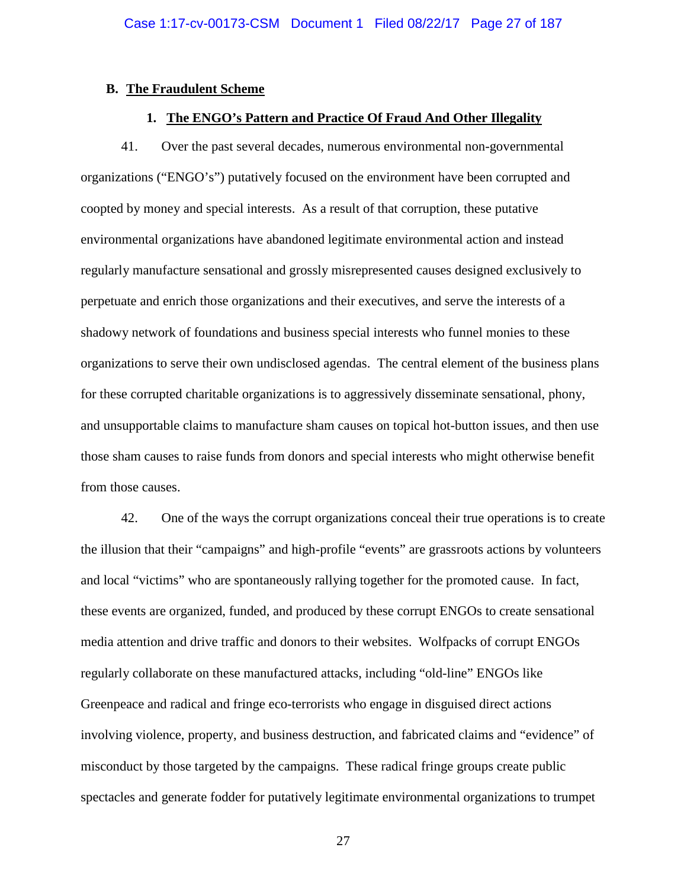## **B. The Fraudulent Scheme**

# **1. The ENGO's Pattern and Practice Of Fraud And Other Illegality**

41. Over the past several decades, numerous environmental non-governmental organizations ("ENGO's") putatively focused on the environment have been corrupted and coopted by money and special interests. As a result of that corruption, these putative environmental organizations have abandoned legitimate environmental action and instead regularly manufacture sensational and grossly misrepresented causes designed exclusively to perpetuate and enrich those organizations and their executives, and serve the interests of a shadowy network of foundations and business special interests who funnel monies to these organizations to serve their own undisclosed agendas. The central element of the business plans for these corrupted charitable organizations is to aggressively disseminate sensational, phony, and unsupportable claims to manufacture sham causes on topical hot-button issues, and then use those sham causes to raise funds from donors and special interests who might otherwise benefit from those causes.

42. One of the ways the corrupt organizations conceal their true operations is to create the illusion that their "campaigns" and high-profile "events" are grassroots actions by volunteers and local "victims" who are spontaneously rallying together for the promoted cause. In fact, these events are organized, funded, and produced by these corrupt ENGOs to create sensational media attention and drive traffic and donors to their websites. Wolfpacks of corrupt ENGOs regularly collaborate on these manufactured attacks, including "old-line" ENGOs like Greenpeace and radical and fringe eco-terrorists who engage in disguised direct actions involving violence, property, and business destruction, and fabricated claims and "evidence" of misconduct by those targeted by the campaigns. These radical fringe groups create public spectacles and generate fodder for putatively legitimate environmental organizations to trumpet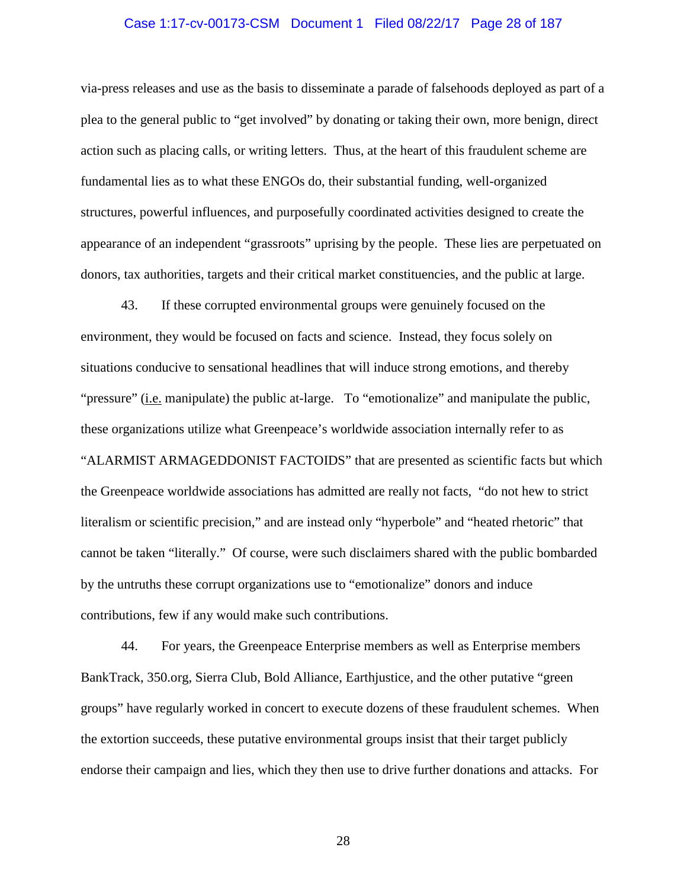### Case 1:17-cv-00173-CSM Document 1 Filed 08/22/17 Page 28 of 187

via-press releases and use as the basis to disseminate a parade of falsehoods deployed as part of a plea to the general public to "get involved" by donating or taking their own, more benign, direct action such as placing calls, or writing letters. Thus, at the heart of this fraudulent scheme are fundamental lies as to what these ENGOs do, their substantial funding, well-organized structures, powerful influences, and purposefully coordinated activities designed to create the appearance of an independent "grassroots" uprising by the people. These lies are perpetuated on donors, tax authorities, targets and their critical market constituencies, and the public at large.

43. If these corrupted environmental groups were genuinely focused on the environment, they would be focused on facts and science. Instead, they focus solely on situations conducive to sensational headlines that will induce strong emotions, and thereby "pressure" (i.e. manipulate) the public at-large. To "emotionalize" and manipulate the public, these organizations utilize what Greenpeace's worldwide association internally refer to as "ALARMIST ARMAGEDDONIST FACTOIDS" that are presented as scientific facts but which the Greenpeace worldwide associations has admitted are really not facts, "do not hew to strict literalism or scientific precision," and are instead only "hyperbole" and "heated rhetoric" that cannot be taken "literally." Of course, were such disclaimers shared with the public bombarded by the untruths these corrupt organizations use to "emotionalize" donors and induce contributions, few if any would make such contributions.

44. For years, the Greenpeace Enterprise members as well as Enterprise members BankTrack, 350.org, Sierra Club, Bold Alliance, Earthjustice, and the other putative "green groups" have regularly worked in concert to execute dozens of these fraudulent schemes. When the extortion succeeds, these putative environmental groups insist that their target publicly endorse their campaign and lies, which they then use to drive further donations and attacks. For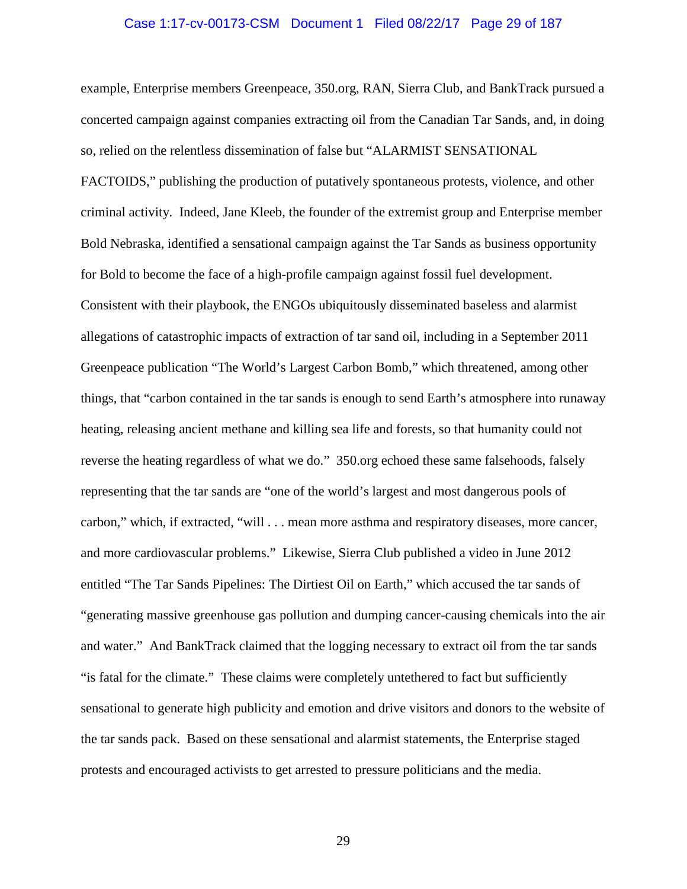#### Case 1:17-cv-00173-CSM Document 1 Filed 08/22/17 Page 29 of 187

example, Enterprise members Greenpeace, 350.org, RAN, Sierra Club, and BankTrack pursued a concerted campaign against companies extracting oil from the Canadian Tar Sands, and, in doing so, relied on the relentless dissemination of false but "ALARMIST SENSATIONAL

FACTOIDS," publishing the production of putatively spontaneous protests, violence, and other criminal activity. Indeed, Jane Kleeb, the founder of the extremist group and Enterprise member Bold Nebraska, identified a sensational campaign against the Tar Sands as business opportunity for Bold to become the face of a high-profile campaign against fossil fuel development. Consistent with their playbook, the ENGOs ubiquitously disseminated baseless and alarmist allegations of catastrophic impacts of extraction of tar sand oil, including in a September 2011 Greenpeace publication "The World's Largest Carbon Bomb," which threatened, among other things, that "carbon contained in the tar sands is enough to send Earth's atmosphere into runaway heating, releasing ancient methane and killing sea life and forests, so that humanity could not reverse the heating regardless of what we do." 350.org echoed these same falsehoods, falsely representing that the tar sands are "one of the world's largest and most dangerous pools of carbon," which, if extracted, "will . . . mean more asthma and respiratory diseases, more cancer, and more cardiovascular problems." Likewise, Sierra Club published a video in June 2012 entitled "The Tar Sands Pipelines: The Dirtiest Oil on Earth," which accused the tar sands of "generating massive greenhouse gas pollution and dumping cancer-causing chemicals into the air and water." And BankTrack claimed that the logging necessary to extract oil from the tar sands "is fatal for the climate." These claims were completely untethered to fact but sufficiently sensational to generate high publicity and emotion and drive visitors and donors to the website of the tar sands pack. Based on these sensational and alarmist statements, the Enterprise staged protests and encouraged activists to get arrested to pressure politicians and the media.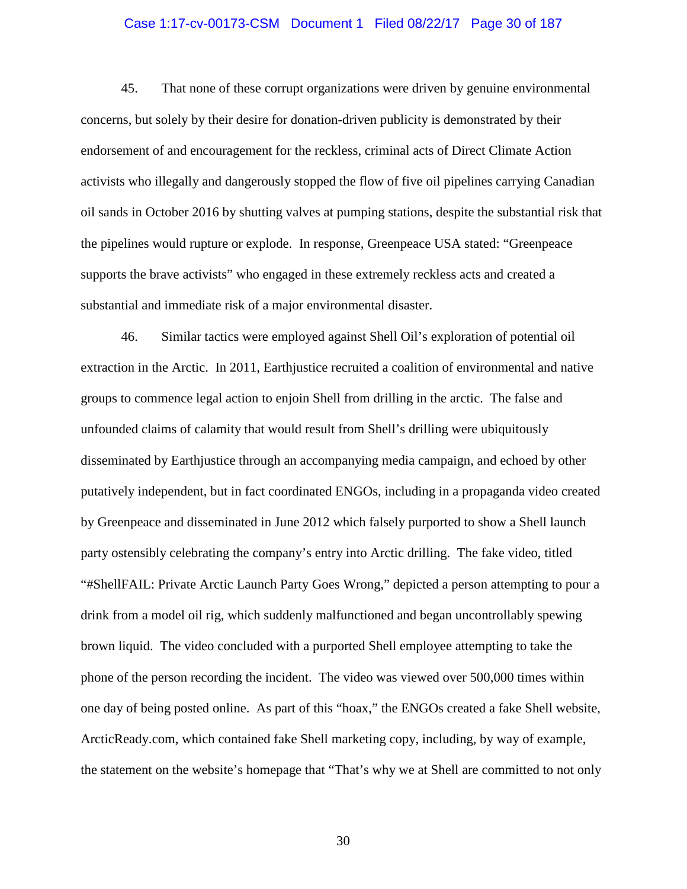### Case 1:17-cv-00173-CSM Document 1 Filed 08/22/17 Page 30 of 187

45. That none of these corrupt organizations were driven by genuine environmental concerns, but solely by their desire for donation-driven publicity is demonstrated by their endorsement of and encouragement for the reckless, criminal acts of Direct Climate Action activists who illegally and dangerously stopped the flow of five oil pipelines carrying Canadian oil sands in October 2016 by shutting valves at pumping stations, despite the substantial risk that the pipelines would rupture or explode. In response, Greenpeace USA stated: "Greenpeace supports the brave activists" who engaged in these extremely reckless acts and created a substantial and immediate risk of a major environmental disaster.

46. Similar tactics were employed against Shell Oil's exploration of potential oil extraction in the Arctic. In 2011, Earthjustice recruited a coalition of environmental and native groups to commence legal action to enjoin Shell from drilling in the arctic. The false and unfounded claims of calamity that would result from Shell's drilling were ubiquitously disseminated by Earthjustice through an accompanying media campaign, and echoed by other putatively independent, but in fact coordinated ENGOs, including in a propaganda video created by Greenpeace and disseminated in June 2012 which falsely purported to show a Shell launch party ostensibly celebrating the company's entry into Arctic drilling. The fake video, titled "#ShellFAIL: Private Arctic Launch Party Goes Wrong," depicted a person attempting to pour a drink from a model oil rig, which suddenly malfunctioned and began uncontrollably spewing brown liquid. The video concluded with a purported Shell employee attempting to take the phone of the person recording the incident. The video was viewed over 500,000 times within one day of being posted online. As part of this "hoax," the ENGOs created a fake Shell website, ArcticReady.com, which contained fake Shell marketing copy, including, by way of example, the statement on the website's homepage that "That's why we at Shell are committed to not only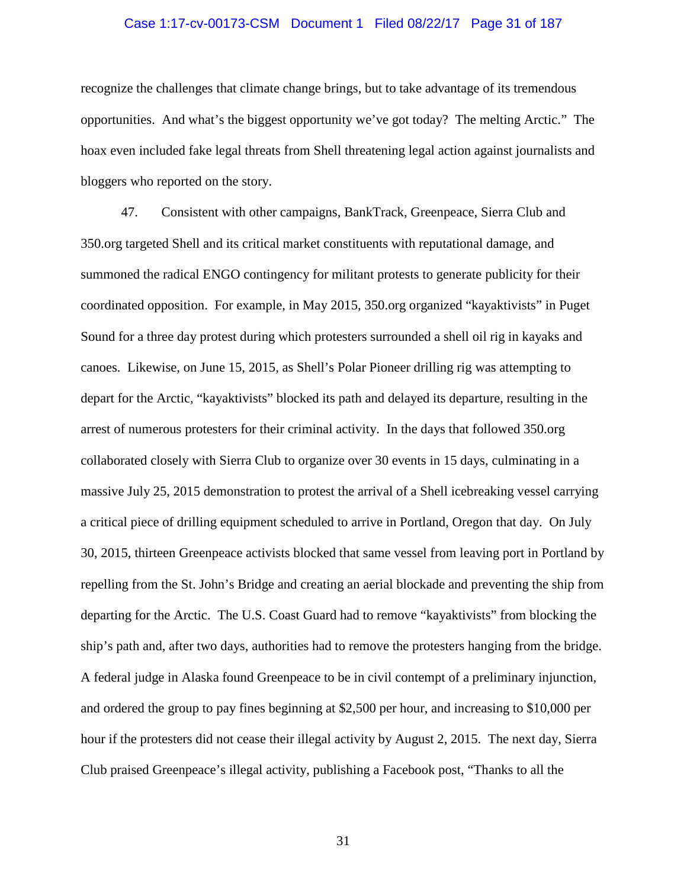### Case 1:17-cv-00173-CSM Document 1 Filed 08/22/17 Page 31 of 187

recognize the challenges that climate change brings, but to take advantage of its tremendous opportunities. And what's the biggest opportunity we've got today? The melting Arctic." The hoax even included fake legal threats from Shell threatening legal action against journalists and bloggers who reported on the story.

47. Consistent with other campaigns, BankTrack, Greenpeace, Sierra Club and 350.org targeted Shell and its critical market constituents with reputational damage, and summoned the radical ENGO contingency for militant protests to generate publicity for their coordinated opposition. For example, in May 2015, 350.org organized "kayaktivists" in Puget Sound for a three day protest during which protesters surrounded a shell oil rig in kayaks and canoes. Likewise, on June 15, 2015, as Shell's Polar Pioneer drilling rig was attempting to depart for the Arctic, "kayaktivists" blocked its path and delayed its departure, resulting in the arrest of numerous protesters for their criminal activity. In the days that followed 350.org collaborated closely with Sierra Club to organize over 30 events in 15 days, culminating in a massive July 25, 2015 demonstration to protest the arrival of a Shell icebreaking vessel carrying a critical piece of drilling equipment scheduled to arrive in Portland, Oregon that day. On July 30, 2015, thirteen Greenpeace activists blocked that same vessel from leaving port in Portland by repelling from the St. John's Bridge and creating an aerial blockade and preventing the ship from departing for the Arctic. The U.S. Coast Guard had to remove "kayaktivists" from blocking the ship's path and, after two days, authorities had to remove the protesters hanging from the bridge. A federal judge in Alaska found Greenpeace to be in civil contempt of a preliminary injunction, and ordered the group to pay fines beginning at \$2,500 per hour, and increasing to \$10,000 per hour if the protesters did not cease their illegal activity by August 2, 2015. The next day, Sierra Club praised Greenpeace's illegal activity, publishing a Facebook post, "Thanks to all the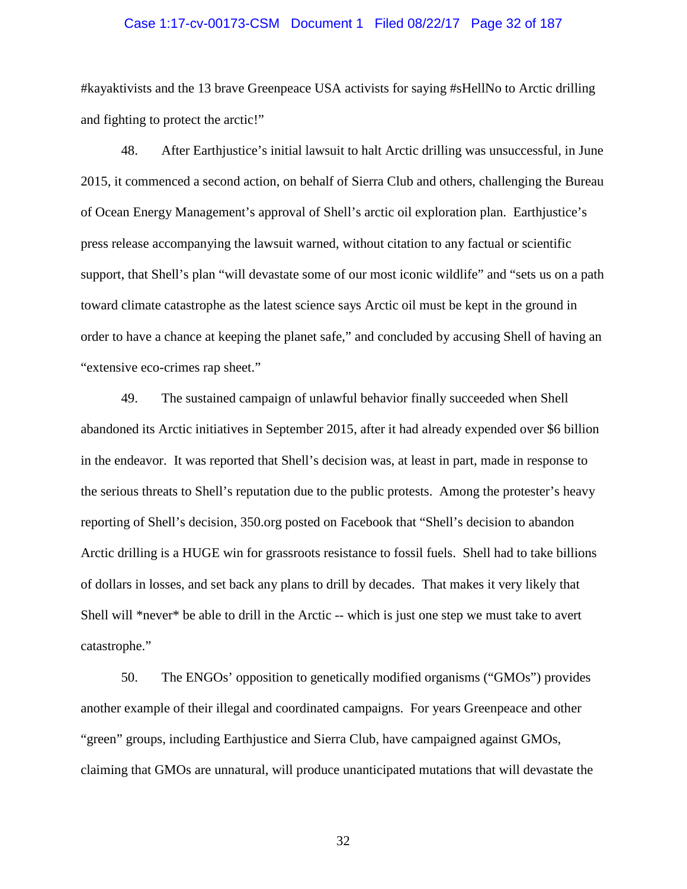### Case 1:17-cv-00173-CSM Document 1 Filed 08/22/17 Page 32 of 187

#kayaktivists and the 13 brave Greenpeace USA activists for saying #sHellNo to Arctic drilling and fighting to protect the arctic!"

48. After Earthjustice's initial lawsuit to halt Arctic drilling was unsuccessful, in June 2015, it commenced a second action, on behalf of Sierra Club and others, challenging the Bureau of Ocean Energy Management's approval of Shell's arctic oil exploration plan. Earthjustice's press release accompanying the lawsuit warned, without citation to any factual or scientific support, that Shell's plan "will devastate some of our most iconic wildlife" and "sets us on a path toward climate catastrophe as the latest science says Arctic oil must be kept in the ground in order to have a chance at keeping the planet safe," and concluded by accusing Shell of having an "extensive eco-crimes rap sheet."

49. The sustained campaign of unlawful behavior finally succeeded when Shell abandoned its Arctic initiatives in September 2015, after it had already expended over \$6 billion in the endeavor. It was reported that Shell's decision was, at least in part, made in response to the serious threats to Shell's reputation due to the public protests. Among the protester's heavy reporting of Shell's decision, 350.org posted on Facebook that "Shell's decision to abandon Arctic drilling is a HUGE win for grassroots resistance to fossil fuels. Shell had to take billions of dollars in losses, and set back any plans to drill by decades. That makes it very likely that Shell will \*never\* be able to drill in the Arctic -- which is just one step we must take to avert catastrophe."

50. The ENGOs' opposition to genetically modified organisms ("GMOs") provides another example of their illegal and coordinated campaigns. For years Greenpeace and other "green" groups, including Earthjustice and Sierra Club, have campaigned against GMOs, claiming that GMOs are unnatural, will produce unanticipated mutations that will devastate the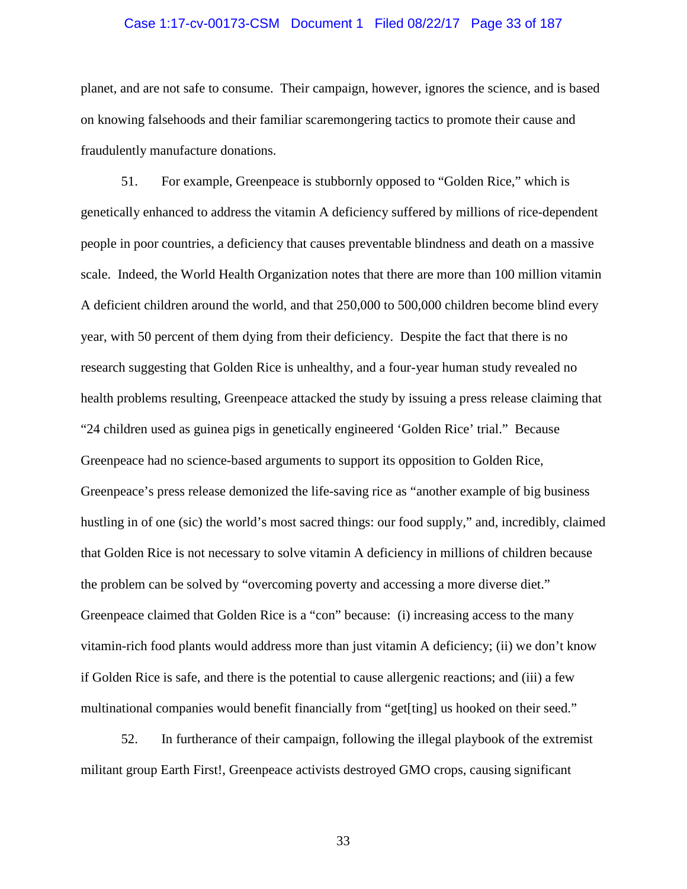### Case 1:17-cv-00173-CSM Document 1 Filed 08/22/17 Page 33 of 187

planet, and are not safe to consume. Their campaign, however, ignores the science, and is based on knowing falsehoods and their familiar scaremongering tactics to promote their cause and fraudulently manufacture donations.

51. For example, Greenpeace is stubbornly opposed to "Golden Rice," which is genetically enhanced to address the vitamin A deficiency suffered by millions of rice-dependent people in poor countries, a deficiency that causes preventable blindness and death on a massive scale. Indeed, the World Health Organization notes that there are more than 100 million vitamin A deficient children around the world, and that 250,000 to 500,000 children become blind every year, with 50 percent of them dying from their deficiency. Despite the fact that there is no research suggesting that Golden Rice is unhealthy, and a four-year human study revealed no health problems resulting, Greenpeace attacked the study by issuing a press release claiming that "24 children used as guinea pigs in genetically engineered 'Golden Rice' trial." Because Greenpeace had no science-based arguments to support its opposition to Golden Rice, Greenpeace's press release demonized the life-saving rice as "another example of big business hustling in of one (sic) the world's most sacred things: our food supply," and, incredibly, claimed that Golden Rice is not necessary to solve vitamin A deficiency in millions of children because the problem can be solved by "overcoming poverty and accessing a more diverse diet." Greenpeace claimed that Golden Rice is a "con" because: (i) increasing access to the many vitamin-rich food plants would address more than just vitamin A deficiency; (ii) we don't know if Golden Rice is safe, and there is the potential to cause allergenic reactions; and (iii) a few multinational companies would benefit financially from "get[ting] us hooked on their seed."

52. In furtherance of their campaign, following the illegal playbook of the extremist militant group Earth First!, Greenpeace activists destroyed GMO crops, causing significant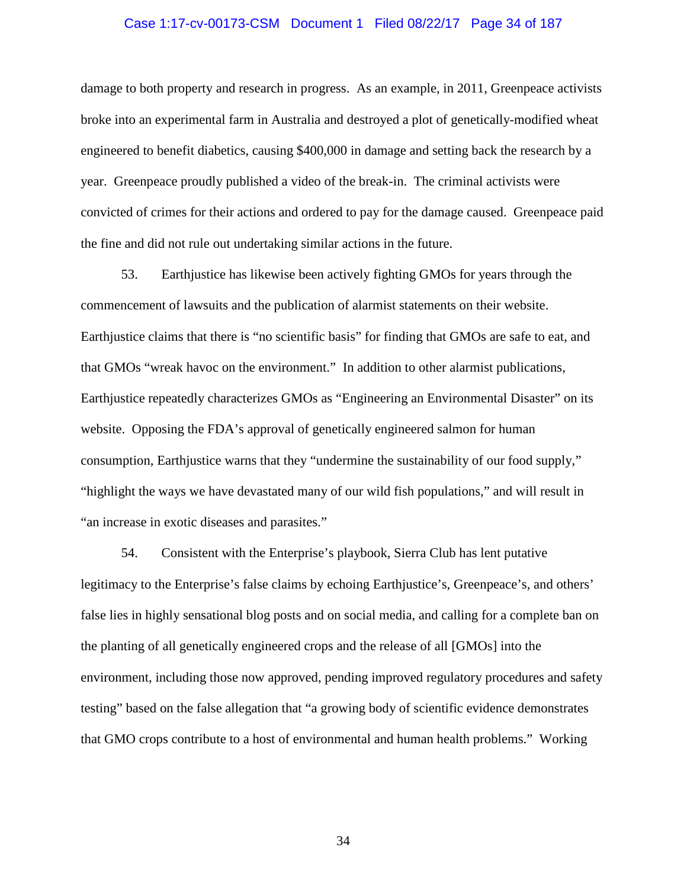### Case 1:17-cv-00173-CSM Document 1 Filed 08/22/17 Page 34 of 187

damage to both property and research in progress. As an example, in 2011, Greenpeace activists broke into an experimental farm in Australia and destroyed a plot of genetically-modified wheat engineered to benefit diabetics, causing \$400,000 in damage and setting back the research by a year. Greenpeace proudly published a video of the break-in. The criminal activists were convicted of crimes for their actions and ordered to pay for the damage caused. Greenpeace paid the fine and did not rule out undertaking similar actions in the future.

53. Earthjustice has likewise been actively fighting GMOs for years through the commencement of lawsuits and the publication of alarmist statements on their website. Earthjustice claims that there is "no scientific basis" for finding that GMOs are safe to eat, and that GMOs "wreak havoc on the environment." In addition to other alarmist publications, Earthjustice repeatedly characterizes GMOs as "Engineering an Environmental Disaster" on its website. Opposing the FDA's approval of genetically engineered salmon for human consumption, Earthjustice warns that they "undermine the sustainability of our food supply," "highlight the ways we have devastated many of our wild fish populations," and will result in "an increase in exotic diseases and parasites."

54. Consistent with the Enterprise's playbook, Sierra Club has lent putative legitimacy to the Enterprise's false claims by echoing Earthjustice's, Greenpeace's, and others' false lies in highly sensational blog posts and on social media, and calling for a complete ban on the planting of all genetically engineered crops and the release of all [GMOs] into the environment, including those now approved, pending improved regulatory procedures and safety testing" based on the false allegation that "a growing body of scientific evidence demonstrates that GMO crops contribute to a host of environmental and human health problems." Working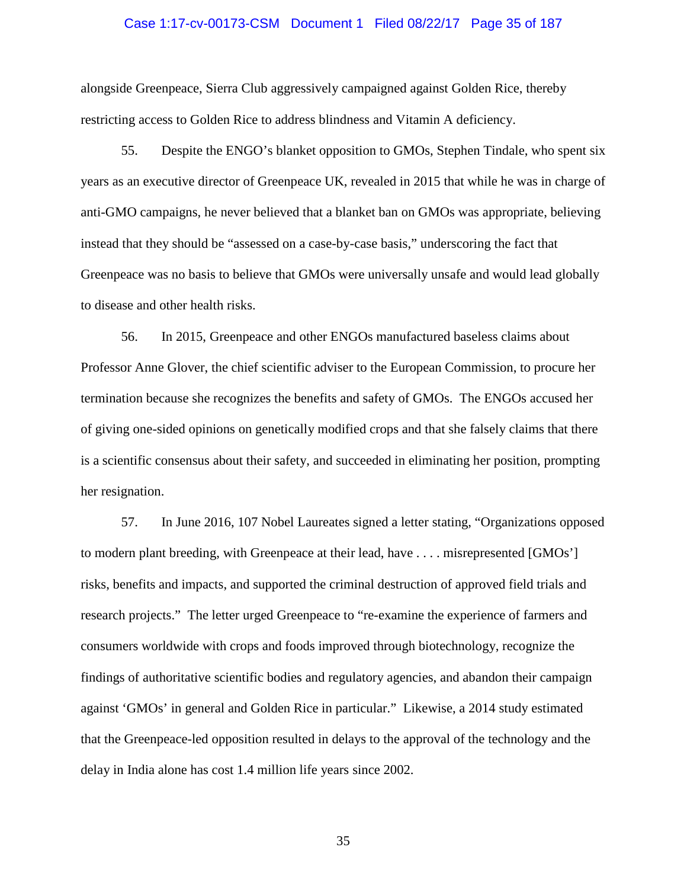### Case 1:17-cv-00173-CSM Document 1 Filed 08/22/17 Page 35 of 187

alongside Greenpeace, Sierra Club aggressively campaigned against Golden Rice, thereby restricting access to Golden Rice to address blindness and Vitamin A deficiency.

55. Despite the ENGO's blanket opposition to GMOs, Stephen Tindale, who spent six years as an executive director of Greenpeace UK, revealed in 2015 that while he was in charge of anti-GMO campaigns, he never believed that a blanket ban on GMOs was appropriate, believing instead that they should be "assessed on a case-by-case basis," underscoring the fact that Greenpeace was no basis to believe that GMOs were universally unsafe and would lead globally to disease and other health risks.

56. In 2015, Greenpeace and other ENGOs manufactured baseless claims about Professor Anne Glover, the chief scientific adviser to the European Commission, to procure her termination because she recognizes the benefits and safety of GMOs. The ENGOs accused her of giving one-sided opinions on genetically modified crops and that she falsely claims that there is a scientific consensus about their safety, and succeeded in eliminating her position, prompting her resignation.

57. In June 2016, 107 Nobel Laureates signed a letter stating, "Organizations opposed to modern plant breeding, with Greenpeace at their lead, have . . . . misrepresented [GMOs'] risks, benefits and impacts, and supported the criminal destruction of approved field trials and research projects." The letter urged Greenpeace to "re-examine the experience of farmers and consumers worldwide with crops and foods improved through biotechnology, recognize the findings of authoritative scientific bodies and regulatory agencies, and abandon their campaign against 'GMOs' in general and Golden Rice in particular." Likewise, a 2014 study estimated that the Greenpeace-led opposition resulted in delays to the approval of the technology and the delay in India alone has cost 1.4 million life years since 2002.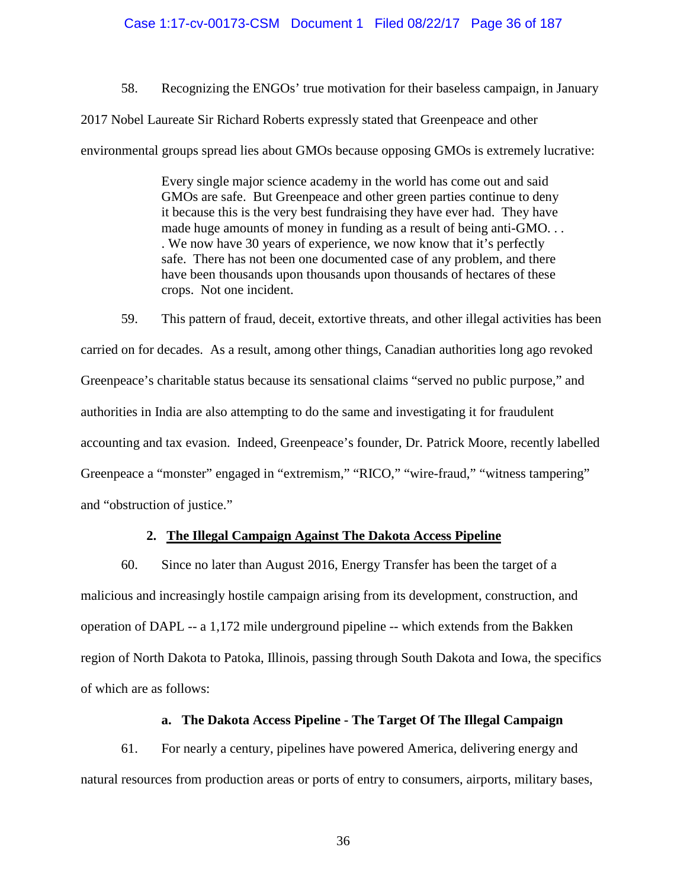# Case 1:17-cv-00173-CSM Document 1 Filed 08/22/17 Page 36 of 187

58. Recognizing the ENGOs' true motivation for their baseless campaign, in January

2017 Nobel Laureate Sir Richard Roberts expressly stated that Greenpeace and other

environmental groups spread lies about GMOs because opposing GMOs is extremely lucrative:

Every single major science academy in the world has come out and said GMOs are safe. But Greenpeace and other green parties continue to deny it because this is the very best fundraising they have ever had. They have made huge amounts of money in funding as a result of being anti-GMO. . . . We now have 30 years of experience, we now know that it's perfectly safe. There has not been one documented case of any problem, and there have been thousands upon thousands upon thousands of hectares of these crops. Not one incident.

59. This pattern of fraud, deceit, extortive threats, and other illegal activities has been carried on for decades. As a result, among other things, Canadian authorities long ago revoked Greenpeace's charitable status because its sensational claims "served no public purpose," and authorities in India are also attempting to do the same and investigating it for fraudulent accounting and tax evasion. Indeed, Greenpeace's founder, Dr. Patrick Moore, recently labelled Greenpeace a "monster" engaged in "extremism," "RICO," "wire-fraud," "witness tampering" and "obstruction of justice."

# **2. The Illegal Campaign Against The Dakota Access Pipeline**

60. Since no later than August 2016, Energy Transfer has been the target of a malicious and increasingly hostile campaign arising from its development, construction, and operation of DAPL -- a 1,172 mile underground pipeline -- which extends from the Bakken region of North Dakota to Patoka, Illinois, passing through South Dakota and Iowa, the specifics of which are as follows:

# **a. The Dakota Access Pipeline - The Target Of The Illegal Campaign**

61. For nearly a century, pipelines have powered America, delivering energy and natural resources from production areas or ports of entry to consumers, airports, military bases,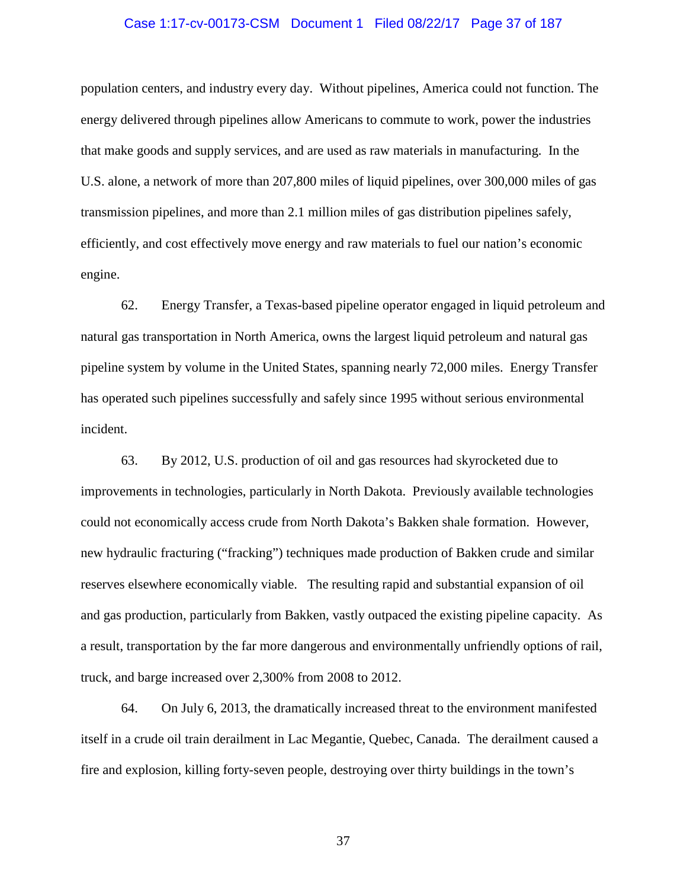#### Case 1:17-cv-00173-CSM Document 1 Filed 08/22/17 Page 37 of 187

population centers, and industry every day. Without pipelines, America could not function. The energy delivered through pipelines allow Americans to commute to work, power the industries that make goods and supply services, and are used as raw materials in manufacturing. In the U.S. alone, a network of more than 207,800 miles of liquid pipelines, over 300,000 miles of gas transmission pipelines, and more than 2.1 million miles of gas distribution pipelines safely, efficiently, and cost effectively move energy and raw materials to fuel our nation's economic engine.

62. Energy Transfer, a Texas-based pipeline operator engaged in liquid petroleum and natural gas transportation in North America, owns the largest liquid petroleum and natural gas pipeline system by volume in the United States, spanning nearly 72,000 miles. Energy Transfer has operated such pipelines successfully and safely since 1995 without serious environmental incident.

63. By 2012, U.S. production of oil and gas resources had skyrocketed due to improvements in technologies, particularly in North Dakota. Previously available technologies could not economically access crude from North Dakota's Bakken shale formation. However, new hydraulic fracturing ("fracking") techniques made production of Bakken crude and similar reserves elsewhere economically viable. The resulting rapid and substantial expansion of oil and gas production, particularly from Bakken, vastly outpaced the existing pipeline capacity. As a result, transportation by the far more dangerous and environmentally unfriendly options of rail, truck, and barge increased over 2,300% from 2008 to 2012.

64. On July 6, 2013, the dramatically increased threat to the environment manifested itself in a crude oil train derailment in Lac Megantie, Quebec, Canada. The derailment caused a fire and explosion, killing forty-seven people, destroying over thirty buildings in the town's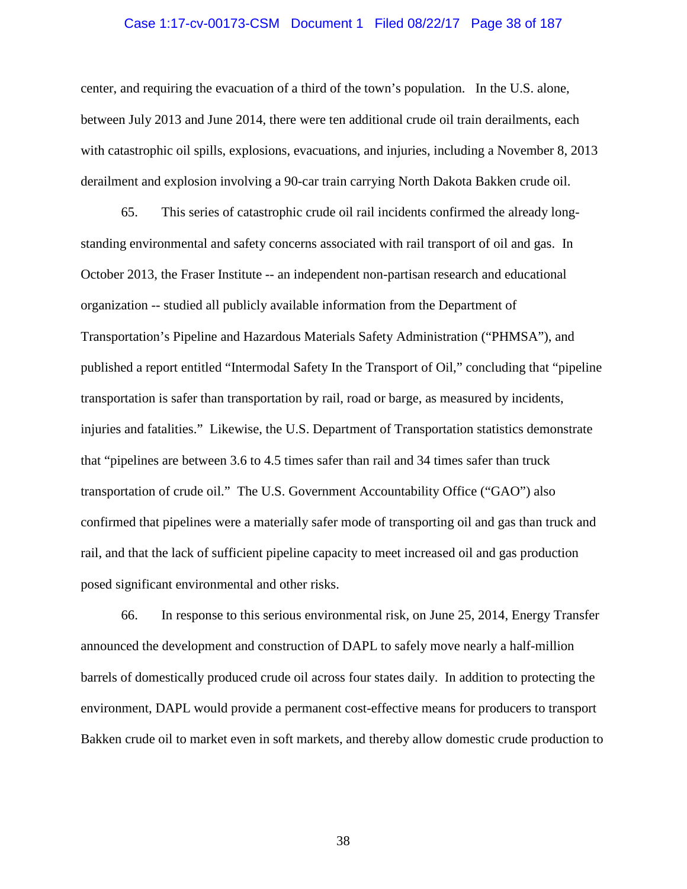#### Case 1:17-cv-00173-CSM Document 1 Filed 08/22/17 Page 38 of 187

center, and requiring the evacuation of a third of the town's population. In the U.S. alone, between July 2013 and June 2014, there were ten additional crude oil train derailments, each with catastrophic oil spills, explosions, evacuations, and injuries, including a November 8, 2013 derailment and explosion involving a 90-car train carrying North Dakota Bakken crude oil.

65. This series of catastrophic crude oil rail incidents confirmed the already longstanding environmental and safety concerns associated with rail transport of oil and gas. In October 2013, the Fraser Institute -- an independent non-partisan research and educational organization -- studied all publicly available information from the Department of Transportation's Pipeline and Hazardous Materials Safety Administration ("PHMSA"), and published a report entitled "Intermodal Safety In the Transport of Oil," concluding that "pipeline transportation is safer than transportation by rail, road or barge, as measured by incidents, injuries and fatalities." Likewise, the U.S. Department of Transportation statistics demonstrate that "pipelines are between 3.6 to 4.5 times safer than rail and 34 times safer than truck transportation of crude oil." The U.S. Government Accountability Office ("GAO") also confirmed that pipelines were a materially safer mode of transporting oil and gas than truck and rail, and that the lack of sufficient pipeline capacity to meet increased oil and gas production posed significant environmental and other risks.

66. In response to this serious environmental risk, on June 25, 2014, Energy Transfer announced the development and construction of DAPL to safely move nearly a half-million barrels of domestically produced crude oil across four states daily. In addition to protecting the environment, DAPL would provide a permanent cost-effective means for producers to transport Bakken crude oil to market even in soft markets, and thereby allow domestic crude production to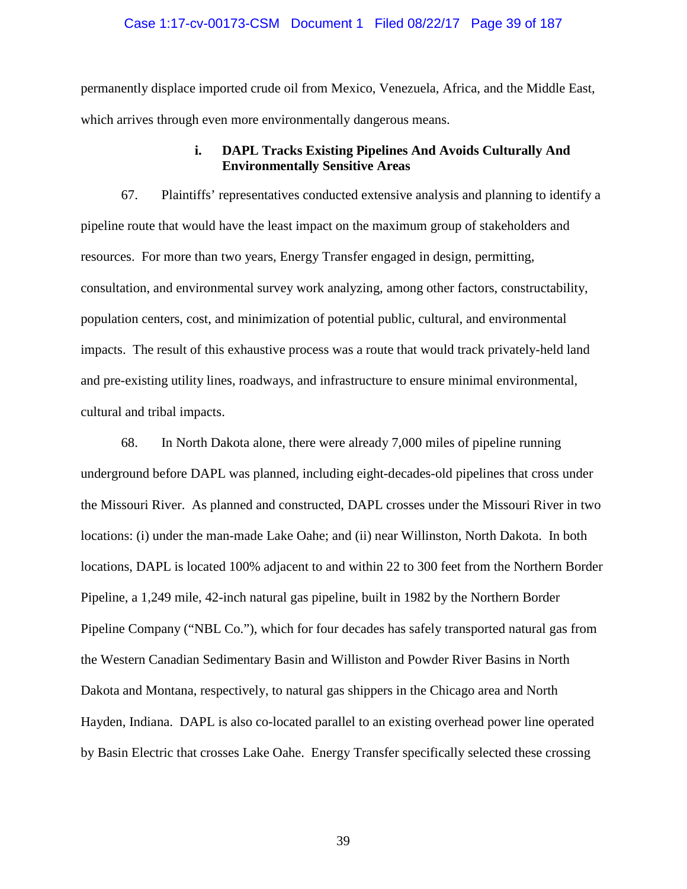#### Case 1:17-cv-00173-CSM Document 1 Filed 08/22/17 Page 39 of 187

permanently displace imported crude oil from Mexico, Venezuela, Africa, and the Middle East, which arrives through even more environmentally dangerous means.

## **i. DAPL Tracks Existing Pipelines And Avoids Culturally And Environmentally Sensitive Areas**

67. Plaintiffs' representatives conducted extensive analysis and planning to identify a pipeline route that would have the least impact on the maximum group of stakeholders and resources. For more than two years, Energy Transfer engaged in design, permitting, consultation, and environmental survey work analyzing, among other factors, constructability, population centers, cost, and minimization of potential public, cultural, and environmental impacts. The result of this exhaustive process was a route that would track privately-held land and pre-existing utility lines, roadways, and infrastructure to ensure minimal environmental, cultural and tribal impacts.

68. In North Dakota alone, there were already 7,000 miles of pipeline running underground before DAPL was planned, including eight-decades-old pipelines that cross under the Missouri River. As planned and constructed, DAPL crosses under the Missouri River in two locations: (i) under the man-made Lake Oahe; and (ii) near Willinston, North Dakota. In both locations, DAPL is located 100% adjacent to and within 22 to 300 feet from the Northern Border Pipeline, a 1,249 mile, 42-inch natural gas pipeline, built in 1982 by the Northern Border Pipeline Company ("NBL Co."), which for four decades has safely transported natural gas from the Western Canadian Sedimentary Basin and Williston and Powder River Basins in North Dakota and Montana, respectively, to natural gas shippers in the Chicago area and North Hayden, Indiana. DAPL is also co-located parallel to an existing overhead power line operated by Basin Electric that crosses Lake Oahe. Energy Transfer specifically selected these crossing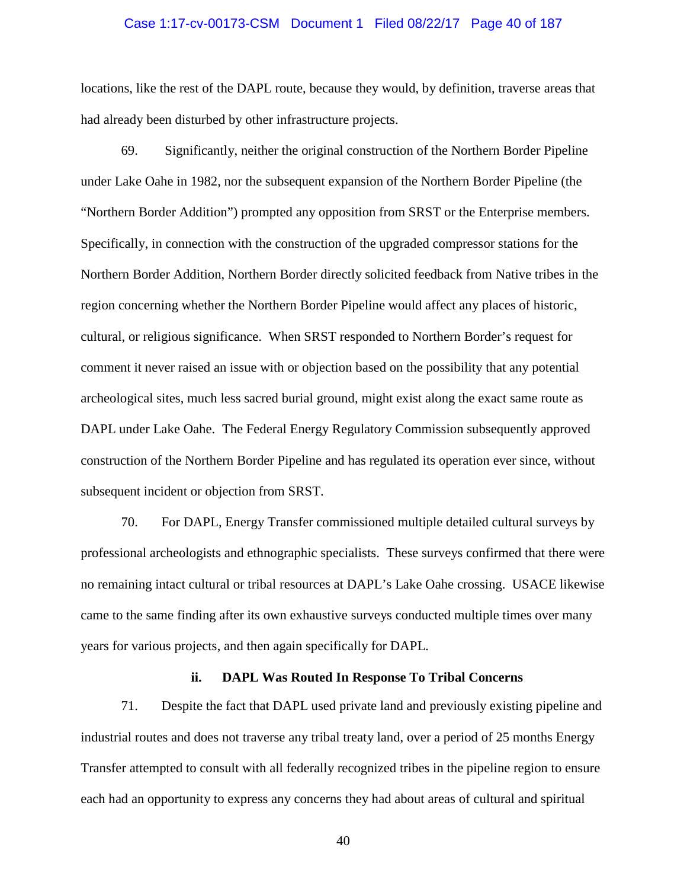#### Case 1:17-cv-00173-CSM Document 1 Filed 08/22/17 Page 40 of 187

locations, like the rest of the DAPL route, because they would, by definition, traverse areas that had already been disturbed by other infrastructure projects.

69. Significantly, neither the original construction of the Northern Border Pipeline under Lake Oahe in 1982, nor the subsequent expansion of the Northern Border Pipeline (the "Northern Border Addition") prompted any opposition from SRST or the Enterprise members. Specifically, in connection with the construction of the upgraded compressor stations for the Northern Border Addition, Northern Border directly solicited feedback from Native tribes in the region concerning whether the Northern Border Pipeline would affect any places of historic, cultural, or religious significance. When SRST responded to Northern Border's request for comment it never raised an issue with or objection based on the possibility that any potential archeological sites, much less sacred burial ground, might exist along the exact same route as DAPL under Lake Oahe. The Federal Energy Regulatory Commission subsequently approved construction of the Northern Border Pipeline and has regulated its operation ever since, without subsequent incident or objection from SRST.

70. For DAPL, Energy Transfer commissioned multiple detailed cultural surveys by professional archeologists and ethnographic specialists. These surveys confirmed that there were no remaining intact cultural or tribal resources at DAPL's Lake Oahe crossing. USACE likewise came to the same finding after its own exhaustive surveys conducted multiple times over many years for various projects, and then again specifically for DAPL.

#### **ii. DAPL Was Routed In Response To Tribal Concerns**

71. Despite the fact that DAPL used private land and previously existing pipeline and industrial routes and does not traverse any tribal treaty land, over a period of 25 months Energy Transfer attempted to consult with all federally recognized tribes in the pipeline region to ensure each had an opportunity to express any concerns they had about areas of cultural and spiritual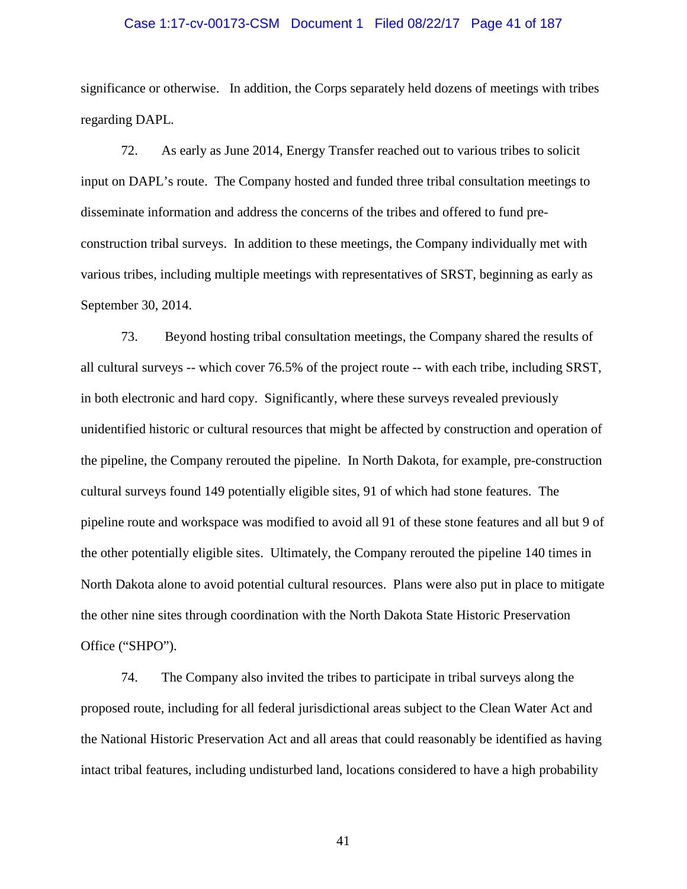#### Case 1:17-cv-00173-CSM Document 1 Filed 08/22/17 Page 41 of 187

significance or otherwise. In addition, the Corps separately held dozens of meetings with tribes regarding DAPL.

72. As early as June 2014, Energy Transfer reached out to various tribes to solicit input on DAPL's route. The Company hosted and funded three tribal consultation meetings to disseminate information and address the concerns of the tribes and offered to fund preconstruction tribal surveys. In addition to these meetings, the Company individually met with various tribes, including multiple meetings with representatives of SRST, beginning as early as September 30, 2014.

73. Beyond hosting tribal consultation meetings, the Company shared the results of all cultural surveys -- which cover 76.5% of the project route -- with each tribe, including SRST, in both electronic and hard copy. Significantly, where these surveys revealed previously unidentified historic or cultural resources that might be affected by construction and operation of the pipeline, the Company rerouted the pipeline. In North Dakota, for example, pre-construction cultural surveys found 149 potentially eligible sites, 91 of which had stone features. The pipeline route and workspace was modified to avoid all 91 of these stone features and all but 9 of the other potentially eligible sites. Ultimately, the Company rerouted the pipeline 140 times in North Dakota alone to avoid potential cultural resources. Plans were also put in place to mitigate the other nine sites through coordination with the North Dakota State Historic Preservation Office ("SHPO").

74. The Company also invited the tribes to participate in tribal surveys along the proposed route, including for all federal jurisdictional areas subject to the Clean Water Act and the National Historic Preservation Act and all areas that could reasonably be identified as having intact tribal features, including undisturbed land, locations considered to have a high probability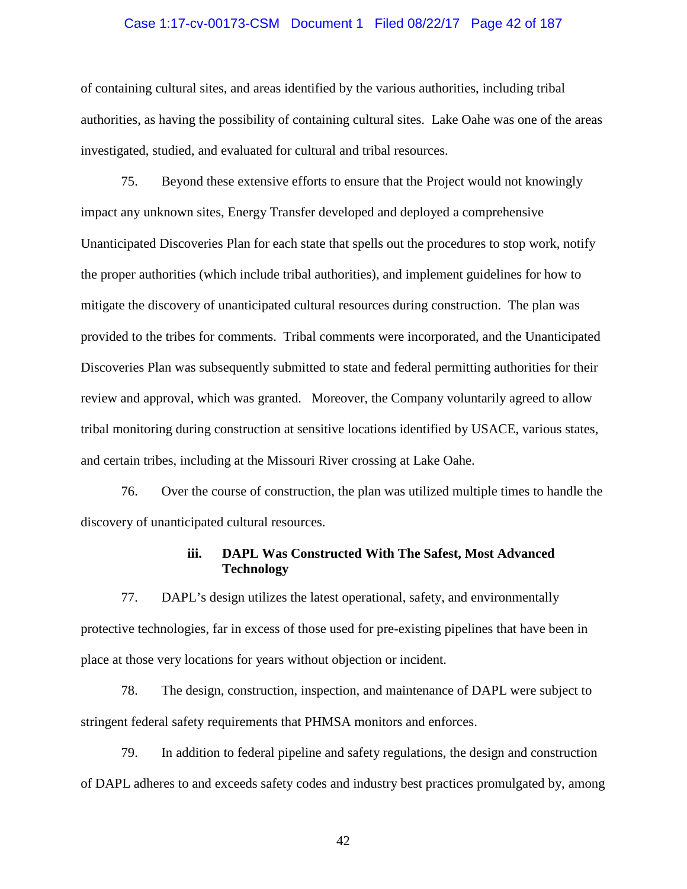#### Case 1:17-cv-00173-CSM Document 1 Filed 08/22/17 Page 42 of 187

of containing cultural sites, and areas identified by the various authorities, including tribal authorities, as having the possibility of containing cultural sites. Lake Oahe was one of the areas investigated, studied, and evaluated for cultural and tribal resources.

75. Beyond these extensive efforts to ensure that the Project would not knowingly impact any unknown sites, Energy Transfer developed and deployed a comprehensive Unanticipated Discoveries Plan for each state that spells out the procedures to stop work, notify the proper authorities (which include tribal authorities), and implement guidelines for how to mitigate the discovery of unanticipated cultural resources during construction. The plan was provided to the tribes for comments. Tribal comments were incorporated, and the Unanticipated Discoveries Plan was subsequently submitted to state and federal permitting authorities for their review and approval, which was granted. Moreover, the Company voluntarily agreed to allow tribal monitoring during construction at sensitive locations identified by USACE, various states, and certain tribes, including at the Missouri River crossing at Lake Oahe.

76. Over the course of construction, the plan was utilized multiple times to handle the discovery of unanticipated cultural resources.

### **iii. DAPL Was Constructed With The Safest, Most Advanced Technology**

77. DAPL's design utilizes the latest operational, safety, and environmentally protective technologies, far in excess of those used for pre-existing pipelines that have been in place at those very locations for years without objection or incident.

78. The design, construction, inspection, and maintenance of DAPL were subject to stringent federal safety requirements that PHMSA monitors and enforces.

79. In addition to federal pipeline and safety regulations, the design and construction of DAPL adheres to and exceeds safety codes and industry best practices promulgated by, among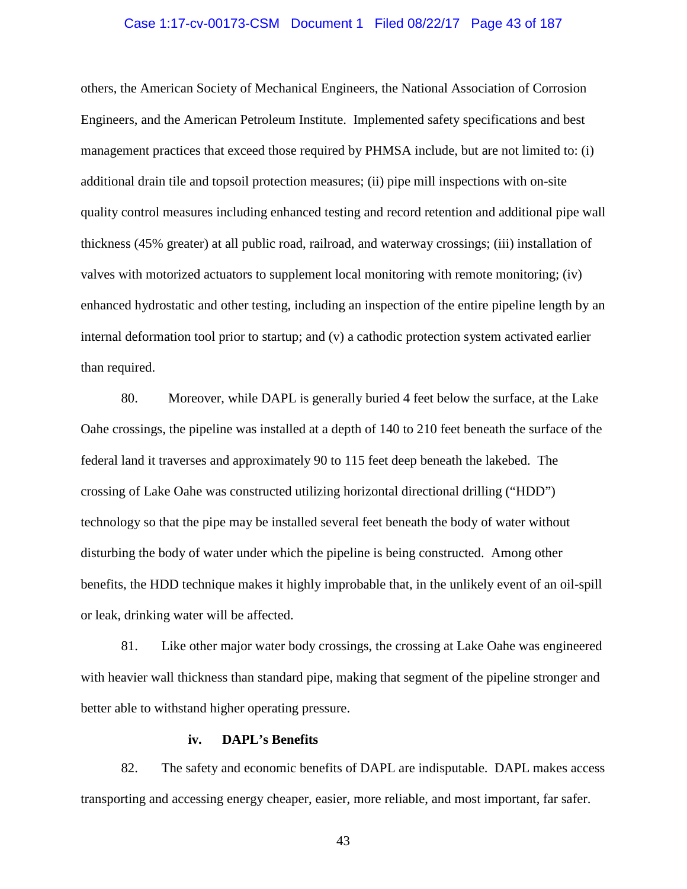#### Case 1:17-cv-00173-CSM Document 1 Filed 08/22/17 Page 43 of 187

others, the American Society of Mechanical Engineers, the National Association of Corrosion Engineers, and the American Petroleum Institute. Implemented safety specifications and best management practices that exceed those required by PHMSA include, but are not limited to: (i) additional drain tile and topsoil protection measures; (ii) pipe mill inspections with on-site quality control measures including enhanced testing and record retention and additional pipe wall thickness (45% greater) at all public road, railroad, and waterway crossings; (iii) installation of valves with motorized actuators to supplement local monitoring with remote monitoring; (iv) enhanced hydrostatic and other testing, including an inspection of the entire pipeline length by an internal deformation tool prior to startup; and (v) a cathodic protection system activated earlier than required.

80. Moreover, while DAPL is generally buried 4 feet below the surface, at the Lake Oahe crossings, the pipeline was installed at a depth of 140 to 210 feet beneath the surface of the federal land it traverses and approximately 90 to 115 feet deep beneath the lakebed. The crossing of Lake Oahe was constructed utilizing horizontal directional drilling ("HDD") technology so that the pipe may be installed several feet beneath the body of water without disturbing the body of water under which the pipeline is being constructed. Among other benefits, the HDD technique makes it highly improbable that, in the unlikely event of an oil-spill or leak, drinking water will be affected.

81. Like other major water body crossings, the crossing at Lake Oahe was engineered with heavier wall thickness than standard pipe, making that segment of the pipeline stronger and better able to withstand higher operating pressure.

#### **iv. DAPL's Benefits**

82. The safety and economic benefits of DAPL are indisputable. DAPL makes access transporting and accessing energy cheaper, easier, more reliable, and most important, far safer.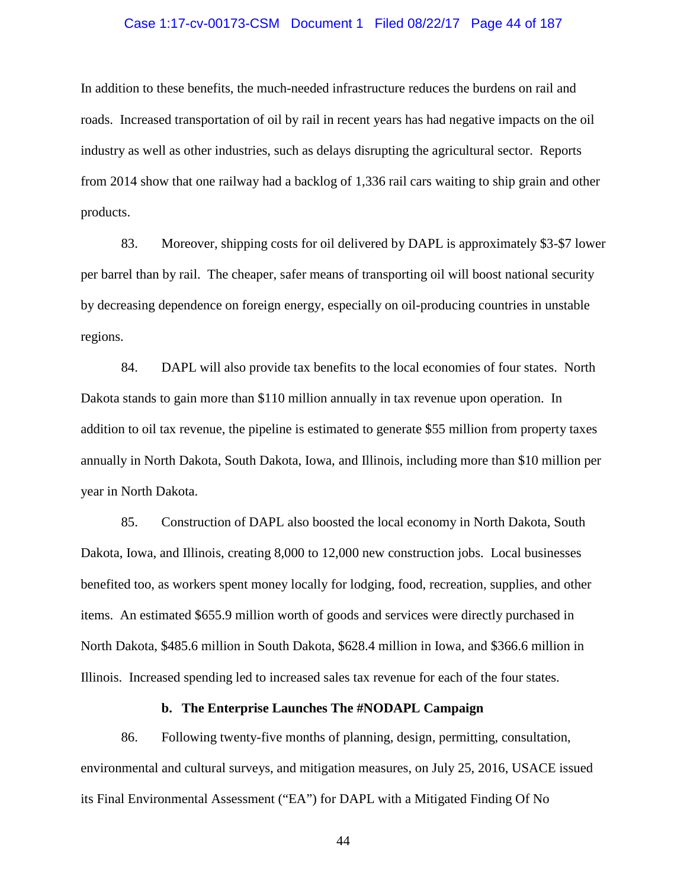#### Case 1:17-cv-00173-CSM Document 1 Filed 08/22/17 Page 44 of 187

In addition to these benefits, the much-needed infrastructure reduces the burdens on rail and roads. Increased transportation of oil by rail in recent years has had negative impacts on the oil industry as well as other industries, such as delays disrupting the agricultural sector. Reports from 2014 show that one railway had a backlog of 1,336 rail cars waiting to ship grain and other products.

83. Moreover, shipping costs for oil delivered by DAPL is approximately \$3-\$7 lower per barrel than by rail. The cheaper, safer means of transporting oil will boost national security by decreasing dependence on foreign energy, especially on oil-producing countries in unstable regions.

84. DAPL will also provide tax benefits to the local economies of four states. North Dakota stands to gain more than \$110 million annually in tax revenue upon operation. In addition to oil tax revenue, the pipeline is estimated to generate \$55 million from property taxes annually in North Dakota, South Dakota, Iowa, and Illinois, including more than \$10 million per year in North Dakota.

85. Construction of DAPL also boosted the local economy in North Dakota, South Dakota, Iowa, and Illinois, creating 8,000 to 12,000 new construction jobs. Local businesses benefited too, as workers spent money locally for lodging, food, recreation, supplies, and other items. An estimated \$655.9 million worth of goods and services were directly purchased in North Dakota, \$485.6 million in South Dakota, \$628.4 million in Iowa, and \$366.6 million in Illinois. Increased spending led to increased sales tax revenue for each of the four states.

## **b. The Enterprise Launches The #NODAPL Campaign**

86. Following twenty-five months of planning, design, permitting, consultation, environmental and cultural surveys, and mitigation measures, on July 25, 2016, USACE issued its Final Environmental Assessment ("EA") for DAPL with a Mitigated Finding Of No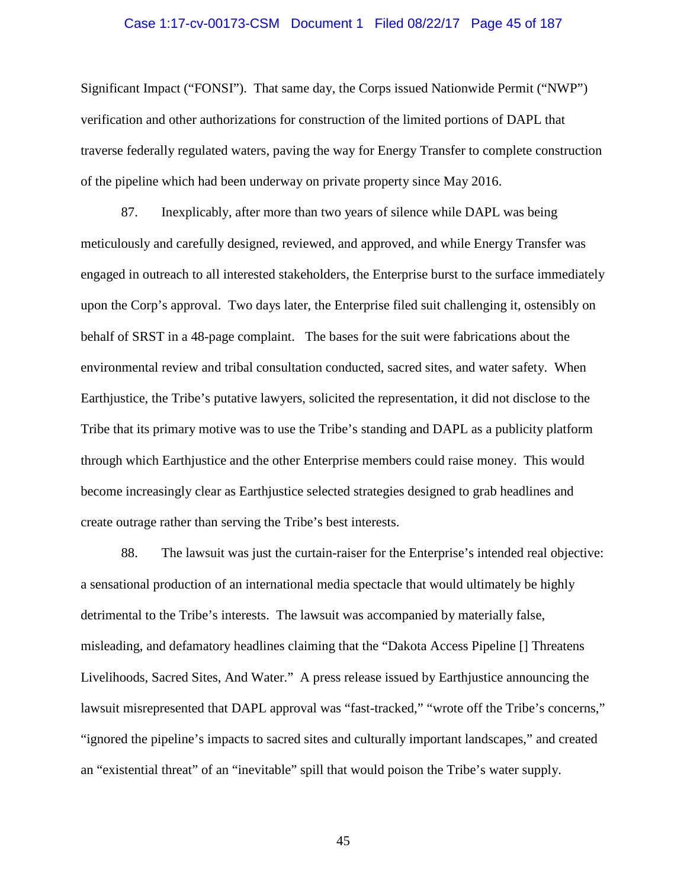#### Case 1:17-cv-00173-CSM Document 1 Filed 08/22/17 Page 45 of 187

Significant Impact ("FONSI"). That same day, the Corps issued Nationwide Permit ("NWP") verification and other authorizations for construction of the limited portions of DAPL that traverse federally regulated waters, paving the way for Energy Transfer to complete construction of the pipeline which had been underway on private property since May 2016.

87. Inexplicably, after more than two years of silence while DAPL was being meticulously and carefully designed, reviewed, and approved, and while Energy Transfer was engaged in outreach to all interested stakeholders, the Enterprise burst to the surface immediately upon the Corp's approval. Two days later, the Enterprise filed suit challenging it, ostensibly on behalf of SRST in a 48-page complaint. The bases for the suit were fabrications about the environmental review and tribal consultation conducted, sacred sites, and water safety. When Earthjustice, the Tribe's putative lawyers, solicited the representation, it did not disclose to the Tribe that its primary motive was to use the Tribe's standing and DAPL as a publicity platform through which Earthjustice and the other Enterprise members could raise money. This would become increasingly clear as Earthjustice selected strategies designed to grab headlines and create outrage rather than serving the Tribe's best interests.

88. The lawsuit was just the curtain-raiser for the Enterprise's intended real objective: a sensational production of an international media spectacle that would ultimately be highly detrimental to the Tribe's interests. The lawsuit was accompanied by materially false, misleading, and defamatory headlines claiming that the "Dakota Access Pipeline [] Threatens Livelihoods, Sacred Sites, And Water." A press release issued by Earthjustice announcing the lawsuit misrepresented that DAPL approval was "fast-tracked," "wrote off the Tribe's concerns," "ignored the pipeline's impacts to sacred sites and culturally important landscapes," and created an "existential threat" of an "inevitable" spill that would poison the Tribe's water supply.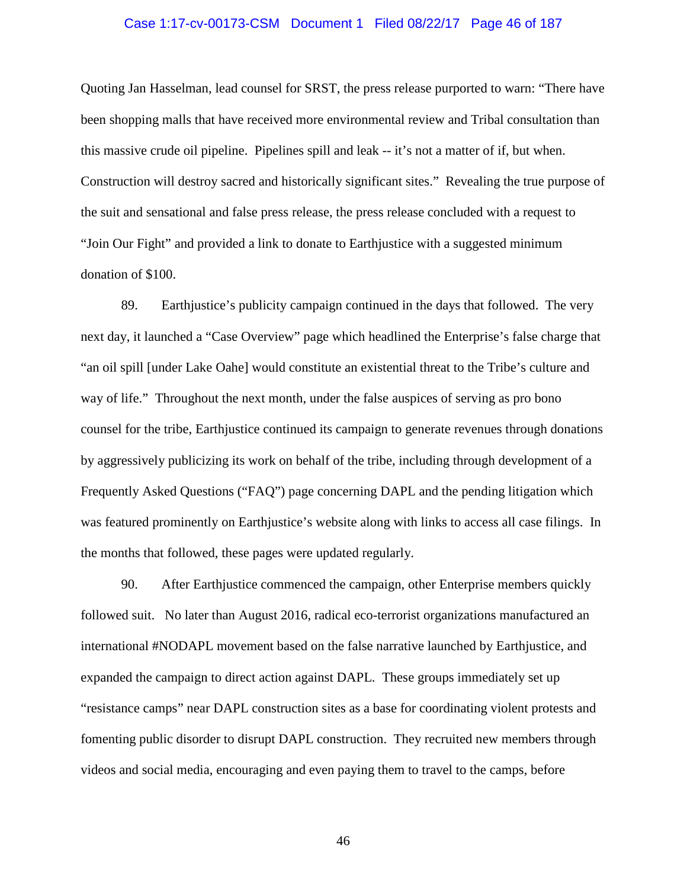#### Case 1:17-cv-00173-CSM Document 1 Filed 08/22/17 Page 46 of 187

Quoting Jan Hasselman, lead counsel for SRST, the press release purported to warn: "There have been shopping malls that have received more environmental review and Tribal consultation than this massive crude oil pipeline. Pipelines spill and leak -- it's not a matter of if, but when. Construction will destroy sacred and historically significant sites." Revealing the true purpose of the suit and sensational and false press release, the press release concluded with a request to "Join Our Fight" and provided a link to donate to Earthjustice with a suggested minimum donation of \$100.

89. Earthjustice's publicity campaign continued in the days that followed. The very next day, it launched a "Case Overview" page which headlined the Enterprise's false charge that "an oil spill [under Lake Oahe] would constitute an existential threat to the Tribe's culture and way of life." Throughout the next month, under the false auspices of serving as pro bono counsel for the tribe, Earthjustice continued its campaign to generate revenues through donations by aggressively publicizing its work on behalf of the tribe, including through development of a Frequently Asked Questions ("FAQ") page concerning DAPL and the pending litigation which was featured prominently on Earthjustice's website along with links to access all case filings. In the months that followed, these pages were updated regularly.

90. After Earthjustice commenced the campaign, other Enterprise members quickly followed suit. No later than August 2016, radical eco-terrorist organizations manufactured an international #NODAPL movement based on the false narrative launched by Earthjustice, and expanded the campaign to direct action against DAPL. These groups immediately set up "resistance camps" near DAPL construction sites as a base for coordinating violent protests and fomenting public disorder to disrupt DAPL construction. They recruited new members through videos and social media, encouraging and even paying them to travel to the camps, before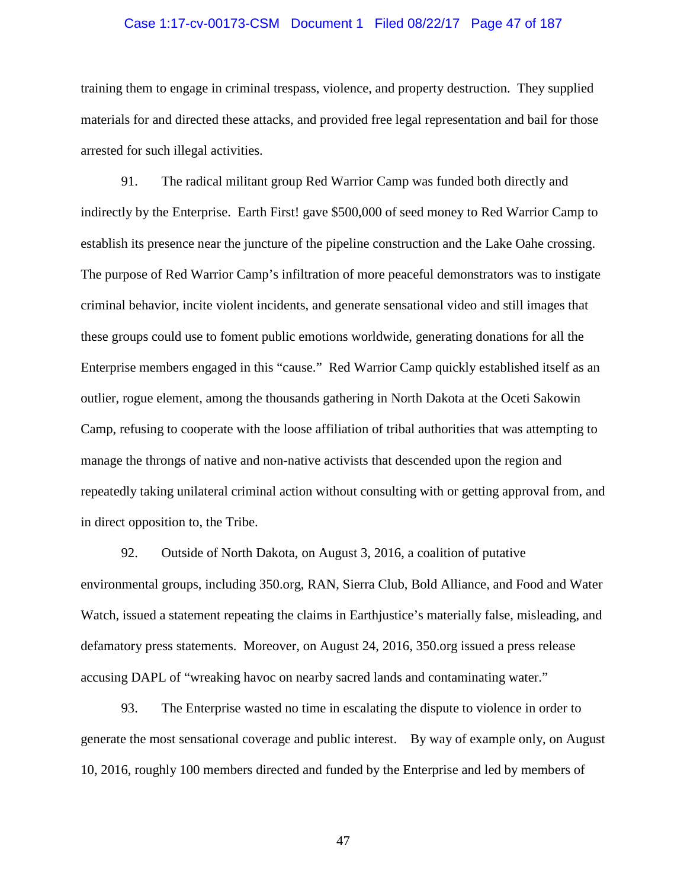#### Case 1:17-cv-00173-CSM Document 1 Filed 08/22/17 Page 47 of 187

training them to engage in criminal trespass, violence, and property destruction. They supplied materials for and directed these attacks, and provided free legal representation and bail for those arrested for such illegal activities.

91. The radical militant group Red Warrior Camp was funded both directly and indirectly by the Enterprise. Earth First! gave \$500,000 of seed money to Red Warrior Camp to establish its presence near the juncture of the pipeline construction and the Lake Oahe crossing. The purpose of Red Warrior Camp's infiltration of more peaceful demonstrators was to instigate criminal behavior, incite violent incidents, and generate sensational video and still images that these groups could use to foment public emotions worldwide, generating donations for all the Enterprise members engaged in this "cause." Red Warrior Camp quickly established itself as an outlier, rogue element, among the thousands gathering in North Dakota at the Oceti Sakowin Camp, refusing to cooperate with the loose affiliation of tribal authorities that was attempting to manage the throngs of native and non-native activists that descended upon the region and repeatedly taking unilateral criminal action without consulting with or getting approval from, and in direct opposition to, the Tribe.

92. Outside of North Dakota, on August 3, 2016, a coalition of putative environmental groups, including 350.org, RAN, Sierra Club, Bold Alliance, and Food and Water Watch, issued a statement repeating the claims in Earthjustice's materially false, misleading, and defamatory press statements. Moreover, on August 24, 2016, 350.org issued a press release accusing DAPL of "wreaking havoc on nearby sacred lands and contaminating water."

93. The Enterprise wasted no time in escalating the dispute to violence in order to generate the most sensational coverage and public interest. By way of example only, on August 10, 2016, roughly 100 members directed and funded by the Enterprise and led by members of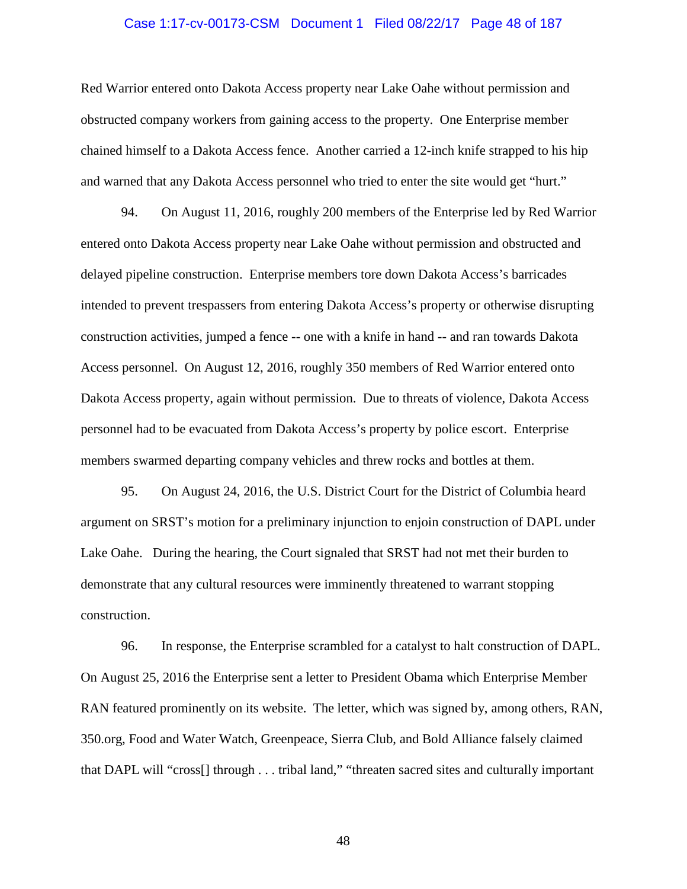#### Case 1:17-cv-00173-CSM Document 1 Filed 08/22/17 Page 48 of 187

Red Warrior entered onto Dakota Access property near Lake Oahe without permission and obstructed company workers from gaining access to the property. One Enterprise member chained himself to a Dakota Access fence. Another carried a 12-inch knife strapped to his hip and warned that any Dakota Access personnel who tried to enter the site would get "hurt."

94. On August 11, 2016, roughly 200 members of the Enterprise led by Red Warrior entered onto Dakota Access property near Lake Oahe without permission and obstructed and delayed pipeline construction. Enterprise members tore down Dakota Access's barricades intended to prevent trespassers from entering Dakota Access's property or otherwise disrupting construction activities, jumped a fence -- one with a knife in hand -- and ran towards Dakota Access personnel. On August 12, 2016, roughly 350 members of Red Warrior entered onto Dakota Access property, again without permission. Due to threats of violence, Dakota Access personnel had to be evacuated from Dakota Access's property by police escort. Enterprise members swarmed departing company vehicles and threw rocks and bottles at them.

95. On August 24, 2016, the U.S. District Court for the District of Columbia heard argument on SRST's motion for a preliminary injunction to enjoin construction of DAPL under Lake Oahe. During the hearing, the Court signaled that SRST had not met their burden to demonstrate that any cultural resources were imminently threatened to warrant stopping construction.

96. In response, the Enterprise scrambled for a catalyst to halt construction of DAPL. On August 25, 2016 the Enterprise sent a letter to President Obama which Enterprise Member RAN featured prominently on its website. The letter, which was signed by, among others, RAN, 350.org, Food and Water Watch, Greenpeace, Sierra Club, and Bold Alliance falsely claimed that DAPL will "cross[] through . . . tribal land," "threaten sacred sites and culturally important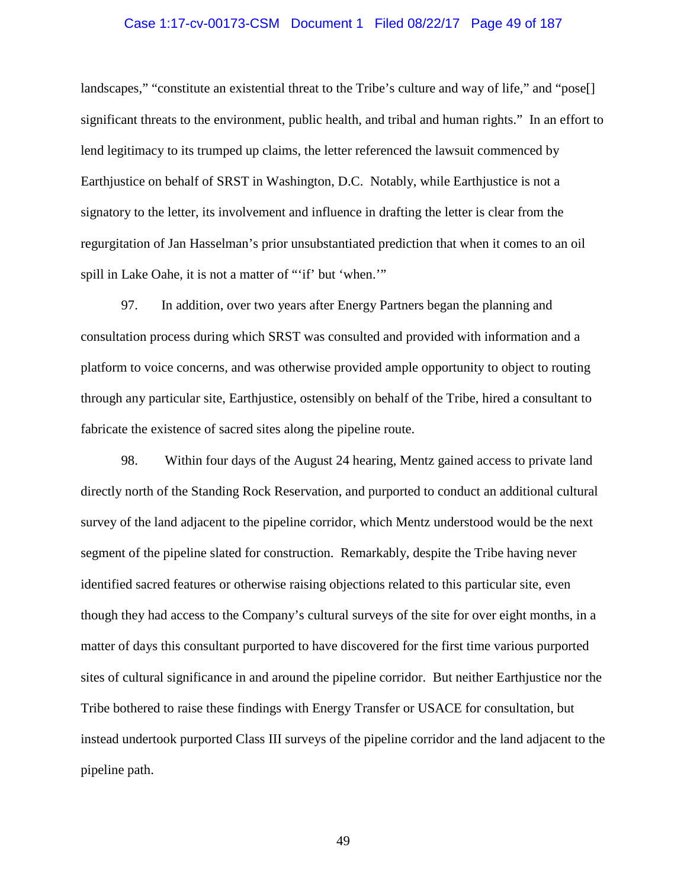#### Case 1:17-cv-00173-CSM Document 1 Filed 08/22/17 Page 49 of 187

landscapes," "constitute an existential threat to the Tribe's culture and way of life," and "pose[] significant threats to the environment, public health, and tribal and human rights." In an effort to lend legitimacy to its trumped up claims, the letter referenced the lawsuit commenced by Earthjustice on behalf of SRST in Washington, D.C. Notably, while Earthjustice is not a signatory to the letter, its involvement and influence in drafting the letter is clear from the regurgitation of Jan Hasselman's prior unsubstantiated prediction that when it comes to an oil spill in Lake Oahe, it is not a matter of "'if' but 'when.'"

97. In addition, over two years after Energy Partners began the planning and consultation process during which SRST was consulted and provided with information and a platform to voice concerns, and was otherwise provided ample opportunity to object to routing through any particular site, Earthjustice, ostensibly on behalf of the Tribe, hired a consultant to fabricate the existence of sacred sites along the pipeline route.

98. Within four days of the August 24 hearing, Mentz gained access to private land directly north of the Standing Rock Reservation, and purported to conduct an additional cultural survey of the land adjacent to the pipeline corridor, which Mentz understood would be the next segment of the pipeline slated for construction. Remarkably, despite the Tribe having never identified sacred features or otherwise raising objections related to this particular site, even though they had access to the Company's cultural surveys of the site for over eight months, in a matter of days this consultant purported to have discovered for the first time various purported sites of cultural significance in and around the pipeline corridor. But neither Earthjustice nor the Tribe bothered to raise these findings with Energy Transfer or USACE for consultation, but instead undertook purported Class III surveys of the pipeline corridor and the land adjacent to the pipeline path.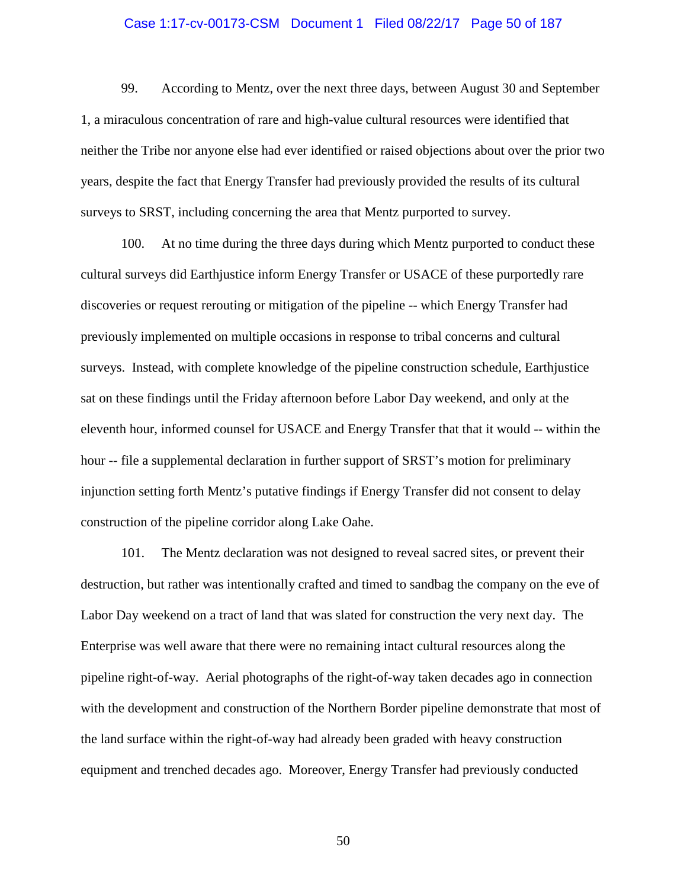#### Case 1:17-cv-00173-CSM Document 1 Filed 08/22/17 Page 50 of 187

99. According to Mentz, over the next three days, between August 30 and September 1, a miraculous concentration of rare and high-value cultural resources were identified that neither the Tribe nor anyone else had ever identified or raised objections about over the prior two years, despite the fact that Energy Transfer had previously provided the results of its cultural surveys to SRST, including concerning the area that Mentz purported to survey.

100. At no time during the three days during which Mentz purported to conduct these cultural surveys did Earthjustice inform Energy Transfer or USACE of these purportedly rare discoveries or request rerouting or mitigation of the pipeline -- which Energy Transfer had previously implemented on multiple occasions in response to tribal concerns and cultural surveys. Instead, with complete knowledge of the pipeline construction schedule, Earthjustice sat on these findings until the Friday afternoon before Labor Day weekend, and only at the eleventh hour, informed counsel for USACE and Energy Transfer that that it would -- within the hour -- file a supplemental declaration in further support of SRST's motion for preliminary injunction setting forth Mentz's putative findings if Energy Transfer did not consent to delay construction of the pipeline corridor along Lake Oahe.

101. The Mentz declaration was not designed to reveal sacred sites, or prevent their destruction, but rather was intentionally crafted and timed to sandbag the company on the eve of Labor Day weekend on a tract of land that was slated for construction the very next day. The Enterprise was well aware that there were no remaining intact cultural resources along the pipeline right-of-way. Aerial photographs of the right-of-way taken decades ago in connection with the development and construction of the Northern Border pipeline demonstrate that most of the land surface within the right-of-way had already been graded with heavy construction equipment and trenched decades ago. Moreover, Energy Transfer had previously conducted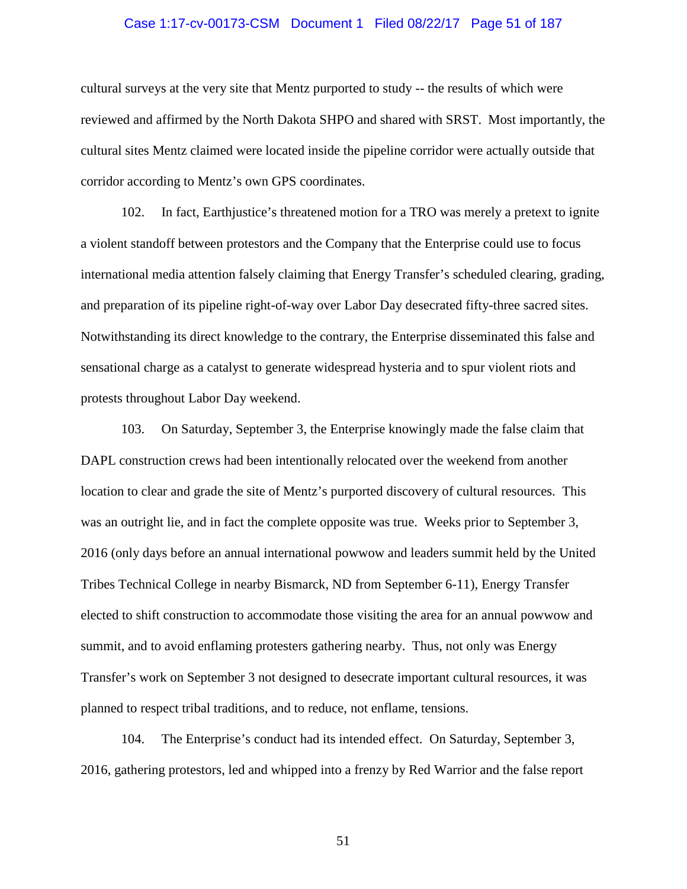#### Case 1:17-cv-00173-CSM Document 1 Filed 08/22/17 Page 51 of 187

cultural surveys at the very site that Mentz purported to study -- the results of which were reviewed and affirmed by the North Dakota SHPO and shared with SRST. Most importantly, the cultural sites Mentz claimed were located inside the pipeline corridor were actually outside that corridor according to Mentz's own GPS coordinates.

102. In fact, Earthjustice's threatened motion for a TRO was merely a pretext to ignite a violent standoff between protestors and the Company that the Enterprise could use to focus international media attention falsely claiming that Energy Transfer's scheduled clearing, grading, and preparation of its pipeline right-of-way over Labor Day desecrated fifty-three sacred sites. Notwithstanding its direct knowledge to the contrary, the Enterprise disseminated this false and sensational charge as a catalyst to generate widespread hysteria and to spur violent riots and protests throughout Labor Day weekend.

103. On Saturday, September 3, the Enterprise knowingly made the false claim that DAPL construction crews had been intentionally relocated over the weekend from another location to clear and grade the site of Mentz's purported discovery of cultural resources. This was an outright lie, and in fact the complete opposite was true. Weeks prior to September 3, 2016 (only days before an annual international powwow and leaders summit held by the United Tribes Technical College in nearby Bismarck, ND from September 6-11), Energy Transfer elected to shift construction to accommodate those visiting the area for an annual powwow and summit, and to avoid enflaming protesters gathering nearby. Thus, not only was Energy Transfer's work on September 3 not designed to desecrate important cultural resources, it was planned to respect tribal traditions, and to reduce, not enflame, tensions.

104. The Enterprise's conduct had its intended effect. On Saturday, September 3, 2016, gathering protestors, led and whipped into a frenzy by Red Warrior and the false report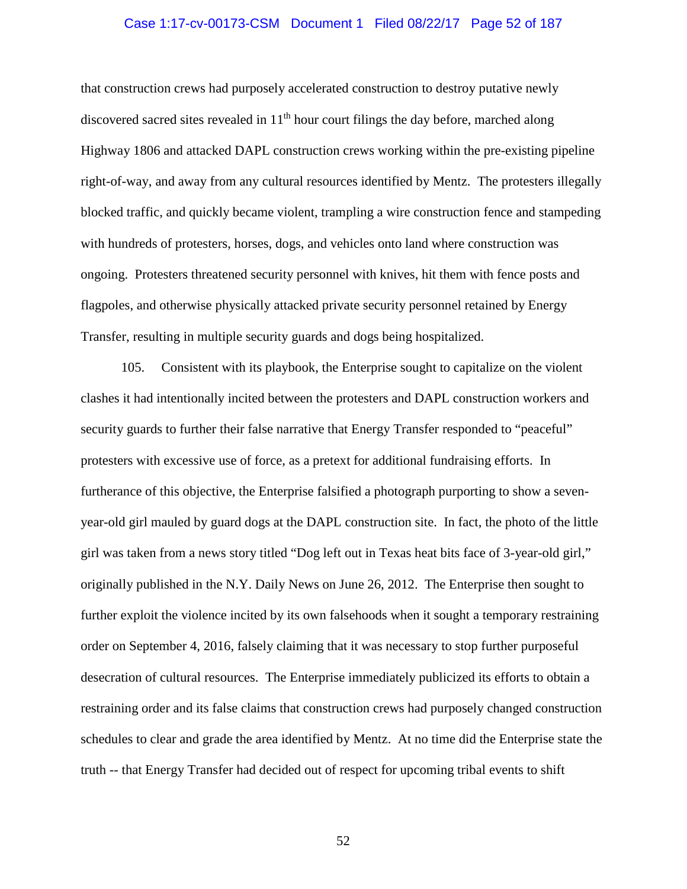#### Case 1:17-cv-00173-CSM Document 1 Filed 08/22/17 Page 52 of 187

that construction crews had purposely accelerated construction to destroy putative newly discovered sacred sites revealed in  $11<sup>th</sup>$  hour court filings the day before, marched along Highway 1806 and attacked DAPL construction crews working within the pre-existing pipeline right-of-way, and away from any cultural resources identified by Mentz. The protesters illegally blocked traffic, and quickly became violent, trampling a wire construction fence and stampeding with hundreds of protesters, horses, dogs, and vehicles onto land where construction was ongoing. Protesters threatened security personnel with knives, hit them with fence posts and flagpoles, and otherwise physically attacked private security personnel retained by Energy Transfer, resulting in multiple security guards and dogs being hospitalized.

105. Consistent with its playbook, the Enterprise sought to capitalize on the violent clashes it had intentionally incited between the protesters and DAPL construction workers and security guards to further their false narrative that Energy Transfer responded to "peaceful" protesters with excessive use of force, as a pretext for additional fundraising efforts. In furtherance of this objective, the Enterprise falsified a photograph purporting to show a sevenyear-old girl mauled by guard dogs at the DAPL construction site. In fact, the photo of the little girl was taken from a news story titled "Dog left out in Texas heat bits face of 3-year-old girl," originally published in the N.Y. Daily News on June 26, 2012. The Enterprise then sought to further exploit the violence incited by its own falsehoods when it sought a temporary restraining order on September 4, 2016, falsely claiming that it was necessary to stop further purposeful desecration of cultural resources. The Enterprise immediately publicized its efforts to obtain a restraining order and its false claims that construction crews had purposely changed construction schedules to clear and grade the area identified by Mentz. At no time did the Enterprise state the truth -- that Energy Transfer had decided out of respect for upcoming tribal events to shift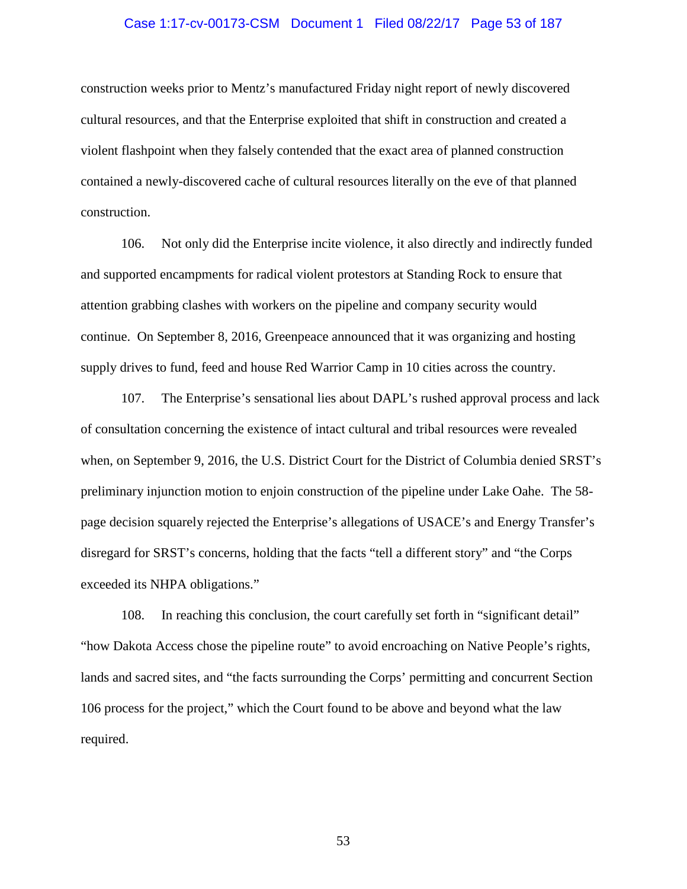#### Case 1:17-cv-00173-CSM Document 1 Filed 08/22/17 Page 53 of 187

construction weeks prior to Mentz's manufactured Friday night report of newly discovered cultural resources, and that the Enterprise exploited that shift in construction and created a violent flashpoint when they falsely contended that the exact area of planned construction contained a newly-discovered cache of cultural resources literally on the eve of that planned construction.

106. Not only did the Enterprise incite violence, it also directly and indirectly funded and supported encampments for radical violent protestors at Standing Rock to ensure that attention grabbing clashes with workers on the pipeline and company security would continue. On September 8, 2016, Greenpeace announced that it was organizing and hosting supply drives to fund, feed and house Red Warrior Camp in 10 cities across the country.

107. The Enterprise's sensational lies about DAPL's rushed approval process and lack of consultation concerning the existence of intact cultural and tribal resources were revealed when, on September 9, 2016, the U.S. District Court for the District of Columbia denied SRST's preliminary injunction motion to enjoin construction of the pipeline under Lake Oahe. The 58 page decision squarely rejected the Enterprise's allegations of USACE's and Energy Transfer's disregard for SRST's concerns, holding that the facts "tell a different story" and "the Corps exceeded its NHPA obligations."

108. In reaching this conclusion, the court carefully set forth in "significant detail" "how Dakota Access chose the pipeline route" to avoid encroaching on Native People's rights, lands and sacred sites, and "the facts surrounding the Corps' permitting and concurrent Section 106 process for the project," which the Court found to be above and beyond what the law required.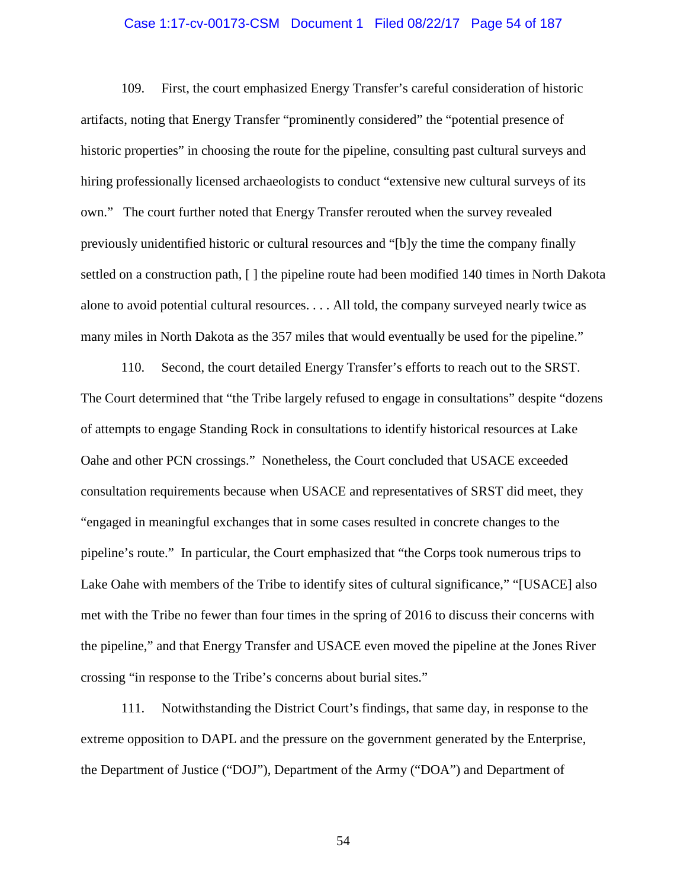#### Case 1:17-cv-00173-CSM Document 1 Filed 08/22/17 Page 54 of 187

109. First, the court emphasized Energy Transfer's careful consideration of historic artifacts, noting that Energy Transfer "prominently considered" the "potential presence of historic properties" in choosing the route for the pipeline, consulting past cultural surveys and hiring professionally licensed archaeologists to conduct "extensive new cultural surveys of its own." The court further noted that Energy Transfer rerouted when the survey revealed previously unidentified historic or cultural resources and "[b]y the time the company finally settled on a construction path, [ ] the pipeline route had been modified 140 times in North Dakota alone to avoid potential cultural resources. . . . All told, the company surveyed nearly twice as many miles in North Dakota as the 357 miles that would eventually be used for the pipeline."

110. Second, the court detailed Energy Transfer's efforts to reach out to the SRST. The Court determined that "the Tribe largely refused to engage in consultations" despite "dozens of attempts to engage Standing Rock in consultations to identify historical resources at Lake Oahe and other PCN crossings." Nonetheless, the Court concluded that USACE exceeded consultation requirements because when USACE and representatives of SRST did meet, they "engaged in meaningful exchanges that in some cases resulted in concrete changes to the pipeline's route." In particular, the Court emphasized that "the Corps took numerous trips to Lake Oahe with members of the Tribe to identify sites of cultural significance," "[USACE] also met with the Tribe no fewer than four times in the spring of 2016 to discuss their concerns with the pipeline," and that Energy Transfer and USACE even moved the pipeline at the Jones River crossing "in response to the Tribe's concerns about burial sites."

111. Notwithstanding the District Court's findings, that same day, in response to the extreme opposition to DAPL and the pressure on the government generated by the Enterprise, the Department of Justice ("DOJ"), Department of the Army ("DOA") and Department of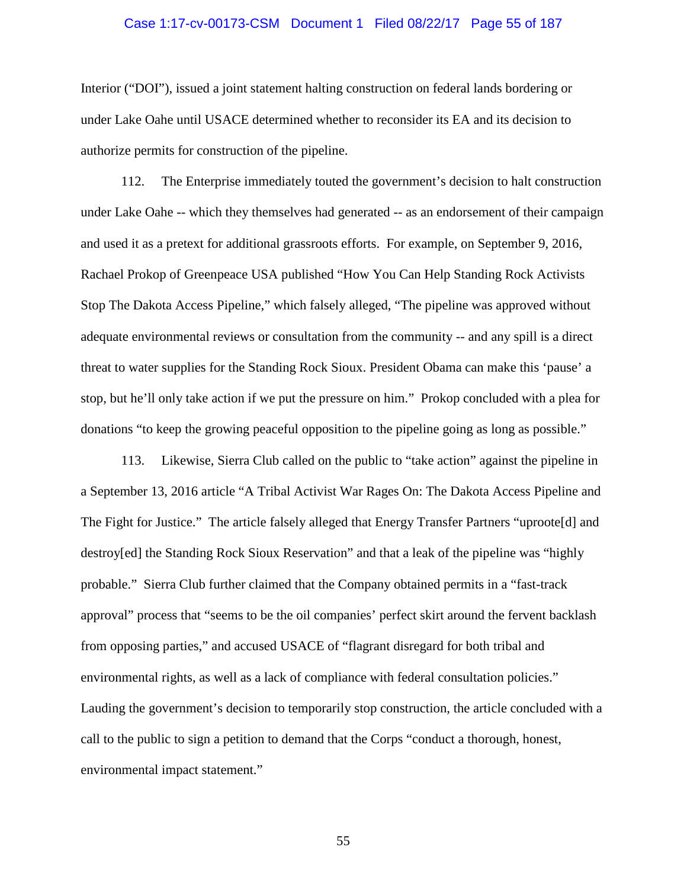#### Case 1:17-cv-00173-CSM Document 1 Filed 08/22/17 Page 55 of 187

Interior ("DOI"), issued a joint statement halting construction on federal lands bordering or under Lake Oahe until USACE determined whether to reconsider its EA and its decision to authorize permits for construction of the pipeline.

112. The Enterprise immediately touted the government's decision to halt construction under Lake Oahe -- which they themselves had generated -- as an endorsement of their campaign and used it as a pretext for additional grassroots efforts. For example, on September 9, 2016, Rachael Prokop of Greenpeace USA published "How You Can Help Standing Rock Activists Stop The Dakota Access Pipeline," which falsely alleged, "The pipeline was approved without adequate environmental reviews or consultation from the community -- and any spill is a direct threat to water supplies for the Standing Rock Sioux. President Obama can make this 'pause' a stop, but he'll only take action if we put the pressure on him." Prokop concluded with a plea for donations "to keep the growing peaceful opposition to the pipeline going as long as possible."

113. Likewise, Sierra Club called on the public to "take action" against the pipeline in a September 13, 2016 article "A Tribal Activist War Rages On: The Dakota Access Pipeline and The Fight for Justice." The article falsely alleged that Energy Transfer Partners "uproote[d] and destroy[ed] the Standing Rock Sioux Reservation" and that a leak of the pipeline was "highly probable." Sierra Club further claimed that the Company obtained permits in a "fast-track approval" process that "seems to be the oil companies' perfect skirt around the fervent backlash from opposing parties," and accused USACE of "flagrant disregard for both tribal and environmental rights, as well as a lack of compliance with federal consultation policies." Lauding the government's decision to temporarily stop construction, the article concluded with a call to the public to sign a petition to demand that the Corps "conduct a thorough, honest, environmental impact statement."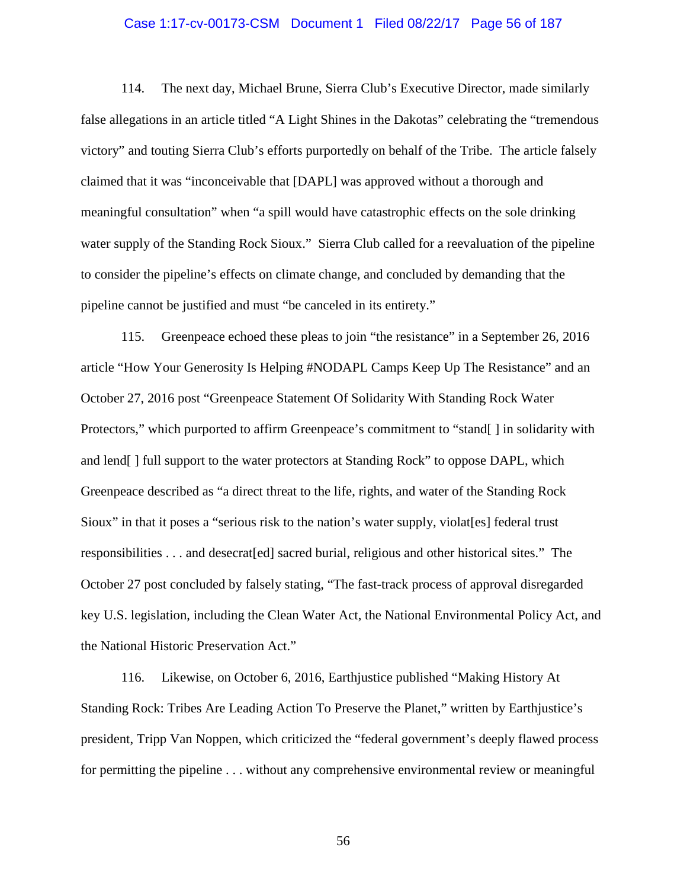#### Case 1:17-cv-00173-CSM Document 1 Filed 08/22/17 Page 56 of 187

114. The next day, Michael Brune, Sierra Club's Executive Director, made similarly false allegations in an article titled "A Light Shines in the Dakotas" celebrating the "tremendous victory" and touting Sierra Club's efforts purportedly on behalf of the Tribe. The article falsely claimed that it was "inconceivable that [DAPL] was approved without a thorough and meaningful consultation" when "a spill would have catastrophic effects on the sole drinking water supply of the Standing Rock Sioux." Sierra Club called for a reevaluation of the pipeline to consider the pipeline's effects on climate change, and concluded by demanding that the pipeline cannot be justified and must "be canceled in its entirety."

115. Greenpeace echoed these pleas to join "the resistance" in a September 26, 2016 article "How Your Generosity Is Helping #NODAPL Camps Keep Up The Resistance" and an October 27, 2016 post "Greenpeace Statement Of Solidarity With Standing Rock Water Protectors," which purported to affirm Greenpeace's commitment to "stand[ ] in solidarity with and lend[ ] full support to the water protectors at Standing Rock" to oppose DAPL, which Greenpeace described as "a direct threat to the life, rights, and water of the Standing Rock Sioux" in that it poses a "serious risk to the nation's water supply, violat[es] federal trust responsibilities . . . and desecrat[ed] sacred burial, religious and other historical sites." The October 27 post concluded by falsely stating, "The fast-track process of approval disregarded key U.S. legislation, including the Clean Water Act, the National Environmental Policy Act, and the National Historic Preservation Act."

116. Likewise, on October 6, 2016, Earthjustice published "Making History At Standing Rock: Tribes Are Leading Action To Preserve the Planet," written by Earthjustice's president, Tripp Van Noppen, which criticized the "federal government's deeply flawed process for permitting the pipeline . . . without any comprehensive environmental review or meaningful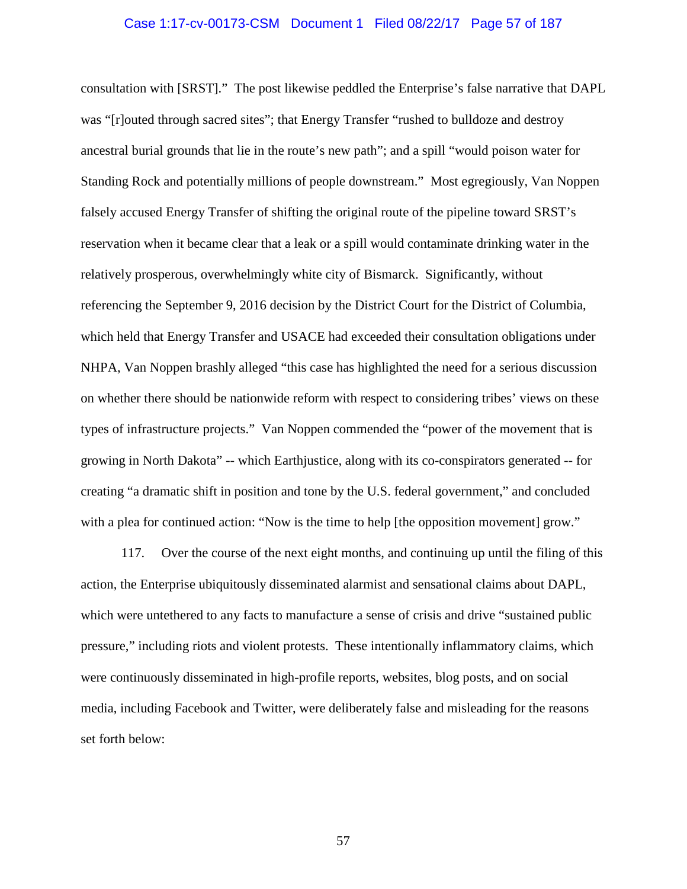#### Case 1:17-cv-00173-CSM Document 1 Filed 08/22/17 Page 57 of 187

consultation with [SRST]." The post likewise peddled the Enterprise's false narrative that DAPL was "[r]outed through sacred sites"; that Energy Transfer "rushed to bulldoze and destroy ancestral burial grounds that lie in the route's new path"; and a spill "would poison water for Standing Rock and potentially millions of people downstream." Most egregiously, Van Noppen falsely accused Energy Transfer of shifting the original route of the pipeline toward SRST's reservation when it became clear that a leak or a spill would contaminate drinking water in the relatively prosperous, overwhelmingly white city of Bismarck. Significantly, without referencing the September 9, 2016 decision by the District Court for the District of Columbia, which held that Energy Transfer and USACE had exceeded their consultation obligations under NHPA, Van Noppen brashly alleged "this case has highlighted the need for a serious discussion on whether there should be nationwide reform with respect to considering tribes' views on these types of infrastructure projects." Van Noppen commended the "power of the movement that is growing in North Dakota" -- which Earthjustice, along with its co-conspirators generated -- for creating "a dramatic shift in position and tone by the U.S. federal government," and concluded with a plea for continued action: "Now is the time to help [the opposition movement] grow."

117. Over the course of the next eight months, and continuing up until the filing of this action, the Enterprise ubiquitously disseminated alarmist and sensational claims about DAPL, which were untethered to any facts to manufacture a sense of crisis and drive "sustained public pressure," including riots and violent protests. These intentionally inflammatory claims, which were continuously disseminated in high-profile reports, websites, blog posts, and on social media, including Facebook and Twitter, were deliberately false and misleading for the reasons set forth below: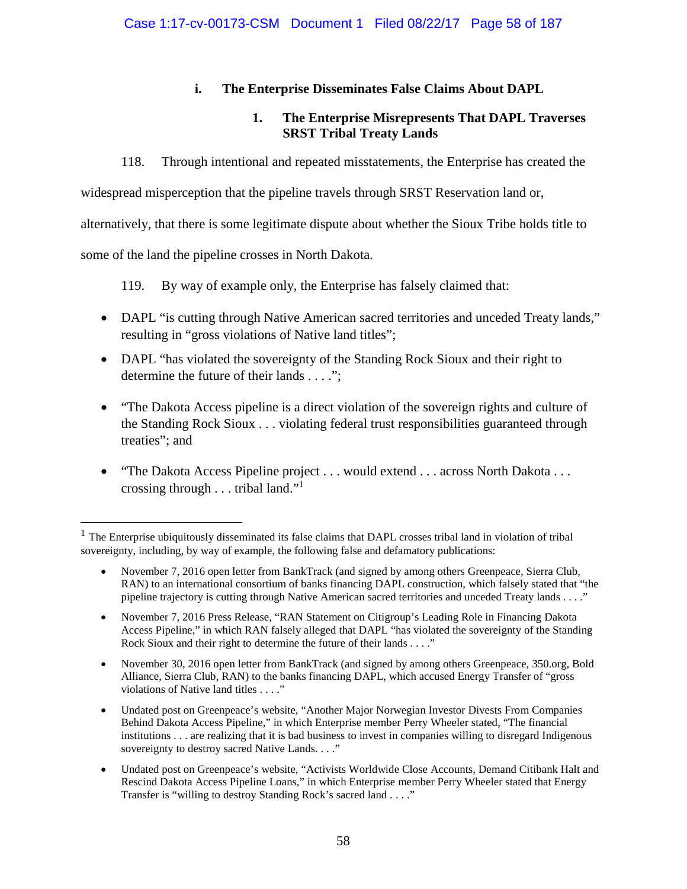# **i. The Enterprise Disseminates False Claims About DAPL**

# **1. The Enterprise Misrepresents That DAPL Traverses SRST Tribal Treaty Lands**

118. Through intentional and repeated misstatements, the Enterprise has created the

widespread misperception that the pipeline travels through SRST Reservation land or,

alternatively, that there is some legitimate dispute about whether the Sioux Tribe holds title to

some of the land the pipeline crosses in North Dakota.

119. By way of example only, the Enterprise has falsely claimed that:

- DAPL "is cutting through Native American sacred territories and unceded Treaty lands," resulting in "gross violations of Native land titles";
- DAPL "has violated the sovereignty of the Standing Rock Sioux and their right to determine the future of their lands . . . .";
- "The Dakota Access pipeline is a direct violation of the sovereign rights and culture of the Standing Rock Sioux . . . violating federal trust responsibilities guaranteed through treaties"; and
- "The Dakota Access Pipeline project . . . would extend . . . across North Dakota . . . crossing through . . . tribal land."<sup>1</sup>

- Undated post on Greenpeace's website, "Another Major Norwegian Investor Divests From Companies Behind Dakota Access Pipeline," in which Enterprise member Perry Wheeler stated, "The financial institutions . . . are realizing that it is bad business to invest in companies willing to disregard Indigenous sovereignty to destroy sacred Native Lands. . . ."
- Undated post on Greenpeace's website, "Activists Worldwide Close Accounts, Demand Citibank Halt and Rescind Dakota Access Pipeline Loans," in which Enterprise member Perry Wheeler stated that Energy Transfer is "willing to destroy Standing Rock's sacred land . . . ."

<sup>1</sup> The Enterprise ubiquitously disseminated its false claims that DAPL crosses tribal land in violation of tribal sovereignty, including, by way of example, the following false and defamatory publications:

November 7, 2016 open letter from BankTrack (and signed by among others Greenpeace, Sierra Club, RAN) to an international consortium of banks financing DAPL construction, which falsely stated that "the pipeline trajectory is cutting through Native American sacred territories and unceded Treaty lands . . . ."

November 7, 2016 Press Release, "RAN Statement on Citigroup's Leading Role in Financing Dakota Access Pipeline," in which RAN falsely alleged that DAPL "has violated the sovereignty of the Standing Rock Sioux and their right to determine the future of their lands . . . ."

November 30, 2016 open letter from BankTrack (and signed by among others Greenpeace, 350.org, Bold Alliance, Sierra Club, RAN) to the banks financing DAPL, which accused Energy Transfer of "gross violations of Native land titles . . . ."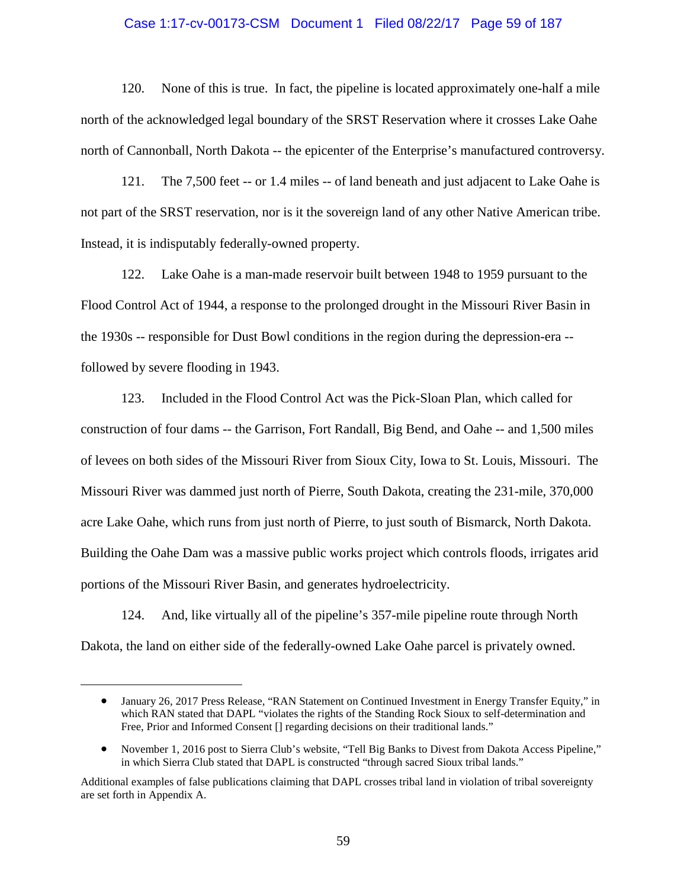### Case 1:17-cv-00173-CSM Document 1 Filed 08/22/17 Page 59 of 187

120. None of this is true. In fact, the pipeline is located approximately one-half a mile north of the acknowledged legal boundary of the SRST Reservation where it crosses Lake Oahe north of Cannonball, North Dakota -- the epicenter of the Enterprise's manufactured controversy.

121. The 7,500 feet -- or 1.4 miles -- of land beneath and just adjacent to Lake Oahe is not part of the SRST reservation, nor is it the sovereign land of any other Native American tribe. Instead, it is indisputably federally-owned property.

122. Lake Oahe is a man-made reservoir built between 1948 to 1959 pursuant to the Flood Control Act of 1944, a response to the prolonged drought in the Missouri River Basin in the 1930s -- responsible for Dust Bowl conditions in the region during the depression-era - followed by severe flooding in 1943.

123. Included in the Flood Control Act was the Pick-Sloan Plan, which called for construction of four dams -- the Garrison, Fort Randall, Big Bend, and Oahe -- and 1,500 miles of levees on both sides of the Missouri River from Sioux City, Iowa to St. Louis, Missouri. The Missouri River was dammed just north of Pierre, South Dakota, creating the 231-mile, 370,000 acre Lake Oahe, which runs from just north of Pierre, to just south of Bismarck, North Dakota. Building the Oahe Dam was a massive public works project which controls floods, irrigates arid portions of the Missouri River Basin, and generates hydroelectricity.

124. And, like virtually all of the pipeline's 357-mile pipeline route through North Dakota, the land on either side of the federally-owned Lake Oahe parcel is privately owned.

<sup>•</sup> January 26, 2017 Press Release, "RAN Statement on Continued Investment in Energy Transfer Equity," in which RAN stated that DAPL "violates the rights of the Standing Rock Sioux to self-determination and Free, Prior and Informed Consent [] regarding decisions on their traditional lands."

November 1, 2016 post to Sierra Club's website, "Tell Big Banks to Divest from Dakota Access Pipeline," in which Sierra Club stated that DAPL is constructed "through sacred Sioux tribal lands."

Additional examples of false publications claiming that DAPL crosses tribal land in violation of tribal sovereignty are set forth in Appendix A.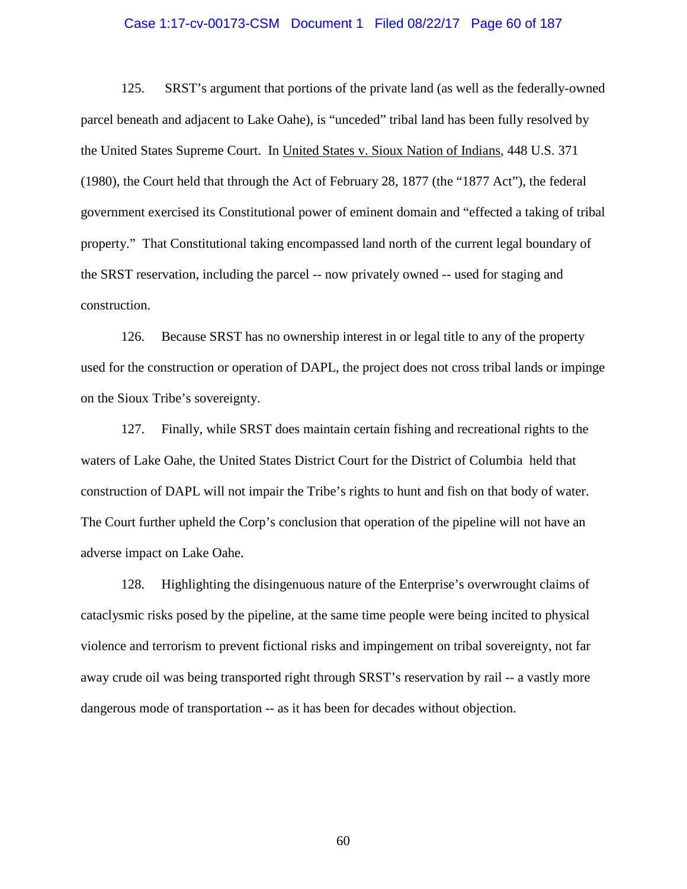#### Case 1:17-cv-00173-CSM Document 1 Filed 08/22/17 Page 60 of 187

125. SRST's argument that portions of the private land (as well as the federally-owned parcel beneath and adjacent to Lake Oahe), is "unceded" tribal land has been fully resolved by the United States Supreme Court. In United States v. Sioux Nation of Indians, 448 U.S. 371 (1980), the Court held that through the Act of February 28, 1877 (the "1877 Act"), the federal government exercised its Constitutional power of eminent domain and "effected a taking of tribal property." That Constitutional taking encompassed land north of the current legal boundary of the SRST reservation, including the parcel -- now privately owned -- used for staging and construction.

126. Because SRST has no ownership interest in or legal title to any of the property used for the construction or operation of DAPL, the project does not cross tribal lands or impinge on the Sioux Tribe's sovereignty.

127. Finally, while SRST does maintain certain fishing and recreational rights to the waters of Lake Oahe, the United States District Court for the District of Columbia held that construction of DAPL will not impair the Tribe's rights to hunt and fish on that body of water. The Court further upheld the Corp's conclusion that operation of the pipeline will not have an adverse impact on Lake Oahe.

128. Highlighting the disingenuous nature of the Enterprise's overwrought claims of cataclysmic risks posed by the pipeline, at the same time people were being incited to physical violence and terrorism to prevent fictional risks and impingement on tribal sovereignty, not far away crude oil was being transported right through SRST's reservation by rail -- a vastly more dangerous mode of transportation -- as it has been for decades without objection.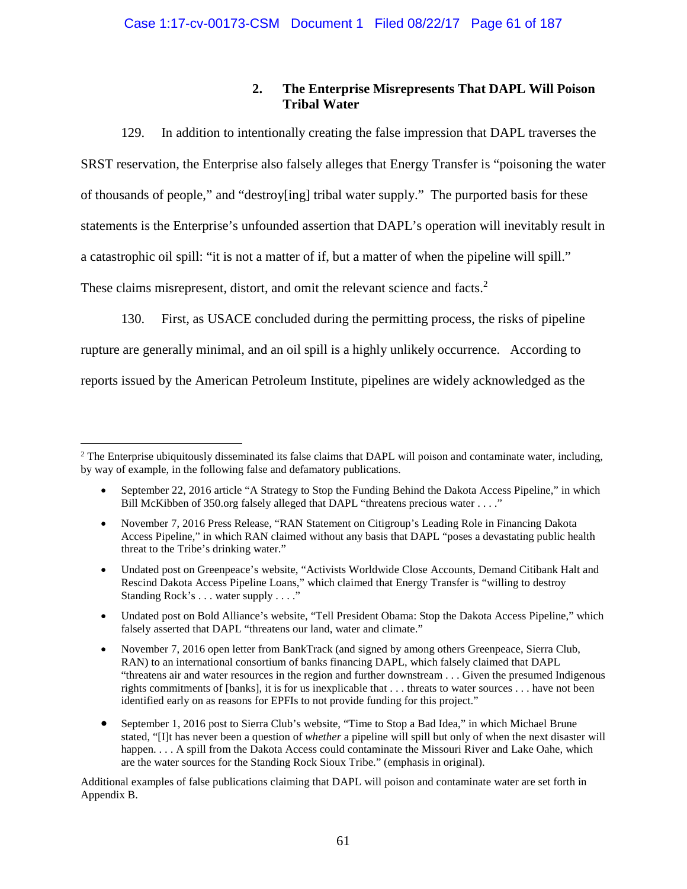# **2. The Enterprise Misrepresents That DAPL Will Poison Tribal Water**

129. In addition to intentionally creating the false impression that DAPL traverses the SRST reservation, the Enterprise also falsely alleges that Energy Transfer is "poisoning the water of thousands of people," and "destroy[ing] tribal water supply." The purported basis for these statements is the Enterprise's unfounded assertion that DAPL's operation will inevitably result in a catastrophic oil spill: "it is not a matter of if, but a matter of when the pipeline will spill." These claims misrepresent, distort, and omit the relevant science and facts.<sup>2</sup>

130. First, as USACE concluded during the permitting process, the risks of pipeline

rupture are generally minimal, and an oil spill is a highly unlikely occurrence. According to

reports issued by the American Petroleum Institute, pipelines are widely acknowledged as the

- Undated post on Greenpeace's website, "Activists Worldwide Close Accounts, Demand Citibank Halt and Rescind Dakota Access Pipeline Loans," which claimed that Energy Transfer is "willing to destroy Standing Rock's . . . water supply . . . ."
- Undated post on Bold Alliance's website, "Tell President Obama: Stop the Dakota Access Pipeline," which falsely asserted that DAPL "threatens our land, water and climate."
- November 7, 2016 open letter from BankTrack (and signed by among others Greenpeace, Sierra Club, RAN) to an international consortium of banks financing DAPL, which falsely claimed that DAPL "threatens air and water resources in the region and further downstream . . . Given the presumed Indigenous rights commitments of [banks], it is for us inexplicable that . . . threats to water sources . . . have not been identified early on as reasons for EPFIs to not provide funding for this project."
- September 1, 2016 post to Sierra Club's website, "Time to Stop a Bad Idea," in which Michael Brune stated, "[I]t has never been a question of *whether* a pipeline will spill but only of when the next disaster will happen. . . . A spill from the Dakota Access could contaminate the Missouri River and Lake Oahe, which are the water sources for the Standing Rock Sioux Tribe." (emphasis in original).

Additional examples of false publications claiming that DAPL will poison and contaminate water are set forth in Appendix B.

 $2$  The Enterprise ubiquitously disseminated its false claims that DAPL will poison and contaminate water, including, by way of example, in the following false and defamatory publications.

September 22, 2016 article "A Strategy to Stop the Funding Behind the Dakota Access Pipeline," in which Bill McKibben of 350.org falsely alleged that DAPL "threatens precious water . . . ."

November 7, 2016 Press Release, "RAN Statement on Citigroup's Leading Role in Financing Dakota Access Pipeline," in which RAN claimed without any basis that DAPL "poses a devastating public health threat to the Tribe's drinking water."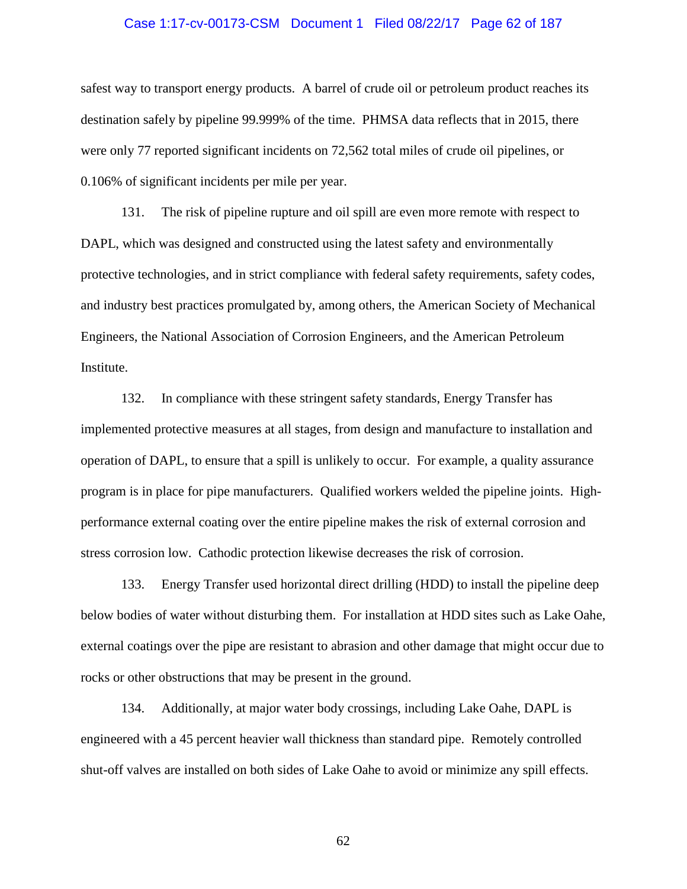#### Case 1:17-cv-00173-CSM Document 1 Filed 08/22/17 Page 62 of 187

safest way to transport energy products. A barrel of crude oil or petroleum product reaches its destination safely by pipeline 99.999% of the time. PHMSA data reflects that in 2015, there were only 77 reported significant incidents on 72,562 total miles of crude oil pipelines, or 0.106% of significant incidents per mile per year.

131. The risk of pipeline rupture and oil spill are even more remote with respect to DAPL, which was designed and constructed using the latest safety and environmentally protective technologies, and in strict compliance with federal safety requirements, safety codes, and industry best practices promulgated by, among others, the American Society of Mechanical Engineers, the National Association of Corrosion Engineers, and the American Petroleum Institute.

132. In compliance with these stringent safety standards, Energy Transfer has implemented protective measures at all stages, from design and manufacture to installation and operation of DAPL, to ensure that a spill is unlikely to occur. For example, a quality assurance program is in place for pipe manufacturers. Qualified workers welded the pipeline joints. Highperformance external coating over the entire pipeline makes the risk of external corrosion and stress corrosion low. Cathodic protection likewise decreases the risk of corrosion.

133. Energy Transfer used horizontal direct drilling (HDD) to install the pipeline deep below bodies of water without disturbing them. For installation at HDD sites such as Lake Oahe, external coatings over the pipe are resistant to abrasion and other damage that might occur due to rocks or other obstructions that may be present in the ground.

134. Additionally, at major water body crossings, including Lake Oahe, DAPL is engineered with a 45 percent heavier wall thickness than standard pipe. Remotely controlled shut-off valves are installed on both sides of Lake Oahe to avoid or minimize any spill effects.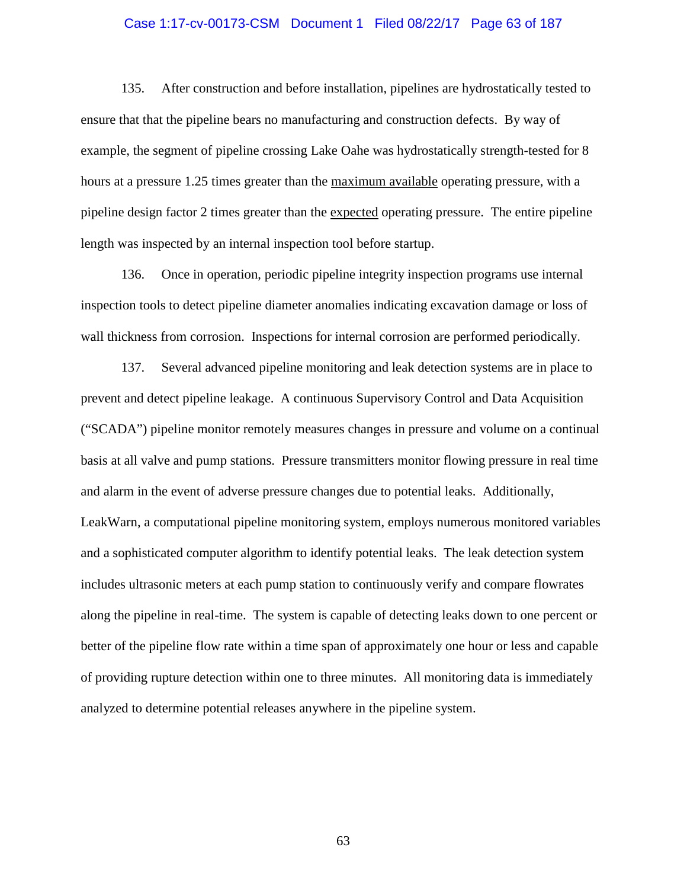#### Case 1:17-cv-00173-CSM Document 1 Filed 08/22/17 Page 63 of 187

135. After construction and before installation, pipelines are hydrostatically tested to ensure that that the pipeline bears no manufacturing and construction defects. By way of example, the segment of pipeline crossing Lake Oahe was hydrostatically strength-tested for 8 hours at a pressure 1.25 times greater than the maximum available operating pressure, with a pipeline design factor 2 times greater than the expected operating pressure. The entire pipeline length was inspected by an internal inspection tool before startup.

136. Once in operation, periodic pipeline integrity inspection programs use internal inspection tools to detect pipeline diameter anomalies indicating excavation damage or loss of wall thickness from corrosion. Inspections for internal corrosion are performed periodically.

137. Several advanced pipeline monitoring and leak detection systems are in place to prevent and detect pipeline leakage. A continuous Supervisory Control and Data Acquisition ("SCADA") pipeline monitor remotely measures changes in pressure and volume on a continual basis at all valve and pump stations. Pressure transmitters monitor flowing pressure in real time and alarm in the event of adverse pressure changes due to potential leaks. Additionally, LeakWarn, a computational pipeline monitoring system, employs numerous monitored variables and a sophisticated computer algorithm to identify potential leaks. The leak detection system includes ultrasonic meters at each pump station to continuously verify and compare flowrates along the pipeline in real-time. The system is capable of detecting leaks down to one percent or better of the pipeline flow rate within a time span of approximately one hour or less and capable of providing rupture detection within one to three minutes. All monitoring data is immediately analyzed to determine potential releases anywhere in the pipeline system.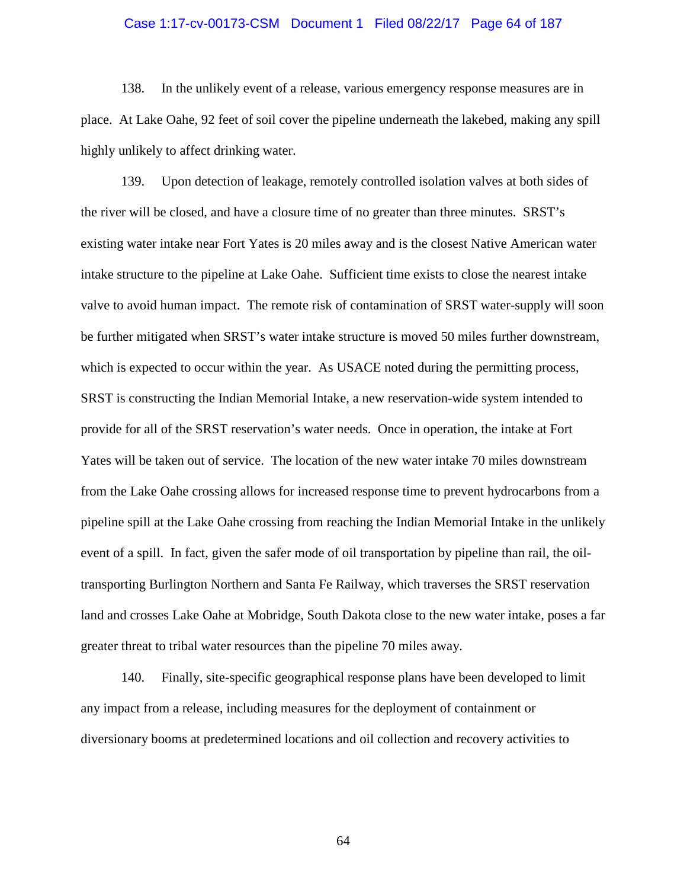#### Case 1:17-cv-00173-CSM Document 1 Filed 08/22/17 Page 64 of 187

138. In the unlikely event of a release, various emergency response measures are in place. At Lake Oahe, 92 feet of soil cover the pipeline underneath the lakebed, making any spill highly unlikely to affect drinking water.

139. Upon detection of leakage, remotely controlled isolation valves at both sides of the river will be closed, and have a closure time of no greater than three minutes. SRST's existing water intake near Fort Yates is 20 miles away and is the closest Native American water intake structure to the pipeline at Lake Oahe. Sufficient time exists to close the nearest intake valve to avoid human impact. The remote risk of contamination of SRST water-supply will soon be further mitigated when SRST's water intake structure is moved 50 miles further downstream, which is expected to occur within the year. As USACE noted during the permitting process, SRST is constructing the Indian Memorial Intake, a new reservation-wide system intended to provide for all of the SRST reservation's water needs. Once in operation, the intake at Fort Yates will be taken out of service. The location of the new water intake 70 miles downstream from the Lake Oahe crossing allows for increased response time to prevent hydrocarbons from a pipeline spill at the Lake Oahe crossing from reaching the Indian Memorial Intake in the unlikely event of a spill. In fact, given the safer mode of oil transportation by pipeline than rail, the oiltransporting Burlington Northern and Santa Fe Railway, which traverses the SRST reservation land and crosses Lake Oahe at Mobridge, South Dakota close to the new water intake, poses a far greater threat to tribal water resources than the pipeline 70 miles away.

140. Finally, site-specific geographical response plans have been developed to limit any impact from a release, including measures for the deployment of containment or diversionary booms at predetermined locations and oil collection and recovery activities to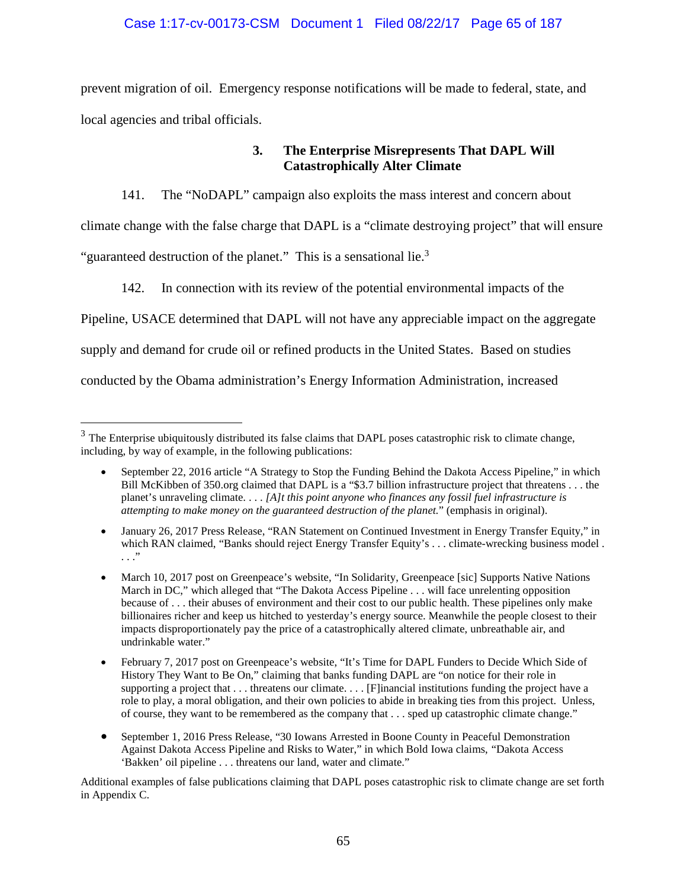## Case 1:17-cv-00173-CSM Document 1 Filed 08/22/17 Page 65 of 187

prevent migration of oil. Emergency response notifications will be made to federal, state, and local agencies and tribal officials.

# **3. The Enterprise Misrepresents That DAPL Will Catastrophically Alter Climate**

141. The "NoDAPL" campaign also exploits the mass interest and concern about climate change with the false charge that DAPL is a "climate destroying project" that will ensure "guaranteed destruction of the planet." This is a sensational lie.<sup>3</sup>

142. In connection with its review of the potential environmental impacts of the

Pipeline, USACE determined that DAPL will not have any appreciable impact on the aggregate

supply and demand for crude oil or refined products in the United States. Based on studies

conducted by the Obama administration's Energy Information Administration, increased

Additional examples of false publications claiming that DAPL poses catastrophic risk to climate change are set forth in Appendix C.

<sup>&</sup>lt;sup>3</sup> The Enterprise ubiquitously distributed its false claims that DAPL poses catastrophic risk to climate change, including, by way of example, in the following publications:

<sup>•</sup> September 22, 2016 article "A Strategy to Stop the Funding Behind the Dakota Access Pipeline," in which Bill McKibben of 350.org claimed that DAPL is a "\$3.7 billion infrastructure project that threatens . . . the planet's unraveling climate. . . . *[A]t this point anyone who finances any fossil fuel infrastructure is attempting to make money on the guaranteed destruction of the planet.*" (emphasis in original).

January 26, 2017 Press Release, "RAN Statement on Continued Investment in Energy Transfer Equity," in which RAN claimed, "Banks should reject Energy Transfer Equity's . . . climate-wrecking business model . . . ."

March 10, 2017 post on Greenpeace's website, "In Solidarity, Greenpeace [sic] Supports Native Nations March in DC," which alleged that "The Dakota Access Pipeline . . . will face unrelenting opposition because of . . . their abuses of environment and their cost to our public health. These pipelines only make billionaires richer and keep us hitched to yesterday's energy source. Meanwhile the people closest to their impacts disproportionately pay the price of a catastrophically altered climate, unbreathable air, and undrinkable water."

February 7, 2017 post on Greenpeace's website, "It's Time for DAPL Funders to Decide Which Side of History They Want to Be On," claiming that banks funding DAPL are "on notice for their role in supporting a project that  $\dots$  threatens our climate.  $\dots$  [F]inancial institutions funding the project have a role to play, a moral obligation, and their own policies to abide in breaking ties from this project. Unless, of course, they want to be remembered as the company that . . . sped up catastrophic climate change."

September 1, 2016 Press Release, "30 Iowans Arrested in Boone County in Peaceful Demonstration Against Dakota Access Pipeline and Risks to Water," in which Bold Iowa claims, "Dakota Access 'Bakken' oil pipeline . . . threatens our land, water and climate."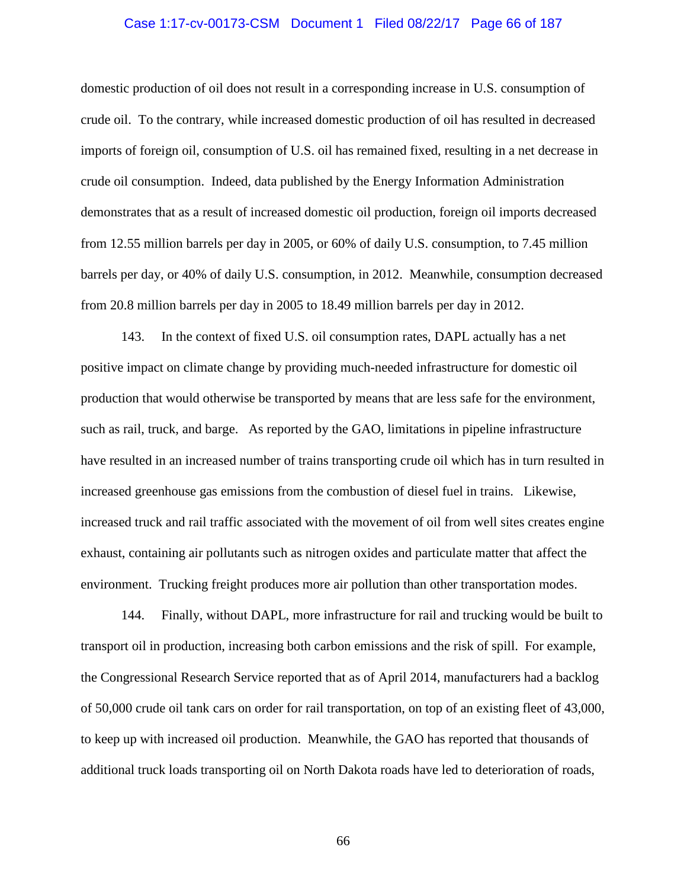#### Case 1:17-cv-00173-CSM Document 1 Filed 08/22/17 Page 66 of 187

domestic production of oil does not result in a corresponding increase in U.S. consumption of crude oil. To the contrary, while increased domestic production of oil has resulted in decreased imports of foreign oil, consumption of U.S. oil has remained fixed, resulting in a net decrease in crude oil consumption. Indeed, data published by the Energy Information Administration demonstrates that as a result of increased domestic oil production, foreign oil imports decreased from 12.55 million barrels per day in 2005, or 60% of daily U.S. consumption, to 7.45 million barrels per day, or 40% of daily U.S. consumption, in 2012. Meanwhile, consumption decreased from 20.8 million barrels per day in 2005 to 18.49 million barrels per day in 2012.

143. In the context of fixed U.S. oil consumption rates, DAPL actually has a net positive impact on climate change by providing much-needed infrastructure for domestic oil production that would otherwise be transported by means that are less safe for the environment, such as rail, truck, and barge. As reported by the GAO, limitations in pipeline infrastructure have resulted in an increased number of trains transporting crude oil which has in turn resulted in increased greenhouse gas emissions from the combustion of diesel fuel in trains. Likewise, increased truck and rail traffic associated with the movement of oil from well sites creates engine exhaust, containing air pollutants such as nitrogen oxides and particulate matter that affect the environment. Trucking freight produces more air pollution than other transportation modes.

144. Finally, without DAPL, more infrastructure for rail and trucking would be built to transport oil in production, increasing both carbon emissions and the risk of spill. For example, the Congressional Research Service reported that as of April 2014, manufacturers had a backlog of 50,000 crude oil tank cars on order for rail transportation, on top of an existing fleet of 43,000, to keep up with increased oil production. Meanwhile, the GAO has reported that thousands of additional truck loads transporting oil on North Dakota roads have led to deterioration of roads,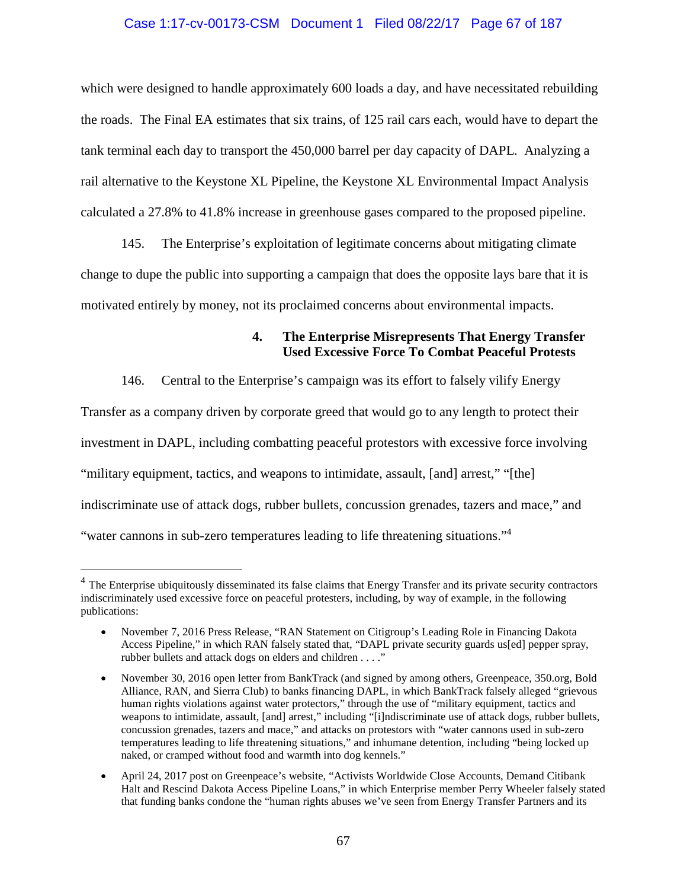### Case 1:17-cv-00173-CSM Document 1 Filed 08/22/17 Page 67 of 187

which were designed to handle approximately 600 loads a day, and have necessitated rebuilding the roads. The Final EA estimates that six trains, of 125 rail cars each, would have to depart the tank terminal each day to transport the 450,000 barrel per day capacity of DAPL. Analyzing a rail alternative to the Keystone XL Pipeline, the Keystone XL Environmental Impact Analysis calculated a 27.8% to 41.8% increase in greenhouse gases compared to the proposed pipeline.

145. The Enterprise's exploitation of legitimate concerns about mitigating climate change to dupe the public into supporting a campaign that does the opposite lays bare that it is motivated entirely by money, not its proclaimed concerns about environmental impacts.

# **4. The Enterprise Misrepresents That Energy Transfer Used Excessive Force To Combat Peaceful Protests**

146. Central to the Enterprise's campaign was its effort to falsely vilify Energy Transfer as a company driven by corporate greed that would go to any length to protect their investment in DAPL, including combatting peaceful protestors with excessive force involving "military equipment, tactics, and weapons to intimidate, assault, [and] arrest," "[the] indiscriminate use of attack dogs, rubber bullets, concussion grenades, tazers and mace," and "water cannons in sub-zero temperatures leading to life threatening situations."<sup>4</sup>

<sup>&</sup>lt;sup>4</sup> The Enterprise ubiquitously disseminated its false claims that Energy Transfer and its private security contractors indiscriminately used excessive force on peaceful protesters, including, by way of example, in the following publications:

November 7, 2016 Press Release, "RAN Statement on Citigroup's Leading Role in Financing Dakota Access Pipeline," in which RAN falsely stated that, "DAPL private security guards us[ed] pepper spray, rubber bullets and attack dogs on elders and children . . . ."

November 30, 2016 open letter from BankTrack (and signed by among others, Greenpeace, 350.org, Bold Alliance, RAN, and Sierra Club) to banks financing DAPL, in which BankTrack falsely alleged "grievous human rights violations against water protectors," through the use of "military equipment, tactics and weapons to intimidate, assault, [and] arrest," including "[i]ndiscriminate use of attack dogs, rubber bullets, concussion grenades, tazers and mace," and attacks on protestors with "water cannons used in sub-zero temperatures leading to life threatening situations," and inhumane detention, including "being locked up naked, or cramped without food and warmth into dog kennels."

April 24, 2017 post on Greenpeace's website, "Activists Worldwide Close Accounts, Demand Citibank Halt and Rescind Dakota Access Pipeline Loans," in which Enterprise member Perry Wheeler falsely stated that funding banks condone the "human rights abuses we've seen from Energy Transfer Partners and its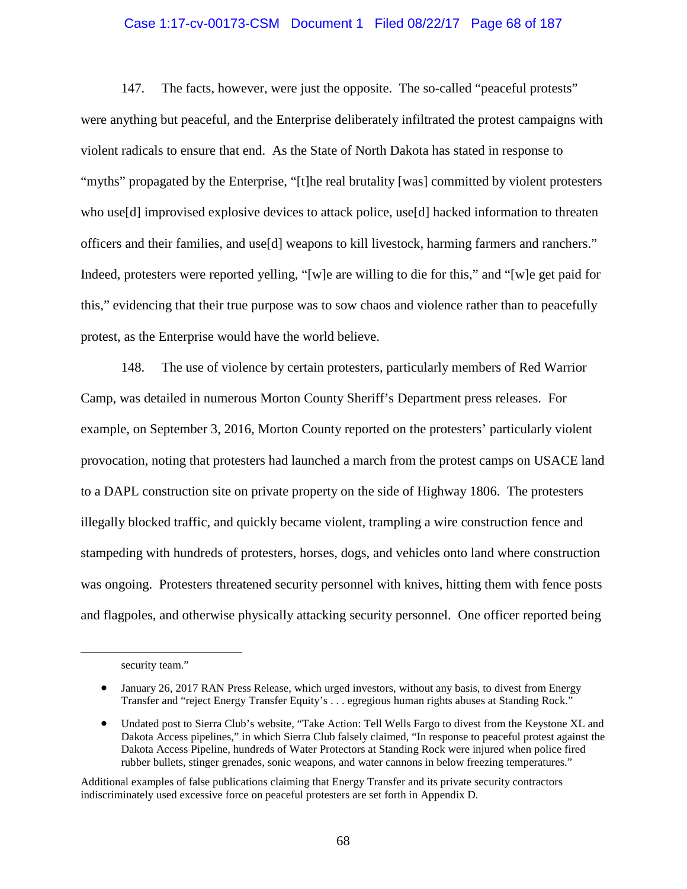#### Case 1:17-cv-00173-CSM Document 1 Filed 08/22/17 Page 68 of 187

147. The facts, however, were just the opposite. The so-called "peaceful protests" were anything but peaceful, and the Enterprise deliberately infiltrated the protest campaigns with violent radicals to ensure that end. As the State of North Dakota has stated in response to "myths" propagated by the Enterprise, "[t]he real brutality [was] committed by violent protesters who use[d] improvised explosive devices to attack police, use[d] hacked information to threaten officers and their families, and use[d] weapons to kill livestock, harming farmers and ranchers." Indeed, protesters were reported yelling, "[w]e are willing to die for this," and "[w]e get paid for this," evidencing that their true purpose was to sow chaos and violence rather than to peacefully protest, as the Enterprise would have the world believe.

148. The use of violence by certain protesters, particularly members of Red Warrior Camp, was detailed in numerous Morton County Sheriff's Department press releases. For example, on September 3, 2016, Morton County reported on the protesters' particularly violent provocation, noting that protesters had launched a march from the protest camps on USACE land to a DAPL construction site on private property on the side of Highway 1806. The protesters illegally blocked traffic, and quickly became violent, trampling a wire construction fence and stampeding with hundreds of protesters, horses, dogs, and vehicles onto land where construction was ongoing. Protesters threatened security personnel with knives, hitting them with fence posts and flagpoles, and otherwise physically attacking security personnel. One officer reported being

Additional examples of false publications claiming that Energy Transfer and its private security contractors indiscriminately used excessive force on peaceful protesters are set forth in Appendix D.

security team."

<sup>•</sup> January 26, 2017 RAN Press Release, which urged investors, without any basis, to divest from Energy Transfer and "reject Energy Transfer Equity's . . . egregious human rights abuses at Standing Rock."

Undated post to Sierra Club's website, "Take Action: Tell Wells Fargo to divest from the Keystone XL and Dakota Access pipelines," in which Sierra Club falsely claimed, "In response to peaceful protest against the Dakota Access Pipeline, hundreds of Water Protectors at Standing Rock were injured when police fired rubber bullets, stinger grenades, sonic weapons, and water cannons in below freezing temperatures."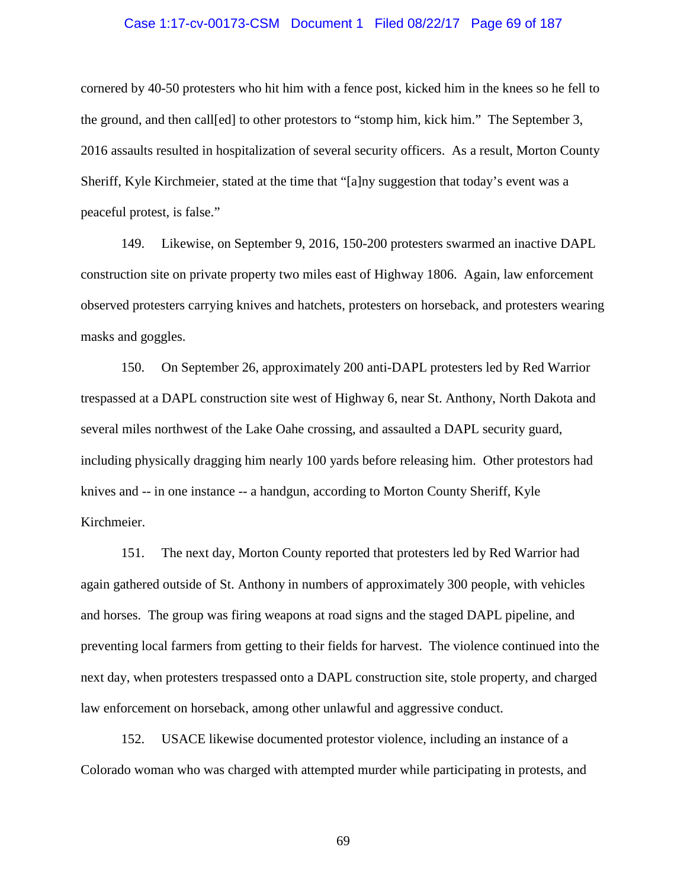#### Case 1:17-cv-00173-CSM Document 1 Filed 08/22/17 Page 69 of 187

cornered by 40-50 protesters who hit him with a fence post, kicked him in the knees so he fell to the ground, and then call[ed] to other protestors to "stomp him, kick him." The September 3, 2016 assaults resulted in hospitalization of several security officers. As a result, Morton County Sheriff, Kyle Kirchmeier, stated at the time that "[a]ny suggestion that today's event was a peaceful protest, is false."

149. Likewise, on September 9, 2016, 150-200 protesters swarmed an inactive DAPL construction site on private property two miles east of Highway 1806. Again, law enforcement observed protesters carrying knives and hatchets, protesters on horseback, and protesters wearing masks and goggles.

150. On September 26, approximately 200 anti-DAPL protesters led by Red Warrior trespassed at a DAPL construction site west of Highway 6, near St. Anthony, North Dakota and several miles northwest of the Lake Oahe crossing, and assaulted a DAPL security guard, including physically dragging him nearly 100 yards before releasing him. Other protestors had knives and -- in one instance -- a handgun, according to Morton County Sheriff, Kyle Kirchmeier.

151. The next day, Morton County reported that protesters led by Red Warrior had again gathered outside of St. Anthony in numbers of approximately 300 people, with vehicles and horses. The group was firing weapons at road signs and the staged DAPL pipeline, and preventing local farmers from getting to their fields for harvest. The violence continued into the next day, when protesters trespassed onto a DAPL construction site, stole property, and charged law enforcement on horseback, among other unlawful and aggressive conduct.

152. USACE likewise documented protestor violence, including an instance of a Colorado woman who was charged with attempted murder while participating in protests, and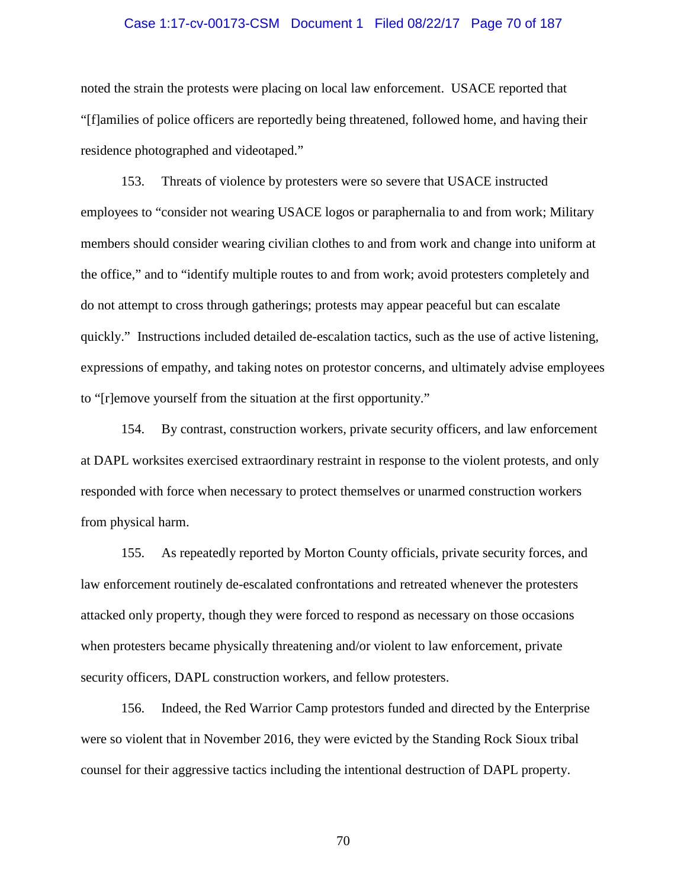#### Case 1:17-cv-00173-CSM Document 1 Filed 08/22/17 Page 70 of 187

noted the strain the protests were placing on local law enforcement. USACE reported that "[f]amilies of police officers are reportedly being threatened, followed home, and having their residence photographed and videotaped."

153. Threats of violence by protesters were so severe that USACE instructed employees to "consider not wearing USACE logos or paraphernalia to and from work; Military members should consider wearing civilian clothes to and from work and change into uniform at the office," and to "identify multiple routes to and from work; avoid protesters completely and do not attempt to cross through gatherings; protests may appear peaceful but can escalate quickly." Instructions included detailed de-escalation tactics, such as the use of active listening, expressions of empathy, and taking notes on protestor concerns, and ultimately advise employees to "[r]emove yourself from the situation at the first opportunity."

154. By contrast, construction workers, private security officers, and law enforcement at DAPL worksites exercised extraordinary restraint in response to the violent protests, and only responded with force when necessary to protect themselves or unarmed construction workers from physical harm.

155. As repeatedly reported by Morton County officials, private security forces, and law enforcement routinely de-escalated confrontations and retreated whenever the protesters attacked only property, though they were forced to respond as necessary on those occasions when protesters became physically threatening and/or violent to law enforcement, private security officers, DAPL construction workers, and fellow protesters.

156. Indeed, the Red Warrior Camp protestors funded and directed by the Enterprise were so violent that in November 2016, they were evicted by the Standing Rock Sioux tribal counsel for their aggressive tactics including the intentional destruction of DAPL property.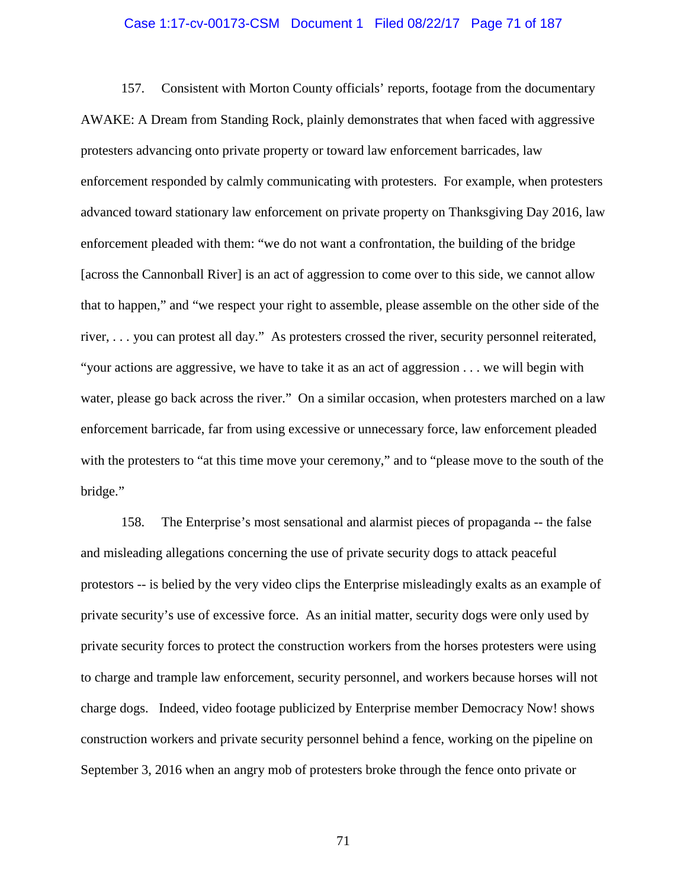#### Case 1:17-cv-00173-CSM Document 1 Filed 08/22/17 Page 71 of 187

157. Consistent with Morton County officials' reports, footage from the documentary AWAKE: A Dream from Standing Rock, plainly demonstrates that when faced with aggressive protesters advancing onto private property or toward law enforcement barricades, law enforcement responded by calmly communicating with protesters. For example, when protesters advanced toward stationary law enforcement on private property on Thanksgiving Day 2016, law enforcement pleaded with them: "we do not want a confrontation, the building of the bridge [across the Cannonball River] is an act of aggression to come over to this side, we cannot allow that to happen," and "we respect your right to assemble, please assemble on the other side of the river, . . . you can protest all day." As protesters crossed the river, security personnel reiterated, "your actions are aggressive, we have to take it as an act of aggression . . . we will begin with water, please go back across the river." On a similar occasion, when protesters marched on a law enforcement barricade, far from using excessive or unnecessary force, law enforcement pleaded with the protesters to "at this time move your ceremony," and to "please move to the south of the bridge."

158. The Enterprise's most sensational and alarmist pieces of propaganda -- the false and misleading allegations concerning the use of private security dogs to attack peaceful protestors -- is belied by the very video clips the Enterprise misleadingly exalts as an example of private security's use of excessive force. As an initial matter, security dogs were only used by private security forces to protect the construction workers from the horses protesters were using to charge and trample law enforcement, security personnel, and workers because horses will not charge dogs. Indeed, video footage publicized by Enterprise member Democracy Now! shows construction workers and private security personnel behind a fence, working on the pipeline on September 3, 2016 when an angry mob of protesters broke through the fence onto private or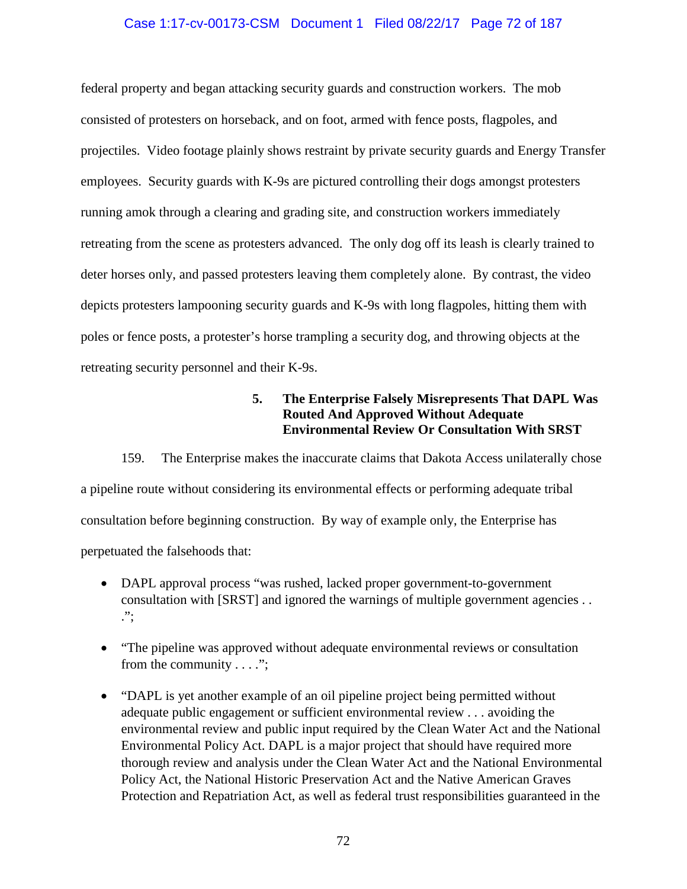## Case 1:17-cv-00173-CSM Document 1 Filed 08/22/17 Page 72 of 187

federal property and began attacking security guards and construction workers. The mob consisted of protesters on horseback, and on foot, armed with fence posts, flagpoles, and projectiles. Video footage plainly shows restraint by private security guards and Energy Transfer employees. Security guards with K-9s are pictured controlling their dogs amongst protesters running amok through a clearing and grading site, and construction workers immediately retreating from the scene as protesters advanced. The only dog off its leash is clearly trained to deter horses only, and passed protesters leaving them completely alone. By contrast, the video depicts protesters lampooning security guards and K-9s with long flagpoles, hitting them with poles or fence posts, a protester's horse trampling a security dog, and throwing objects at the retreating security personnel and their K-9s.

# **5. The Enterprise Falsely Misrepresents That DAPL Was Routed And Approved Without Adequate Environmental Review Or Consultation With SRST**

159. The Enterprise makes the inaccurate claims that Dakota Access unilaterally chose a pipeline route without considering its environmental effects or performing adequate tribal consultation before beginning construction. By way of example only, the Enterprise has perpetuated the falsehoods that:

- DAPL approval process "was rushed, lacked proper government-to-government consultation with [SRST] and ignored the warnings of multiple government agencies . . .";
- "The pipeline was approved without adequate environmental reviews or consultation from the community . . . .";
- "DAPL is yet another example of an oil pipeline project being permitted without adequate public engagement or sufficient environmental review . . . avoiding the environmental review and public input required by the Clean Water Act and the National Environmental Policy Act. DAPL is a major project that should have required more thorough review and analysis under the Clean Water Act and the National Environmental Policy Act, the National Historic Preservation Act and the Native American Graves Protection and Repatriation Act, as well as federal trust responsibilities guaranteed in the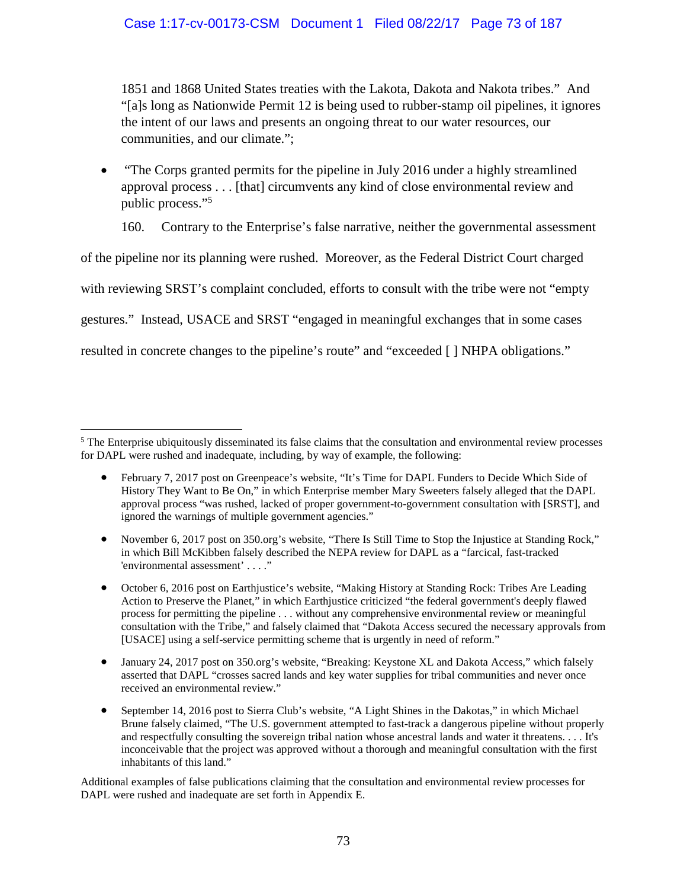1851 and 1868 United States treaties with the Lakota, Dakota and Nakota tribes." And "[a]s long as Nationwide Permit 12 is being used to rubber-stamp oil pipelines, it ignores the intent of our laws and presents an ongoing threat to our water resources, our communities, and our climate.";

 "The Corps granted permits for the pipeline in July 2016 under a highly streamlined approval process . . . [that] circumvents any kind of close environmental review and public process."<sup>5</sup>

160. Contrary to the Enterprise's false narrative, neither the governmental assessment

of the pipeline nor its planning were rushed. Moreover, as the Federal District Court charged

with reviewing SRST's complaint concluded, efforts to consult with the tribe were not "empty

gestures." Instead, USACE and SRST "engaged in meaningful exchanges that in some cases

resulted in concrete changes to the pipeline's route" and "exceeded [ ] NHPA obligations."

Additional examples of false publications claiming that the consultation and environmental review processes for DAPL were rushed and inadequate are set forth in Appendix E.

<sup>&</sup>lt;sup>5</sup> The Enterprise ubiquitously disseminated its false claims that the consultation and environmental review processes for DAPL were rushed and inadequate, including, by way of example, the following:

February 7, 2017 post on Greenpeace's website, "It's Time for DAPL Funders to Decide Which Side of History They Want to Be On," in which Enterprise member Mary Sweeters falsely alleged that the DAPL approval process "was rushed, lacked of proper government-to-government consultation with [SRST], and ignored the warnings of multiple government agencies."

November 6, 2017 post on 350.org's website, "There Is Still Time to Stop the Injustice at Standing Rock," in which Bill McKibben falsely described the NEPA review for DAPL as a "farcical, fast-tracked 'environmental assessment' . . . ."

October 6, 2016 post on Earthjustice's website, "Making History at Standing Rock: Tribes Are Leading Action to Preserve the Planet," in which Earthjustice criticized "the federal government's deeply flawed process for permitting the pipeline . . . without any comprehensive environmental review or meaningful consultation with the Tribe," and falsely claimed that "Dakota Access secured the necessary approvals from [USACE] using a self-service permitting scheme that is urgently in need of reform."

January 24, 2017 post on 350.org's website, "Breaking: Keystone XL and Dakota Access," which falsely asserted that DAPL "crosses sacred lands and key water supplies for tribal communities and never once received an environmental review."

<sup>•</sup> September 14, 2016 post to Sierra Club's website, "A Light Shines in the Dakotas," in which Michael Brune falsely claimed, "The U.S. government attempted to fast-track a dangerous pipeline without properly and respectfully consulting the sovereign tribal nation whose ancestral lands and water it threatens. . . . It's inconceivable that the project was approved without a thorough and meaningful consultation with the first inhabitants of this land."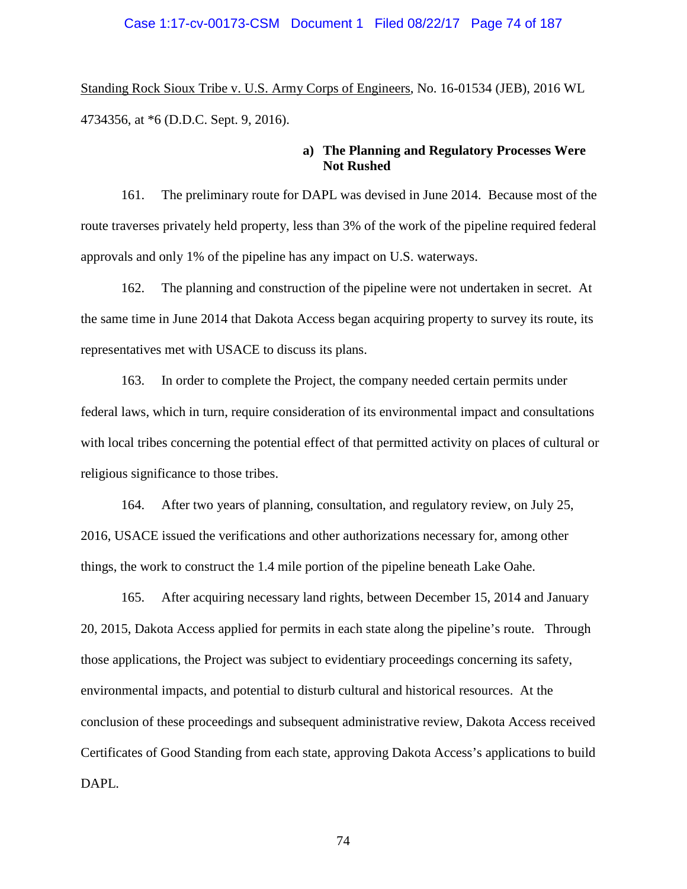### Case 1:17-cv-00173-CSM Document 1 Filed 08/22/17 Page 74 of 187

Standing Rock Sioux Tribe v. U.S. Army Corps of Engineers, No. 16-01534 (JEB), 2016 WL 4734356, at \*6 (D.D.C. Sept. 9, 2016).

## **a) The Planning and Regulatory Processes Were Not Rushed**

161. The preliminary route for DAPL was devised in June 2014. Because most of the route traverses privately held property, less than 3% of the work of the pipeline required federal approvals and only 1% of the pipeline has any impact on U.S. waterways.

162. The planning and construction of the pipeline were not undertaken in secret. At the same time in June 2014 that Dakota Access began acquiring property to survey its route, its representatives met with USACE to discuss its plans.

163. In order to complete the Project, the company needed certain permits under federal laws, which in turn, require consideration of its environmental impact and consultations with local tribes concerning the potential effect of that permitted activity on places of cultural or religious significance to those tribes.

164. After two years of planning, consultation, and regulatory review, on July 25, 2016, USACE issued the verifications and other authorizations necessary for, among other things, the work to construct the 1.4 mile portion of the pipeline beneath Lake Oahe.

165. After acquiring necessary land rights, between December 15, 2014 and January 20, 2015, Dakota Access applied for permits in each state along the pipeline's route. Through those applications, the Project was subject to evidentiary proceedings concerning its safety, environmental impacts, and potential to disturb cultural and historical resources. At the conclusion of these proceedings and subsequent administrative review, Dakota Access received Certificates of Good Standing from each state, approving Dakota Access's applications to build DAPL.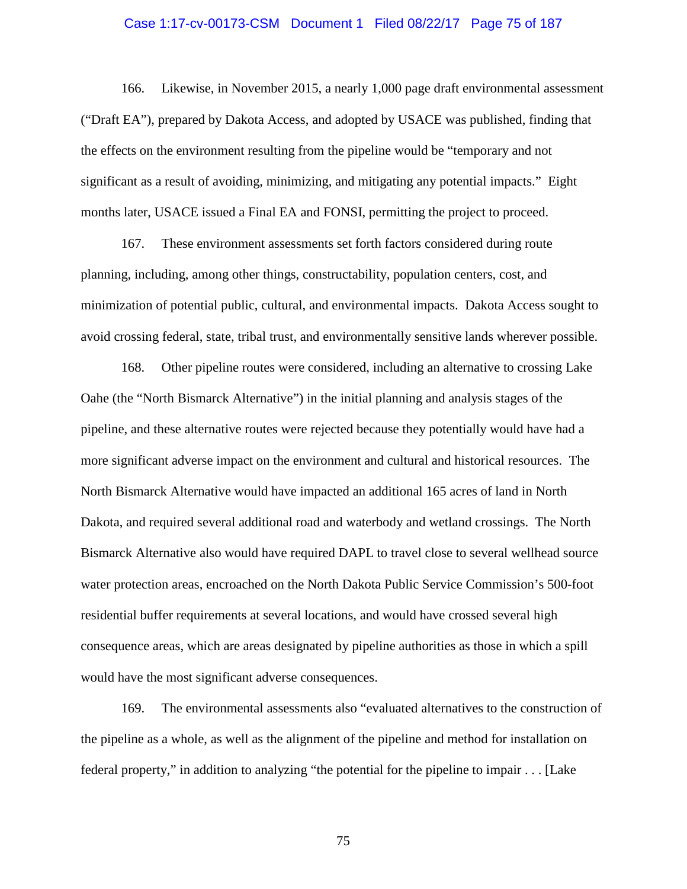#### Case 1:17-cv-00173-CSM Document 1 Filed 08/22/17 Page 75 of 187

166. Likewise, in November 2015, a nearly 1,000 page draft environmental assessment ("Draft EA"), prepared by Dakota Access, and adopted by USACE was published, finding that the effects on the environment resulting from the pipeline would be "temporary and not significant as a result of avoiding, minimizing, and mitigating any potential impacts." Eight months later, USACE issued a Final EA and FONSI, permitting the project to proceed.

167. These environment assessments set forth factors considered during route planning, including, among other things, constructability, population centers, cost, and minimization of potential public, cultural, and environmental impacts. Dakota Access sought to avoid crossing federal, state, tribal trust, and environmentally sensitive lands wherever possible.

168. Other pipeline routes were considered, including an alternative to crossing Lake Oahe (the "North Bismarck Alternative") in the initial planning and analysis stages of the pipeline, and these alternative routes were rejected because they potentially would have had a more significant adverse impact on the environment and cultural and historical resources. The North Bismarck Alternative would have impacted an additional 165 acres of land in North Dakota, and required several additional road and waterbody and wetland crossings. The North Bismarck Alternative also would have required DAPL to travel close to several wellhead source water protection areas, encroached on the North Dakota Public Service Commission's 500-foot residential buffer requirements at several locations, and would have crossed several high consequence areas, which are areas designated by pipeline authorities as those in which a spill would have the most significant adverse consequences.

169. The environmental assessments also "evaluated alternatives to the construction of the pipeline as a whole, as well as the alignment of the pipeline and method for installation on federal property," in addition to analyzing "the potential for the pipeline to impair . . . [Lake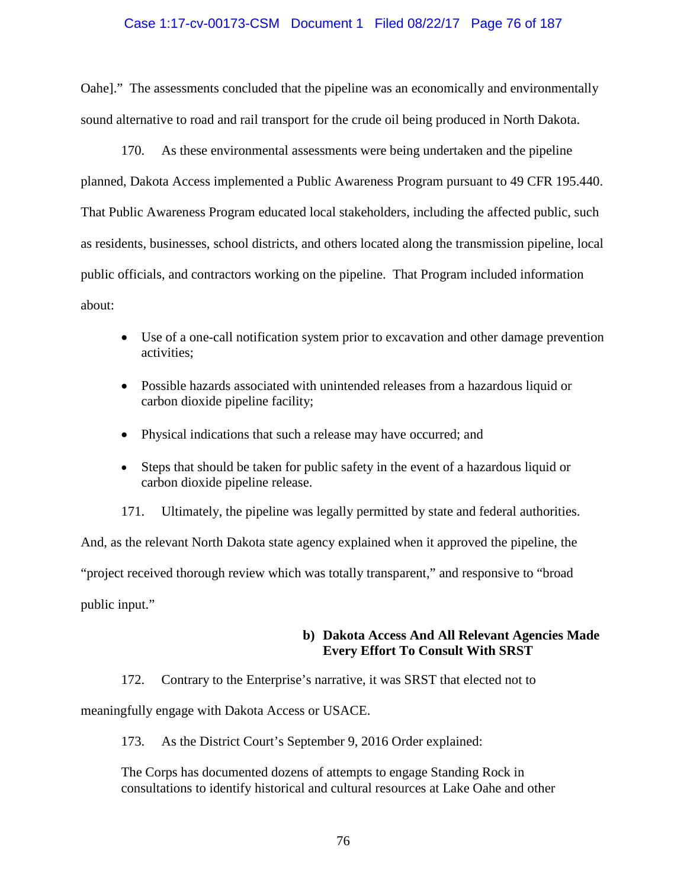## Case 1:17-cv-00173-CSM Document 1 Filed 08/22/17 Page 76 of 187

Oahe]." The assessments concluded that the pipeline was an economically and environmentally sound alternative to road and rail transport for the crude oil being produced in North Dakota.

170. As these environmental assessments were being undertaken and the pipeline planned, Dakota Access implemented a Public Awareness Program pursuant to 49 CFR 195.440. That Public Awareness Program educated local stakeholders, including the affected public, such as residents, businesses, school districts, and others located along the transmission pipeline, local public officials, and contractors working on the pipeline. That Program included information about:

- Use of a one-call notification system prior to excavation and other damage prevention activities;
- Possible hazards associated with unintended releases from a hazardous liquid or carbon dioxide pipeline facility;
- Physical indications that such a release may have occurred; and
- Steps that should be taken for public safety in the event of a hazardous liquid or carbon dioxide pipeline release.

171. Ultimately, the pipeline was legally permitted by state and federal authorities.

And, as the relevant North Dakota state agency explained when it approved the pipeline, the "project received thorough review which was totally transparent," and responsive to "broad

public input."

# **b) Dakota Access And All Relevant Agencies Made Every Effort To Consult With SRST**

172. Contrary to the Enterprise's narrative, it was SRST that elected not to

meaningfully engage with Dakota Access or USACE.

173. As the District Court's September 9, 2016 Order explained:

The Corps has documented dozens of attempts to engage Standing Rock in consultations to identify historical and cultural resources at Lake Oahe and other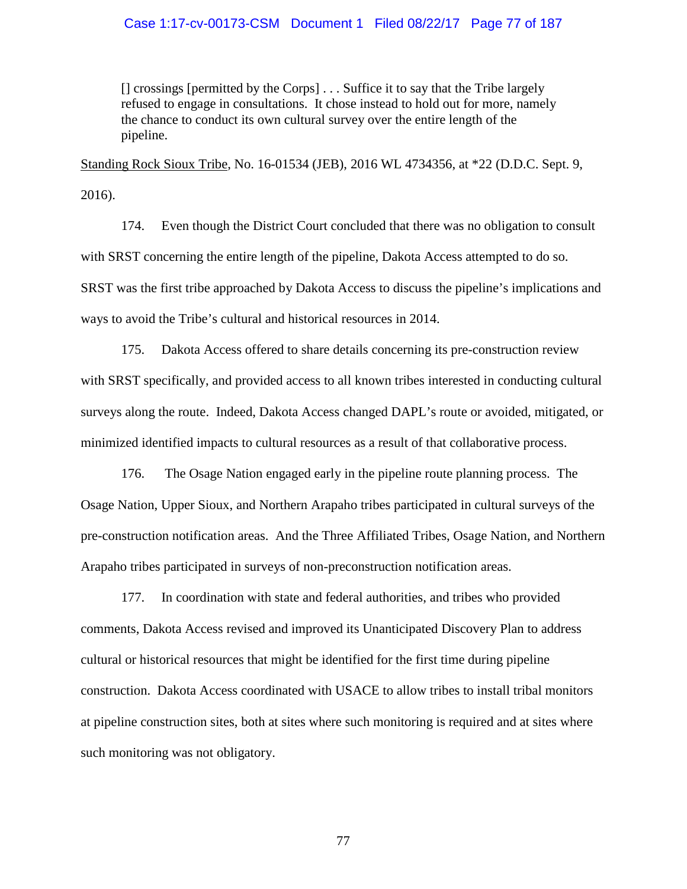### Case 1:17-cv-00173-CSM Document 1 Filed 08/22/17 Page 77 of 187

[] crossings [permitted by the Corps] . . . Suffice it to say that the Tribe largely refused to engage in consultations. It chose instead to hold out for more, namely the chance to conduct its own cultural survey over the entire length of the pipeline.

Standing Rock Sioux Tribe, No. 16-01534 (JEB), 2016 WL 4734356, at \*22 (D.D.C. Sept. 9, 2016).

174. Even though the District Court concluded that there was no obligation to consult with SRST concerning the entire length of the pipeline, Dakota Access attempted to do so. SRST was the first tribe approached by Dakota Access to discuss the pipeline's implications and ways to avoid the Tribe's cultural and historical resources in 2014.

175. Dakota Access offered to share details concerning its pre-construction review with SRST specifically, and provided access to all known tribes interested in conducting cultural surveys along the route. Indeed, Dakota Access changed DAPL's route or avoided, mitigated, or minimized identified impacts to cultural resources as a result of that collaborative process.

176. The Osage Nation engaged early in the pipeline route planning process. The Osage Nation, Upper Sioux, and Northern Arapaho tribes participated in cultural surveys of the pre-construction notification areas. And the Three Affiliated Tribes, Osage Nation, and Northern Arapaho tribes participated in surveys of non-preconstruction notification areas.

177. In coordination with state and federal authorities, and tribes who provided comments, Dakota Access revised and improved its Unanticipated Discovery Plan to address cultural or historical resources that might be identified for the first time during pipeline construction. Dakota Access coordinated with USACE to allow tribes to install tribal monitors at pipeline construction sites, both at sites where such monitoring is required and at sites where such monitoring was not obligatory.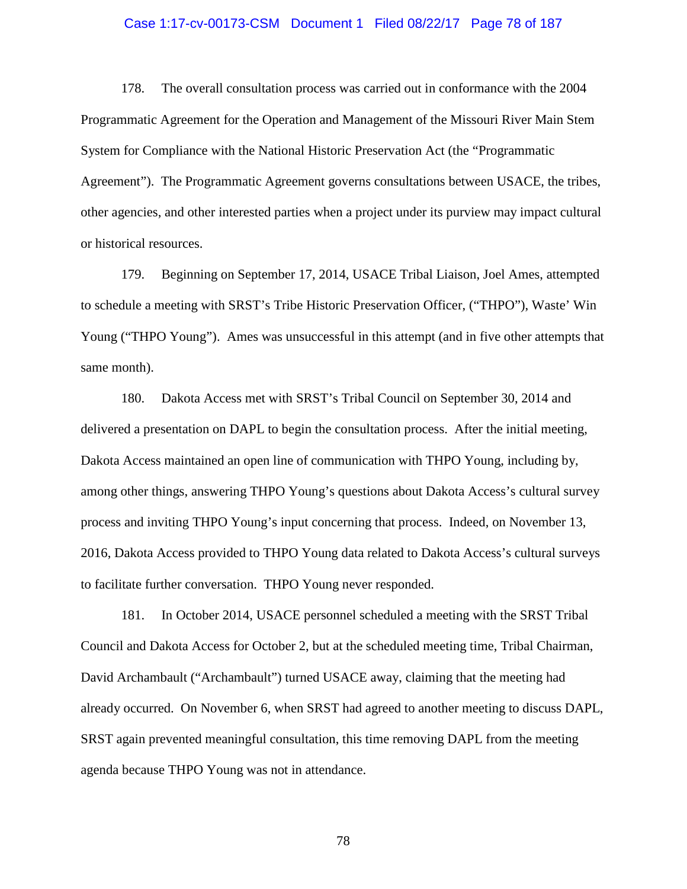#### Case 1:17-cv-00173-CSM Document 1 Filed 08/22/17 Page 78 of 187

178. The overall consultation process was carried out in conformance with the 2004 Programmatic Agreement for the Operation and Management of the Missouri River Main Stem System for Compliance with the National Historic Preservation Act (the "Programmatic Agreement"). The Programmatic Agreement governs consultations between USACE, the tribes, other agencies, and other interested parties when a project under its purview may impact cultural or historical resources.

179. Beginning on September 17, 2014, USACE Tribal Liaison, Joel Ames, attempted to schedule a meeting with SRST's Tribe Historic Preservation Officer, ("THPO"), Waste' Win Young ("THPO Young"). Ames was unsuccessful in this attempt (and in five other attempts that same month).

180. Dakota Access met with SRST's Tribal Council on September 30, 2014 and delivered a presentation on DAPL to begin the consultation process. After the initial meeting, Dakota Access maintained an open line of communication with THPO Young, including by, among other things, answering THPO Young's questions about Dakota Access's cultural survey process and inviting THPO Young's input concerning that process. Indeed, on November 13, 2016, Dakota Access provided to THPO Young data related to Dakota Access's cultural surveys to facilitate further conversation. THPO Young never responded.

181. In October 2014, USACE personnel scheduled a meeting with the SRST Tribal Council and Dakota Access for October 2, but at the scheduled meeting time, Tribal Chairman, David Archambault ("Archambault") turned USACE away, claiming that the meeting had already occurred. On November 6, when SRST had agreed to another meeting to discuss DAPL, SRST again prevented meaningful consultation, this time removing DAPL from the meeting agenda because THPO Young was not in attendance.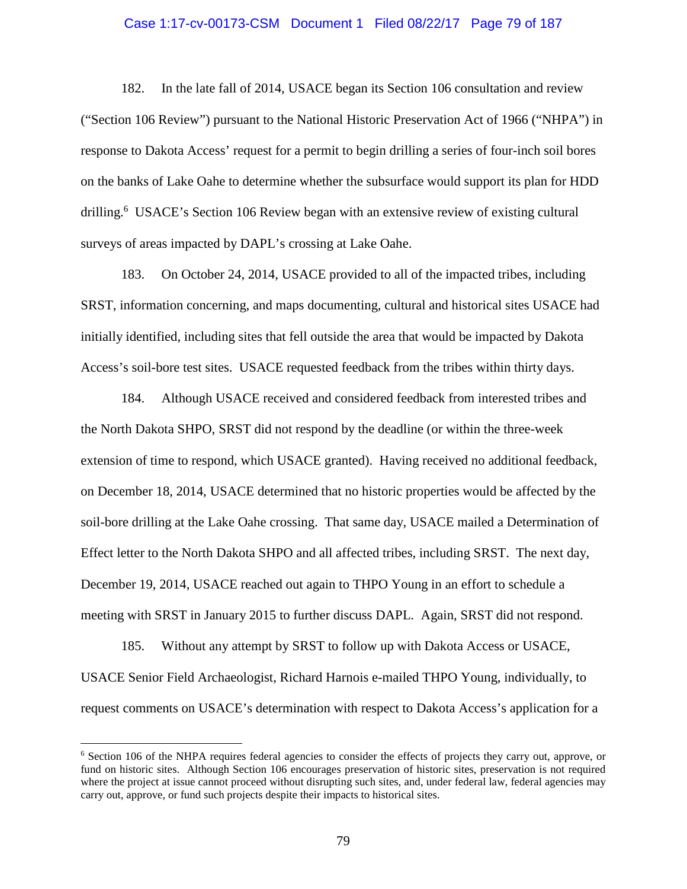#### Case 1:17-cv-00173-CSM Document 1 Filed 08/22/17 Page 79 of 187

182. In the late fall of 2014, USACE began its Section 106 consultation and review ("Section 106 Review") pursuant to the National Historic Preservation Act of 1966 ("NHPA") in response to Dakota Access' request for a permit to begin drilling a series of four-inch soil bores on the banks of Lake Oahe to determine whether the subsurface would support its plan for HDD drilling.<sup>6</sup> USACE's Section 106 Review began with an extensive review of existing cultural surveys of areas impacted by DAPL's crossing at Lake Oahe.

183. On October 24, 2014, USACE provided to all of the impacted tribes, including SRST, information concerning, and maps documenting, cultural and historical sites USACE had initially identified, including sites that fell outside the area that would be impacted by Dakota Access's soil-bore test sites. USACE requested feedback from the tribes within thirty days.

184. Although USACE received and considered feedback from interested tribes and the North Dakota SHPO, SRST did not respond by the deadline (or within the three-week extension of time to respond, which USACE granted). Having received no additional feedback, on December 18, 2014, USACE determined that no historic properties would be affected by the soil-bore drilling at the Lake Oahe crossing. That same day, USACE mailed a Determination of Effect letter to the North Dakota SHPO and all affected tribes, including SRST. The next day, December 19, 2014, USACE reached out again to THPO Young in an effort to schedule a meeting with SRST in January 2015 to further discuss DAPL. Again, SRST did not respond.

185. Without any attempt by SRST to follow up with Dakota Access or USACE, USACE Senior Field Archaeologist, Richard Harnois e-mailed THPO Young, individually, to request comments on USACE's determination with respect to Dakota Access's application for a

<sup>6</sup> Section 106 of the NHPA requires federal agencies to consider the effects of projects they carry out, approve, or fund on historic sites. Although Section 106 encourages preservation of historic sites, preservation is not required where the project at issue cannot proceed without disrupting such sites, and, under federal law, federal agencies may carry out, approve, or fund such projects despite their impacts to historical sites.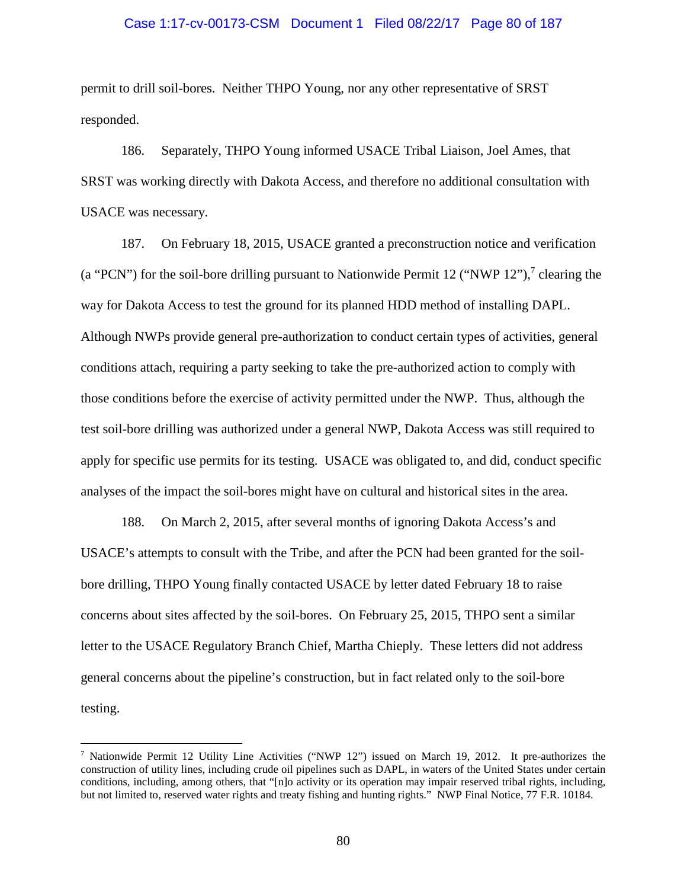#### Case 1:17-cv-00173-CSM Document 1 Filed 08/22/17 Page 80 of 187

permit to drill soil-bores. Neither THPO Young, nor any other representative of SRST responded.

186. Separately, THPO Young informed USACE Tribal Liaison, Joel Ames, that SRST was working directly with Dakota Access, and therefore no additional consultation with USACE was necessary.

187. On February 18, 2015, USACE granted a preconstruction notice and verification (a "PCN") for the soil-bore drilling pursuant to Nationwide Permit 12 ("NWP 12"),<sup>7</sup> clearing the way for Dakota Access to test the ground for its planned HDD method of installing DAPL. Although NWPs provide general pre-authorization to conduct certain types of activities, general conditions attach, requiring a party seeking to take the pre-authorized action to comply with those conditions before the exercise of activity permitted under the NWP. Thus, although the test soil-bore drilling was authorized under a general NWP, Dakota Access was still required to apply for specific use permits for its testing. USACE was obligated to, and did, conduct specific analyses of the impact the soil-bores might have on cultural and historical sites in the area.

188. On March 2, 2015, after several months of ignoring Dakota Access's and USACE's attempts to consult with the Tribe, and after the PCN had been granted for the soilbore drilling, THPO Young finally contacted USACE by letter dated February 18 to raise concerns about sites affected by the soil-bores. On February 25, 2015, THPO sent a similar letter to the USACE Regulatory Branch Chief, Martha Chieply. These letters did not address general concerns about the pipeline's construction, but in fact related only to the soil-bore testing.

<sup>&</sup>lt;sup>7</sup> Nationwide Permit 12 Utility Line Activities ("NWP 12") issued on March 19, 2012. It pre-authorizes the construction of utility lines, including crude oil pipelines such as DAPL, in waters of the United States under certain conditions, including, among others, that "[n]o activity or its operation may impair reserved tribal rights, including, but not limited to, reserved water rights and treaty fishing and hunting rights." NWP Final Notice, 77 F.R. 10184.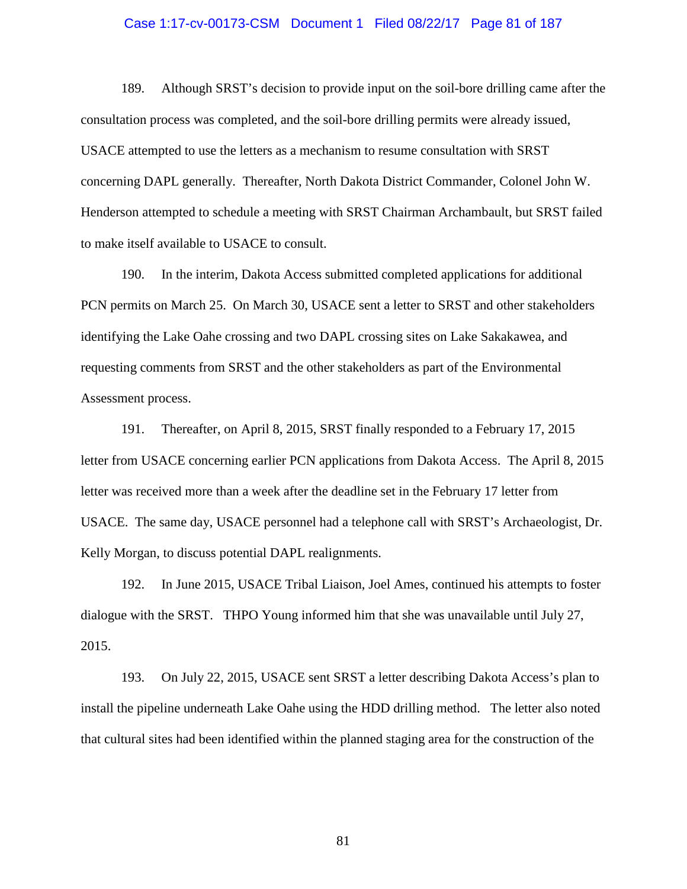## Case 1:17-cv-00173-CSM Document 1 Filed 08/22/17 Page 81 of 187

189. Although SRST's decision to provide input on the soil-bore drilling came after the consultation process was completed, and the soil-bore drilling permits were already issued, USACE attempted to use the letters as a mechanism to resume consultation with SRST concerning DAPL generally. Thereafter, North Dakota District Commander, Colonel John W. Henderson attempted to schedule a meeting with SRST Chairman Archambault, but SRST failed to make itself available to USACE to consult.

190. In the interim, Dakota Access submitted completed applications for additional PCN permits on March 25. On March 30, USACE sent a letter to SRST and other stakeholders identifying the Lake Oahe crossing and two DAPL crossing sites on Lake Sakakawea, and requesting comments from SRST and the other stakeholders as part of the Environmental Assessment process.

191. Thereafter, on April 8, 2015, SRST finally responded to a February 17, 2015 letter from USACE concerning earlier PCN applications from Dakota Access. The April 8, 2015 letter was received more than a week after the deadline set in the February 17 letter from USACE. The same day, USACE personnel had a telephone call with SRST's Archaeologist, Dr. Kelly Morgan, to discuss potential DAPL realignments.

192. In June 2015, USACE Tribal Liaison, Joel Ames, continued his attempts to foster dialogue with the SRST. THPO Young informed him that she was unavailable until July 27, 2015.

193. On July 22, 2015, USACE sent SRST a letter describing Dakota Access's plan to install the pipeline underneath Lake Oahe using the HDD drilling method. The letter also noted that cultural sites had been identified within the planned staging area for the construction of the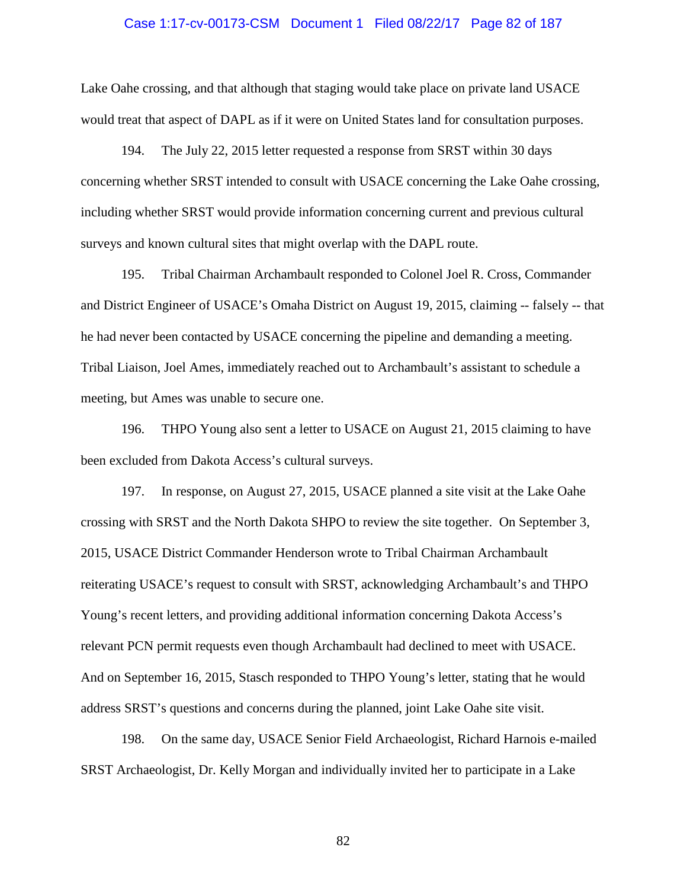### Case 1:17-cv-00173-CSM Document 1 Filed 08/22/17 Page 82 of 187

Lake Oahe crossing, and that although that staging would take place on private land USACE would treat that aspect of DAPL as if it were on United States land for consultation purposes.

194. The July 22, 2015 letter requested a response from SRST within 30 days concerning whether SRST intended to consult with USACE concerning the Lake Oahe crossing, including whether SRST would provide information concerning current and previous cultural surveys and known cultural sites that might overlap with the DAPL route.

195. Tribal Chairman Archambault responded to Colonel Joel R. Cross, Commander and District Engineer of USACE's Omaha District on August 19, 2015, claiming -- falsely -- that he had never been contacted by USACE concerning the pipeline and demanding a meeting. Tribal Liaison, Joel Ames, immediately reached out to Archambault's assistant to schedule a meeting, but Ames was unable to secure one.

196. THPO Young also sent a letter to USACE on August 21, 2015 claiming to have been excluded from Dakota Access's cultural surveys.

197. In response, on August 27, 2015, USACE planned a site visit at the Lake Oahe crossing with SRST and the North Dakota SHPO to review the site together. On September 3, 2015, USACE District Commander Henderson wrote to Tribal Chairman Archambault reiterating USACE's request to consult with SRST, acknowledging Archambault's and THPO Young's recent letters, and providing additional information concerning Dakota Access's relevant PCN permit requests even though Archambault had declined to meet with USACE. And on September 16, 2015, Stasch responded to THPO Young's letter, stating that he would address SRST's questions and concerns during the planned, joint Lake Oahe site visit.

198. On the same day, USACE Senior Field Archaeologist, Richard Harnois e-mailed SRST Archaeologist, Dr. Kelly Morgan and individually invited her to participate in a Lake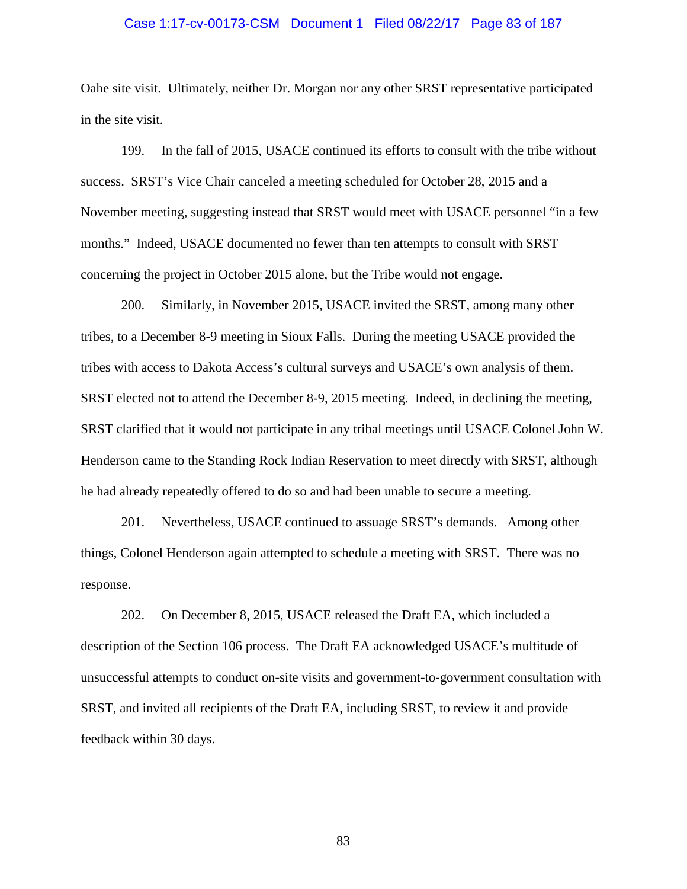#### Case 1:17-cv-00173-CSM Document 1 Filed 08/22/17 Page 83 of 187

Oahe site visit. Ultimately, neither Dr. Morgan nor any other SRST representative participated in the site visit.

199. In the fall of 2015, USACE continued its efforts to consult with the tribe without success. SRST's Vice Chair canceled a meeting scheduled for October 28, 2015 and a November meeting, suggesting instead that SRST would meet with USACE personnel "in a few months." Indeed, USACE documented no fewer than ten attempts to consult with SRST concerning the project in October 2015 alone, but the Tribe would not engage.

200. Similarly, in November 2015, USACE invited the SRST, among many other tribes, to a December 8-9 meeting in Sioux Falls. During the meeting USACE provided the tribes with access to Dakota Access's cultural surveys and USACE's own analysis of them. SRST elected not to attend the December 8-9, 2015 meeting. Indeed, in declining the meeting, SRST clarified that it would not participate in any tribal meetings until USACE Colonel John W. Henderson came to the Standing Rock Indian Reservation to meet directly with SRST, although he had already repeatedly offered to do so and had been unable to secure a meeting.

201. Nevertheless, USACE continued to assuage SRST's demands. Among other things, Colonel Henderson again attempted to schedule a meeting with SRST. There was no response.

202. On December 8, 2015, USACE released the Draft EA, which included a description of the Section 106 process. The Draft EA acknowledged USACE's multitude of unsuccessful attempts to conduct on-site visits and government-to-government consultation with SRST, and invited all recipients of the Draft EA, including SRST, to review it and provide feedback within 30 days.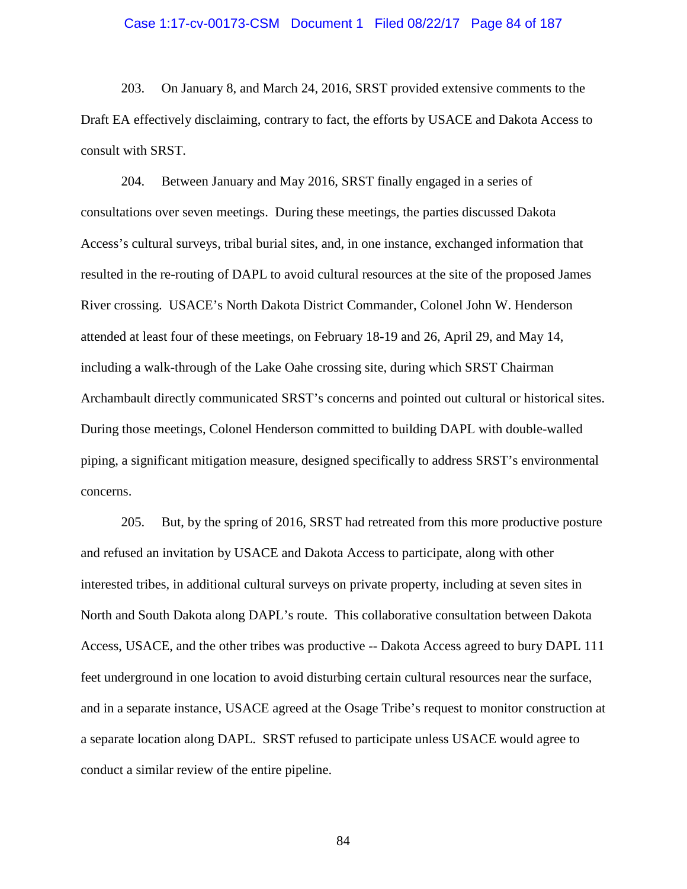### Case 1:17-cv-00173-CSM Document 1 Filed 08/22/17 Page 84 of 187

203. On January 8, and March 24, 2016, SRST provided extensive comments to the Draft EA effectively disclaiming, contrary to fact, the efforts by USACE and Dakota Access to consult with SRST.

204. Between January and May 2016, SRST finally engaged in a series of consultations over seven meetings. During these meetings, the parties discussed Dakota Access's cultural surveys, tribal burial sites, and, in one instance, exchanged information that resulted in the re-routing of DAPL to avoid cultural resources at the site of the proposed James River crossing. USACE's North Dakota District Commander, Colonel John W. Henderson attended at least four of these meetings, on February 18-19 and 26, April 29, and May 14, including a walk-through of the Lake Oahe crossing site, during which SRST Chairman Archambault directly communicated SRST's concerns and pointed out cultural or historical sites. During those meetings, Colonel Henderson committed to building DAPL with double-walled piping, a significant mitigation measure, designed specifically to address SRST's environmental concerns.

205. But, by the spring of 2016, SRST had retreated from this more productive posture and refused an invitation by USACE and Dakota Access to participate, along with other interested tribes, in additional cultural surveys on private property, including at seven sites in North and South Dakota along DAPL's route. This collaborative consultation between Dakota Access, USACE, and the other tribes was productive -- Dakota Access agreed to bury DAPL 111 feet underground in one location to avoid disturbing certain cultural resources near the surface, and in a separate instance, USACE agreed at the Osage Tribe's request to monitor construction at a separate location along DAPL. SRST refused to participate unless USACE would agree to conduct a similar review of the entire pipeline.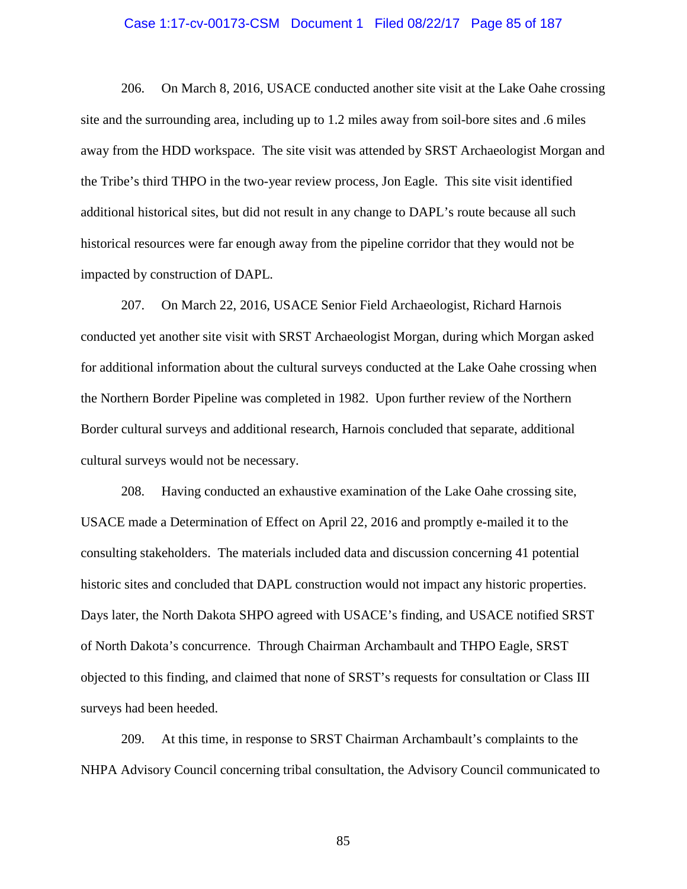### Case 1:17-cv-00173-CSM Document 1 Filed 08/22/17 Page 85 of 187

206. On March 8, 2016, USACE conducted another site visit at the Lake Oahe crossing site and the surrounding area, including up to 1.2 miles away from soil-bore sites and .6 miles away from the HDD workspace. The site visit was attended by SRST Archaeologist Morgan and the Tribe's third THPO in the two-year review process, Jon Eagle. This site visit identified additional historical sites, but did not result in any change to DAPL's route because all such historical resources were far enough away from the pipeline corridor that they would not be impacted by construction of DAPL.

207. On March 22, 2016, USACE Senior Field Archaeologist, Richard Harnois conducted yet another site visit with SRST Archaeologist Morgan, during which Morgan asked for additional information about the cultural surveys conducted at the Lake Oahe crossing when the Northern Border Pipeline was completed in 1982. Upon further review of the Northern Border cultural surveys and additional research, Harnois concluded that separate, additional cultural surveys would not be necessary.

208. Having conducted an exhaustive examination of the Lake Oahe crossing site, USACE made a Determination of Effect on April 22, 2016 and promptly e-mailed it to the consulting stakeholders. The materials included data and discussion concerning 41 potential historic sites and concluded that DAPL construction would not impact any historic properties. Days later, the North Dakota SHPO agreed with USACE's finding, and USACE notified SRST of North Dakota's concurrence. Through Chairman Archambault and THPO Eagle, SRST objected to this finding, and claimed that none of SRST's requests for consultation or Class III surveys had been heeded.

209. At this time, in response to SRST Chairman Archambault's complaints to the NHPA Advisory Council concerning tribal consultation, the Advisory Council communicated to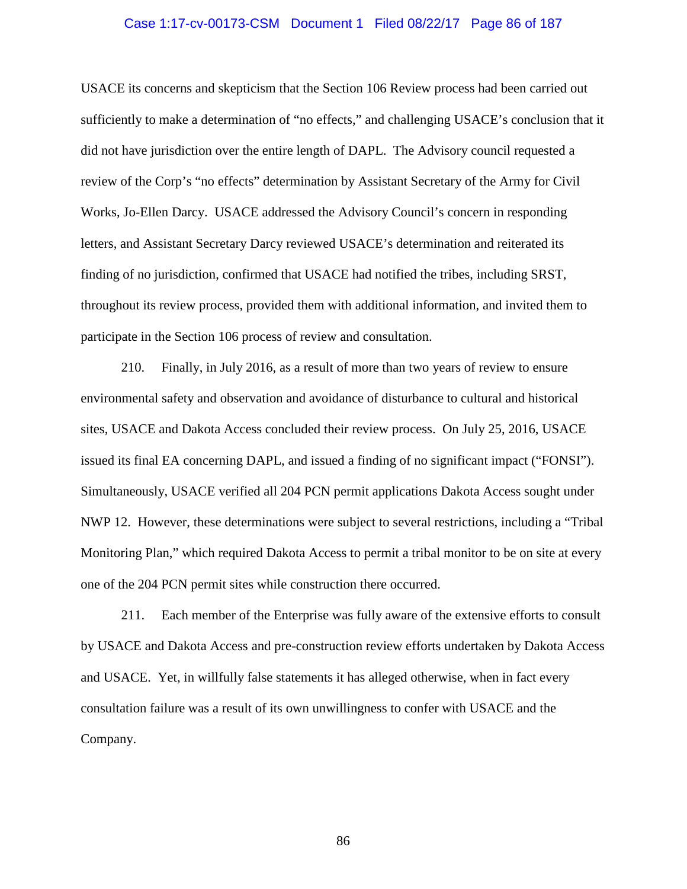### Case 1:17-cv-00173-CSM Document 1 Filed 08/22/17 Page 86 of 187

USACE its concerns and skepticism that the Section 106 Review process had been carried out sufficiently to make a determination of "no effects," and challenging USACE's conclusion that it did not have jurisdiction over the entire length of DAPL. The Advisory council requested a review of the Corp's "no effects" determination by Assistant Secretary of the Army for Civil Works, Jo-Ellen Darcy. USACE addressed the Advisory Council's concern in responding letters, and Assistant Secretary Darcy reviewed USACE's determination and reiterated its finding of no jurisdiction, confirmed that USACE had notified the tribes, including SRST, throughout its review process, provided them with additional information, and invited them to participate in the Section 106 process of review and consultation.

210. Finally, in July 2016, as a result of more than two years of review to ensure environmental safety and observation and avoidance of disturbance to cultural and historical sites, USACE and Dakota Access concluded their review process. On July 25, 2016, USACE issued its final EA concerning DAPL, and issued a finding of no significant impact ("FONSI"). Simultaneously, USACE verified all 204 PCN permit applications Dakota Access sought under NWP 12. However, these determinations were subject to several restrictions, including a "Tribal Monitoring Plan," which required Dakota Access to permit a tribal monitor to be on site at every one of the 204 PCN permit sites while construction there occurred.

211. Each member of the Enterprise was fully aware of the extensive efforts to consult by USACE and Dakota Access and pre-construction review efforts undertaken by Dakota Access and USACE. Yet, in willfully false statements it has alleged otherwise, when in fact every consultation failure was a result of its own unwillingness to confer with USACE and the Company.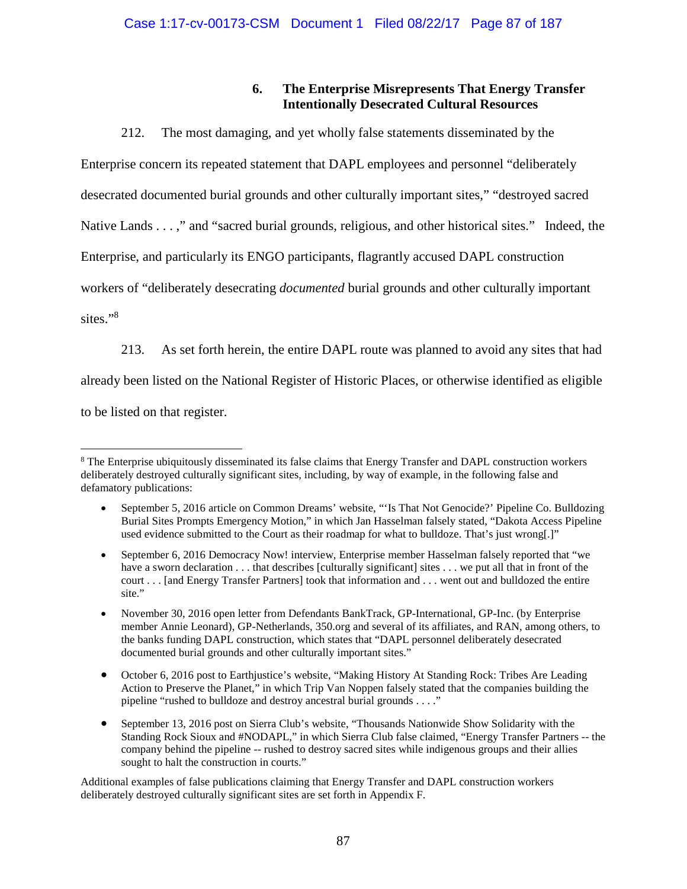## **6. The Enterprise Misrepresents That Energy Transfer Intentionally Desecrated Cultural Resources**

212. The most damaging, and yet wholly false statements disseminated by the Enterprise concern its repeated statement that DAPL employees and personnel "deliberately desecrated documented burial grounds and other culturally important sites," "destroyed sacred Native Lands . . . ," and "sacred burial grounds, religious, and other historical sites." Indeed, the Enterprise, and particularly its ENGO participants, flagrantly accused DAPL construction workers of "deliberately desecrating *documented* burial grounds and other culturally important sites."<sup>8</sup>

213. As set forth herein, the entire DAPL route was planned to avoid any sites that had already been listed on the National Register of Historic Places, or otherwise identified as eligible to be listed on that register.

Additional examples of false publications claiming that Energy Transfer and DAPL construction workers deliberately destroyed culturally significant sites are set forth in Appendix F.

<sup>&</sup>lt;sup>8</sup> The Enterprise ubiquitously disseminated its false claims that Energy Transfer and DAPL construction workers deliberately destroyed culturally significant sites, including, by way of example, in the following false and defamatory publications:

September 5, 2016 article on Common Dreams' website, "'Is That Not Genocide?' Pipeline Co. Bulldozing Burial Sites Prompts Emergency Motion," in which Jan Hasselman falsely stated, "Dakota Access Pipeline used evidence submitted to the Court as their roadmap for what to bulldoze. That's just wrong[.]"

September 6, 2016 Democracy Now! interview, Enterprise member Hasselman falsely reported that "we have a sworn declaration . . . that describes [culturally significant] sites . . . we put all that in front of the court . . . [and Energy Transfer Partners] took that information and . . . went out and bulldozed the entire site."

November 30, 2016 open letter from Defendants BankTrack, GP-International, GP-Inc. (by Enterprise member Annie Leonard), GP-Netherlands, 350.org and several of its affiliates, and RAN, among others, to the banks funding DAPL construction, which states that "DAPL personnel deliberately desecrated documented burial grounds and other culturally important sites."

October 6, 2016 post to Earthjustice's website, "Making History At Standing Rock: Tribes Are Leading Action to Preserve the Planet," in which Trip Van Noppen falsely stated that the companies building the pipeline "rushed to bulldoze and destroy ancestral burial grounds . . . ."

September 13, 2016 post on Sierra Club's website, "Thousands Nationwide Show Solidarity with the Standing Rock Sioux and #NODAPL," in which Sierra Club false claimed, "Energy Transfer Partners -- the company behind the pipeline -- rushed to destroy sacred sites while indigenous groups and their allies sought to halt the construction in courts."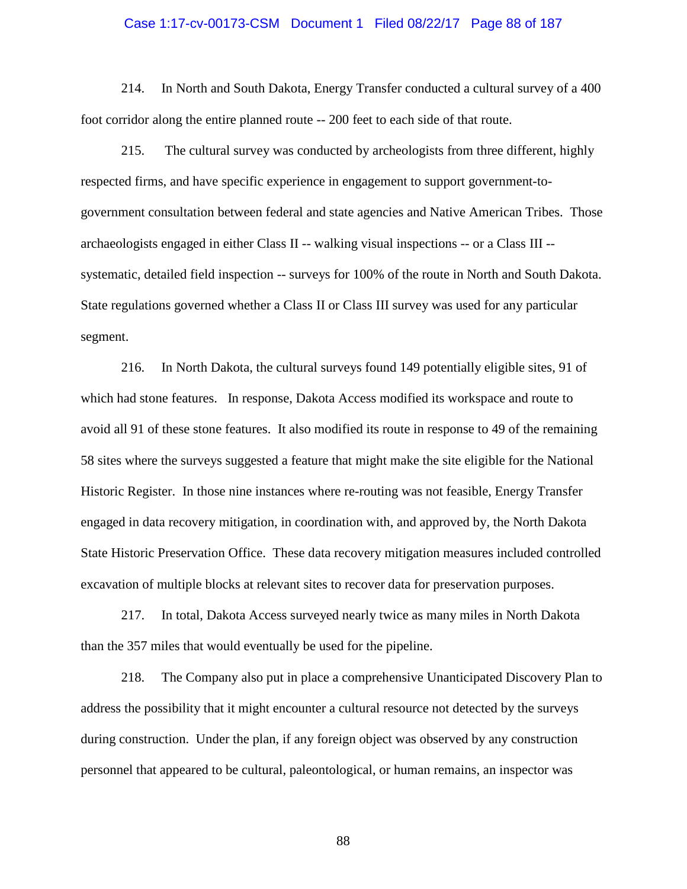### Case 1:17-cv-00173-CSM Document 1 Filed 08/22/17 Page 88 of 187

214. In North and South Dakota, Energy Transfer conducted a cultural survey of a 400 foot corridor along the entire planned route -- 200 feet to each side of that route.

215. The cultural survey was conducted by archeologists from three different, highly respected firms, and have specific experience in engagement to support government-togovernment consultation between federal and state agencies and Native American Tribes. Those archaeologists engaged in either Class II -- walking visual inspections -- or a Class III - systematic, detailed field inspection -- surveys for 100% of the route in North and South Dakota. State regulations governed whether a Class II or Class III survey was used for any particular segment.

216. In North Dakota, the cultural surveys found 149 potentially eligible sites, 91 of which had stone features. In response, Dakota Access modified its workspace and route to avoid all 91 of these stone features. It also modified its route in response to 49 of the remaining 58 sites where the surveys suggested a feature that might make the site eligible for the National Historic Register. In those nine instances where re-routing was not feasible, Energy Transfer engaged in data recovery mitigation, in coordination with, and approved by, the North Dakota State Historic Preservation Office. These data recovery mitigation measures included controlled excavation of multiple blocks at relevant sites to recover data for preservation purposes.

217. In total, Dakota Access surveyed nearly twice as many miles in North Dakota than the 357 miles that would eventually be used for the pipeline.

218. The Company also put in place a comprehensive Unanticipated Discovery Plan to address the possibility that it might encounter a cultural resource not detected by the surveys during construction. Under the plan, if any foreign object was observed by any construction personnel that appeared to be cultural, paleontological, or human remains, an inspector was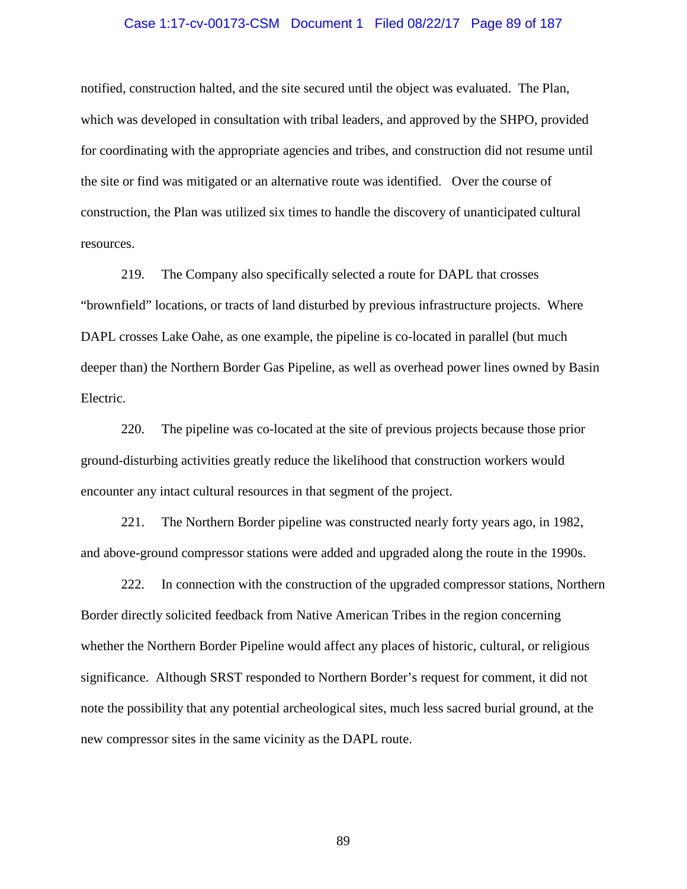### Case 1:17-cv-00173-CSM Document 1 Filed 08/22/17 Page 89 of 187

notified, construction halted, and the site secured until the object was evaluated. The Plan, which was developed in consultation with tribal leaders, and approved by the SHPO, provided for coordinating with the appropriate agencies and tribes, and construction did not resume until the site or find was mitigated or an alternative route was identified. Over the course of construction, the Plan was utilized six times to handle the discovery of unanticipated cultural resources.

219. The Company also specifically selected a route for DAPL that crosses "brownfield" locations, or tracts of land disturbed by previous infrastructure projects. Where DAPL crosses Lake Oahe, as one example, the pipeline is co-located in parallel (but much deeper than) the Northern Border Gas Pipeline, as well as overhead power lines owned by Basin Electric.

220. The pipeline was co-located at the site of previous projects because those prior ground-disturbing activities greatly reduce the likelihood that construction workers would encounter any intact cultural resources in that segment of the project.

221. The Northern Border pipeline was constructed nearly forty years ago, in 1982, and above-ground compressor stations were added and upgraded along the route in the 1990s.

222. In connection with the construction of the upgraded compressor stations, Northern Border directly solicited feedback from Native American Tribes in the region concerning whether the Northern Border Pipeline would affect any places of historic, cultural, or religious significance. Although SRST responded to Northern Border's request for comment, it did not note the possibility that any potential archeological sites, much less sacred burial ground, at the new compressor sites in the same vicinity as the DAPL route.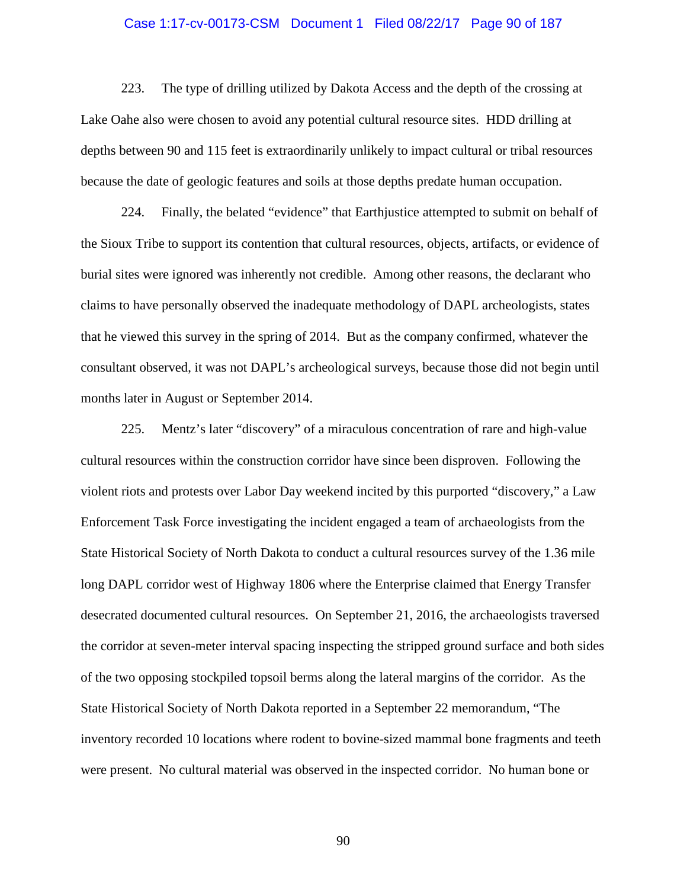### Case 1:17-cv-00173-CSM Document 1 Filed 08/22/17 Page 90 of 187

223. The type of drilling utilized by Dakota Access and the depth of the crossing at Lake Oahe also were chosen to avoid any potential cultural resource sites. HDD drilling at depths between 90 and 115 feet is extraordinarily unlikely to impact cultural or tribal resources because the date of geologic features and soils at those depths predate human occupation.

224. Finally, the belated "evidence" that Earthjustice attempted to submit on behalf of the Sioux Tribe to support its contention that cultural resources, objects, artifacts, or evidence of burial sites were ignored was inherently not credible. Among other reasons, the declarant who claims to have personally observed the inadequate methodology of DAPL archeologists, states that he viewed this survey in the spring of 2014. But as the company confirmed, whatever the consultant observed, it was not DAPL's archeological surveys, because those did not begin until months later in August or September 2014.

225. Mentz's later "discovery" of a miraculous concentration of rare and high-value cultural resources within the construction corridor have since been disproven. Following the violent riots and protests over Labor Day weekend incited by this purported "discovery," a Law Enforcement Task Force investigating the incident engaged a team of archaeologists from the State Historical Society of North Dakota to conduct a cultural resources survey of the 1.36 mile long DAPL corridor west of Highway 1806 where the Enterprise claimed that Energy Transfer desecrated documented cultural resources. On September 21, 2016, the archaeologists traversed the corridor at seven-meter interval spacing inspecting the stripped ground surface and both sides of the two opposing stockpiled topsoil berms along the lateral margins of the corridor. As the State Historical Society of North Dakota reported in a September 22 memorandum, "The inventory recorded 10 locations where rodent to bovine-sized mammal bone fragments and teeth were present. No cultural material was observed in the inspected corridor. No human bone or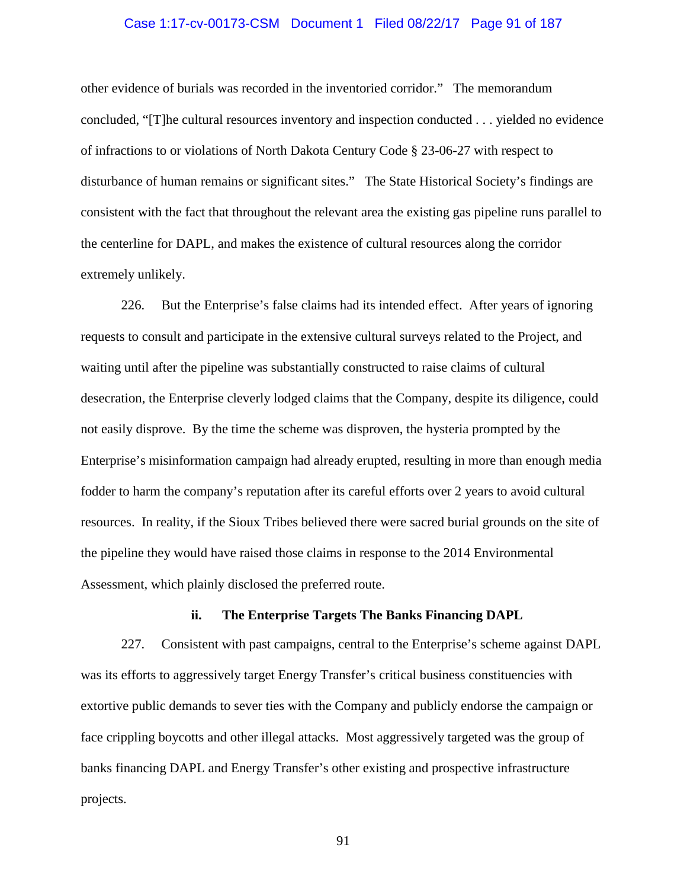### Case 1:17-cv-00173-CSM Document 1 Filed 08/22/17 Page 91 of 187

other evidence of burials was recorded in the inventoried corridor." The memorandum concluded, "[T]he cultural resources inventory and inspection conducted . . . yielded no evidence of infractions to or violations of North Dakota Century Code § 23-06-27 with respect to disturbance of human remains or significant sites." The State Historical Society's findings are consistent with the fact that throughout the relevant area the existing gas pipeline runs parallel to the centerline for DAPL, and makes the existence of cultural resources along the corridor extremely unlikely.

226. But the Enterprise's false claims had its intended effect. After years of ignoring requests to consult and participate in the extensive cultural surveys related to the Project, and waiting until after the pipeline was substantially constructed to raise claims of cultural desecration, the Enterprise cleverly lodged claims that the Company, despite its diligence, could not easily disprove. By the time the scheme was disproven, the hysteria prompted by the Enterprise's misinformation campaign had already erupted, resulting in more than enough media fodder to harm the company's reputation after its careful efforts over 2 years to avoid cultural resources. In reality, if the Sioux Tribes believed there were sacred burial grounds on the site of the pipeline they would have raised those claims in response to the 2014 Environmental Assessment, which plainly disclosed the preferred route.

### **ii. The Enterprise Targets The Banks Financing DAPL**

227. Consistent with past campaigns, central to the Enterprise's scheme against DAPL was its efforts to aggressively target Energy Transfer's critical business constituencies with extortive public demands to sever ties with the Company and publicly endorse the campaign or face crippling boycotts and other illegal attacks. Most aggressively targeted was the group of banks financing DAPL and Energy Transfer's other existing and prospective infrastructure projects.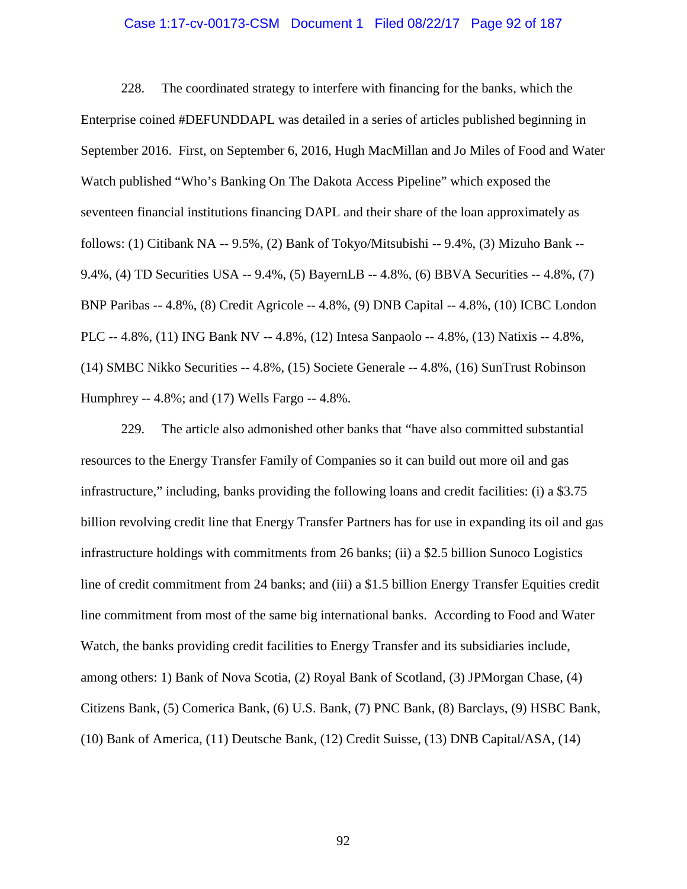### Case 1:17-cv-00173-CSM Document 1 Filed 08/22/17 Page 92 of 187

228. The coordinated strategy to interfere with financing for the banks, which the Enterprise coined #DEFUNDDAPL was detailed in a series of articles published beginning in September 2016. First, on September 6, 2016, Hugh MacMillan and Jo Miles of Food and Water Watch published "Who's Banking On The Dakota Access Pipeline" which exposed the seventeen financial institutions financing DAPL and their share of the loan approximately as follows: (1) Citibank NA -- 9.5%, (2) Bank of Tokyo/Mitsubishi -- 9.4%, (3) Mizuho Bank -- 9.4%, (4) TD Securities USA -- 9.4%, (5) BayernLB -- 4.8%, (6) BBVA Securities -- 4.8%, (7) BNP Paribas -- 4.8%, (8) Credit Agricole -- 4.8%, (9) DNB Capital -- 4.8%, (10) ICBC London PLC -- 4.8%, (11) ING Bank NV -- 4.8%, (12) Intesa Sanpaolo -- 4.8%, (13) Natixis -- 4.8%, (14) SMBC Nikko Securities -- 4.8%, (15) Societe Generale -- 4.8%, (16) SunTrust Robinson Humphrey -- 4.8%; and (17) Wells Fargo -- 4.8%.

229. The article also admonished other banks that "have also committed substantial resources to the Energy Transfer Family of Companies so it can build out more oil and gas infrastructure," including, banks providing the following loans and credit facilities: (i) a \$3.75 billion revolving credit line that Energy Transfer Partners has for use in expanding its oil and gas infrastructure holdings with commitments from 26 banks; (ii) a \$2.5 billion Sunoco Logistics line of credit commitment from 24 banks; and (iii) a \$1.5 billion Energy Transfer Equities credit line commitment from most of the same big international banks. According to Food and Water Watch, the banks providing credit facilities to Energy Transfer and its subsidiaries include, among others: 1) Bank of Nova Scotia, (2) Royal Bank of Scotland, (3) JPMorgan Chase, (4) Citizens Bank, (5) Comerica Bank, (6) U.S. Bank, (7) PNC Bank, (8) Barclays, (9) HSBC Bank, (10) Bank of America, (11) Deutsche Bank, (12) Credit Suisse, (13) DNB Capital/ASA, (14)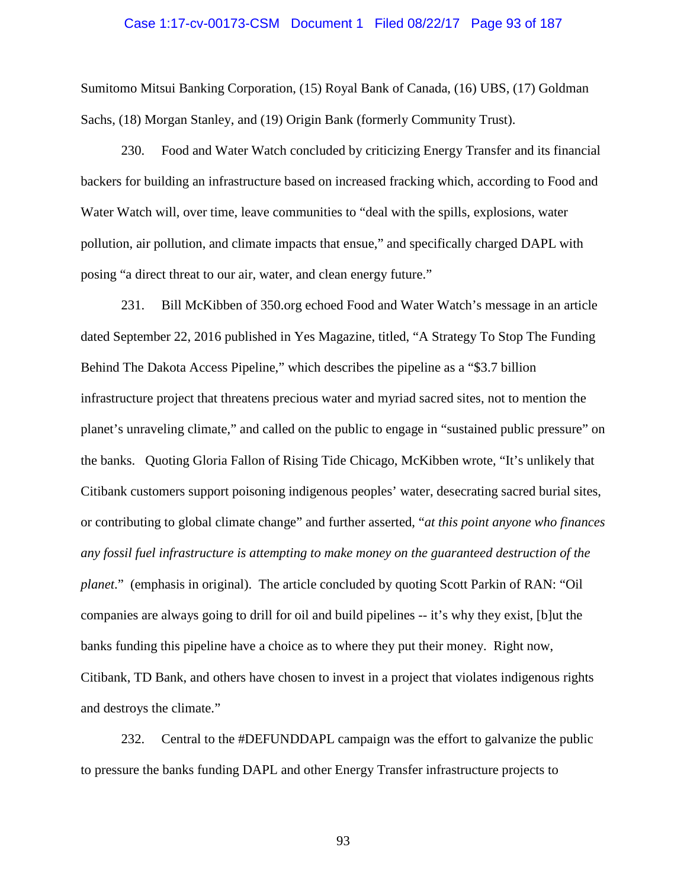### Case 1:17-cv-00173-CSM Document 1 Filed 08/22/17 Page 93 of 187

Sumitomo Mitsui Banking Corporation, (15) Royal Bank of Canada, (16) UBS, (17) Goldman Sachs, (18) Morgan Stanley, and (19) Origin Bank (formerly Community Trust).

230. Food and Water Watch concluded by criticizing Energy Transfer and its financial backers for building an infrastructure based on increased fracking which, according to Food and Water Watch will, over time, leave communities to "deal with the spills, explosions, water pollution, air pollution, and climate impacts that ensue," and specifically charged DAPL with posing "a direct threat to our air, water, and clean energy future."

231. Bill McKibben of 350.org echoed Food and Water Watch's message in an article dated September 22, 2016 published in Yes Magazine, titled, "A Strategy To Stop The Funding Behind The Dakota Access Pipeline," which describes the pipeline as a "\$3.7 billion infrastructure project that threatens precious water and myriad sacred sites, not to mention the planet's unraveling climate," and called on the public to engage in "sustained public pressure" on the banks. Quoting Gloria Fallon of Rising Tide Chicago, McKibben wrote, "It's unlikely that Citibank customers support poisoning indigenous peoples' water, desecrating sacred burial sites, or contributing to global climate change" and further asserted, "*at this point anyone who finances any fossil fuel infrastructure is attempting to make money on the guaranteed destruction of the planet*." (emphasis in original). The article concluded by quoting Scott Parkin of RAN: "Oil companies are always going to drill for oil and build pipelines -- it's why they exist, [b]ut the banks funding this pipeline have a choice as to where they put their money. Right now, Citibank, TD Bank, and others have chosen to invest in a project that violates indigenous rights and destroys the climate."

232. Central to the #DEFUNDDAPL campaign was the effort to galvanize the public to pressure the banks funding DAPL and other Energy Transfer infrastructure projects to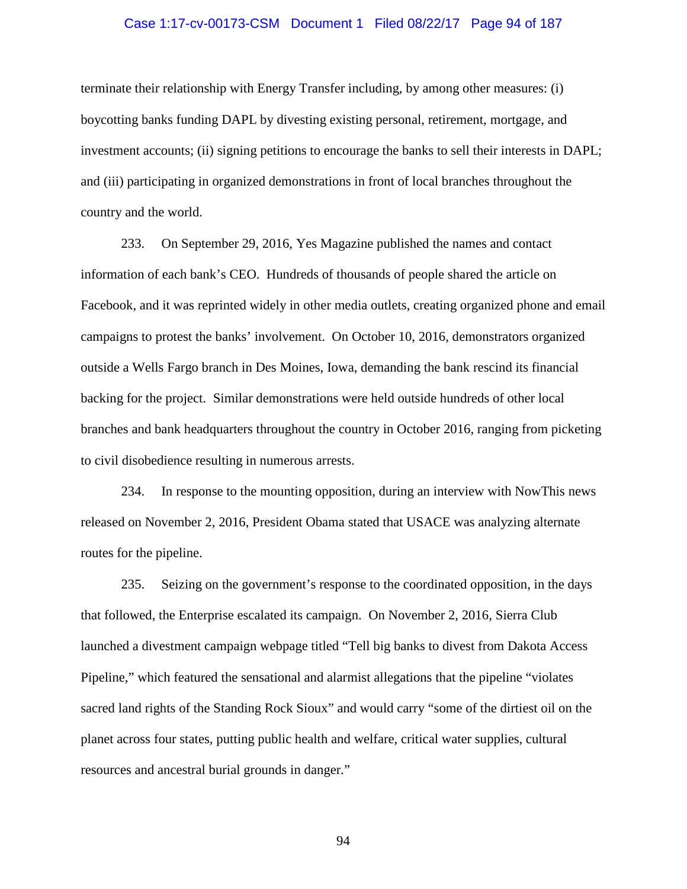### Case 1:17-cv-00173-CSM Document 1 Filed 08/22/17 Page 94 of 187

terminate their relationship with Energy Transfer including, by among other measures: (i) boycotting banks funding DAPL by divesting existing personal, retirement, mortgage, and investment accounts; (ii) signing petitions to encourage the banks to sell their interests in DAPL; and (iii) participating in organized demonstrations in front of local branches throughout the country and the world.

233. On September 29, 2016, Yes Magazine published the names and contact information of each bank's CEO. Hundreds of thousands of people shared the article on Facebook, and it was reprinted widely in other media outlets, creating organized phone and email campaigns to protest the banks' involvement. On October 10, 2016, demonstrators organized outside a Wells Fargo branch in Des Moines, Iowa, demanding the bank rescind its financial backing for the project. Similar demonstrations were held outside hundreds of other local branches and bank headquarters throughout the country in October 2016, ranging from picketing to civil disobedience resulting in numerous arrests.

234. In response to the mounting opposition, during an interview with NowThis news released on November 2, 2016, President Obama stated that USACE was analyzing alternate routes for the pipeline.

235. Seizing on the government's response to the coordinated opposition, in the days that followed, the Enterprise escalated its campaign. On November 2, 2016, Sierra Club launched a divestment campaign webpage titled "Tell big banks to divest from Dakota Access Pipeline," which featured the sensational and alarmist allegations that the pipeline "violates sacred land rights of the Standing Rock Sioux" and would carry "some of the dirtiest oil on the planet across four states, putting public health and welfare, critical water supplies, cultural resources and ancestral burial grounds in danger."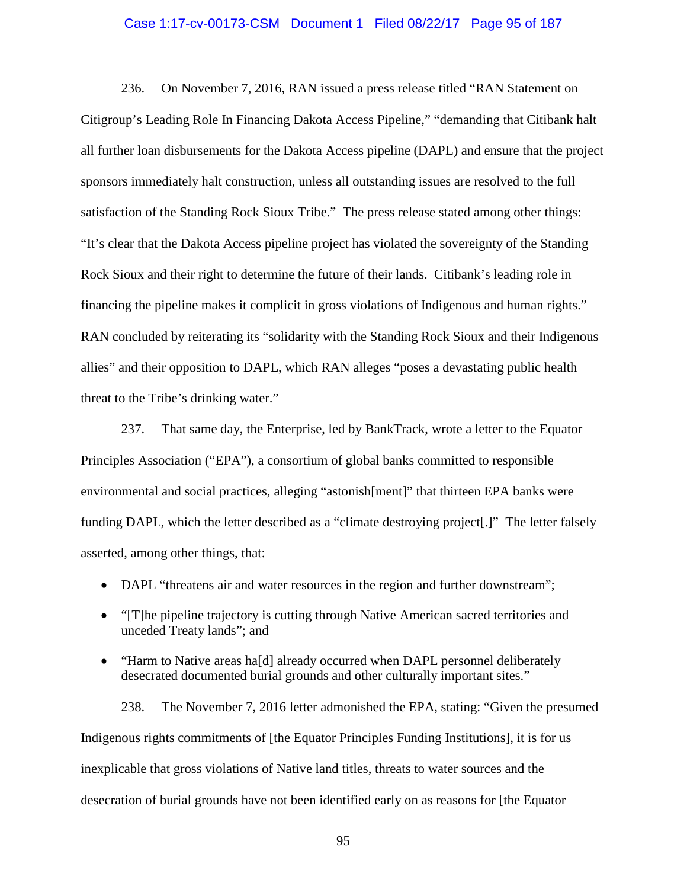### Case 1:17-cv-00173-CSM Document 1 Filed 08/22/17 Page 95 of 187

236. On November 7, 2016, RAN issued a press release titled "RAN Statement on Citigroup's Leading Role In Financing Dakota Access Pipeline," "demanding that Citibank halt all further loan disbursements for the Dakota Access pipeline (DAPL) and ensure that the project sponsors immediately halt construction, unless all outstanding issues are resolved to the full satisfaction of the Standing Rock Sioux Tribe." The press release stated among other things: "It's clear that the Dakota Access pipeline project has violated the sovereignty of the Standing Rock Sioux and their right to determine the future of their lands. Citibank's leading role in financing the pipeline makes it complicit in gross violations of Indigenous and human rights." RAN concluded by reiterating its "solidarity with the Standing Rock Sioux and their Indigenous allies" and their opposition to DAPL, which RAN alleges "poses a devastating public health threat to the Tribe's drinking water."

237. That same day, the Enterprise, led by BankTrack, wrote a letter to the Equator Principles Association ("EPA"), a consortium of global banks committed to responsible environmental and social practices, alleging "astonish[ment]" that thirteen EPA banks were funding DAPL, which the letter described as a "climate destroying project[.]" The letter falsely asserted, among other things, that:

- DAPL "threatens air and water resources in the region and further downstream";
- "[T]he pipeline trajectory is cutting through Native American sacred territories and unceded Treaty lands"; and
- "Harm to Native areas ha[d] already occurred when DAPL personnel deliberately desecrated documented burial grounds and other culturally important sites."

238. The November 7, 2016 letter admonished the EPA, stating: "Given the presumed Indigenous rights commitments of [the Equator Principles Funding Institutions], it is for us inexplicable that gross violations of Native land titles, threats to water sources and the desecration of burial grounds have not been identified early on as reasons for [the Equator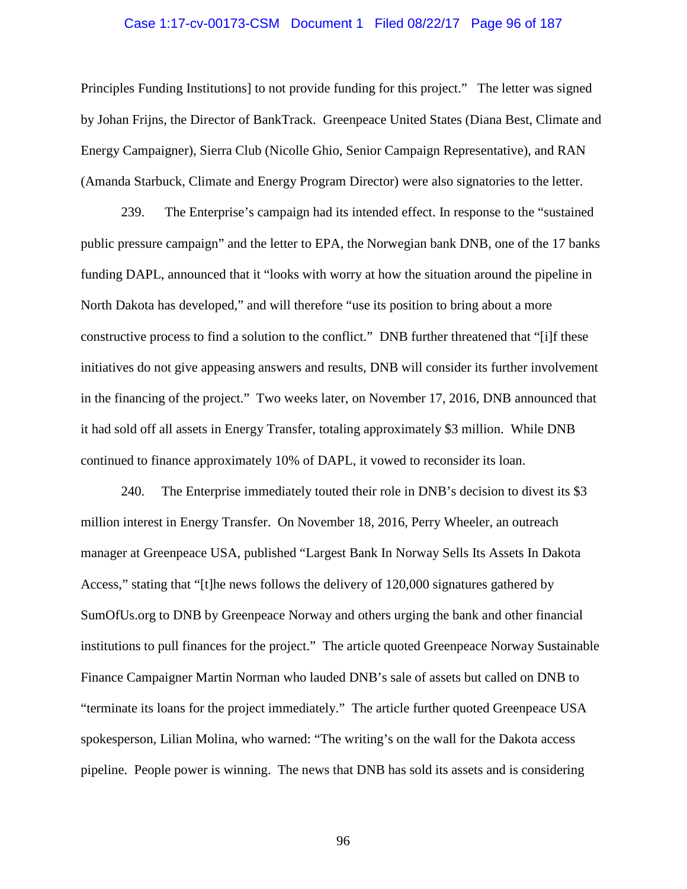### Case 1:17-cv-00173-CSM Document 1 Filed 08/22/17 Page 96 of 187

Principles Funding Institutions] to not provide funding for this project." The letter was signed by Johan Frijns, the Director of BankTrack. Greenpeace United States (Diana Best, Climate and Energy Campaigner), Sierra Club (Nicolle Ghio, Senior Campaign Representative), and RAN (Amanda Starbuck, Climate and Energy Program Director) were also signatories to the letter.

239. The Enterprise's campaign had its intended effect. In response to the "sustained public pressure campaign" and the letter to EPA, the Norwegian bank DNB, one of the 17 banks funding DAPL, announced that it "looks with worry at how the situation around the pipeline in North Dakota has developed," and will therefore "use its position to bring about a more constructive process to find a solution to the conflict." DNB further threatened that "[i]f these initiatives do not give appeasing answers and results, DNB will consider its further involvement in the financing of the project." Two weeks later, on November 17, 2016, DNB announced that it had sold off all assets in Energy Transfer, totaling approximately \$3 million. While DNB continued to finance approximately 10% of DAPL, it vowed to reconsider its loan.

240. The Enterprise immediately touted their role in DNB's decision to divest its \$3 million interest in Energy Transfer. On November 18, 2016, Perry Wheeler, an outreach manager at Greenpeace USA, published "Largest Bank In Norway Sells Its Assets In Dakota Access," stating that "[t]he news follows the delivery of 120,000 signatures gathered by SumOfUs.org to DNB by Greenpeace Norway and others urging the bank and other financial institutions to pull finances for the project." The article quoted Greenpeace Norway Sustainable Finance Campaigner Martin Norman who lauded DNB's sale of assets but called on DNB to "terminate its loans for the project immediately." The article further quoted Greenpeace USA spokesperson, Lilian Molina, who warned: "The writing's on the wall for the Dakota access pipeline. People power is winning. The news that DNB has sold its assets and is considering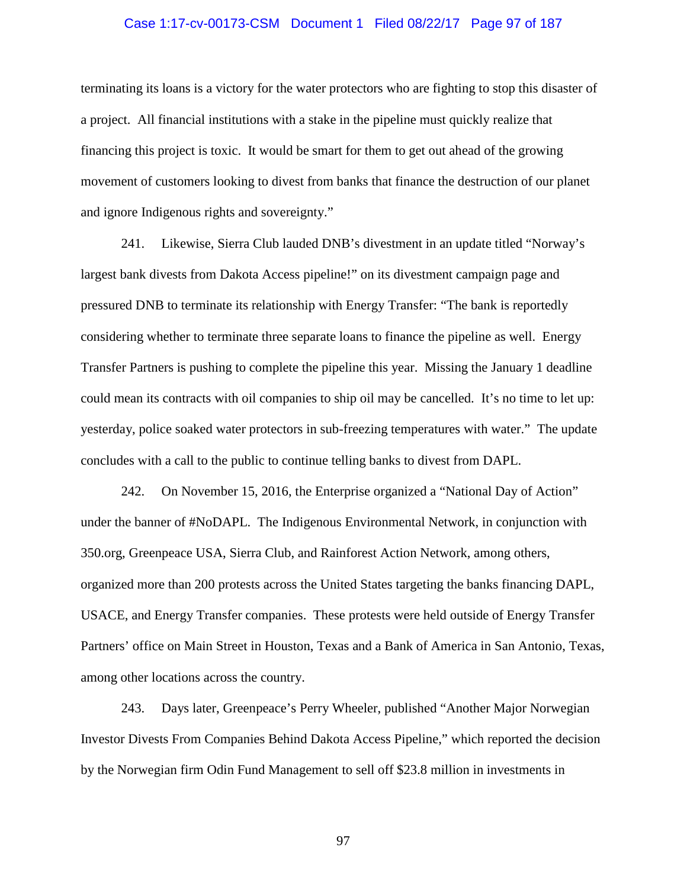### Case 1:17-cv-00173-CSM Document 1 Filed 08/22/17 Page 97 of 187

terminating its loans is a victory for the water protectors who are fighting to stop this disaster of a project. All financial institutions with a stake in the pipeline must quickly realize that financing this project is toxic. It would be smart for them to get out ahead of the growing movement of customers looking to divest from banks that finance the destruction of our planet and ignore Indigenous rights and sovereignty."

241. Likewise, Sierra Club lauded DNB's divestment in an update titled "Norway's largest bank divests from Dakota Access pipeline!" on its divestment campaign page and pressured DNB to terminate its relationship with Energy Transfer: "The bank is reportedly considering whether to terminate three separate loans to finance the pipeline as well. Energy Transfer Partners is pushing to complete the pipeline this year. Missing the January 1 deadline could mean its contracts with oil companies to ship oil may be cancelled. It's no time to let up: yesterday, police soaked water protectors in sub-freezing temperatures with water." The update concludes with a call to the public to continue telling banks to divest from DAPL.

242. On November 15, 2016, the Enterprise organized a "National Day of Action" under the banner of #NoDAPL. The Indigenous Environmental Network, in conjunction with 350.org, Greenpeace USA, Sierra Club, and Rainforest Action Network, among others, organized more than 200 protests across the United States targeting the banks financing DAPL, USACE, and Energy Transfer companies. These protests were held outside of Energy Transfer Partners' office on Main Street in Houston, Texas and a Bank of America in San Antonio, Texas, among other locations across the country.

243. Days later, Greenpeace's Perry Wheeler, published "Another Major Norwegian Investor Divests From Companies Behind Dakota Access Pipeline," which reported the decision by the Norwegian firm Odin Fund Management to sell off \$23.8 million in investments in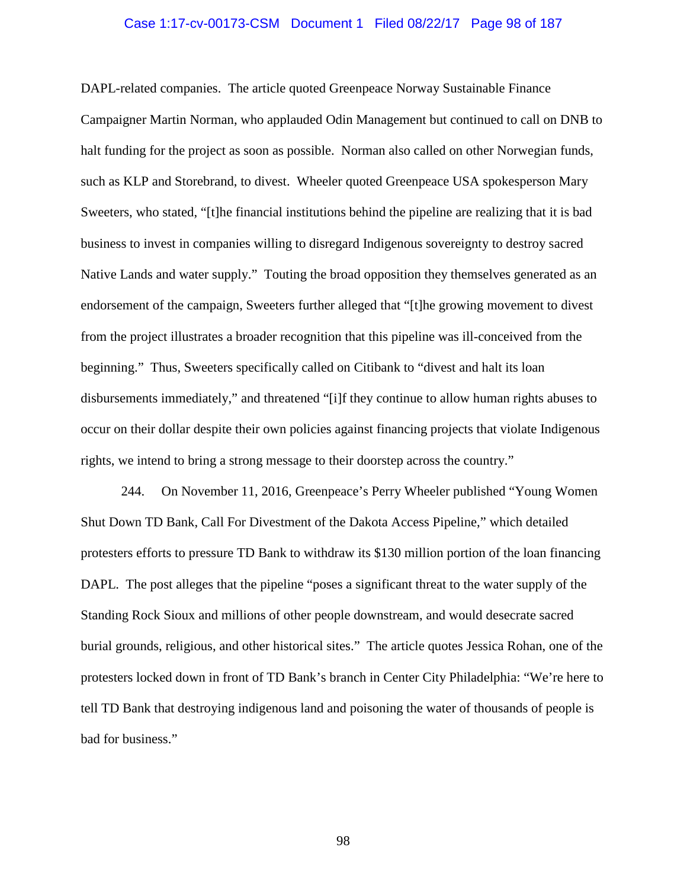#### Case 1:17-cv-00173-CSM Document 1 Filed 08/22/17 Page 98 of 187

DAPL-related companies. The article quoted Greenpeace Norway Sustainable Finance Campaigner Martin Norman, who applauded Odin Management but continued to call on DNB to halt funding for the project as soon as possible. Norman also called on other Norwegian funds, such as KLP and Storebrand, to divest. Wheeler quoted Greenpeace USA spokesperson Mary Sweeters, who stated, "[t]he financial institutions behind the pipeline are realizing that it is bad business to invest in companies willing to disregard Indigenous sovereignty to destroy sacred Native Lands and water supply." Touting the broad opposition they themselves generated as an endorsement of the campaign, Sweeters further alleged that "[t]he growing movement to divest from the project illustrates a broader recognition that this pipeline was ill-conceived from the beginning." Thus, Sweeters specifically called on Citibank to "divest and halt its loan disbursements immediately," and threatened "[i]f they continue to allow human rights abuses to occur on their dollar despite their own policies against financing projects that violate Indigenous rights, we intend to bring a strong message to their doorstep across the country."

244. On November 11, 2016, Greenpeace's Perry Wheeler published "Young Women Shut Down TD Bank, Call For Divestment of the Dakota Access Pipeline," which detailed protesters efforts to pressure TD Bank to withdraw its \$130 million portion of the loan financing DAPL. The post alleges that the pipeline "poses a significant threat to the water supply of the Standing Rock Sioux and millions of other people downstream, and would desecrate sacred burial grounds, religious, and other historical sites." The article quotes Jessica Rohan, one of the protesters locked down in front of TD Bank's branch in Center City Philadelphia: "We're here to tell TD Bank that destroying indigenous land and poisoning the water of thousands of people is bad for business."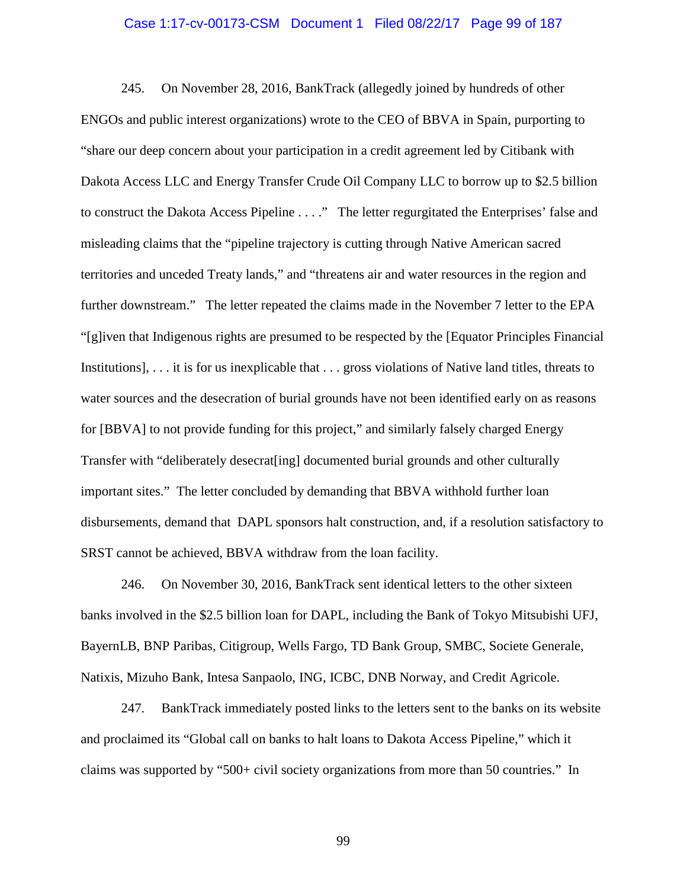### Case 1:17-cv-00173-CSM Document 1 Filed 08/22/17 Page 99 of 187

245. On November 28, 2016, BankTrack (allegedly joined by hundreds of other ENGOs and public interest organizations) wrote to the CEO of BBVA in Spain, purporting to "share our deep concern about your participation in a credit agreement led by Citibank with Dakota Access LLC and Energy Transfer Crude Oil Company LLC to borrow up to \$2.5 billion to construct the Dakota Access Pipeline . . . ." The letter regurgitated the Enterprises' false and misleading claims that the "pipeline trajectory is cutting through Native American sacred territories and unceded Treaty lands," and "threatens air and water resources in the region and further downstream." The letter repeated the claims made in the November 7 letter to the EPA "[g]iven that Indigenous rights are presumed to be respected by the [Equator Principles Financial Institutions], . . . it is for us inexplicable that . . . gross violations of Native land titles, threats to water sources and the desecration of burial grounds have not been identified early on as reasons for [BBVA] to not provide funding for this project," and similarly falsely charged Energy Transfer with "deliberately desecrat[ing] documented burial grounds and other culturally important sites." The letter concluded by demanding that BBVA withhold further loan disbursements, demand that DAPL sponsors halt construction, and, if a resolution satisfactory to SRST cannot be achieved, BBVA withdraw from the loan facility.

246. On November 30, 2016, BankTrack sent identical letters to the other sixteen banks involved in the \$2.5 billion loan for DAPL, including the Bank of Tokyo Mitsubishi UFJ, BayernLB, BNP Paribas, Citigroup, Wells Fargo, TD Bank Group, SMBC, Societe Generale, Natixis, Mizuho Bank, Intesa Sanpaolo, ING, ICBC, DNB Norway, and Credit Agricole.

247. BankTrack immediately posted links to the letters sent to the banks on its website and proclaimed its "Global call on banks to halt loans to Dakota Access Pipeline," which it claims was supported by "500+ civil society organizations from more than 50 countries." In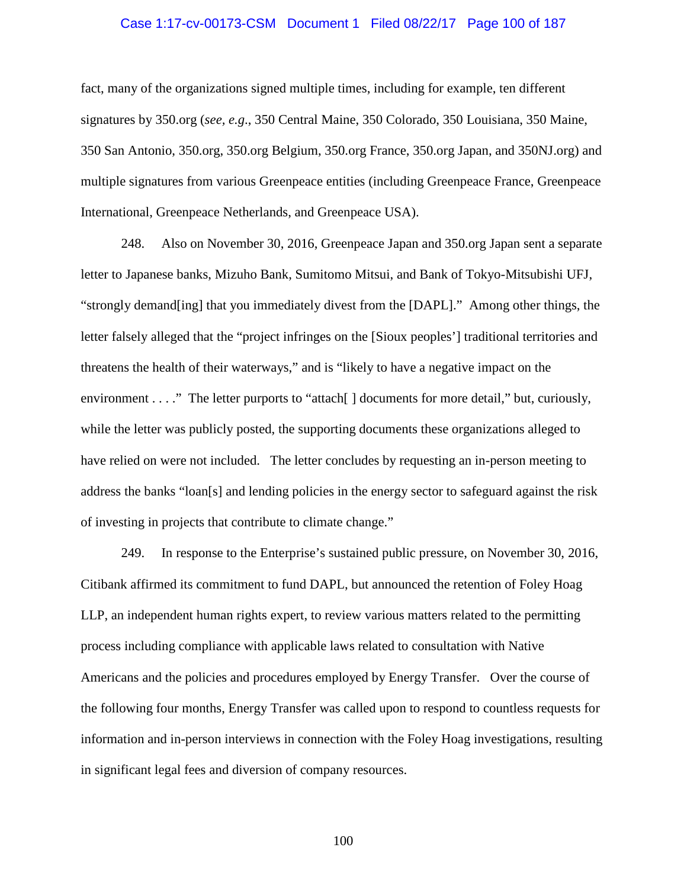### Case 1:17-cv-00173-CSM Document 1 Filed 08/22/17 Page 100 of 187

fact, many of the organizations signed multiple times, including for example, ten different signatures by 350.org (*see, e.g*., 350 Central Maine, 350 Colorado, 350 Louisiana, 350 Maine, 350 San Antonio, 350.org, 350.org Belgium, 350.org France, 350.org Japan, and 350NJ.org) and multiple signatures from various Greenpeace entities (including Greenpeace France, Greenpeace International, Greenpeace Netherlands, and Greenpeace USA).

248. Also on November 30, 2016, Greenpeace Japan and 350.org Japan sent a separate letter to Japanese banks, Mizuho Bank, Sumitomo Mitsui, and Bank of Tokyo-Mitsubishi UFJ, "strongly demand[ing] that you immediately divest from the [DAPL]." Among other things, the letter falsely alleged that the "project infringes on the [Sioux peoples'] traditional territories and threatens the health of their waterways," and is "likely to have a negative impact on the environment . . . ." The letter purports to "attach[] documents for more detail," but, curiously, while the letter was publicly posted, the supporting documents these organizations alleged to have relied on were not included. The letter concludes by requesting an in-person meeting to address the banks "loan[s] and lending policies in the energy sector to safeguard against the risk of investing in projects that contribute to climate change."

249. In response to the Enterprise's sustained public pressure, on November 30, 2016, Citibank affirmed its commitment to fund DAPL, but announced the retention of Foley Hoag LLP, an independent human rights expert, to review various matters related to the permitting process including compliance with applicable laws related to consultation with Native Americans and the policies and procedures employed by Energy Transfer. Over the course of the following four months, Energy Transfer was called upon to respond to countless requests for information and in-person interviews in connection with the Foley Hoag investigations, resulting in significant legal fees and diversion of company resources.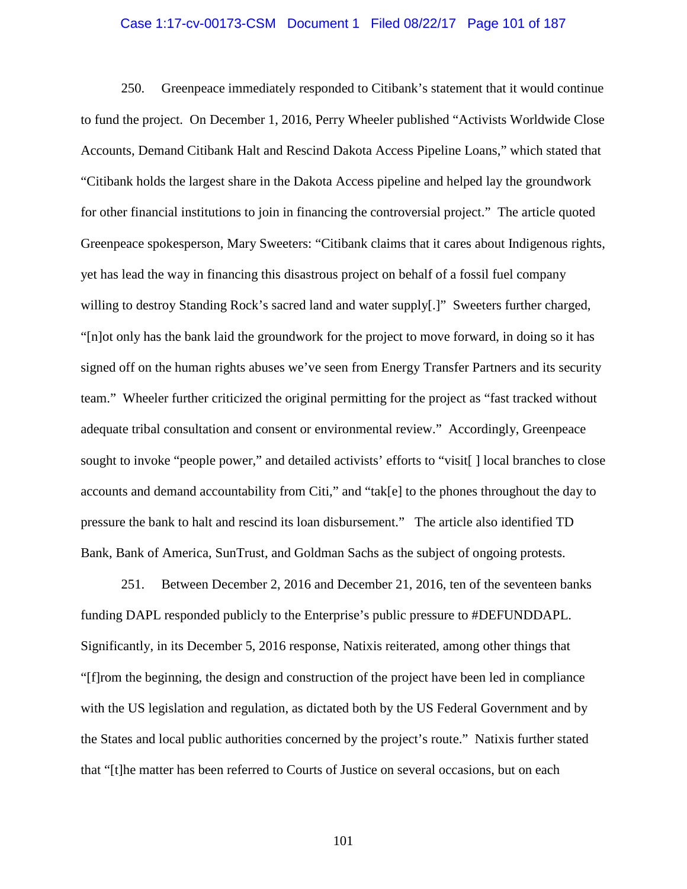#### Case 1:17-cv-00173-CSM Document 1 Filed 08/22/17 Page 101 of 187

250. Greenpeace immediately responded to Citibank's statement that it would continue to fund the project. On December 1, 2016, Perry Wheeler published "Activists Worldwide Close Accounts, Demand Citibank Halt and Rescind Dakota Access Pipeline Loans," which stated that "Citibank holds the largest share in the Dakota Access pipeline and helped lay the groundwork for other financial institutions to join in financing the controversial project." The article quoted Greenpeace spokesperson, Mary Sweeters: "Citibank claims that it cares about Indigenous rights, yet has lead the way in financing this disastrous project on behalf of a fossil fuel company willing to destroy Standing Rock's sacred land and water supply[.]" Sweeters further charged, "[n]ot only has the bank laid the groundwork for the project to move forward, in doing so it has signed off on the human rights abuses we've seen from Energy Transfer Partners and its security team." Wheeler further criticized the original permitting for the project as "fast tracked without adequate tribal consultation and consent or environmental review." Accordingly, Greenpeace sought to invoke "people power," and detailed activists' efforts to "visit[] local branches to close accounts and demand accountability from Citi," and "tak[e] to the phones throughout the day to pressure the bank to halt and rescind its loan disbursement." The article also identified TD Bank, Bank of America, SunTrust, and Goldman Sachs as the subject of ongoing protests.

251. Between December 2, 2016 and December 21, 2016, ten of the seventeen banks funding DAPL responded publicly to the Enterprise's public pressure to #DEFUNDDAPL. Significantly, in its December 5, 2016 response, Natixis reiterated, among other things that "[f]rom the beginning, the design and construction of the project have been led in compliance with the US legislation and regulation, as dictated both by the US Federal Government and by the States and local public authorities concerned by the project's route." Natixis further stated that "[t]he matter has been referred to Courts of Justice on several occasions, but on each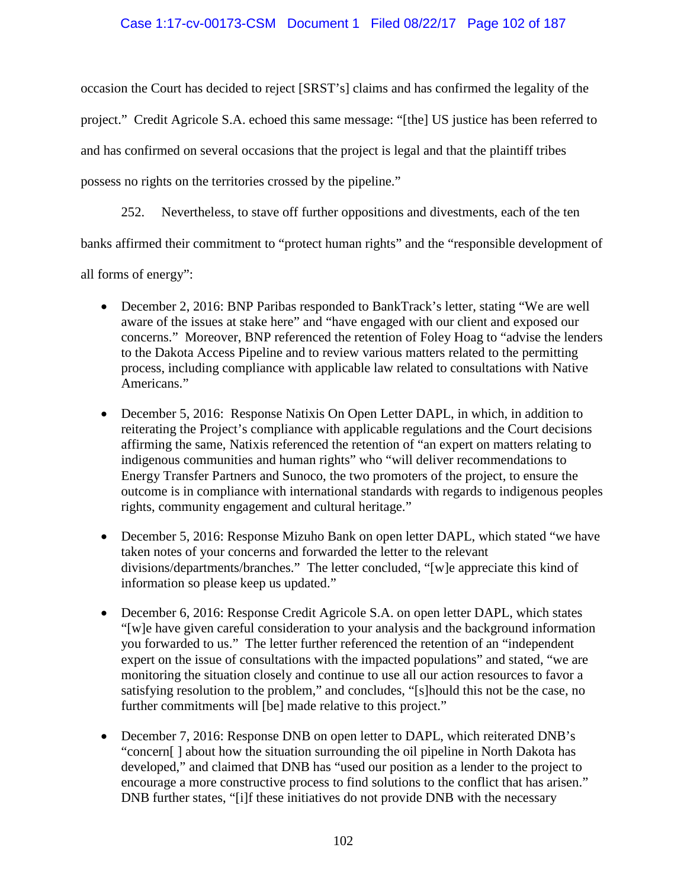## Case 1:17-cv-00173-CSM Document 1 Filed 08/22/17 Page 102 of 187

occasion the Court has decided to reject [SRST's] claims and has confirmed the legality of the project." Credit Agricole S.A. echoed this same message: "[the] US justice has been referred to and has confirmed on several occasions that the project is legal and that the plaintiff tribes possess no rights on the territories crossed by the pipeline."

252. Nevertheless, to stave off further oppositions and divestments, each of the ten

banks affirmed their commitment to "protect human rights" and the "responsible development of

all forms of energy":

- December 2, 2016: BNP Paribas responded to BankTrack's letter, stating "We are well aware of the issues at stake here" and "have engaged with our client and exposed our concerns." Moreover, BNP referenced the retention of Foley Hoag to "advise the lenders to the Dakota Access Pipeline and to review various matters related to the permitting process, including compliance with applicable law related to consultations with Native Americans."
- December 5, 2016: Response Natixis On Open Letter DAPL, in which, in addition to reiterating the Project's compliance with applicable regulations and the Court decisions affirming the same, Natixis referenced the retention of "an expert on matters relating to indigenous communities and human rights" who "will deliver recommendations to Energy Transfer Partners and Sunoco, the two promoters of the project, to ensure the outcome is in compliance with international standards with regards to indigenous peoples rights, community engagement and cultural heritage."
- December 5, 2016: Response Mizuho Bank on open letter DAPL, which stated "we have taken notes of your concerns and forwarded the letter to the relevant divisions/departments/branches." The letter concluded, "[w]e appreciate this kind of information so please keep us updated."
- December 6, 2016: Response Credit Agricole S.A. on open letter DAPL, which states "[w]e have given careful consideration to your analysis and the background information you forwarded to us." The letter further referenced the retention of an "independent expert on the issue of consultations with the impacted populations" and stated, "we are monitoring the situation closely and continue to use all our action resources to favor a satisfying resolution to the problem," and concludes, "[s]hould this not be the case, no further commitments will [be] made relative to this project."
- December 7, 2016: Response DNB on open letter to DAPL, which reiterated DNB's "concern[ ] about how the situation surrounding the oil pipeline in North Dakota has developed," and claimed that DNB has "used our position as a lender to the project to encourage a more constructive process to find solutions to the conflict that has arisen." DNB further states, "[i]f these initiatives do not provide DNB with the necessary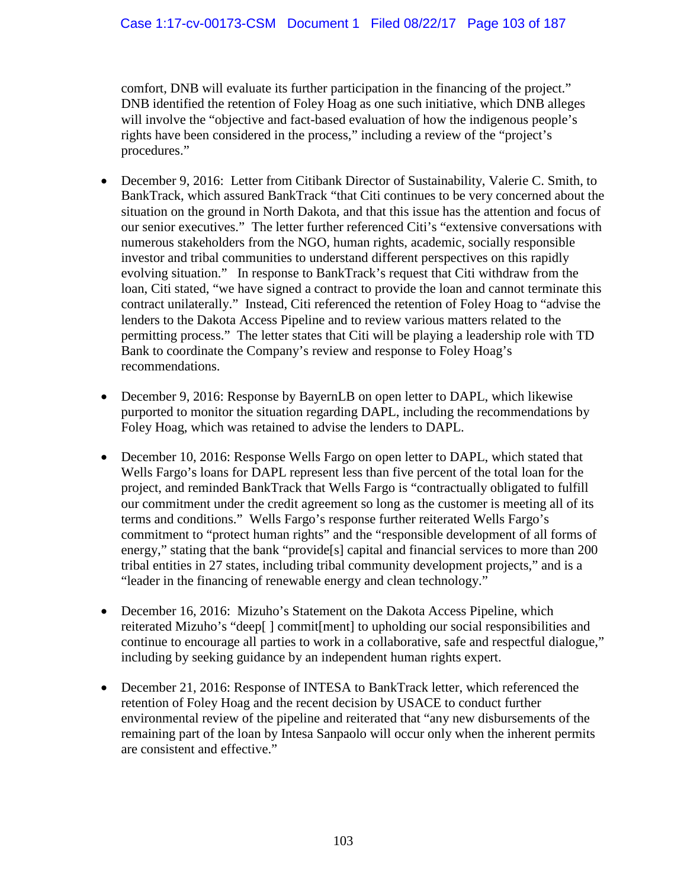comfort, DNB will evaluate its further participation in the financing of the project." DNB identified the retention of Foley Hoag as one such initiative, which DNB alleges will involve the "objective and fact-based evaluation of how the indigenous people's rights have been considered in the process," including a review of the "project's procedures."

- December 9, 2016: Letter from Citibank Director of Sustainability, Valerie C. Smith, to BankTrack, which assured BankTrack "that Citi continues to be very concerned about the situation on the ground in North Dakota, and that this issue has the attention and focus of our senior executives." The letter further referenced Citi's "extensive conversations with numerous stakeholders from the NGO, human rights, academic, socially responsible investor and tribal communities to understand different perspectives on this rapidly evolving situation." In response to BankTrack's request that Citi withdraw from the loan, Citi stated, "we have signed a contract to provide the loan and cannot terminate this contract unilaterally." Instead, Citi referenced the retention of Foley Hoag to "advise the lenders to the Dakota Access Pipeline and to review various matters related to the permitting process." The letter states that Citi will be playing a leadership role with TD Bank to coordinate the Company's review and response to Foley Hoag's recommendations.
- December 9, 2016: Response by BayernLB on open letter to DAPL, which likewise purported to monitor the situation regarding DAPL, including the recommendations by Foley Hoag, which was retained to advise the lenders to DAPL.
- December 10, 2016: Response Wells Fargo on open letter to DAPL, which stated that Wells Fargo's loans for DAPL represent less than five percent of the total loan for the project, and reminded BankTrack that Wells Fargo is "contractually obligated to fulfill our commitment under the credit agreement so long as the customer is meeting all of its terms and conditions." Wells Fargo's response further reiterated Wells Fargo's commitment to "protect human rights" and the "responsible development of all forms of energy," stating that the bank "provide<sup>[s]</sup> capital and financial services to more than 200 tribal entities in 27 states, including tribal community development projects," and is a "leader in the financing of renewable energy and clean technology."
- December 16, 2016: Mizuho's Statement on the Dakota Access Pipeline, which reiterated Mizuho's "deep[ ] commit[ment] to upholding our social responsibilities and continue to encourage all parties to work in a collaborative, safe and respectful dialogue," including by seeking guidance by an independent human rights expert.
- December 21, 2016: Response of INTESA to BankTrack letter, which referenced the retention of Foley Hoag and the recent decision by USACE to conduct further environmental review of the pipeline and reiterated that "any new disbursements of the remaining part of the loan by Intesa Sanpaolo will occur only when the inherent permits are consistent and effective."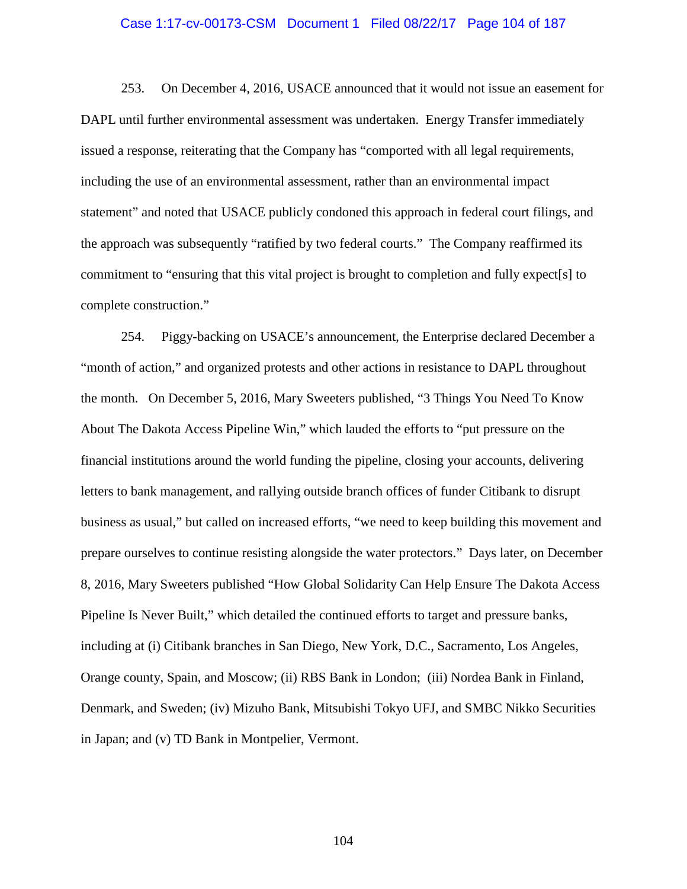#### Case 1:17-cv-00173-CSM Document 1 Filed 08/22/17 Page 104 of 187

253. On December 4, 2016, USACE announced that it would not issue an easement for DAPL until further environmental assessment was undertaken. Energy Transfer immediately issued a response, reiterating that the Company has "comported with all legal requirements, including the use of an environmental assessment, rather than an environmental impact statement" and noted that USACE publicly condoned this approach in federal court filings, and the approach was subsequently "ratified by two federal courts." The Company reaffirmed its commitment to "ensuring that this vital project is brought to completion and fully expect[s] to complete construction."

254. Piggy-backing on USACE's announcement, the Enterprise declared December a "month of action," and organized protests and other actions in resistance to DAPL throughout the month. On December 5, 2016, Mary Sweeters published, "3 Things You Need To Know About The Dakota Access Pipeline Win," which lauded the efforts to "put pressure on the financial institutions around the world funding the pipeline, closing your accounts, delivering letters to bank management, and rallying outside branch offices of funder Citibank to disrupt business as usual," but called on increased efforts, "we need to keep building this movement and prepare ourselves to continue resisting alongside the water protectors." Days later, on December 8, 2016, Mary Sweeters published "How Global Solidarity Can Help Ensure The Dakota Access Pipeline Is Never Built," which detailed the continued efforts to target and pressure banks, including at (i) Citibank branches in San Diego, New York, D.C., Sacramento, Los Angeles, Orange county, Spain, and Moscow; (ii) RBS Bank in London; (iii) Nordea Bank in Finland, Denmark, and Sweden; (iv) Mizuho Bank, Mitsubishi Tokyo UFJ, and SMBC Nikko Securities in Japan; and (v) TD Bank in Montpelier, Vermont.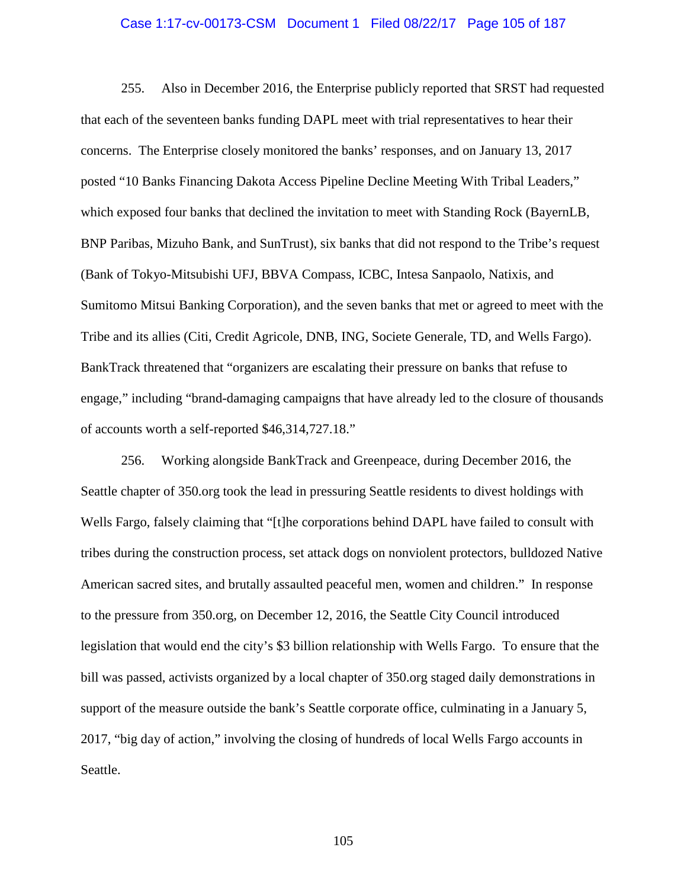### Case 1:17-cv-00173-CSM Document 1 Filed 08/22/17 Page 105 of 187

255. Also in December 2016, the Enterprise publicly reported that SRST had requested that each of the seventeen banks funding DAPL meet with trial representatives to hear their concerns. The Enterprise closely monitored the banks' responses, and on January 13, 2017 posted "10 Banks Financing Dakota Access Pipeline Decline Meeting With Tribal Leaders," which exposed four banks that declined the invitation to meet with Standing Rock (BayernLB, BNP Paribas, Mizuho Bank, and SunTrust), six banks that did not respond to the Tribe's request (Bank of Tokyo-Mitsubishi UFJ, BBVA Compass, ICBC, Intesa Sanpaolo, Natixis, and Sumitomo Mitsui Banking Corporation), and the seven banks that met or agreed to meet with the Tribe and its allies (Citi, Credit Agricole, DNB, ING, Societe Generale, TD, and Wells Fargo). BankTrack threatened that "organizers are escalating their pressure on banks that refuse to engage," including "brand-damaging campaigns that have already led to the closure of thousands of accounts worth a self-reported \$46,314,727.18."

256. Working alongside BankTrack and Greenpeace, during December 2016, the Seattle chapter of 350.org took the lead in pressuring Seattle residents to divest holdings with Wells Fargo, falsely claiming that "[t]he corporations behind DAPL have failed to consult with tribes during the construction process, set attack dogs on nonviolent protectors, bulldozed Native American sacred sites, and brutally assaulted peaceful men, women and children." In response to the pressure from 350.org, on December 12, 2016, the Seattle City Council introduced legislation that would end the city's \$3 billion relationship with Wells Fargo. To ensure that the bill was passed, activists organized by a local chapter of 350.org staged daily demonstrations in support of the measure outside the bank's Seattle corporate office, culminating in a January 5, 2017, "big day of action," involving the closing of hundreds of local Wells Fargo accounts in Seattle.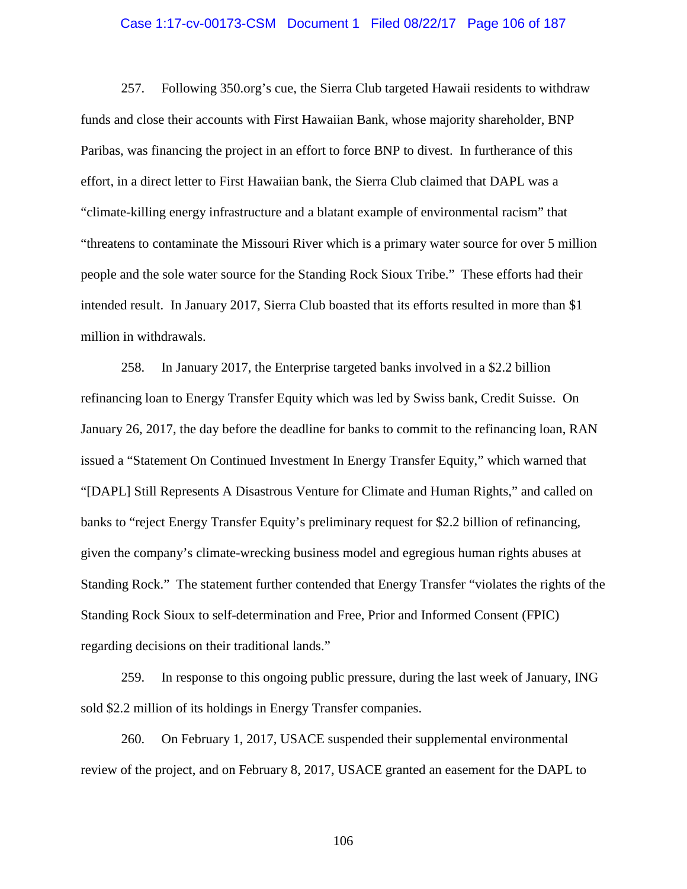### Case 1:17-cv-00173-CSM Document 1 Filed 08/22/17 Page 106 of 187

257. Following 350.org's cue, the Sierra Club targeted Hawaii residents to withdraw funds and close their accounts with First Hawaiian Bank, whose majority shareholder, BNP Paribas, was financing the project in an effort to force BNP to divest. In furtherance of this effort, in a direct letter to First Hawaiian bank, the Sierra Club claimed that DAPL was a "climate-killing energy infrastructure and a blatant example of environmental racism" that "threatens to contaminate the Missouri River which is a primary water source for over 5 million people and the sole water source for the Standing Rock Sioux Tribe." These efforts had their intended result. In January 2017, Sierra Club boasted that its efforts resulted in more than \$1 million in withdrawals.

258. In January 2017, the Enterprise targeted banks involved in a \$2.2 billion refinancing loan to Energy Transfer Equity which was led by Swiss bank, Credit Suisse. On January 26, 2017, the day before the deadline for banks to commit to the refinancing loan, RAN issued a "Statement On Continued Investment In Energy Transfer Equity," which warned that "[DAPL] Still Represents A Disastrous Venture for Climate and Human Rights," and called on banks to "reject Energy Transfer Equity's preliminary request for \$2.2 billion of refinancing, given the company's climate-wrecking business model and egregious human rights abuses at Standing Rock." The statement further contended that Energy Transfer "violates the rights of the Standing Rock Sioux to self-determination and Free, Prior and Informed Consent (FPIC) regarding decisions on their traditional lands."

259. In response to this ongoing public pressure, during the last week of January, ING sold \$2.2 million of its holdings in Energy Transfer companies.

260. On February 1, 2017, USACE suspended their supplemental environmental review of the project, and on February 8, 2017, USACE granted an easement for the DAPL to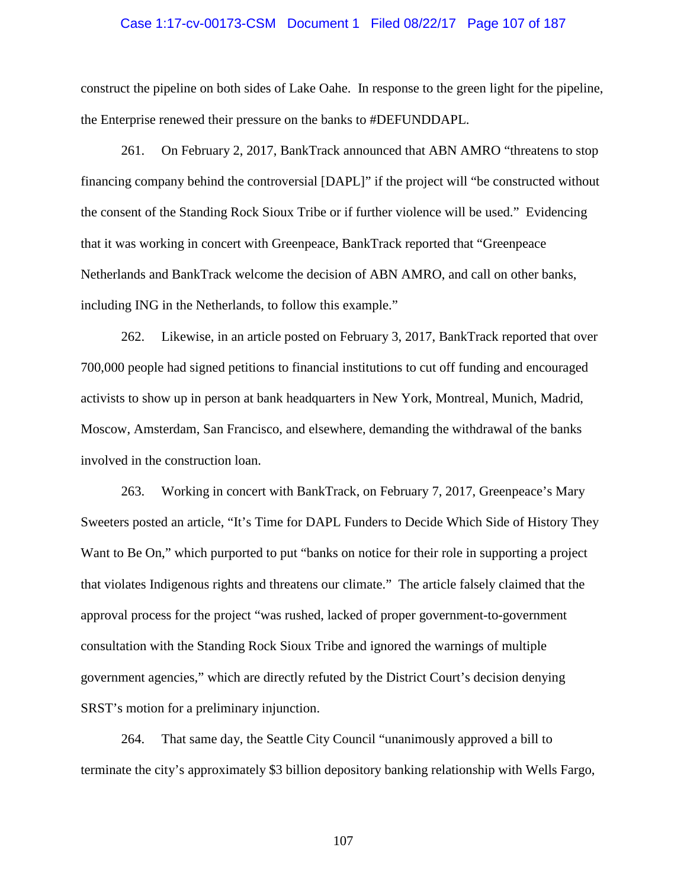### Case 1:17-cv-00173-CSM Document 1 Filed 08/22/17 Page 107 of 187

construct the pipeline on both sides of Lake Oahe. In response to the green light for the pipeline, the Enterprise renewed their pressure on the banks to #DEFUNDDAPL.

261. On February 2, 2017, BankTrack announced that ABN AMRO "threatens to stop financing company behind the controversial [DAPL]" if the project will "be constructed without the consent of the Standing Rock Sioux Tribe or if further violence will be used." Evidencing that it was working in concert with Greenpeace, BankTrack reported that "Greenpeace Netherlands and BankTrack welcome the decision of ABN AMRO, and call on other banks, including ING in the Netherlands, to follow this example."

262. Likewise, in an article posted on February 3, 2017, BankTrack reported that over 700,000 people had signed petitions to financial institutions to cut off funding and encouraged activists to show up in person at bank headquarters in New York, Montreal, Munich, Madrid, Moscow, Amsterdam, San Francisco, and elsewhere, demanding the withdrawal of the banks involved in the construction loan.

263. Working in concert with BankTrack, on February 7, 2017, Greenpeace's Mary Sweeters posted an article, "It's Time for DAPL Funders to Decide Which Side of History They Want to Be On," which purported to put "banks on notice for their role in supporting a project that violates Indigenous rights and threatens our climate." The article falsely claimed that the approval process for the project "was rushed, lacked of proper government-to-government consultation with the Standing Rock Sioux Tribe and ignored the warnings of multiple government agencies," which are directly refuted by the District Court's decision denying SRST's motion for a preliminary injunction.

264. That same day, the Seattle City Council "unanimously approved a bill to terminate the city's approximately \$3 billion depository banking relationship with Wells Fargo,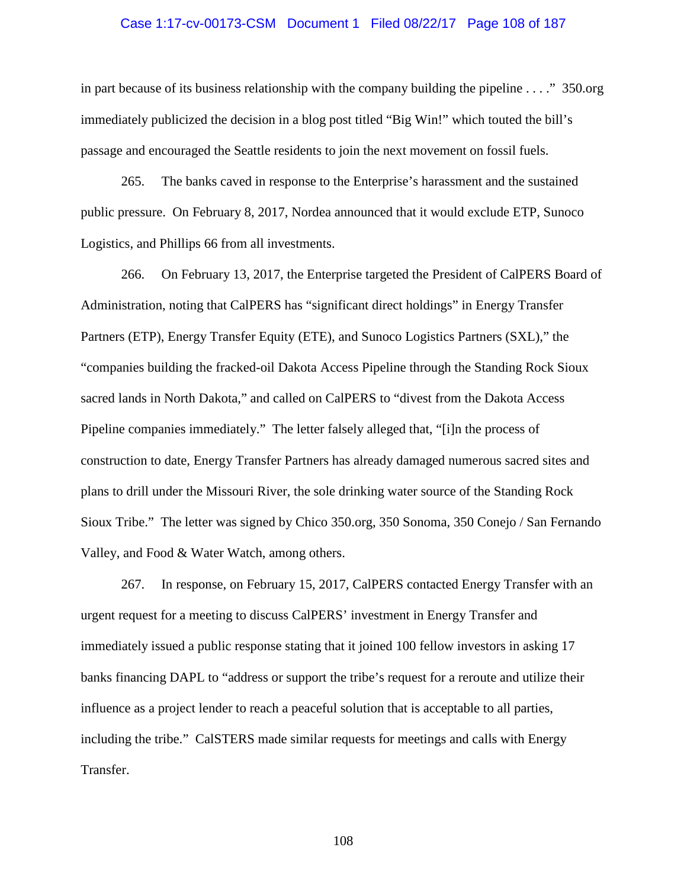### Case 1:17-cv-00173-CSM Document 1 Filed 08/22/17 Page 108 of 187

in part because of its business relationship with the company building the pipeline . . . ." 350.org immediately publicized the decision in a blog post titled "Big Win!" which touted the bill's passage and encouraged the Seattle residents to join the next movement on fossil fuels.

265. The banks caved in response to the Enterprise's harassment and the sustained public pressure. On February 8, 2017, Nordea announced that it would exclude ETP, Sunoco Logistics, and Phillips 66 from all investments.

266. On February 13, 2017, the Enterprise targeted the President of CalPERS Board of Administration, noting that CalPERS has "significant direct holdings" in Energy Transfer Partners (ETP), Energy Transfer Equity (ETE), and Sunoco Logistics Partners (SXL)," the "companies building the fracked-oil Dakota Access Pipeline through the Standing Rock Sioux sacred lands in North Dakota," and called on CalPERS to "divest from the Dakota Access Pipeline companies immediately." The letter falsely alleged that, "[i]n the process of construction to date, Energy Transfer Partners has already damaged numerous sacred sites and plans to drill under the Missouri River, the sole drinking water source of the Standing Rock Sioux Tribe." The letter was signed by Chico 350.org, 350 Sonoma, 350 Conejo / San Fernando Valley, and Food & Water Watch, among others.

267. In response, on February 15, 2017, CalPERS contacted Energy Transfer with an urgent request for a meeting to discuss CalPERS' investment in Energy Transfer and immediately issued a public response stating that it joined 100 fellow investors in asking 17 banks financing DAPL to "address or support the tribe's request for a reroute and utilize their influence as a project lender to reach a peaceful solution that is acceptable to all parties, including the tribe." CalSTERS made similar requests for meetings and calls with Energy Transfer.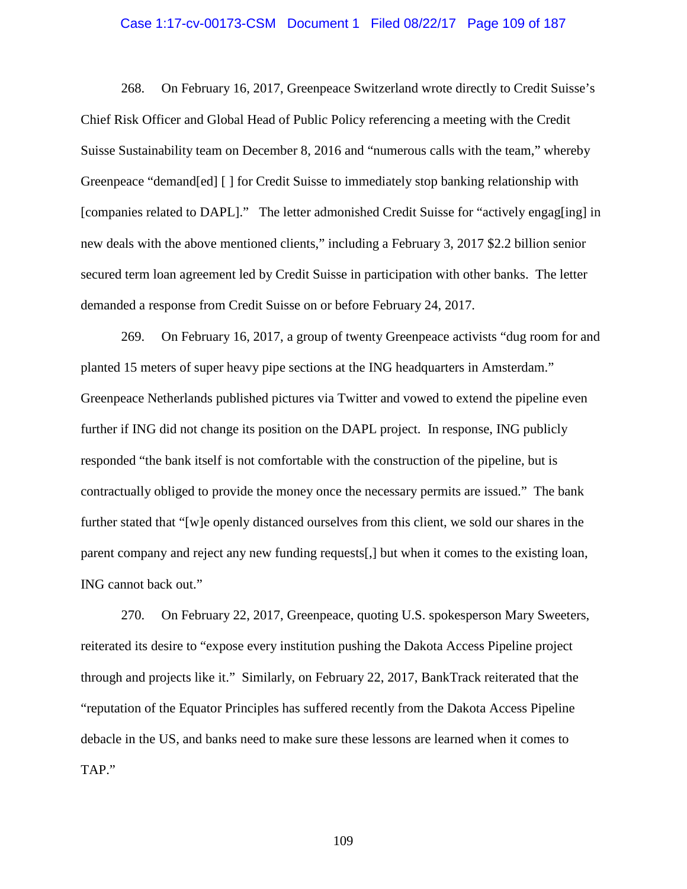## Case 1:17-cv-00173-CSM Document 1 Filed 08/22/17 Page 109 of 187

268. On February 16, 2017, Greenpeace Switzerland wrote directly to Credit Suisse's Chief Risk Officer and Global Head of Public Policy referencing a meeting with the Credit Suisse Sustainability team on December 8, 2016 and "numerous calls with the team," whereby Greenpeace "demand[ed] [ ] for Credit Suisse to immediately stop banking relationship with [companies related to DAPL]." The letter admonished Credit Suisse for "actively engag[ing] in new deals with the above mentioned clients," including a February 3, 2017 \$2.2 billion senior secured term loan agreement led by Credit Suisse in participation with other banks. The letter demanded a response from Credit Suisse on or before February 24, 2017.

269. On February 16, 2017, a group of twenty Greenpeace activists "dug room for and planted 15 meters of super heavy pipe sections at the ING headquarters in Amsterdam." Greenpeace Netherlands published pictures via Twitter and vowed to extend the pipeline even further if ING did not change its position on the DAPL project. In response, ING publicly responded "the bank itself is not comfortable with the construction of the pipeline, but is contractually obliged to provide the money once the necessary permits are issued." The bank further stated that "[w]e openly distanced ourselves from this client, we sold our shares in the parent company and reject any new funding requests[,] but when it comes to the existing loan, ING cannot back out."

270. On February 22, 2017, Greenpeace, quoting U.S. spokesperson Mary Sweeters, reiterated its desire to "expose every institution pushing the Dakota Access Pipeline project through and projects like it." Similarly, on February 22, 2017, BankTrack reiterated that the "reputation of the Equator Principles has suffered recently from the Dakota Access Pipeline debacle in the US, and banks need to make sure these lessons are learned when it comes to TAP."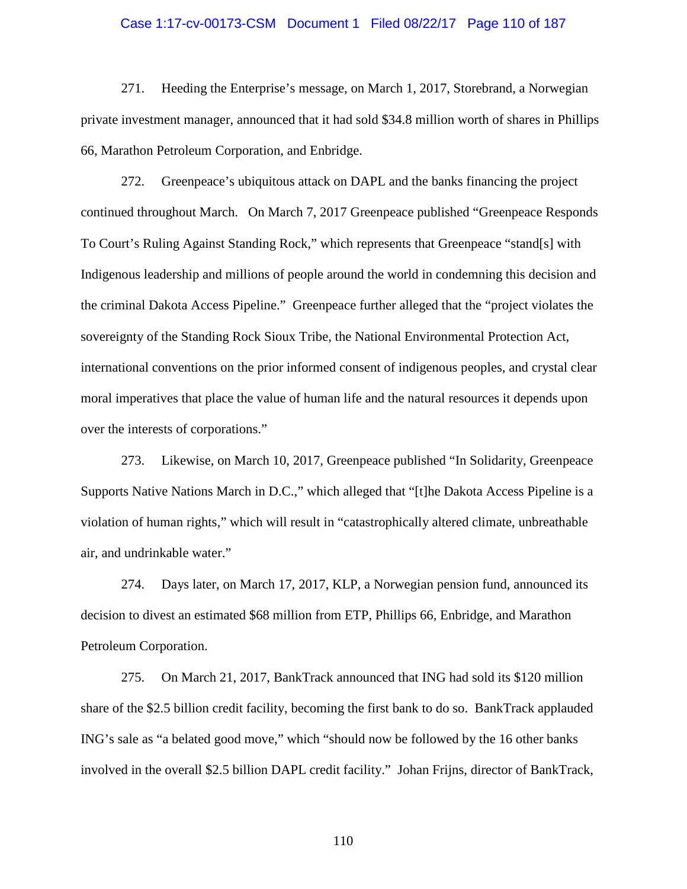#### Case 1:17-cv-00173-CSM Document 1 Filed 08/22/17 Page 110 of 187

271. Heeding the Enterprise's message, on March 1, 2017, Storebrand, a Norwegian private investment manager, announced that it had sold \$34.8 million worth of shares in Phillips 66, Marathon Petroleum Corporation, and Enbridge.

272. Greenpeace's ubiquitous attack on DAPL and the banks financing the project continued throughout March. On March 7, 2017 Greenpeace published "Greenpeace Responds To Court's Ruling Against Standing Rock," which represents that Greenpeace "stand[s] with Indigenous leadership and millions of people around the world in condemning this decision and the criminal Dakota Access Pipeline." Greenpeace further alleged that the "project violates the sovereignty of the Standing Rock Sioux Tribe, the National Environmental Protection Act, international conventions on the prior informed consent of indigenous peoples, and crystal clear moral imperatives that place the value of human life and the natural resources it depends upon over the interests of corporations."

273. Likewise, on March 10, 2017, Greenpeace published "In Solidarity, Greenpeace Supports Native Nations March in D.C.," which alleged that "[t]he Dakota Access Pipeline is a violation of human rights," which will result in "catastrophically altered climate, unbreathable air, and undrinkable water."

274. Days later, on March 17, 2017, KLP, a Norwegian pension fund, announced its decision to divest an estimated \$68 million from ETP, Phillips 66, Enbridge, and Marathon Petroleum Corporation.

275. On March 21, 2017, BankTrack announced that ING had sold its \$120 million share of the \$2.5 billion credit facility, becoming the first bank to do so. BankTrack applauded ING's sale as "a belated good move," which "should now be followed by the 16 other banks involved in the overall \$2.5 billion DAPL credit facility." Johan Frijns, director of BankTrack,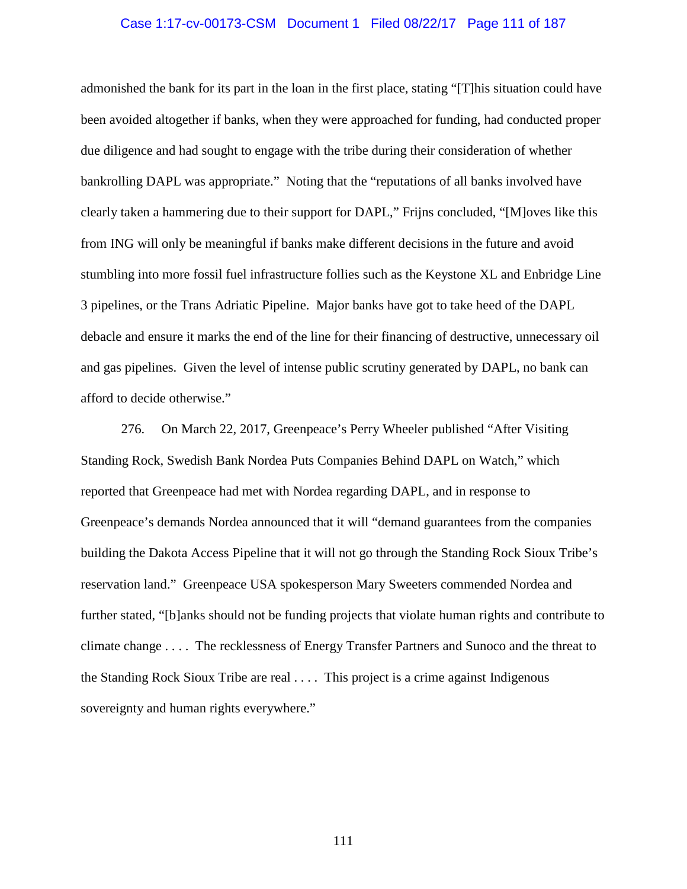## Case 1:17-cv-00173-CSM Document 1 Filed 08/22/17 Page 111 of 187

admonished the bank for its part in the loan in the first place, stating "[T]his situation could have been avoided altogether if banks, when they were approached for funding, had conducted proper due diligence and had sought to engage with the tribe during their consideration of whether bankrolling DAPL was appropriate." Noting that the "reputations of all banks involved have clearly taken a hammering due to their support for DAPL," Frijns concluded, "[M]oves like this from ING will only be meaningful if banks make different decisions in the future and avoid stumbling into more fossil fuel infrastructure follies such as the Keystone XL and Enbridge Line 3 pipelines, or the Trans Adriatic Pipeline. Major banks have got to take heed of the DAPL debacle and ensure it marks the end of the line for their financing of destructive, unnecessary oil and gas pipelines. Given the level of intense public scrutiny generated by DAPL, no bank can afford to decide otherwise."

276. On March 22, 2017, Greenpeace's Perry Wheeler published "After Visiting Standing Rock, Swedish Bank Nordea Puts Companies Behind DAPL on Watch," which reported that Greenpeace had met with Nordea regarding DAPL, and in response to Greenpeace's demands Nordea announced that it will "demand guarantees from the companies building the Dakota Access Pipeline that it will not go through the Standing Rock Sioux Tribe's reservation land." Greenpeace USA spokesperson Mary Sweeters commended Nordea and further stated, "[b]anks should not be funding projects that violate human rights and contribute to climate change . . . . The recklessness of Energy Transfer Partners and Sunoco and the threat to the Standing Rock Sioux Tribe are real . . . . This project is a crime against Indigenous sovereignty and human rights everywhere."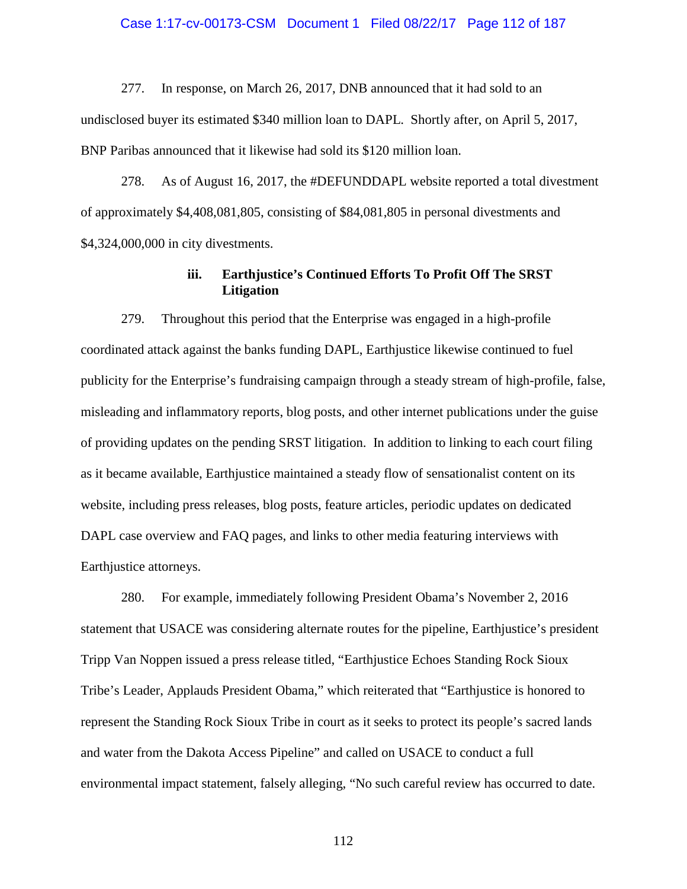#### Case 1:17-cv-00173-CSM Document 1 Filed 08/22/17 Page 112 of 187

277. In response, on March 26, 2017, DNB announced that it had sold to an undisclosed buyer its estimated \$340 million loan to DAPL. Shortly after, on April 5, 2017, BNP Paribas announced that it likewise had sold its \$120 million loan.

278. As of August 16, 2017, the #DEFUNDDAPL website reported a total divestment of approximately \$4,408,081,805, consisting of \$84,081,805 in personal divestments and \$4,324,000,000 in city divestments.

# **iii. Earthjustice's Continued Efforts To Profit Off The SRST Litigation**

279. Throughout this period that the Enterprise was engaged in a high-profile coordinated attack against the banks funding DAPL, Earthjustice likewise continued to fuel publicity for the Enterprise's fundraising campaign through a steady stream of high-profile, false, misleading and inflammatory reports, blog posts, and other internet publications under the guise of providing updates on the pending SRST litigation. In addition to linking to each court filing as it became available, Earthjustice maintained a steady flow of sensationalist content on its website, including press releases, blog posts, feature articles, periodic updates on dedicated DAPL case overview and FAQ pages, and links to other media featuring interviews with Earthjustice attorneys.

280. For example, immediately following President Obama's November 2, 2016 statement that USACE was considering alternate routes for the pipeline, Earthjustice's president Tripp Van Noppen issued a press release titled, "Earthjustice Echoes Standing Rock Sioux Tribe's Leader, Applauds President Obama," which reiterated that "Earthjustice is honored to represent the Standing Rock Sioux Tribe in court as it seeks to protect its people's sacred lands and water from the Dakota Access Pipeline" and called on USACE to conduct a full environmental impact statement, falsely alleging, "No such careful review has occurred to date.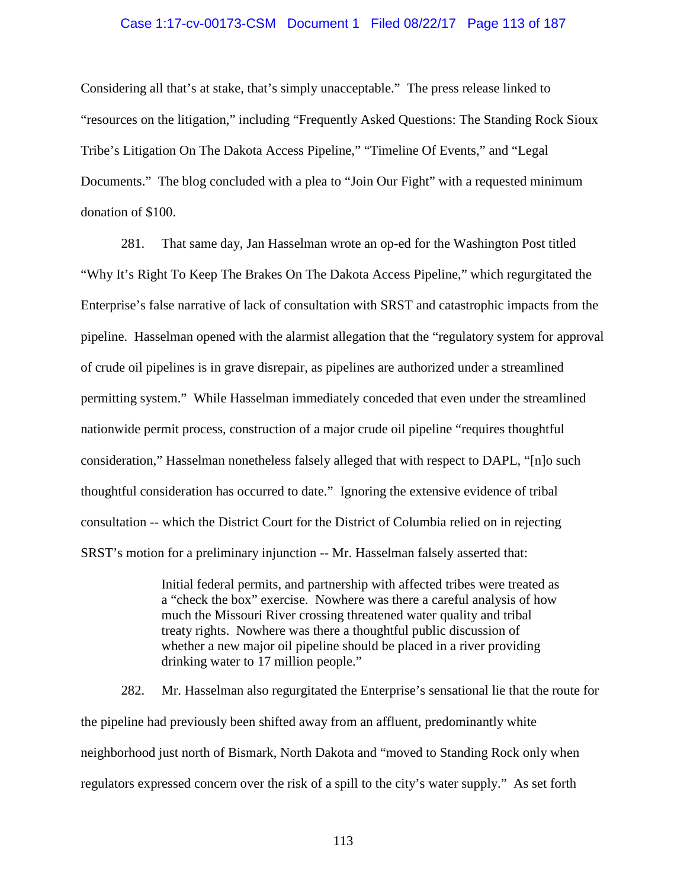## Case 1:17-cv-00173-CSM Document 1 Filed 08/22/17 Page 113 of 187

Considering all that's at stake, that's simply unacceptable." The press release linked to "resources on the litigation," including "Frequently Asked Questions: The Standing Rock Sioux Tribe's Litigation On The Dakota Access Pipeline," "Timeline Of Events," and "Legal Documents." The blog concluded with a plea to "Join Our Fight" with a requested minimum donation of \$100.

281. That same day, Jan Hasselman wrote an op-ed for the Washington Post titled "Why It's Right To Keep The Brakes On The Dakota Access Pipeline," which regurgitated the Enterprise's false narrative of lack of consultation with SRST and catastrophic impacts from the pipeline. Hasselman opened with the alarmist allegation that the "regulatory system for approval of crude oil pipelines is in grave disrepair, as pipelines are authorized under a streamlined permitting system." While Hasselman immediately conceded that even under the streamlined nationwide permit process, construction of a major crude oil pipeline "requires thoughtful consideration," Hasselman nonetheless falsely alleged that with respect to DAPL, "[n]o such thoughtful consideration has occurred to date." Ignoring the extensive evidence of tribal consultation -- which the District Court for the District of Columbia relied on in rejecting SRST's motion for a preliminary injunction -- Mr. Hasselman falsely asserted that:

> Initial federal permits, and partnership with affected tribes were treated as a "check the box" exercise. Nowhere was there a careful analysis of how much the Missouri River crossing threatened water quality and tribal treaty rights. Nowhere was there a thoughtful public discussion of whether a new major oil pipeline should be placed in a river providing drinking water to 17 million people."

282. Mr. Hasselman also regurgitated the Enterprise's sensational lie that the route for the pipeline had previously been shifted away from an affluent, predominantly white neighborhood just north of Bismark, North Dakota and "moved to Standing Rock only when regulators expressed concern over the risk of a spill to the city's water supply." As set forth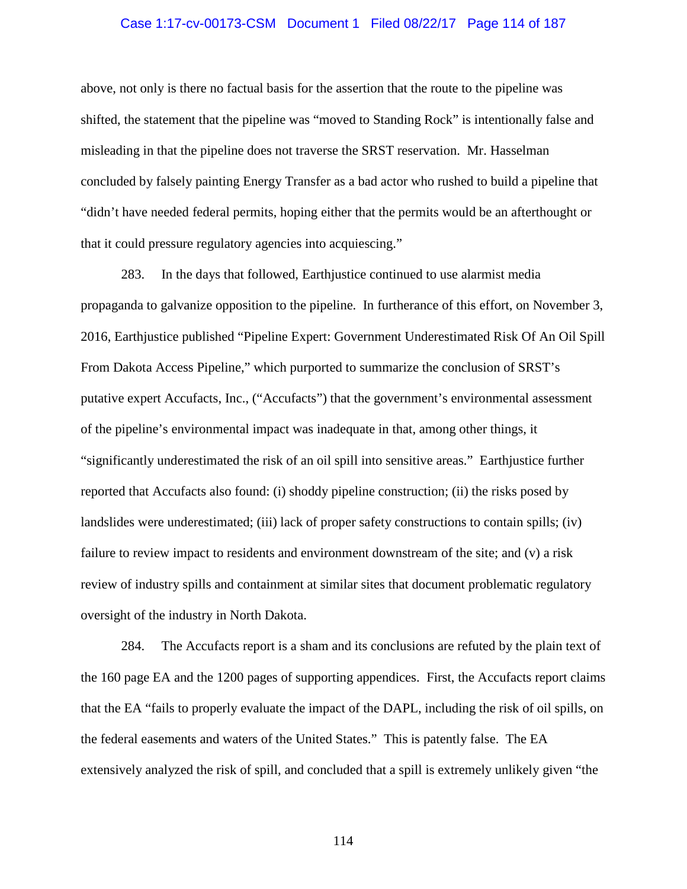### Case 1:17-cv-00173-CSM Document 1 Filed 08/22/17 Page 114 of 187

above, not only is there no factual basis for the assertion that the route to the pipeline was shifted, the statement that the pipeline was "moved to Standing Rock" is intentionally false and misleading in that the pipeline does not traverse the SRST reservation. Mr. Hasselman concluded by falsely painting Energy Transfer as a bad actor who rushed to build a pipeline that "didn't have needed federal permits, hoping either that the permits would be an afterthought or that it could pressure regulatory agencies into acquiescing."

283. In the days that followed, Earthjustice continued to use alarmist media propaganda to galvanize opposition to the pipeline. In furtherance of this effort, on November 3, 2016, Earthjustice published "Pipeline Expert: Government Underestimated Risk Of An Oil Spill From Dakota Access Pipeline," which purported to summarize the conclusion of SRST's putative expert Accufacts, Inc., ("Accufacts") that the government's environmental assessment of the pipeline's environmental impact was inadequate in that, among other things, it "significantly underestimated the risk of an oil spill into sensitive areas." Earthjustice further reported that Accufacts also found: (i) shoddy pipeline construction; (ii) the risks posed by landslides were underestimated; (iii) lack of proper safety constructions to contain spills; (iv) failure to review impact to residents and environment downstream of the site; and (v) a risk review of industry spills and containment at similar sites that document problematic regulatory oversight of the industry in North Dakota.

284. The Accufacts report is a sham and its conclusions are refuted by the plain text of the 160 page EA and the 1200 pages of supporting appendices. First, the Accufacts report claims that the EA "fails to properly evaluate the impact of the DAPL, including the risk of oil spills, on the federal easements and waters of the United States." This is patently false. The EA extensively analyzed the risk of spill, and concluded that a spill is extremely unlikely given "the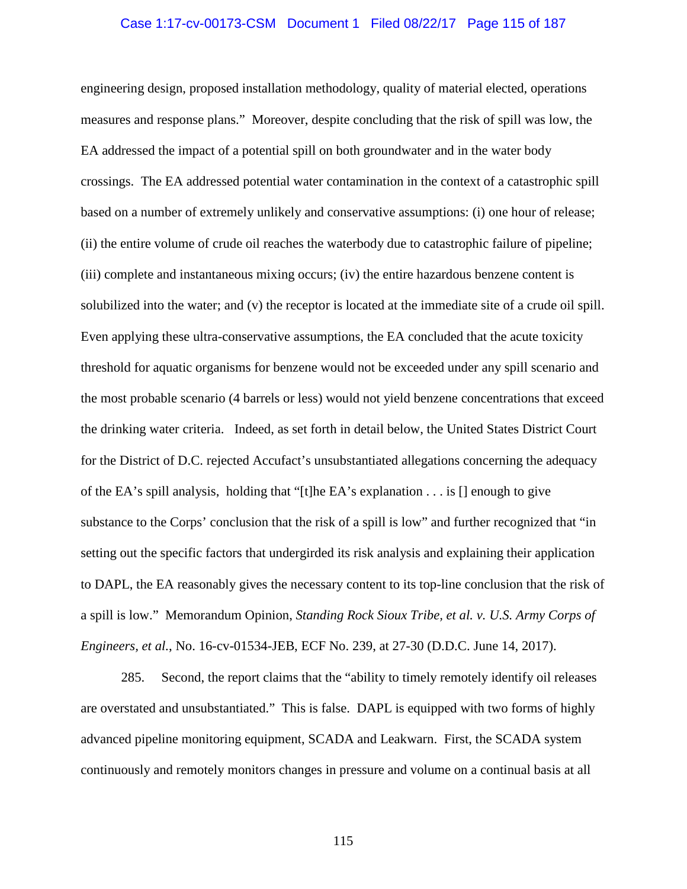### Case 1:17-cv-00173-CSM Document 1 Filed 08/22/17 Page 115 of 187

engineering design, proposed installation methodology, quality of material elected, operations measures and response plans." Moreover, despite concluding that the risk of spill was low, the EA addressed the impact of a potential spill on both groundwater and in the water body crossings. The EA addressed potential water contamination in the context of a catastrophic spill based on a number of extremely unlikely and conservative assumptions: (i) one hour of release; (ii) the entire volume of crude oil reaches the waterbody due to catastrophic failure of pipeline; (iii) complete and instantaneous mixing occurs; (iv) the entire hazardous benzene content is solubilized into the water; and (v) the receptor is located at the immediate site of a crude oil spill. Even applying these ultra-conservative assumptions, the EA concluded that the acute toxicity threshold for aquatic organisms for benzene would not be exceeded under any spill scenario and the most probable scenario (4 barrels or less) would not yield benzene concentrations that exceed the drinking water criteria. Indeed, as set forth in detail below, the United States District Court for the District of D.C. rejected Accufact's unsubstantiated allegations concerning the adequacy of the EA's spill analysis, holding that "[t]he EA's explanation . . . is [] enough to give substance to the Corps' conclusion that the risk of a spill is low" and further recognized that "in setting out the specific factors that undergirded its risk analysis and explaining their application to DAPL, the EA reasonably gives the necessary content to its top-line conclusion that the risk of a spill is low." Memorandum Opinion, *Standing Rock Sioux Tribe, et al. v. U.S. Army Corps of Engineers, et al.*, No. 16-cv-01534-JEB, ECF No. 239, at 27-30 (D.D.C. June 14, 2017).

285. Second, the report claims that the "ability to timely remotely identify oil releases are overstated and unsubstantiated." This is false. DAPL is equipped with two forms of highly advanced pipeline monitoring equipment, SCADA and Leakwarn. First, the SCADA system continuously and remotely monitors changes in pressure and volume on a continual basis at all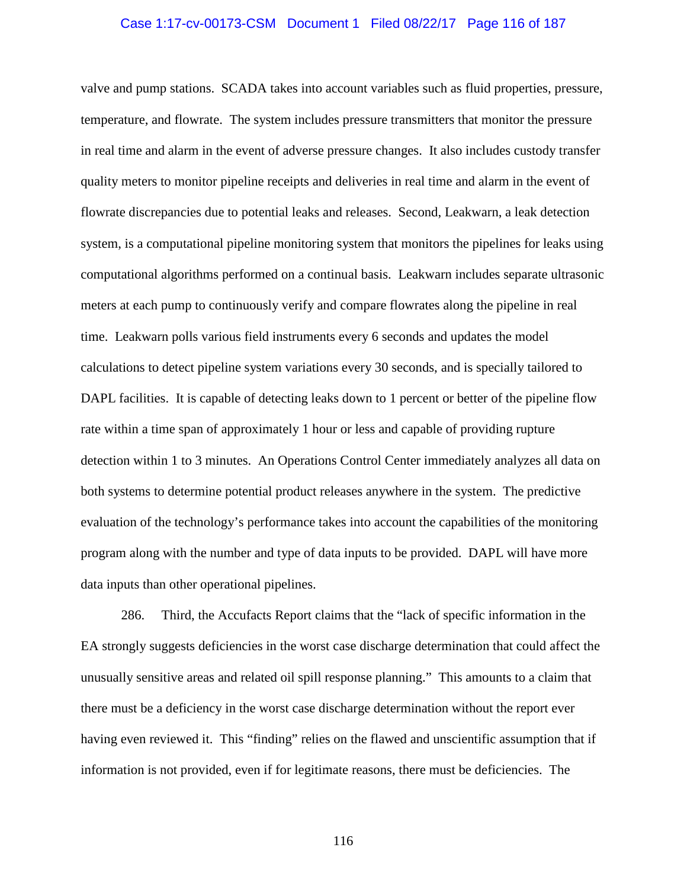## Case 1:17-cv-00173-CSM Document 1 Filed 08/22/17 Page 116 of 187

valve and pump stations. SCADA takes into account variables such as fluid properties, pressure, temperature, and flowrate. The system includes pressure transmitters that monitor the pressure in real time and alarm in the event of adverse pressure changes. It also includes custody transfer quality meters to monitor pipeline receipts and deliveries in real time and alarm in the event of flowrate discrepancies due to potential leaks and releases. Second, Leakwarn, a leak detection system, is a computational pipeline monitoring system that monitors the pipelines for leaks using computational algorithms performed on a continual basis. Leakwarn includes separate ultrasonic meters at each pump to continuously verify and compare flowrates along the pipeline in real time. Leakwarn polls various field instruments every 6 seconds and updates the model calculations to detect pipeline system variations every 30 seconds, and is specially tailored to DAPL facilities. It is capable of detecting leaks down to 1 percent or better of the pipeline flow rate within a time span of approximately 1 hour or less and capable of providing rupture detection within 1 to 3 minutes. An Operations Control Center immediately analyzes all data on both systems to determine potential product releases anywhere in the system. The predictive evaluation of the technology's performance takes into account the capabilities of the monitoring program along with the number and type of data inputs to be provided. DAPL will have more data inputs than other operational pipelines.

286. Third, the Accufacts Report claims that the "lack of specific information in the EA strongly suggests deficiencies in the worst case discharge determination that could affect the unusually sensitive areas and related oil spill response planning." This amounts to a claim that there must be a deficiency in the worst case discharge determination without the report ever having even reviewed it. This "finding" relies on the flawed and unscientific assumption that if information is not provided, even if for legitimate reasons, there must be deficiencies. The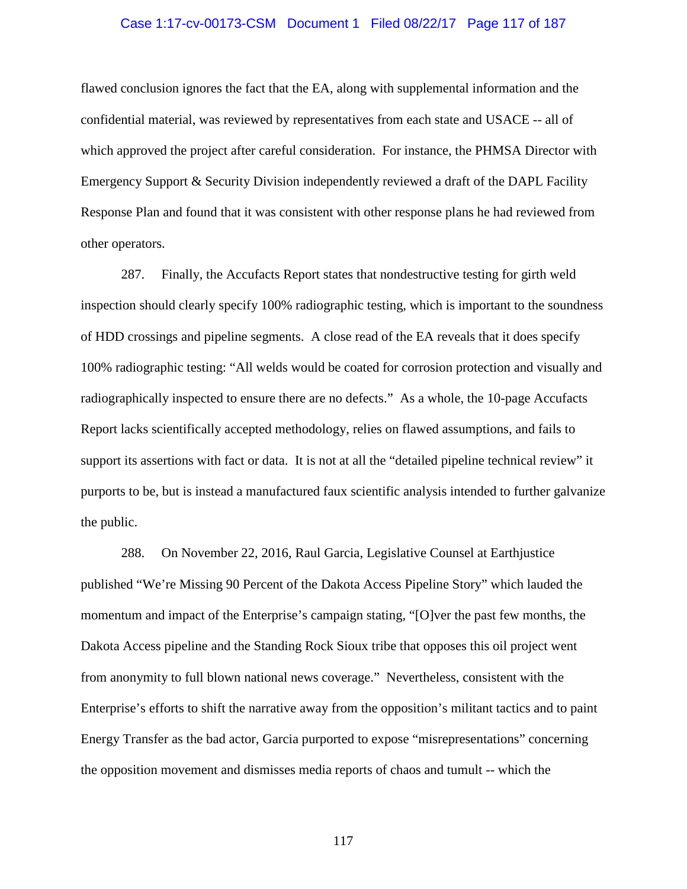### Case 1:17-cv-00173-CSM Document 1 Filed 08/22/17 Page 117 of 187

flawed conclusion ignores the fact that the EA, along with supplemental information and the confidential material, was reviewed by representatives from each state and USACE -- all of which approved the project after careful consideration. For instance, the PHMSA Director with Emergency Support & Security Division independently reviewed a draft of the DAPL Facility Response Plan and found that it was consistent with other response plans he had reviewed from other operators.

287. Finally, the Accufacts Report states that nondestructive testing for girth weld inspection should clearly specify 100% radiographic testing, which is important to the soundness of HDD crossings and pipeline segments. A close read of the EA reveals that it does specify 100% radiographic testing: "All welds would be coated for corrosion protection and visually and radiographically inspected to ensure there are no defects." As a whole, the 10-page Accufacts Report lacks scientifically accepted methodology, relies on flawed assumptions, and fails to support its assertions with fact or data. It is not at all the "detailed pipeline technical review" it purports to be, but is instead a manufactured faux scientific analysis intended to further galvanize the public.

288. On November 22, 2016, Raul Garcia, Legislative Counsel at Earthjustice published "We're Missing 90 Percent of the Dakota Access Pipeline Story" which lauded the momentum and impact of the Enterprise's campaign stating, "[O]ver the past few months, the Dakota Access pipeline and the Standing Rock Sioux tribe that opposes this oil project went from anonymity to full blown national news coverage." Nevertheless, consistent with the Enterprise's efforts to shift the narrative away from the opposition's militant tactics and to paint Energy Transfer as the bad actor, Garcia purported to expose "misrepresentations" concerning the opposition movement and dismisses media reports of chaos and tumult -- which the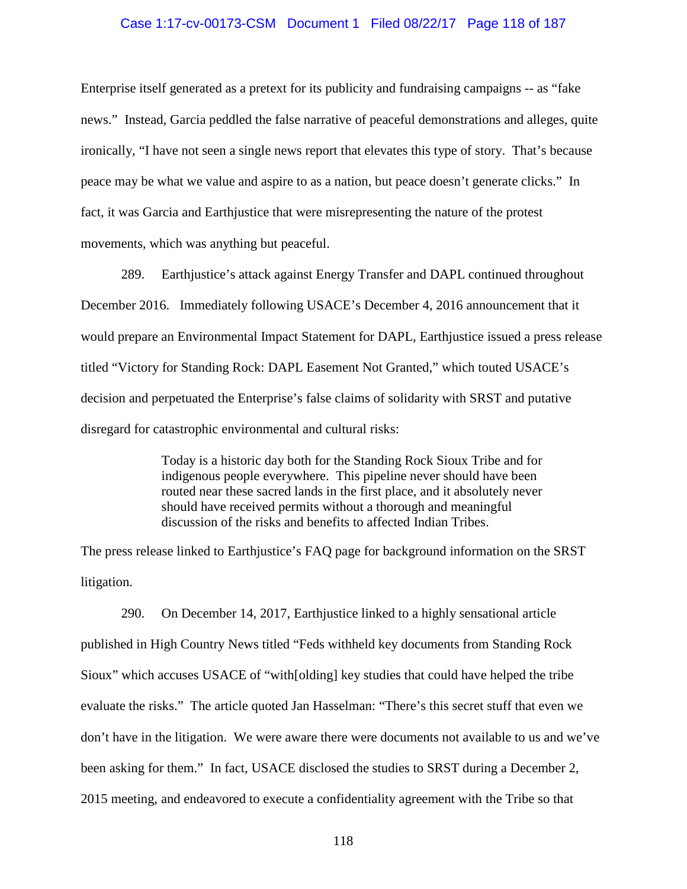### Case 1:17-cv-00173-CSM Document 1 Filed 08/22/17 Page 118 of 187

Enterprise itself generated as a pretext for its publicity and fundraising campaigns -- as "fake news." Instead, Garcia peddled the false narrative of peaceful demonstrations and alleges, quite ironically, "I have not seen a single news report that elevates this type of story. That's because peace may be what we value and aspire to as a nation, but peace doesn't generate clicks." In fact, it was Garcia and Earthjustice that were misrepresenting the nature of the protest movements, which was anything but peaceful.

289. Earthjustice's attack against Energy Transfer and DAPL continued throughout December 2016. Immediately following USACE's December 4, 2016 announcement that it would prepare an Environmental Impact Statement for DAPL, Earthjustice issued a press release titled "Victory for Standing Rock: DAPL Easement Not Granted," which touted USACE's decision and perpetuated the Enterprise's false claims of solidarity with SRST and putative disregard for catastrophic environmental and cultural risks:

> Today is a historic day both for the Standing Rock Sioux Tribe and for indigenous people everywhere. This pipeline never should have been routed near these sacred lands in the first place, and it absolutely never should have received permits without a thorough and meaningful discussion of the risks and benefits to affected Indian Tribes.

The press release linked to Earthjustice's FAQ page for background information on the SRST litigation.

290. On December 14, 2017, Earthjustice linked to a highly sensational article published in High Country News titled "Feds withheld key documents from Standing Rock Sioux" which accuses USACE of "with[olding] key studies that could have helped the tribe evaluate the risks." The article quoted Jan Hasselman: "There's this secret stuff that even we don't have in the litigation. We were aware there were documents not available to us and we've been asking for them." In fact, USACE disclosed the studies to SRST during a December 2, 2015 meeting, and endeavored to execute a confidentiality agreement with the Tribe so that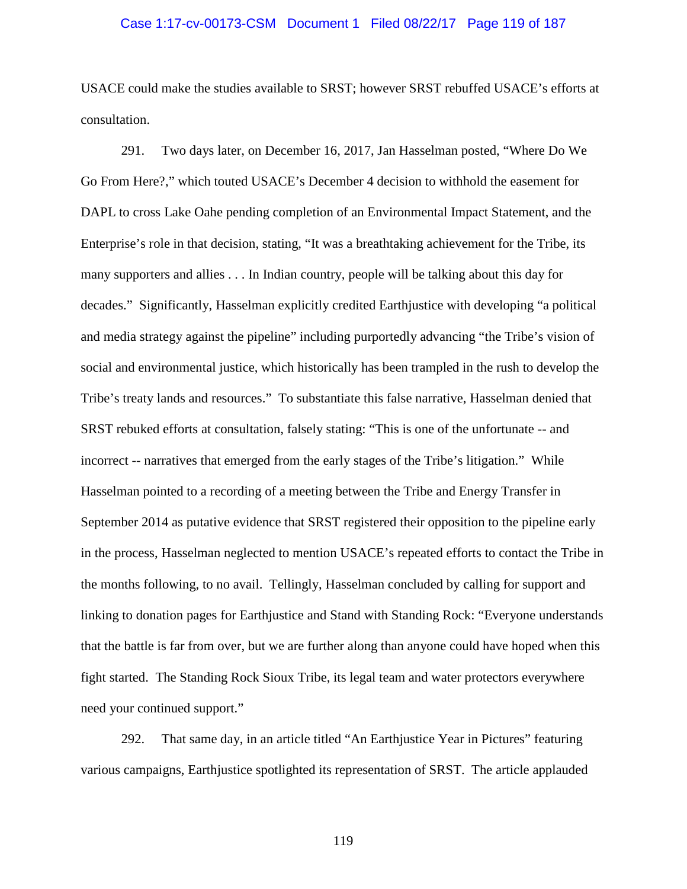### Case 1:17-cv-00173-CSM Document 1 Filed 08/22/17 Page 119 of 187

USACE could make the studies available to SRST; however SRST rebuffed USACE's efforts at consultation.

291. Two days later, on December 16, 2017, Jan Hasselman posted, "Where Do We Go From Here?," which touted USACE's December 4 decision to withhold the easement for DAPL to cross Lake Oahe pending completion of an Environmental Impact Statement, and the Enterprise's role in that decision, stating, "It was a breathtaking achievement for the Tribe, its many supporters and allies . . . In Indian country, people will be talking about this day for decades." Significantly, Hasselman explicitly credited Earthjustice with developing "a political and media strategy against the pipeline" including purportedly advancing "the Tribe's vision of social and environmental justice, which historically has been trampled in the rush to develop the Tribe's treaty lands and resources." To substantiate this false narrative, Hasselman denied that SRST rebuked efforts at consultation, falsely stating: "This is one of the unfortunate -- and incorrect -- narratives that emerged from the early stages of the Tribe's litigation." While Hasselman pointed to a recording of a meeting between the Tribe and Energy Transfer in September 2014 as putative evidence that SRST registered their opposition to the pipeline early in the process, Hasselman neglected to mention USACE's repeated efforts to contact the Tribe in the months following, to no avail. Tellingly, Hasselman concluded by calling for support and linking to donation pages for Earthjustice and Stand with Standing Rock: "Everyone understands that the battle is far from over, but we are further along than anyone could have hoped when this fight started. The Standing Rock Sioux Tribe, its legal team and water protectors everywhere need your continued support."

292. That same day, in an article titled "An Earthjustice Year in Pictures" featuring various campaigns, Earthjustice spotlighted its representation of SRST. The article applauded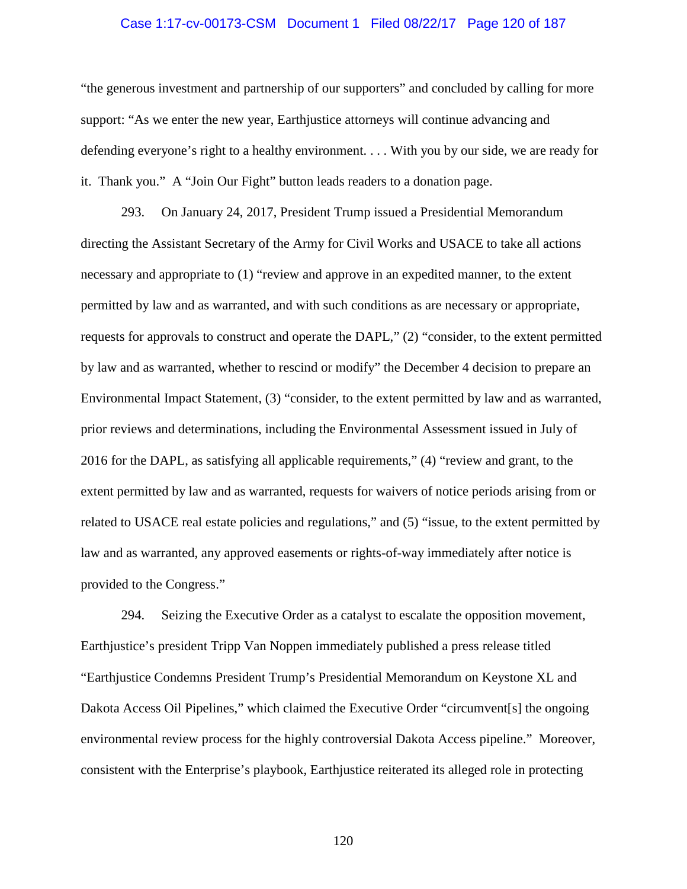## Case 1:17-cv-00173-CSM Document 1 Filed 08/22/17 Page 120 of 187

"the generous investment and partnership of our supporters" and concluded by calling for more support: "As we enter the new year, Earthjustice attorneys will continue advancing and defending everyone's right to a healthy environment. . . . With you by our side, we are ready for it. Thank you." A "Join Our Fight" button leads readers to a donation page.

293. On January 24, 2017, President Trump issued a Presidential Memorandum directing the Assistant Secretary of the Army for Civil Works and USACE to take all actions necessary and appropriate to (1) "review and approve in an expedited manner, to the extent permitted by law and as warranted, and with such conditions as are necessary or appropriate, requests for approvals to construct and operate the DAPL," (2) "consider, to the extent permitted by law and as warranted, whether to rescind or modify" the December 4 decision to prepare an Environmental Impact Statement, (3) "consider, to the extent permitted by law and as warranted, prior reviews and determinations, including the Environmental Assessment issued in July of 2016 for the DAPL, as satisfying all applicable requirements," (4) "review and grant, to the extent permitted by law and as warranted, requests for waivers of notice periods arising from or related to USACE real estate policies and regulations," and (5) "issue, to the extent permitted by law and as warranted, any approved easements or rights-of-way immediately after notice is provided to the Congress."

294. Seizing the Executive Order as a catalyst to escalate the opposition movement, Earthjustice's president Tripp Van Noppen immediately published a press release titled "Earthjustice Condemns President Trump's Presidential Memorandum on Keystone XL and Dakota Access Oil Pipelines," which claimed the Executive Order "circumvent[s] the ongoing environmental review process for the highly controversial Dakota Access pipeline." Moreover, consistent with the Enterprise's playbook, Earthjustice reiterated its alleged role in protecting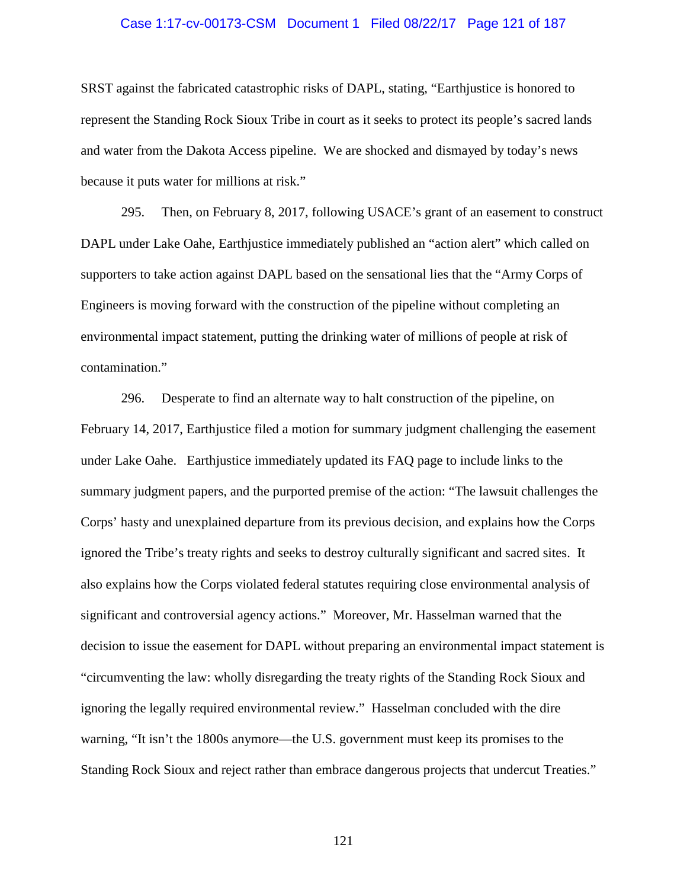## Case 1:17-cv-00173-CSM Document 1 Filed 08/22/17 Page 121 of 187

SRST against the fabricated catastrophic risks of DAPL, stating, "Earthjustice is honored to represent the Standing Rock Sioux Tribe in court as it seeks to protect its people's sacred lands and water from the Dakota Access pipeline. We are shocked and dismayed by today's news because it puts water for millions at risk."

295. Then, on February 8, 2017, following USACE's grant of an easement to construct DAPL under Lake Oahe, Earthjustice immediately published an "action alert" which called on supporters to take action against DAPL based on the sensational lies that the "Army Corps of Engineers is moving forward with the construction of the pipeline without completing an environmental impact statement, putting the drinking water of millions of people at risk of contamination."

296. Desperate to find an alternate way to halt construction of the pipeline, on February 14, 2017, Earthjustice filed a motion for summary judgment challenging the easement under Lake Oahe. Earthjustice immediately updated its FAQ page to include links to the summary judgment papers, and the purported premise of the action: "The lawsuit challenges the Corps' hasty and unexplained departure from its previous decision, and explains how the Corps ignored the Tribe's treaty rights and seeks to destroy culturally significant and sacred sites. It also explains how the Corps violated federal statutes requiring close environmental analysis of significant and controversial agency actions." Moreover, Mr. Hasselman warned that the decision to issue the easement for DAPL without preparing an environmental impact statement is "circumventing the law: wholly disregarding the treaty rights of the Standing Rock Sioux and ignoring the legally required environmental review." Hasselman concluded with the dire warning, "It isn't the 1800s anymore—the U.S. government must keep its promises to the Standing Rock Sioux and reject rather than embrace dangerous projects that undercut Treaties."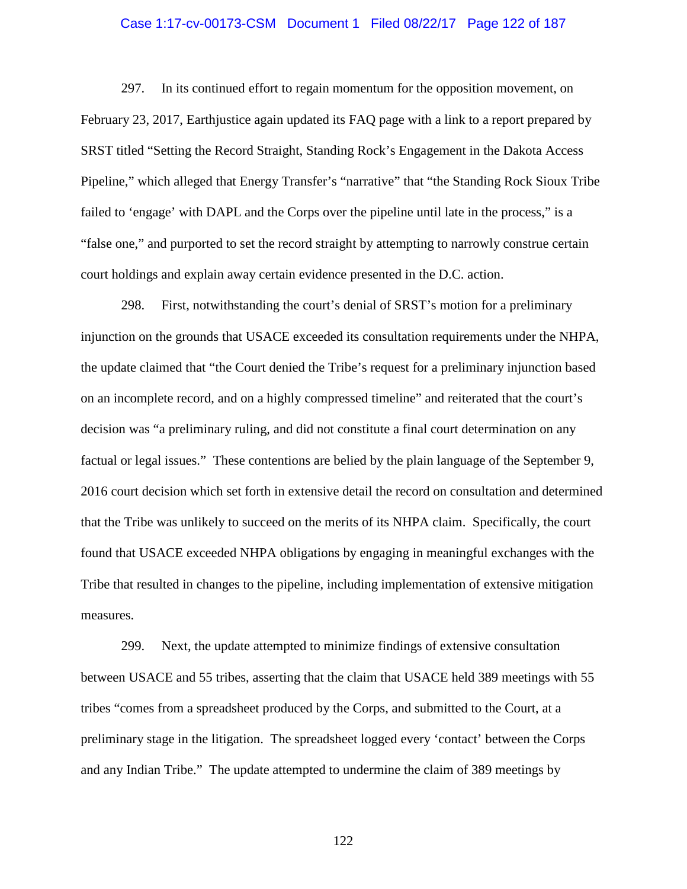### Case 1:17-cv-00173-CSM Document 1 Filed 08/22/17 Page 122 of 187

297. In its continued effort to regain momentum for the opposition movement, on February 23, 2017, Earthjustice again updated its FAQ page with a link to a report prepared by SRST titled "Setting the Record Straight, Standing Rock's Engagement in the Dakota Access Pipeline," which alleged that Energy Transfer's "narrative" that "the Standing Rock Sioux Tribe failed to 'engage' with DAPL and the Corps over the pipeline until late in the process," is a "false one," and purported to set the record straight by attempting to narrowly construe certain court holdings and explain away certain evidence presented in the D.C. action.

298. First, notwithstanding the court's denial of SRST's motion for a preliminary injunction on the grounds that USACE exceeded its consultation requirements under the NHPA, the update claimed that "the Court denied the Tribe's request for a preliminary injunction based on an incomplete record, and on a highly compressed timeline" and reiterated that the court's decision was "a preliminary ruling, and did not constitute a final court determination on any factual or legal issues." These contentions are belied by the plain language of the September 9, 2016 court decision which set forth in extensive detail the record on consultation and determined that the Tribe was unlikely to succeed on the merits of its NHPA claim. Specifically, the court found that USACE exceeded NHPA obligations by engaging in meaningful exchanges with the Tribe that resulted in changes to the pipeline, including implementation of extensive mitigation measures.

299. Next, the update attempted to minimize findings of extensive consultation between USACE and 55 tribes, asserting that the claim that USACE held 389 meetings with 55 tribes "comes from a spreadsheet produced by the Corps, and submitted to the Court, at a preliminary stage in the litigation. The spreadsheet logged every 'contact' between the Corps and any Indian Tribe." The update attempted to undermine the claim of 389 meetings by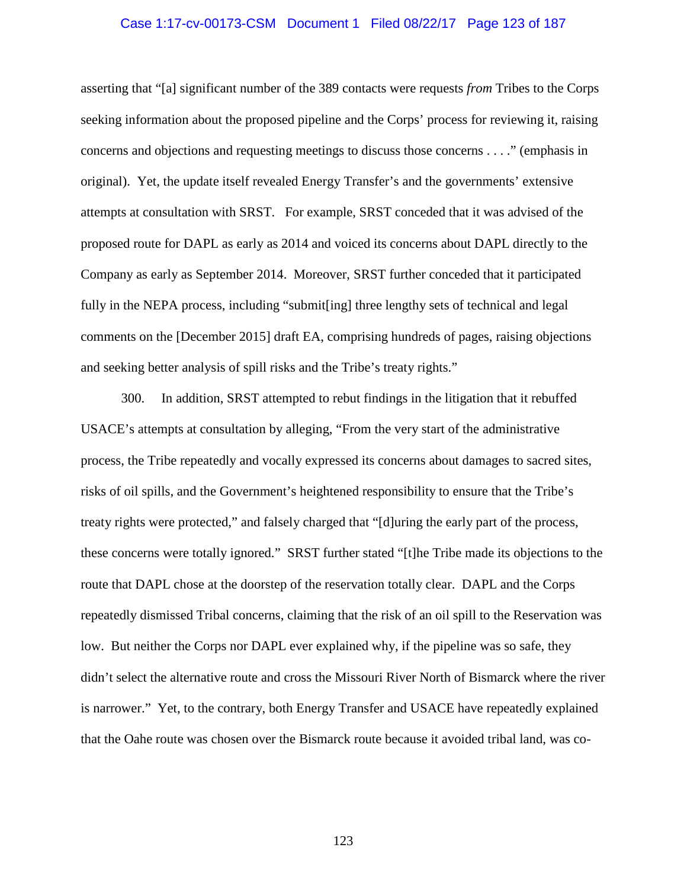### Case 1:17-cv-00173-CSM Document 1 Filed 08/22/17 Page 123 of 187

asserting that "[a] significant number of the 389 contacts were requests *from* Tribes to the Corps seeking information about the proposed pipeline and the Corps' process for reviewing it, raising concerns and objections and requesting meetings to discuss those concerns . . . ." (emphasis in original). Yet, the update itself revealed Energy Transfer's and the governments' extensive attempts at consultation with SRST. For example, SRST conceded that it was advised of the proposed route for DAPL as early as 2014 and voiced its concerns about DAPL directly to the Company as early as September 2014. Moreover, SRST further conceded that it participated fully in the NEPA process, including "submit[ing] three lengthy sets of technical and legal comments on the [December 2015] draft EA, comprising hundreds of pages, raising objections and seeking better analysis of spill risks and the Tribe's treaty rights."

300. In addition, SRST attempted to rebut findings in the litigation that it rebuffed USACE's attempts at consultation by alleging, "From the very start of the administrative process, the Tribe repeatedly and vocally expressed its concerns about damages to sacred sites, risks of oil spills, and the Government's heightened responsibility to ensure that the Tribe's treaty rights were protected," and falsely charged that "[d]uring the early part of the process, these concerns were totally ignored." SRST further stated "[t]he Tribe made its objections to the route that DAPL chose at the doorstep of the reservation totally clear. DAPL and the Corps repeatedly dismissed Tribal concerns, claiming that the risk of an oil spill to the Reservation was low. But neither the Corps nor DAPL ever explained why, if the pipeline was so safe, they didn't select the alternative route and cross the Missouri River North of Bismarck where the river is narrower." Yet, to the contrary, both Energy Transfer and USACE have repeatedly explained that the Oahe route was chosen over the Bismarck route because it avoided tribal land, was co-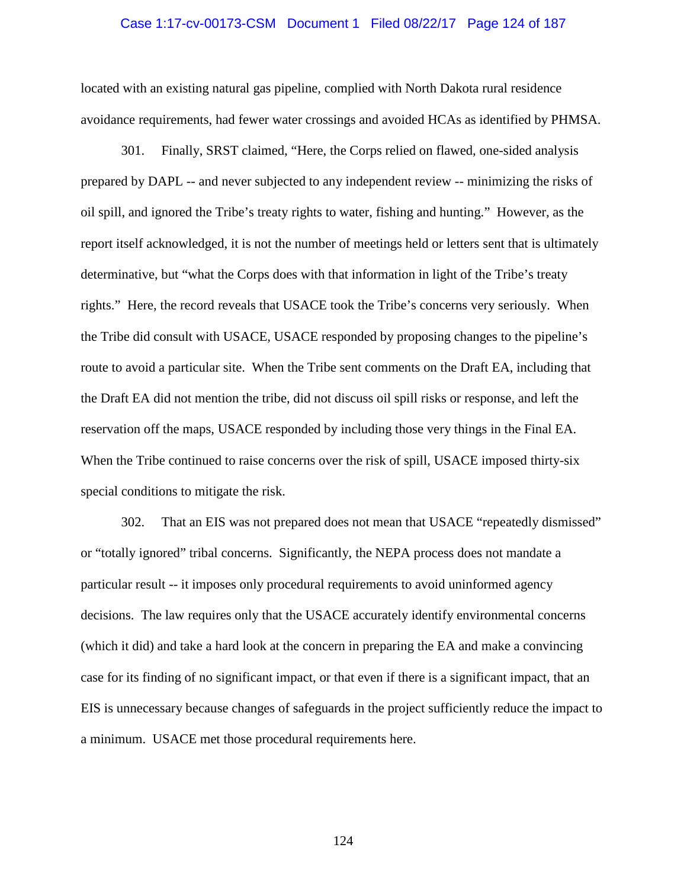## Case 1:17-cv-00173-CSM Document 1 Filed 08/22/17 Page 124 of 187

located with an existing natural gas pipeline, complied with North Dakota rural residence avoidance requirements, had fewer water crossings and avoided HCAs as identified by PHMSA.

301. Finally, SRST claimed, "Here, the Corps relied on flawed, one-sided analysis prepared by DAPL -- and never subjected to any independent review -- minimizing the risks of oil spill, and ignored the Tribe's treaty rights to water, fishing and hunting." However, as the report itself acknowledged, it is not the number of meetings held or letters sent that is ultimately determinative, but "what the Corps does with that information in light of the Tribe's treaty rights." Here, the record reveals that USACE took the Tribe's concerns very seriously. When the Tribe did consult with USACE, USACE responded by proposing changes to the pipeline's route to avoid a particular site. When the Tribe sent comments on the Draft EA, including that the Draft EA did not mention the tribe, did not discuss oil spill risks or response, and left the reservation off the maps, USACE responded by including those very things in the Final EA. When the Tribe continued to raise concerns over the risk of spill, USACE imposed thirty-six special conditions to mitigate the risk.

302. That an EIS was not prepared does not mean that USACE "repeatedly dismissed" or "totally ignored" tribal concerns. Significantly, the NEPA process does not mandate a particular result -- it imposes only procedural requirements to avoid uninformed agency decisions. The law requires only that the USACE accurately identify environmental concerns (which it did) and take a hard look at the concern in preparing the EA and make a convincing case for its finding of no significant impact, or that even if there is a significant impact, that an EIS is unnecessary because changes of safeguards in the project sufficiently reduce the impact to a minimum. USACE met those procedural requirements here.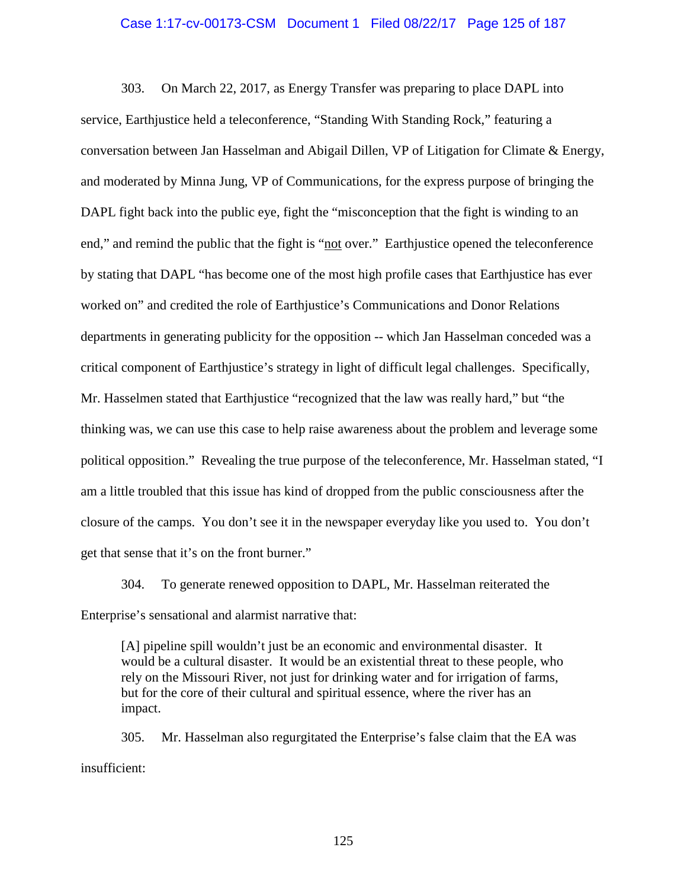### Case 1:17-cv-00173-CSM Document 1 Filed 08/22/17 Page 125 of 187

303. On March 22, 2017, as Energy Transfer was preparing to place DAPL into service, Earthjustice held a teleconference, "Standing With Standing Rock," featuring a conversation between Jan Hasselman and Abigail Dillen, VP of Litigation for Climate & Energy, and moderated by Minna Jung, VP of Communications, for the express purpose of bringing the DAPL fight back into the public eye, fight the "misconception that the fight is winding to an end," and remind the public that the fight is "not over." Earthjustice opened the teleconference by stating that DAPL "has become one of the most high profile cases that Earthjustice has ever worked on" and credited the role of Earthjustice's Communications and Donor Relations departments in generating publicity for the opposition -- which Jan Hasselman conceded was a critical component of Earthjustice's strategy in light of difficult legal challenges. Specifically, Mr. Hasselmen stated that Earthjustice "recognized that the law was really hard," but "the thinking was, we can use this case to help raise awareness about the problem and leverage some political opposition." Revealing the true purpose of the teleconference, Mr. Hasselman stated, "I am a little troubled that this issue has kind of dropped from the public consciousness after the closure of the camps. You don't see it in the newspaper everyday like you used to. You don't get that sense that it's on the front burner."

304. To generate renewed opposition to DAPL, Mr. Hasselman reiterated the Enterprise's sensational and alarmist narrative that:

[A] pipeline spill wouldn't just be an economic and environmental disaster. It would be a cultural disaster. It would be an existential threat to these people, who rely on the Missouri River, not just for drinking water and for irrigation of farms, but for the core of their cultural and spiritual essence, where the river has an impact.

305. Mr. Hasselman also regurgitated the Enterprise's false claim that the EA was insufficient: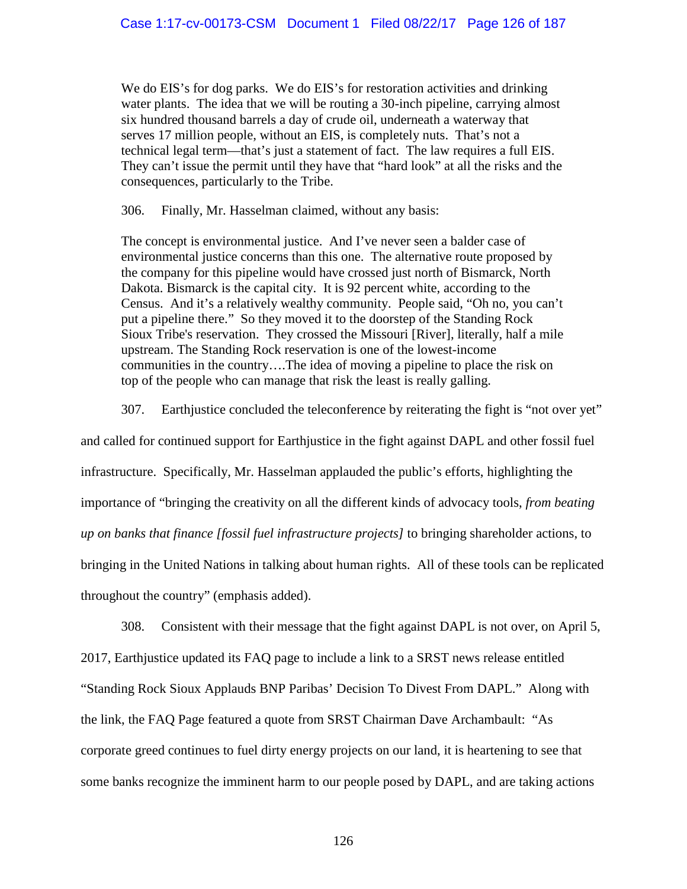We do EIS's for dog parks. We do EIS's for restoration activities and drinking water plants. The idea that we will be routing a 30-inch pipeline, carrying almost six hundred thousand barrels a day of crude oil, underneath a waterway that serves 17 million people, without an EIS, is completely nuts. That's not a technical legal term—that's just a statement of fact. The law requires a full EIS. They can't issue the permit until they have that "hard look" at all the risks and the consequences, particularly to the Tribe.

306. Finally, Mr. Hasselman claimed, without any basis:

The concept is environmental justice. And I've never seen a balder case of environmental justice concerns than this one. The alternative route proposed by the company for this pipeline would have crossed just north of Bismarck, North Dakota. Bismarck is the capital city. It is 92 percent white, according to the Census. And it's a relatively wealthy community. People said, "Oh no, you can't put a pipeline there." So they moved it to the doorstep of the Standing Rock Sioux Tribe's reservation. They crossed the Missouri [River], literally, half a mile upstream. The Standing Rock reservation is one of the lowest-income communities in the country….The idea of moving a pipeline to place the risk on top of the people who can manage that risk the least is really galling.

307. Earthjustice concluded the teleconference by reiterating the fight is "not over yet"

and called for continued support for Earthjustice in the fight against DAPL and other fossil fuel infrastructure. Specifically, Mr. Hasselman applauded the public's efforts, highlighting the importance of "bringing the creativity on all the different kinds of advocacy tools, *from beating up on banks that finance [fossil fuel infrastructure projects]* to bringing shareholder actions, to bringing in the United Nations in talking about human rights. All of these tools can be replicated throughout the country" (emphasis added).

308. Consistent with their message that the fight against DAPL is not over, on April 5, 2017, Earthjustice updated its FAQ page to include a link to a SRST news release entitled "Standing Rock Sioux Applauds BNP Paribas' Decision To Divest From DAPL." Along with the link, the FAQ Page featured a quote from SRST Chairman Dave Archambault: "As corporate greed continues to fuel dirty energy projects on our land, it is heartening to see that some banks recognize the imminent harm to our people posed by DAPL, and are taking actions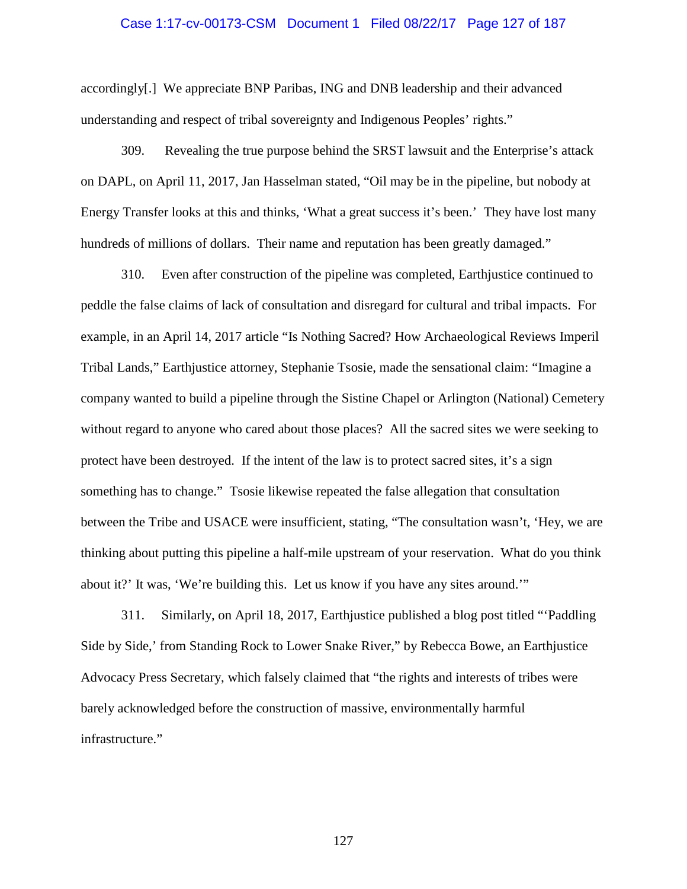## Case 1:17-cv-00173-CSM Document 1 Filed 08/22/17 Page 127 of 187

accordingly[.] We appreciate BNP Paribas, ING and DNB leadership and their advanced understanding and respect of tribal sovereignty and Indigenous Peoples' rights."

309. Revealing the true purpose behind the SRST lawsuit and the Enterprise's attack on DAPL, on April 11, 2017, Jan Hasselman stated, "Oil may be in the pipeline, but nobody at Energy Transfer looks at this and thinks, 'What a great success it's been.' They have lost many hundreds of millions of dollars. Their name and reputation has been greatly damaged."

310. Even after construction of the pipeline was completed, Earthjustice continued to peddle the false claims of lack of consultation and disregard for cultural and tribal impacts. For example, in an April 14, 2017 article "Is Nothing Sacred? How Archaeological Reviews Imperil Tribal Lands," Earthjustice attorney, Stephanie Tsosie, made the sensational claim: "Imagine a company wanted to build a pipeline through the Sistine Chapel or Arlington (National) Cemetery without regard to anyone who cared about those places? All the sacred sites we were seeking to protect have been destroyed. If the intent of the law is to protect sacred sites, it's a sign something has to change." Tsosie likewise repeated the false allegation that consultation between the Tribe and USACE were insufficient, stating, "The consultation wasn't, 'Hey, we are thinking about putting this pipeline a half-mile upstream of your reservation. What do you think about it?' It was, 'We're building this. Let us know if you have any sites around.'"

311. Similarly, on April 18, 2017, Earthjustice published a blog post titled "'Paddling Side by Side,' from Standing Rock to Lower Snake River," by Rebecca Bowe, an Earthjustice Advocacy Press Secretary, which falsely claimed that "the rights and interests of tribes were barely acknowledged before the construction of massive, environmentally harmful infrastructure."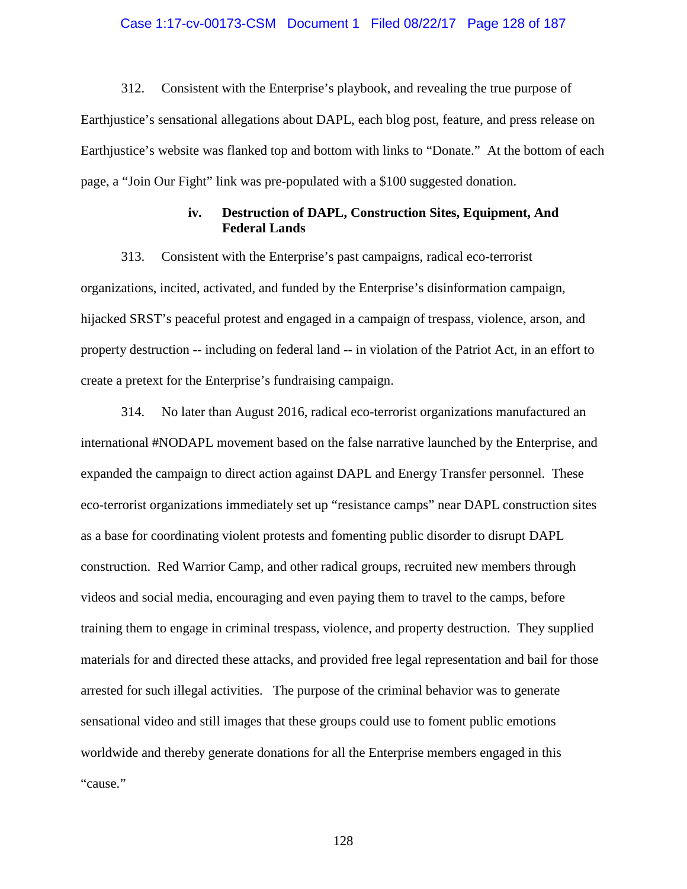## Case 1:17-cv-00173-CSM Document 1 Filed 08/22/17 Page 128 of 187

312. Consistent with the Enterprise's playbook, and revealing the true purpose of Earthjustice's sensational allegations about DAPL, each blog post, feature, and press release on Earthjustice's website was flanked top and bottom with links to "Donate." At the bottom of each page, a "Join Our Fight" link was pre-populated with a \$100 suggested donation.

## **iv. Destruction of DAPL, Construction Sites, Equipment, And Federal Lands**

313. Consistent with the Enterprise's past campaigns, radical eco-terrorist organizations, incited, activated, and funded by the Enterprise's disinformation campaign, hijacked SRST's peaceful protest and engaged in a campaign of trespass, violence, arson, and property destruction -- including on federal land -- in violation of the Patriot Act, in an effort to create a pretext for the Enterprise's fundraising campaign.

314. No later than August 2016, radical eco-terrorist organizations manufactured an international #NODAPL movement based on the false narrative launched by the Enterprise, and expanded the campaign to direct action against DAPL and Energy Transfer personnel. These eco-terrorist organizations immediately set up "resistance camps" near DAPL construction sites as a base for coordinating violent protests and fomenting public disorder to disrupt DAPL construction. Red Warrior Camp, and other radical groups, recruited new members through videos and social media, encouraging and even paying them to travel to the camps, before training them to engage in criminal trespass, violence, and property destruction. They supplied materials for and directed these attacks, and provided free legal representation and bail for those arrested for such illegal activities. The purpose of the criminal behavior was to generate sensational video and still images that these groups could use to foment public emotions worldwide and thereby generate donations for all the Enterprise members engaged in this "cause."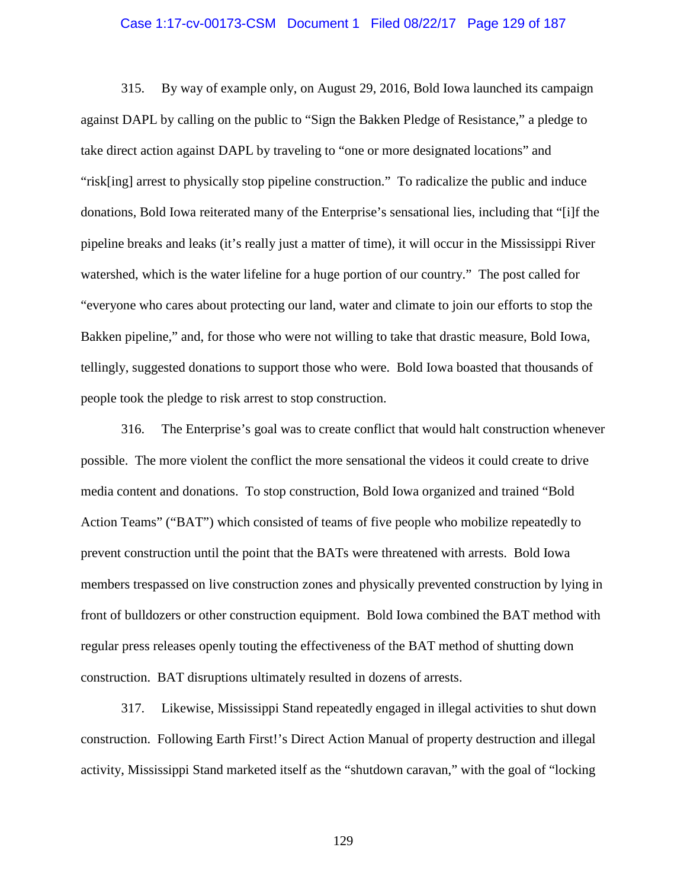### Case 1:17-cv-00173-CSM Document 1 Filed 08/22/17 Page 129 of 187

315. By way of example only, on August 29, 2016, Bold Iowa launched its campaign against DAPL by calling on the public to "Sign the Bakken Pledge of Resistance," a pledge to take direct action against DAPL by traveling to "one or more designated locations" and "risk[ing] arrest to physically stop pipeline construction." To radicalize the public and induce donations, Bold Iowa reiterated many of the Enterprise's sensational lies, including that "[i]f the pipeline breaks and leaks (it's really just a matter of time), it will occur in the Mississippi River watershed, which is the water lifeline for a huge portion of our country." The post called for "everyone who cares about protecting our land, water and climate to join our efforts to stop the Bakken pipeline," and, for those who were not willing to take that drastic measure, Bold Iowa, tellingly, suggested donations to support those who were. Bold Iowa boasted that thousands of people took the pledge to risk arrest to stop construction.

316. The Enterprise's goal was to create conflict that would halt construction whenever possible. The more violent the conflict the more sensational the videos it could create to drive media content and donations. To stop construction, Bold Iowa organized and trained "Bold Action Teams" ("BAT") which consisted of teams of five people who mobilize repeatedly to prevent construction until the point that the BATs were threatened with arrests. Bold Iowa members trespassed on live construction zones and physically prevented construction by lying in front of bulldozers or other construction equipment. Bold Iowa combined the BAT method with regular press releases openly touting the effectiveness of the BAT method of shutting down construction. BAT disruptions ultimately resulted in dozens of arrests.

317. Likewise, Mississippi Stand repeatedly engaged in illegal activities to shut down construction. Following Earth First!'s Direct Action Manual of property destruction and illegal activity, Mississippi Stand marketed itself as the "shutdown caravan," with the goal of "locking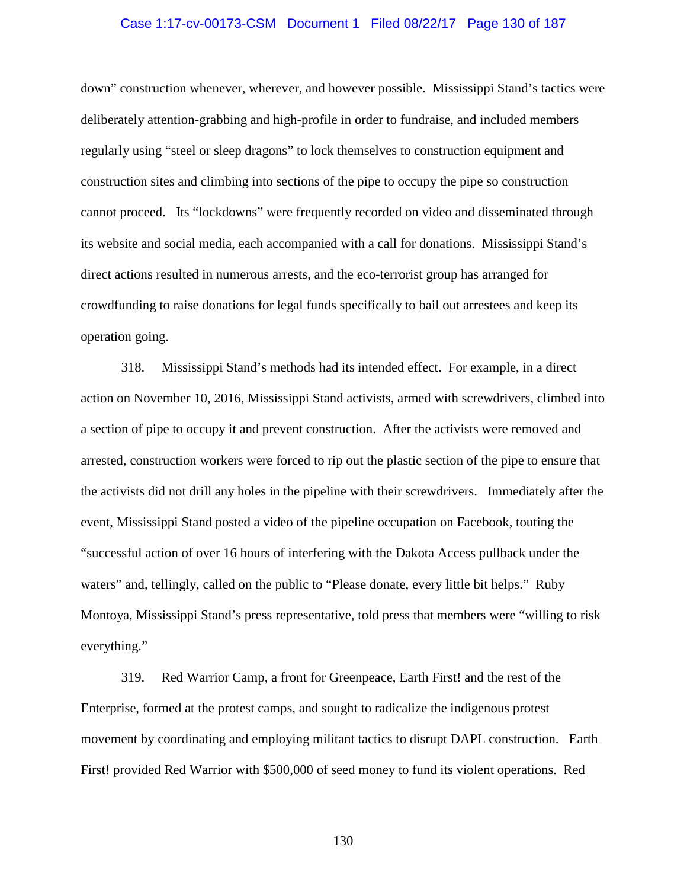## Case 1:17-cv-00173-CSM Document 1 Filed 08/22/17 Page 130 of 187

down" construction whenever, wherever, and however possible. Mississippi Stand's tactics were deliberately attention-grabbing and high-profile in order to fundraise, and included members regularly using "steel or sleep dragons" to lock themselves to construction equipment and construction sites and climbing into sections of the pipe to occupy the pipe so construction cannot proceed. Its "lockdowns" were frequently recorded on video and disseminated through its website and social media, each accompanied with a call for donations. Mississippi Stand's direct actions resulted in numerous arrests, and the eco-terrorist group has arranged for crowdfunding to raise donations for legal funds specifically to bail out arrestees and keep its operation going.

318. Mississippi Stand's methods had its intended effect. For example, in a direct action on November 10, 2016, Mississippi Stand activists, armed with screwdrivers, climbed into a section of pipe to occupy it and prevent construction. After the activists were removed and arrested, construction workers were forced to rip out the plastic section of the pipe to ensure that the activists did not drill any holes in the pipeline with their screwdrivers. Immediately after the event, Mississippi Stand posted a video of the pipeline occupation on Facebook, touting the "successful action of over 16 hours of interfering with the Dakota Access pullback under the waters" and, tellingly, called on the public to "Please donate, every little bit helps." Ruby Montoya, Mississippi Stand's press representative, told press that members were "willing to risk everything."

319. Red Warrior Camp, a front for Greenpeace, Earth First! and the rest of the Enterprise, formed at the protest camps, and sought to radicalize the indigenous protest movement by coordinating and employing militant tactics to disrupt DAPL construction. Earth First! provided Red Warrior with \$500,000 of seed money to fund its violent operations. Red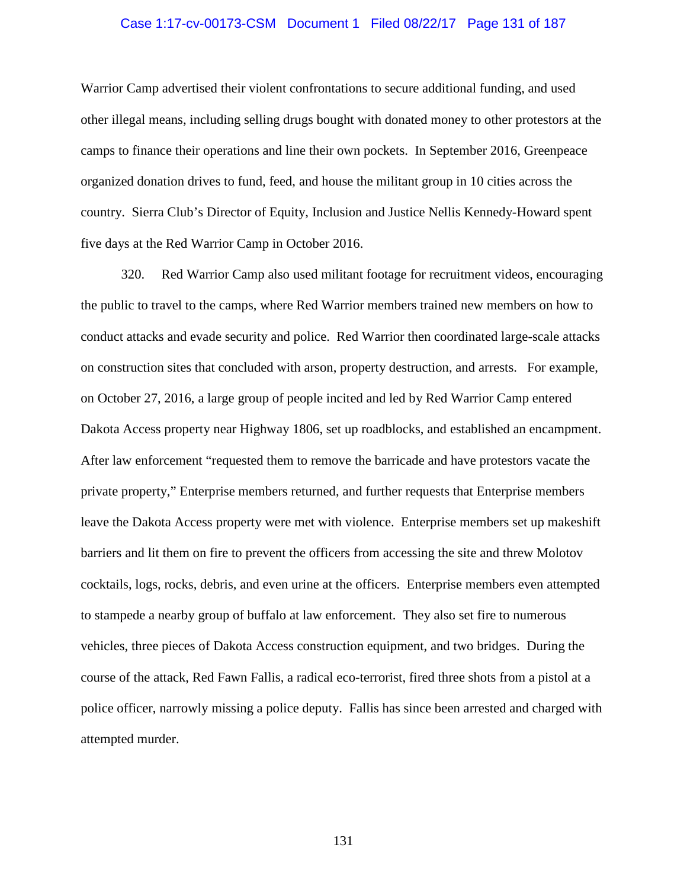## Case 1:17-cv-00173-CSM Document 1 Filed 08/22/17 Page 131 of 187

Warrior Camp advertised their violent confrontations to secure additional funding, and used other illegal means, including selling drugs bought with donated money to other protestors at the camps to finance their operations and line their own pockets. In September 2016, Greenpeace organized donation drives to fund, feed, and house the militant group in 10 cities across the country. Sierra Club's Director of Equity, Inclusion and Justice Nellis Kennedy-Howard spent five days at the Red Warrior Camp in October 2016.

320. Red Warrior Camp also used militant footage for recruitment videos, encouraging the public to travel to the camps, where Red Warrior members trained new members on how to conduct attacks and evade security and police. Red Warrior then coordinated large-scale attacks on construction sites that concluded with arson, property destruction, and arrests. For example, on October 27, 2016, a large group of people incited and led by Red Warrior Camp entered Dakota Access property near Highway 1806, set up roadblocks, and established an encampment. After law enforcement "requested them to remove the barricade and have protestors vacate the private property," Enterprise members returned, and further requests that Enterprise members leave the Dakota Access property were met with violence. Enterprise members set up makeshift barriers and lit them on fire to prevent the officers from accessing the site and threw Molotov cocktails, logs, rocks, debris, and even urine at the officers. Enterprise members even attempted to stampede a nearby group of buffalo at law enforcement. They also set fire to numerous vehicles, three pieces of Dakota Access construction equipment, and two bridges. During the course of the attack, Red Fawn Fallis, a radical eco-terrorist, fired three shots from a pistol at a police officer, narrowly missing a police deputy. Fallis has since been arrested and charged with attempted murder.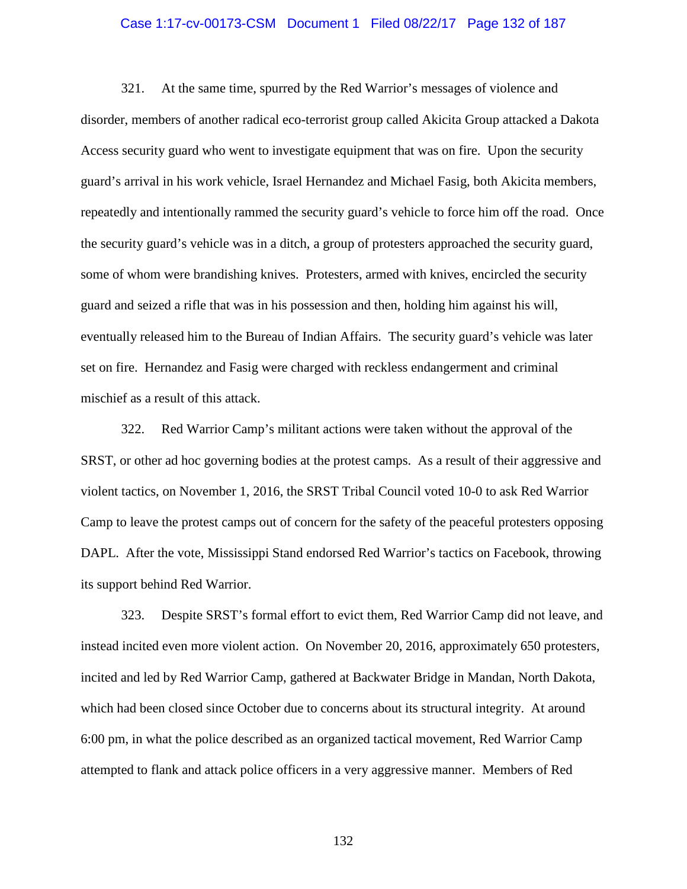## Case 1:17-cv-00173-CSM Document 1 Filed 08/22/17 Page 132 of 187

321. At the same time, spurred by the Red Warrior's messages of violence and disorder, members of another radical eco-terrorist group called Akicita Group attacked a Dakota Access security guard who went to investigate equipment that was on fire. Upon the security guard's arrival in his work vehicle, Israel Hernandez and Michael Fasig, both Akicita members, repeatedly and intentionally rammed the security guard's vehicle to force him off the road. Once the security guard's vehicle was in a ditch, a group of protesters approached the security guard, some of whom were brandishing knives. Protesters, armed with knives, encircled the security guard and seized a rifle that was in his possession and then, holding him against his will, eventually released him to the Bureau of Indian Affairs. The security guard's vehicle was later set on fire. Hernandez and Fasig were charged with reckless endangerment and criminal mischief as a result of this attack.

322. Red Warrior Camp's militant actions were taken without the approval of the SRST, or other ad hoc governing bodies at the protest camps. As a result of their aggressive and violent tactics, on November 1, 2016, the SRST Tribal Council voted 10-0 to ask Red Warrior Camp to leave the protest camps out of concern for the safety of the peaceful protesters opposing DAPL. After the vote, Mississippi Stand endorsed Red Warrior's tactics on Facebook, throwing its support behind Red Warrior.

323. Despite SRST's formal effort to evict them, Red Warrior Camp did not leave, and instead incited even more violent action. On November 20, 2016, approximately 650 protesters, incited and led by Red Warrior Camp, gathered at Backwater Bridge in Mandan, North Dakota, which had been closed since October due to concerns about its structural integrity. At around 6:00 pm, in what the police described as an organized tactical movement, Red Warrior Camp attempted to flank and attack police officers in a very aggressive manner. Members of Red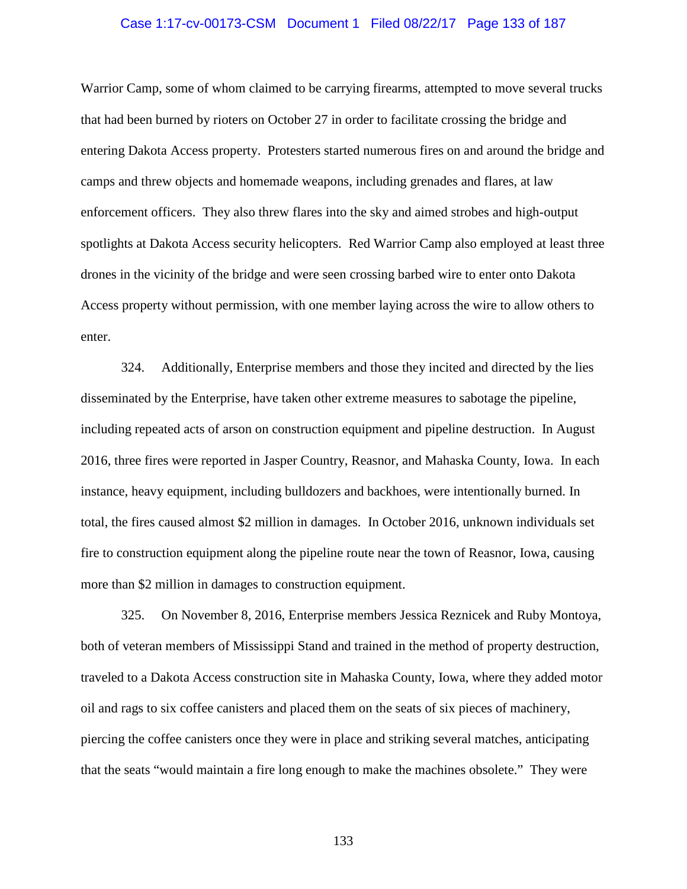## Case 1:17-cv-00173-CSM Document 1 Filed 08/22/17 Page 133 of 187

Warrior Camp, some of whom claimed to be carrying firearms, attempted to move several trucks that had been burned by rioters on October 27 in order to facilitate crossing the bridge and entering Dakota Access property. Protesters started numerous fires on and around the bridge and camps and threw objects and homemade weapons, including grenades and flares, at law enforcement officers. They also threw flares into the sky and aimed strobes and high-output spotlights at Dakota Access security helicopters. Red Warrior Camp also employed at least three drones in the vicinity of the bridge and were seen crossing barbed wire to enter onto Dakota Access property without permission, with one member laying across the wire to allow others to enter.

324. Additionally, Enterprise members and those they incited and directed by the lies disseminated by the Enterprise, have taken other extreme measures to sabotage the pipeline, including repeated acts of arson on construction equipment and pipeline destruction. In August 2016, three fires were reported in Jasper Country, Reasnor, and Mahaska County, Iowa. In each instance, heavy equipment, including bulldozers and backhoes, were intentionally burned. In total, the fires caused almost \$2 million in damages. In October 2016, unknown individuals set fire to construction equipment along the pipeline route near the town of Reasnor, Iowa, causing more than \$2 million in damages to construction equipment.

325. On November 8, 2016, Enterprise members Jessica Reznicek and Ruby Montoya, both of veteran members of Mississippi Stand and trained in the method of property destruction, traveled to a Dakota Access construction site in Mahaska County, Iowa, where they added motor oil and rags to six coffee canisters and placed them on the seats of six pieces of machinery, piercing the coffee canisters once they were in place and striking several matches, anticipating that the seats "would maintain a fire long enough to make the machines obsolete." They were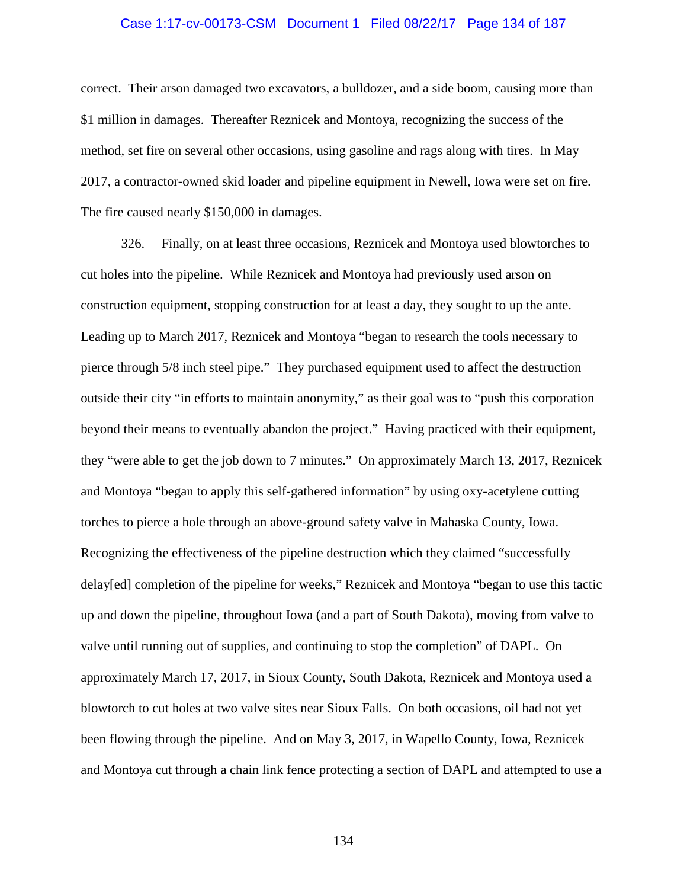### Case 1:17-cv-00173-CSM Document 1 Filed 08/22/17 Page 134 of 187

correct. Their arson damaged two excavators, a bulldozer, and a side boom, causing more than \$1 million in damages. Thereafter Reznicek and Montoya, recognizing the success of the method, set fire on several other occasions, using gasoline and rags along with tires. In May 2017, a contractor-owned skid loader and pipeline equipment in Newell, Iowa were set on fire. The fire caused nearly \$150,000 in damages.

326. Finally, on at least three occasions, Reznicek and Montoya used blowtorches to cut holes into the pipeline. While Reznicek and Montoya had previously used arson on construction equipment, stopping construction for at least a day, they sought to up the ante. Leading up to March 2017, Reznicek and Montoya "began to research the tools necessary to pierce through 5/8 inch steel pipe." They purchased equipment used to affect the destruction outside their city "in efforts to maintain anonymity," as their goal was to "push this corporation beyond their means to eventually abandon the project." Having practiced with their equipment, they "were able to get the job down to 7 minutes." On approximately March 13, 2017, Reznicek and Montoya "began to apply this self-gathered information" by using oxy-acetylene cutting torches to pierce a hole through an above-ground safety valve in Mahaska County, Iowa. Recognizing the effectiveness of the pipeline destruction which they claimed "successfully delay[ed] completion of the pipeline for weeks," Reznicek and Montoya "began to use this tactic up and down the pipeline, throughout Iowa (and a part of South Dakota), moving from valve to valve until running out of supplies, and continuing to stop the completion" of DAPL. On approximately March 17, 2017, in Sioux County, South Dakota, Reznicek and Montoya used a blowtorch to cut holes at two valve sites near Sioux Falls. On both occasions, oil had not yet been flowing through the pipeline. And on May 3, 2017, in Wapello County, Iowa, Reznicek and Montoya cut through a chain link fence protecting a section of DAPL and attempted to use a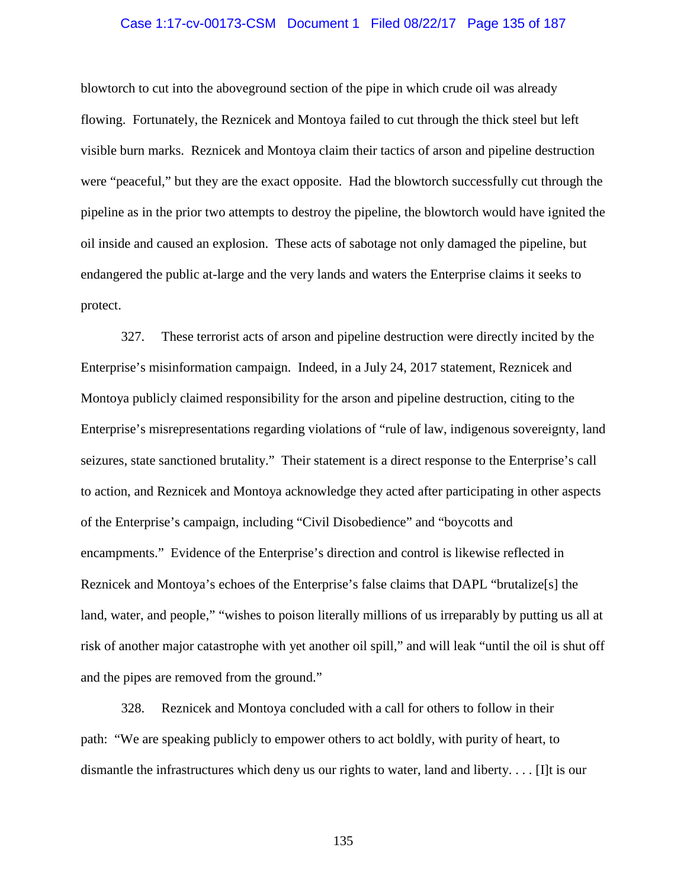## Case 1:17-cv-00173-CSM Document 1 Filed 08/22/17 Page 135 of 187

blowtorch to cut into the aboveground section of the pipe in which crude oil was already flowing. Fortunately, the Reznicek and Montoya failed to cut through the thick steel but left visible burn marks. Reznicek and Montoya claim their tactics of arson and pipeline destruction were "peaceful," but they are the exact opposite. Had the blowtorch successfully cut through the pipeline as in the prior two attempts to destroy the pipeline, the blowtorch would have ignited the oil inside and caused an explosion. These acts of sabotage not only damaged the pipeline, but endangered the public at-large and the very lands and waters the Enterprise claims it seeks to protect.

327. These terrorist acts of arson and pipeline destruction were directly incited by the Enterprise's misinformation campaign. Indeed, in a July 24, 2017 statement, Reznicek and Montoya publicly claimed responsibility for the arson and pipeline destruction, citing to the Enterprise's misrepresentations regarding violations of "rule of law, indigenous sovereignty, land seizures, state sanctioned brutality." Their statement is a direct response to the Enterprise's call to action, and Reznicek and Montoya acknowledge they acted after participating in other aspects of the Enterprise's campaign, including "Civil Disobedience" and "boycotts and encampments." Evidence of the Enterprise's direction and control is likewise reflected in Reznicek and Montoya's echoes of the Enterprise's false claims that DAPL "brutalize[s] the land, water, and people," "wishes to poison literally millions of us irreparably by putting us all at risk of another major catastrophe with yet another oil spill," and will leak "until the oil is shut off and the pipes are removed from the ground."

328. Reznicek and Montoya concluded with a call for others to follow in their path: "We are speaking publicly to empower others to act boldly, with purity of heart, to dismantle the infrastructures which deny us our rights to water, land and liberty. . . . [I]t is our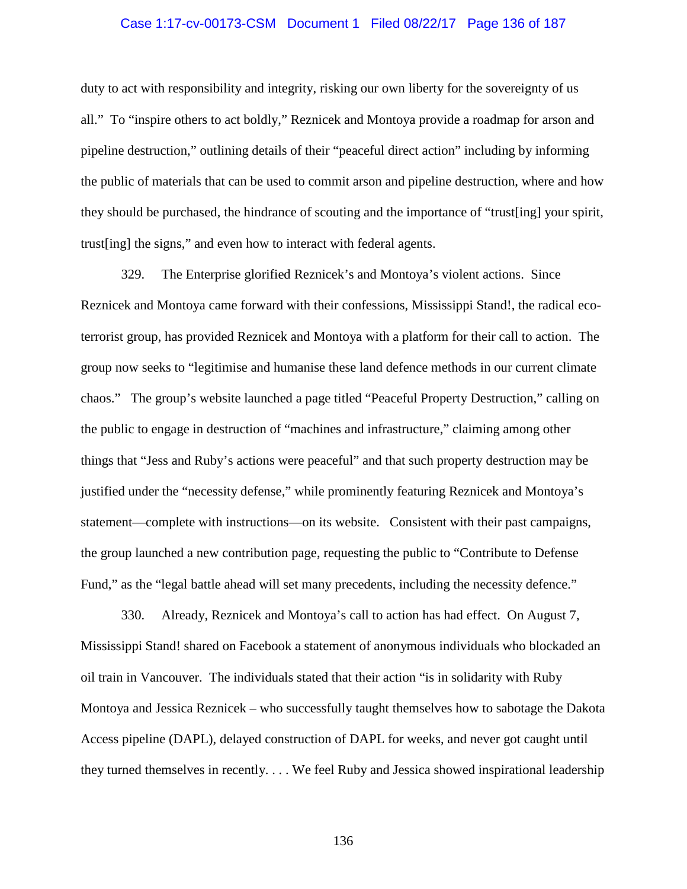## Case 1:17-cv-00173-CSM Document 1 Filed 08/22/17 Page 136 of 187

duty to act with responsibility and integrity, risking our own liberty for the sovereignty of us all." To "inspire others to act boldly," Reznicek and Montoya provide a roadmap for arson and pipeline destruction," outlining details of their "peaceful direct action" including by informing the public of materials that can be used to commit arson and pipeline destruction, where and how they should be purchased, the hindrance of scouting and the importance of "trust[ing] your spirit, trust[ing] the signs," and even how to interact with federal agents.

329. The Enterprise glorified Reznicek's and Montoya's violent actions. Since Reznicek and Montoya came forward with their confessions, Mississippi Stand!, the radical ecoterrorist group, has provided Reznicek and Montoya with a platform for their call to action. The group now seeks to "legitimise and humanise these land defence methods in our current climate chaos." The group's website launched a page titled "Peaceful Property Destruction," calling on the public to engage in destruction of "machines and infrastructure," claiming among other things that "Jess and Ruby's actions were peaceful" and that such property destruction may be justified under the "necessity defense," while prominently featuring Reznicek and Montoya's statement—complete with instructions—on its website. Consistent with their past campaigns, the group launched a new contribution page, requesting the public to "Contribute to Defense Fund," as the "legal battle ahead will set many precedents, including the necessity defence."

330. Already, Reznicek and Montoya's call to action has had effect. On August 7, Mississippi Stand! shared on Facebook a statement of anonymous individuals who blockaded an oil train in Vancouver. The individuals stated that their action "is in solidarity with Ruby Montoya and Jessica Reznicek – who successfully taught themselves how to sabotage the Dakota Access pipeline (DAPL), delayed construction of DAPL for weeks, and never got caught until they turned themselves in recently. . . . We feel Ruby and Jessica showed inspirational leadership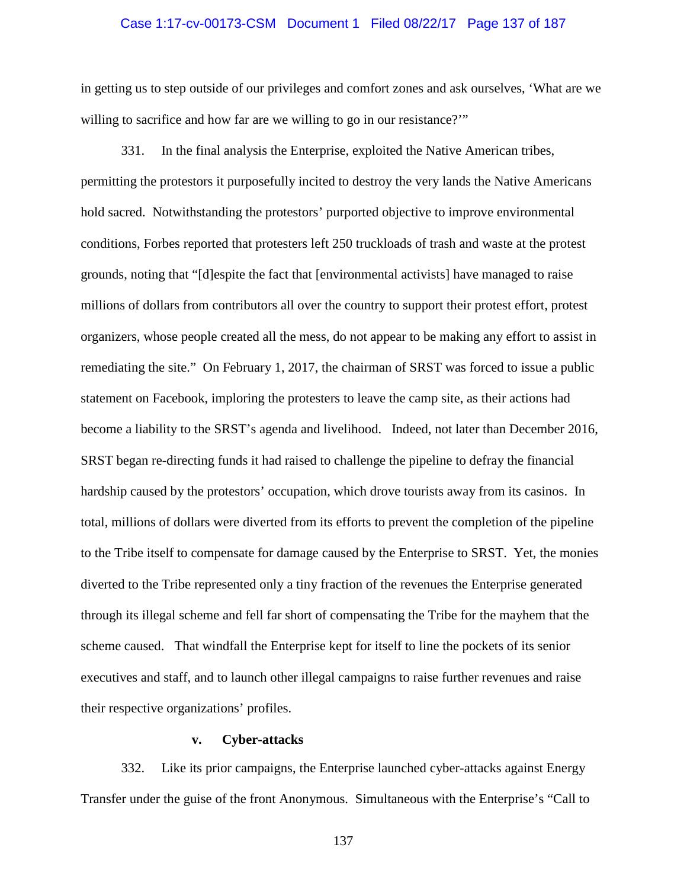## Case 1:17-cv-00173-CSM Document 1 Filed 08/22/17 Page 137 of 187

in getting us to step outside of our privileges and comfort zones and ask ourselves, 'What are we willing to sacrifice and how far are we willing to go in our resistance?"

331. In the final analysis the Enterprise, exploited the Native American tribes, permitting the protestors it purposefully incited to destroy the very lands the Native Americans hold sacred. Notwithstanding the protestors' purported objective to improve environmental conditions, Forbes reported that protesters left 250 truckloads of trash and waste at the protest grounds, noting that "[d]espite the fact that [environmental activists] have managed to raise millions of dollars from contributors all over the country to support their protest effort, protest organizers, whose people created all the mess, do not appear to be making any effort to assist in remediating the site." On February 1, 2017, the chairman of SRST was forced to issue a public statement on Facebook, imploring the protesters to leave the camp site, as their actions had become a liability to the SRST's agenda and livelihood. Indeed, not later than December 2016, SRST began re-directing funds it had raised to challenge the pipeline to defray the financial hardship caused by the protestors' occupation, which drove tourists away from its casinos. In total, millions of dollars were diverted from its efforts to prevent the completion of the pipeline to the Tribe itself to compensate for damage caused by the Enterprise to SRST. Yet, the monies diverted to the Tribe represented only a tiny fraction of the revenues the Enterprise generated through its illegal scheme and fell far short of compensating the Tribe for the mayhem that the scheme caused. That windfall the Enterprise kept for itself to line the pockets of its senior executives and staff, and to launch other illegal campaigns to raise further revenues and raise their respective organizations' profiles.

## **v. Cyber-attacks**

332. Like its prior campaigns, the Enterprise launched cyber-attacks against Energy Transfer under the guise of the front Anonymous. Simultaneous with the Enterprise's "Call to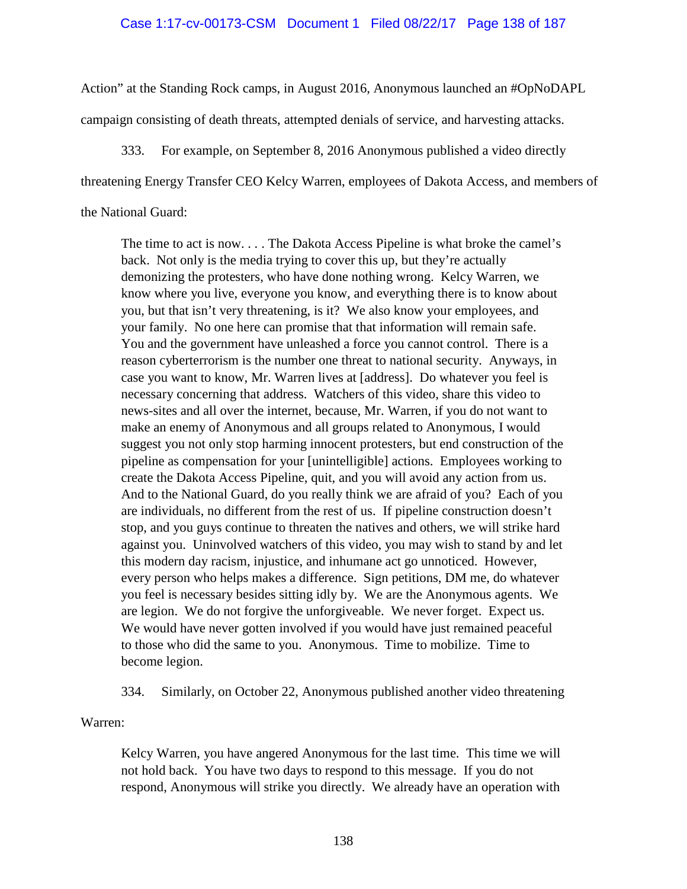## Case 1:17-cv-00173-CSM Document 1 Filed 08/22/17 Page 138 of 187

Action" at the Standing Rock camps, in August 2016, Anonymous launched an #OpNoDAPL campaign consisting of death threats, attempted denials of service, and harvesting attacks.

333. For example, on September 8, 2016 Anonymous published a video directly threatening Energy Transfer CEO Kelcy Warren, employees of Dakota Access, and members of the National Guard:

The time to act is now. . . . The Dakota Access Pipeline is what broke the camel's back. Not only is the media trying to cover this up, but they're actually demonizing the protesters, who have done nothing wrong. Kelcy Warren, we know where you live, everyone you know, and everything there is to know about you, but that isn't very threatening, is it? We also know your employees, and your family. No one here can promise that that information will remain safe. You and the government have unleashed a force you cannot control. There is a reason cyberterrorism is the number one threat to national security. Anyways, in case you want to know, Mr. Warren lives at [address]. Do whatever you feel is necessary concerning that address. Watchers of this video, share this video to news-sites and all over the internet, because, Mr. Warren, if you do not want to make an enemy of Anonymous and all groups related to Anonymous, I would suggest you not only stop harming innocent protesters, but end construction of the pipeline as compensation for your [unintelligible] actions. Employees working to create the Dakota Access Pipeline, quit, and you will avoid any action from us. And to the National Guard, do you really think we are afraid of you? Each of you are individuals, no different from the rest of us. If pipeline construction doesn't stop, and you guys continue to threaten the natives and others, we will strike hard against you. Uninvolved watchers of this video, you may wish to stand by and let this modern day racism, injustice, and inhumane act go unnoticed. However, every person who helps makes a difference. Sign petitions, DM me, do whatever you feel is necessary besides sitting idly by. We are the Anonymous agents. We are legion. We do not forgive the unforgiveable. We never forget. Expect us. We would have never gotten involved if you would have just remained peaceful to those who did the same to you. Anonymous. Time to mobilize. Time to become legion.

334. Similarly, on October 22, Anonymous published another video threatening

Warren:

Kelcy Warren, you have angered Anonymous for the last time. This time we will not hold back. You have two days to respond to this message. If you do not respond, Anonymous will strike you directly. We already have an operation with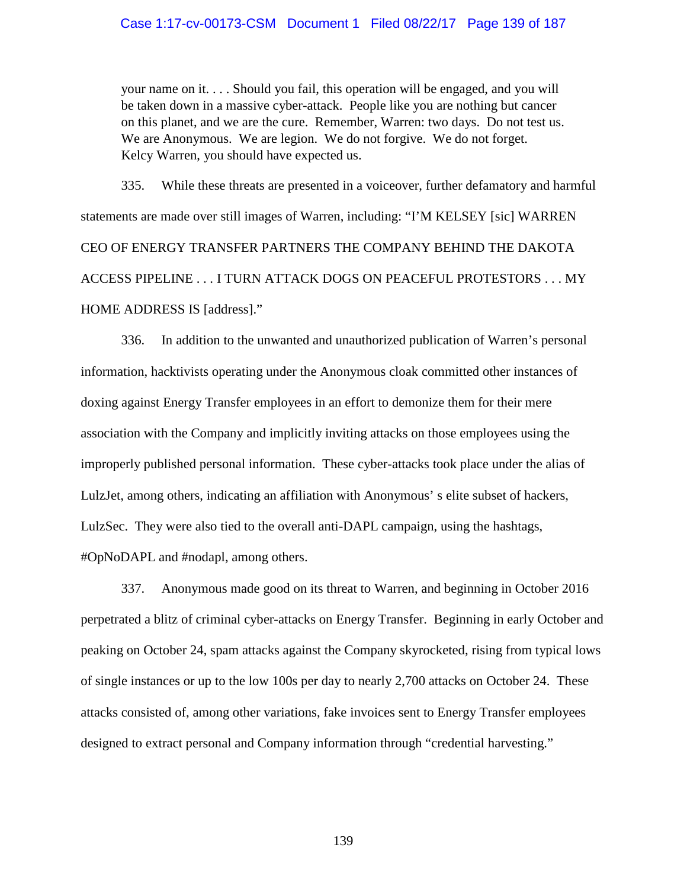your name on it. . . . Should you fail, this operation will be engaged, and you will be taken down in a massive cyber-attack. People like you are nothing but cancer on this planet, and we are the cure. Remember, Warren: two days. Do not test us. We are Anonymous. We are legion. We do not forgive. We do not forget. Kelcy Warren, you should have expected us.

335. While these threats are presented in a voiceover, further defamatory and harmful statements are made over still images of Warren, including: "I'M KELSEY [sic] WARREN CEO OF ENERGY TRANSFER PARTNERS THE COMPANY BEHIND THE DAKOTA ACCESS PIPELINE . . . I TURN ATTACK DOGS ON PEACEFUL PROTESTORS . . . MY HOME ADDRESS IS [address]."

336. In addition to the unwanted and unauthorized publication of Warren's personal information, hacktivists operating under the Anonymous cloak committed other instances of doxing against Energy Transfer employees in an effort to demonize them for their mere association with the Company and implicitly inviting attacks on those employees using the improperly published personal information. These cyber-attacks took place under the alias of LulzJet, among others, indicating an affiliation with Anonymous' s elite subset of hackers, LulzSec. They were also tied to the overall anti-DAPL campaign, using the hashtags, #OpNoDAPL and #nodapl, among others.

337. Anonymous made good on its threat to Warren, and beginning in October 2016 perpetrated a blitz of criminal cyber-attacks on Energy Transfer. Beginning in early October and peaking on October 24, spam attacks against the Company skyrocketed, rising from typical lows of single instances or up to the low 100s per day to nearly 2,700 attacks on October 24. These attacks consisted of, among other variations, fake invoices sent to Energy Transfer employees designed to extract personal and Company information through "credential harvesting."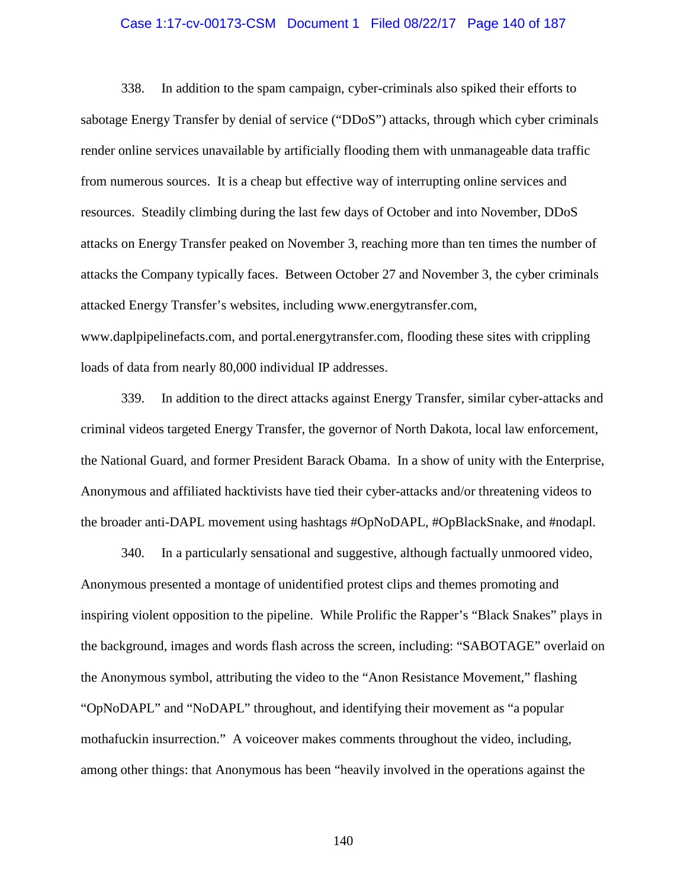## Case 1:17-cv-00173-CSM Document 1 Filed 08/22/17 Page 140 of 187

338. In addition to the spam campaign, cyber-criminals also spiked their efforts to sabotage Energy Transfer by denial of service ("DDoS") attacks, through which cyber criminals render online services unavailable by artificially flooding them with unmanageable data traffic from numerous sources. It is a cheap but effective way of interrupting online services and resources. Steadily climbing during the last few days of October and into November, DDoS attacks on Energy Transfer peaked on November 3, reaching more than ten times the number of attacks the Company typically faces. Between October 27 and November 3, the cyber criminals attacked Energy Transfer's websites, including www.energytransfer.com, www.daplpipelinefacts.com, and portal.energytransfer.com, flooding these sites with crippling loads of data from nearly 80,000 individual IP addresses.

339. In addition to the direct attacks against Energy Transfer, similar cyber-attacks and criminal videos targeted Energy Transfer, the governor of North Dakota, local law enforcement, the National Guard, and former President Barack Obama. In a show of unity with the Enterprise, Anonymous and affiliated hacktivists have tied their cyber-attacks and/or threatening videos to the broader anti-DAPL movement using hashtags #OpNoDAPL, #OpBlackSnake, and #nodapl.

340. In a particularly sensational and suggestive, although factually unmoored video, Anonymous presented a montage of unidentified protest clips and themes promoting and inspiring violent opposition to the pipeline. While Prolific the Rapper's "Black Snakes" plays in the background, images and words flash across the screen, including: "SABOTAGE" overlaid on the Anonymous symbol, attributing the video to the "Anon Resistance Movement," flashing "OpNoDAPL" and "NoDAPL" throughout, and identifying their movement as "a popular mothafuckin insurrection." A voiceover makes comments throughout the video, including, among other things: that Anonymous has been "heavily involved in the operations against the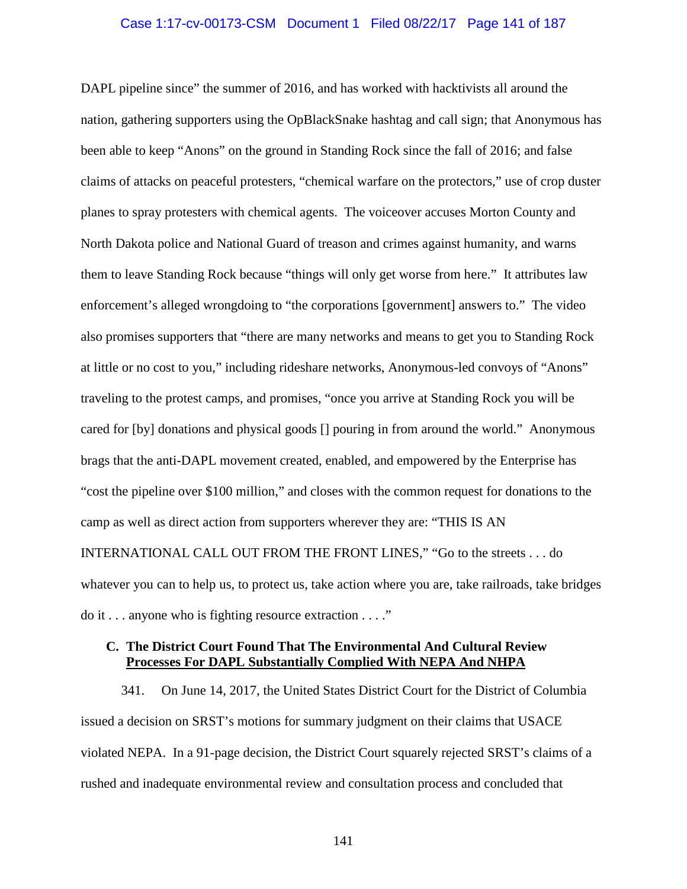## Case 1:17-cv-00173-CSM Document 1 Filed 08/22/17 Page 141 of 187

DAPL pipeline since" the summer of 2016, and has worked with hacktivists all around the nation, gathering supporters using the OpBlackSnake hashtag and call sign; that Anonymous has been able to keep "Anons" on the ground in Standing Rock since the fall of 2016; and false claims of attacks on peaceful protesters, "chemical warfare on the protectors," use of crop duster planes to spray protesters with chemical agents. The voiceover accuses Morton County and North Dakota police and National Guard of treason and crimes against humanity, and warns them to leave Standing Rock because "things will only get worse from here." It attributes law enforcement's alleged wrongdoing to "the corporations [government] answers to." The video also promises supporters that "there are many networks and means to get you to Standing Rock at little or no cost to you," including rideshare networks, Anonymous-led convoys of "Anons" traveling to the protest camps, and promises, "once you arrive at Standing Rock you will be cared for [by] donations and physical goods [] pouring in from around the world." Anonymous brags that the anti-DAPL movement created, enabled, and empowered by the Enterprise has "cost the pipeline over \$100 million," and closes with the common request for donations to the camp as well as direct action from supporters wherever they are: "THIS IS AN INTERNATIONAL CALL OUT FROM THE FRONT LINES," "Go to the streets . . . do whatever you can to help us, to protect us, take action where you are, take railroads, take bridges do it . . . anyone who is fighting resource extraction . . . ."

# **C. The District Court Found That The Environmental And Cultural Review Processes For DAPL Substantially Complied With NEPA And NHPA**

341. On June 14, 2017, the United States District Court for the District of Columbia issued a decision on SRST's motions for summary judgment on their claims that USACE violated NEPA. In a 91-page decision, the District Court squarely rejected SRST's claims of a rushed and inadequate environmental review and consultation process and concluded that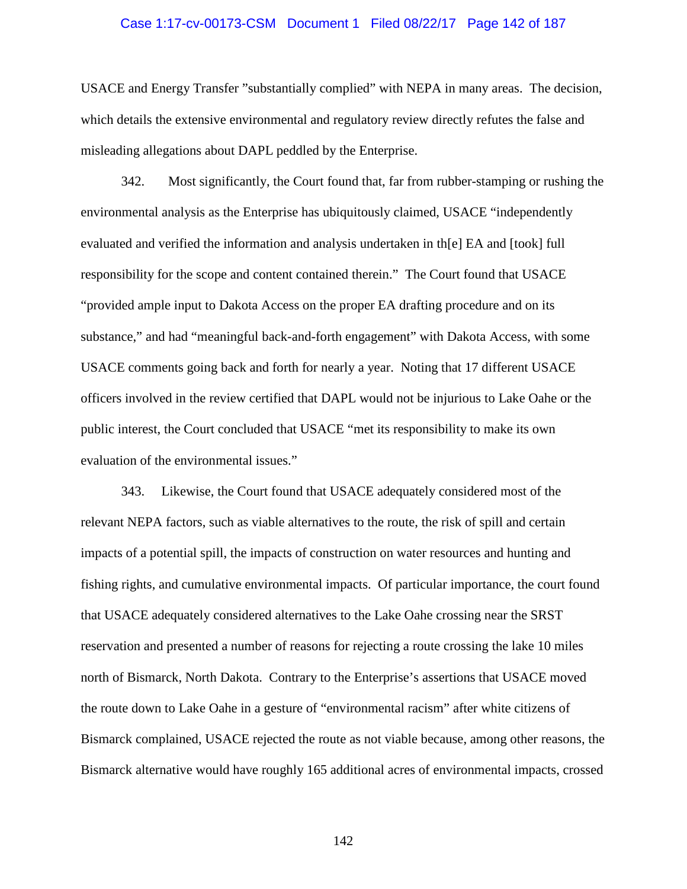## Case 1:17-cv-00173-CSM Document 1 Filed 08/22/17 Page 142 of 187

USACE and Energy Transfer "substantially complied" with NEPA in many areas. The decision, which details the extensive environmental and regulatory review directly refutes the false and misleading allegations about DAPL peddled by the Enterprise.

342. Most significantly, the Court found that, far from rubber-stamping or rushing the environmental analysis as the Enterprise has ubiquitously claimed, USACE "independently evaluated and verified the information and analysis undertaken in th[e] EA and [took] full responsibility for the scope and content contained therein." The Court found that USACE "provided ample input to Dakota Access on the proper EA drafting procedure and on its substance," and had "meaningful back-and-forth engagement" with Dakota Access, with some USACE comments going back and forth for nearly a year. Noting that 17 different USACE officers involved in the review certified that DAPL would not be injurious to Lake Oahe or the public interest, the Court concluded that USACE "met its responsibility to make its own evaluation of the environmental issues."

343. Likewise, the Court found that USACE adequately considered most of the relevant NEPA factors, such as viable alternatives to the route, the risk of spill and certain impacts of a potential spill, the impacts of construction on water resources and hunting and fishing rights, and cumulative environmental impacts. Of particular importance, the court found that USACE adequately considered alternatives to the Lake Oahe crossing near the SRST reservation and presented a number of reasons for rejecting a route crossing the lake 10 miles north of Bismarck, North Dakota. Contrary to the Enterprise's assertions that USACE moved the route down to Lake Oahe in a gesture of "environmental racism" after white citizens of Bismarck complained, USACE rejected the route as not viable because, among other reasons, the Bismarck alternative would have roughly 165 additional acres of environmental impacts, crossed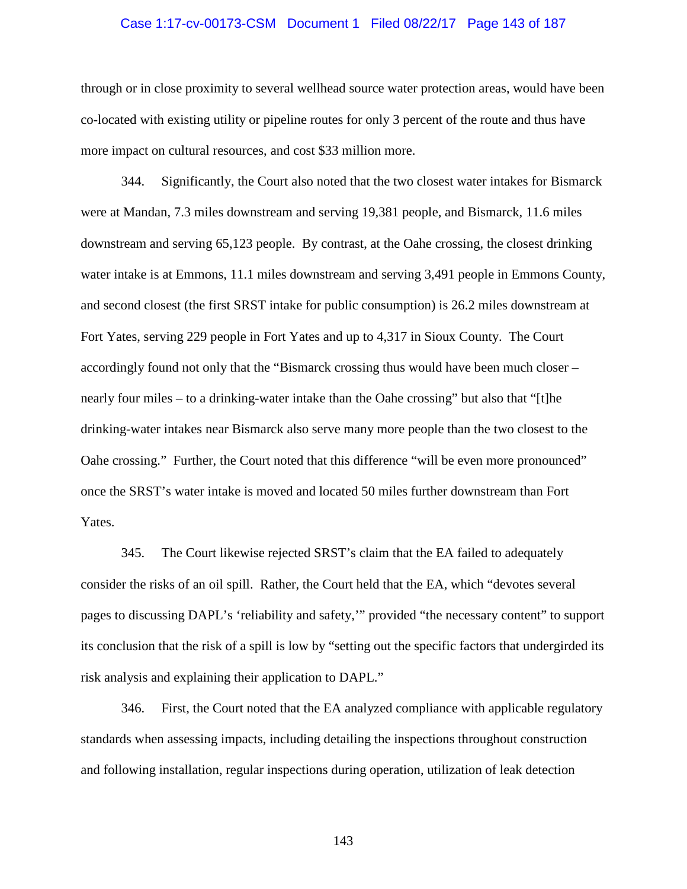## Case 1:17-cv-00173-CSM Document 1 Filed 08/22/17 Page 143 of 187

through or in close proximity to several wellhead source water protection areas, would have been co-located with existing utility or pipeline routes for only 3 percent of the route and thus have more impact on cultural resources, and cost \$33 million more.

344. Significantly, the Court also noted that the two closest water intakes for Bismarck were at Mandan, 7.3 miles downstream and serving 19,381 people, and Bismarck, 11.6 miles downstream and serving 65,123 people. By contrast, at the Oahe crossing, the closest drinking water intake is at Emmons, 11.1 miles downstream and serving 3,491 people in Emmons County, and second closest (the first SRST intake for public consumption) is 26.2 miles downstream at Fort Yates, serving 229 people in Fort Yates and up to 4,317 in Sioux County. The Court accordingly found not only that the "Bismarck crossing thus would have been much closer – nearly four miles – to a drinking-water intake than the Oahe crossing" but also that "[t]he drinking-water intakes near Bismarck also serve many more people than the two closest to the Oahe crossing." Further, the Court noted that this difference "will be even more pronounced" once the SRST's water intake is moved and located 50 miles further downstream than Fort Yates.

345. The Court likewise rejected SRST's claim that the EA failed to adequately consider the risks of an oil spill. Rather, the Court held that the EA, which "devotes several pages to discussing DAPL's 'reliability and safety,'" provided "the necessary content" to support its conclusion that the risk of a spill is low by "setting out the specific factors that undergirded its risk analysis and explaining their application to DAPL."

346. First, the Court noted that the EA analyzed compliance with applicable regulatory standards when assessing impacts, including detailing the inspections throughout construction and following installation, regular inspections during operation, utilization of leak detection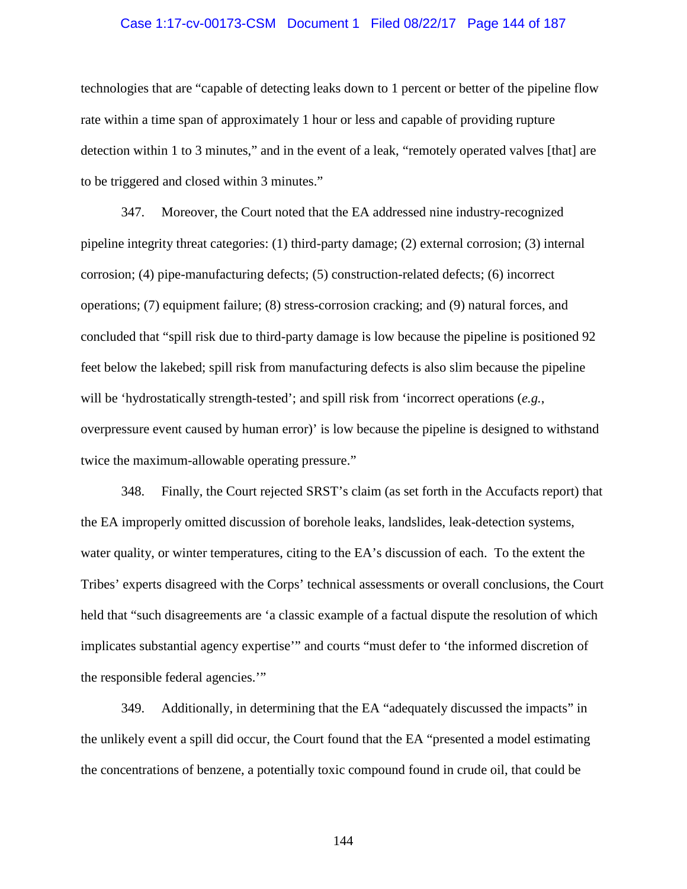## Case 1:17-cv-00173-CSM Document 1 Filed 08/22/17 Page 144 of 187

technologies that are "capable of detecting leaks down to 1 percent or better of the pipeline flow rate within a time span of approximately 1 hour or less and capable of providing rupture detection within 1 to 3 minutes," and in the event of a leak, "remotely operated valves [that] are to be triggered and closed within 3 minutes."

347. Moreover, the Court noted that the EA addressed nine industry-recognized pipeline integrity threat categories: (1) third-party damage; (2) external corrosion; (3) internal corrosion; (4) pipe-manufacturing defects; (5) construction-related defects; (6) incorrect operations; (7) equipment failure; (8) stress-corrosion cracking; and (9) natural forces, and concluded that "spill risk due to third-party damage is low because the pipeline is positioned 92 feet below the lakebed; spill risk from manufacturing defects is also slim because the pipeline will be 'hydrostatically strength-tested'; and spill risk from 'incorrect operations (*e.g.*, overpressure event caused by human error)' is low because the pipeline is designed to withstand twice the maximum-allowable operating pressure."

348. Finally, the Court rejected SRST's claim (as set forth in the Accufacts report) that the EA improperly omitted discussion of borehole leaks, landslides, leak-detection systems, water quality, or winter temperatures, citing to the EA's discussion of each. To the extent the Tribes' experts disagreed with the Corps' technical assessments or overall conclusions, the Court held that "such disagreements are 'a classic example of a factual dispute the resolution of which implicates substantial agency expertise'" and courts "must defer to 'the informed discretion of the responsible federal agencies.'"

349. Additionally, in determining that the EA "adequately discussed the impacts" in the unlikely event a spill did occur, the Court found that the EA "presented a model estimating the concentrations of benzene, a potentially toxic compound found in crude oil, that could be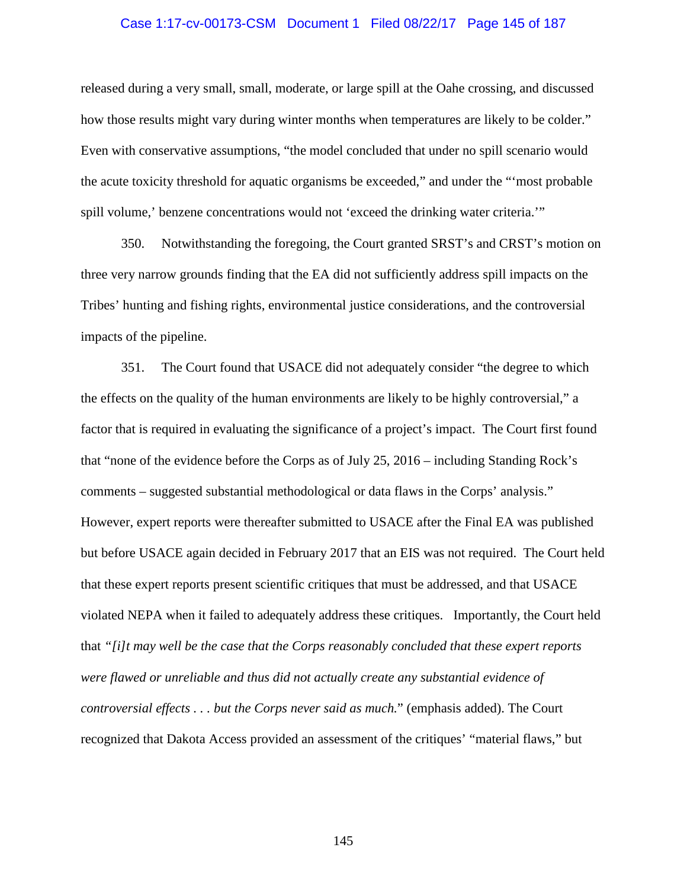#### Case 1:17-cv-00173-CSM Document 1 Filed 08/22/17 Page 145 of 187

released during a very small, small, moderate, or large spill at the Oahe crossing, and discussed how those results might vary during winter months when temperatures are likely to be colder." Even with conservative assumptions, "the model concluded that under no spill scenario would the acute toxicity threshold for aquatic organisms be exceeded," and under the "'most probable spill volume,' benzene concentrations would not 'exceed the drinking water criteria.'"

350. Notwithstanding the foregoing, the Court granted SRST's and CRST's motion on three very narrow grounds finding that the EA did not sufficiently address spill impacts on the Tribes' hunting and fishing rights, environmental justice considerations, and the controversial impacts of the pipeline.

351. The Court found that USACE did not adequately consider "the degree to which the effects on the quality of the human environments are likely to be highly controversial," a factor that is required in evaluating the significance of a project's impact. The Court first found that "none of the evidence before the Corps as of July 25, 2016 – including Standing Rock's comments – suggested substantial methodological or data flaws in the Corps' analysis." However, expert reports were thereafter submitted to USACE after the Final EA was published but before USACE again decided in February 2017 that an EIS was not required. The Court held that these expert reports present scientific critiques that must be addressed, and that USACE violated NEPA when it failed to adequately address these critiques. Importantly, the Court held that *"[i]t may well be the case that the Corps reasonably concluded that these expert reports were flawed or unreliable and thus did not actually create any substantial evidence of controversial effects . . . but the Corps never said as much.*" (emphasis added). The Court recognized that Dakota Access provided an assessment of the critiques' "material flaws," but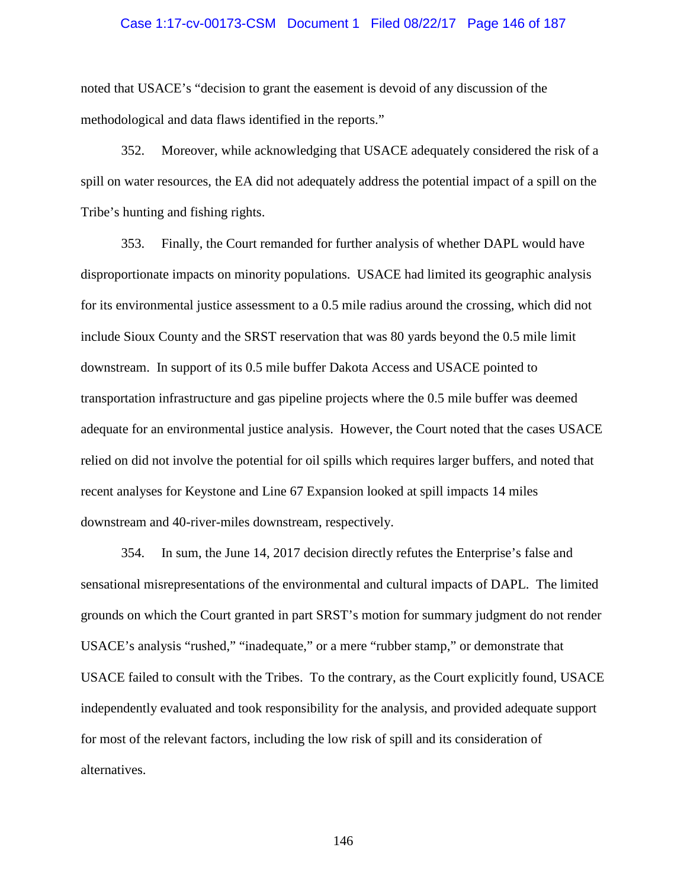#### Case 1:17-cv-00173-CSM Document 1 Filed 08/22/17 Page 146 of 187

noted that USACE's "decision to grant the easement is devoid of any discussion of the methodological and data flaws identified in the reports."

352. Moreover, while acknowledging that USACE adequately considered the risk of a spill on water resources, the EA did not adequately address the potential impact of a spill on the Tribe's hunting and fishing rights.

353. Finally, the Court remanded for further analysis of whether DAPL would have disproportionate impacts on minority populations. USACE had limited its geographic analysis for its environmental justice assessment to a 0.5 mile radius around the crossing, which did not include Sioux County and the SRST reservation that was 80 yards beyond the 0.5 mile limit downstream. In support of its 0.5 mile buffer Dakota Access and USACE pointed to transportation infrastructure and gas pipeline projects where the 0.5 mile buffer was deemed adequate for an environmental justice analysis. However, the Court noted that the cases USACE relied on did not involve the potential for oil spills which requires larger buffers, and noted that recent analyses for Keystone and Line 67 Expansion looked at spill impacts 14 miles downstream and 40-river-miles downstream, respectively.

354. In sum, the June 14, 2017 decision directly refutes the Enterprise's false and sensational misrepresentations of the environmental and cultural impacts of DAPL. The limited grounds on which the Court granted in part SRST's motion for summary judgment do not render USACE's analysis "rushed," "inadequate," or a mere "rubber stamp," or demonstrate that USACE failed to consult with the Tribes. To the contrary, as the Court explicitly found, USACE independently evaluated and took responsibility for the analysis, and provided adequate support for most of the relevant factors, including the low risk of spill and its consideration of alternatives.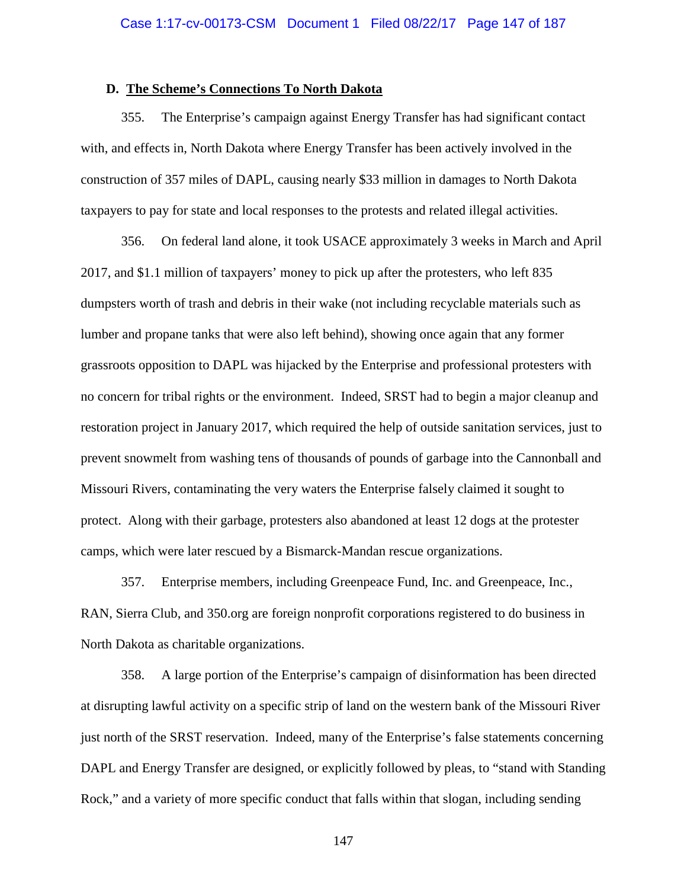#### **D. The Scheme's Connections To North Dakota**

355. The Enterprise's campaign against Energy Transfer has had significant contact with, and effects in, North Dakota where Energy Transfer has been actively involved in the construction of 357 miles of DAPL, causing nearly \$33 million in damages to North Dakota taxpayers to pay for state and local responses to the protests and related illegal activities.

356. On federal land alone, it took USACE approximately 3 weeks in March and April 2017, and \$1.1 million of taxpayers' money to pick up after the protesters, who left 835 dumpsters worth of trash and debris in their wake (not including recyclable materials such as lumber and propane tanks that were also left behind), showing once again that any former grassroots opposition to DAPL was hijacked by the Enterprise and professional protesters with no concern for tribal rights or the environment. Indeed, SRST had to begin a major cleanup and restoration project in January 2017, which required the help of outside sanitation services, just to prevent snowmelt from washing tens of thousands of pounds of garbage into the Cannonball and Missouri Rivers, contaminating the very waters the Enterprise falsely claimed it sought to protect. Along with their garbage, protesters also abandoned at least 12 dogs at the protester camps, which were later rescued by a Bismarck-Mandan rescue organizations.

357. Enterprise members, including Greenpeace Fund, Inc. and Greenpeace, Inc., RAN, Sierra Club, and 350.org are foreign nonprofit corporations registered to do business in North Dakota as charitable organizations.

358. A large portion of the Enterprise's campaign of disinformation has been directed at disrupting lawful activity on a specific strip of land on the western bank of the Missouri River just north of the SRST reservation. Indeed, many of the Enterprise's false statements concerning DAPL and Energy Transfer are designed, or explicitly followed by pleas, to "stand with Standing Rock," and a variety of more specific conduct that falls within that slogan, including sending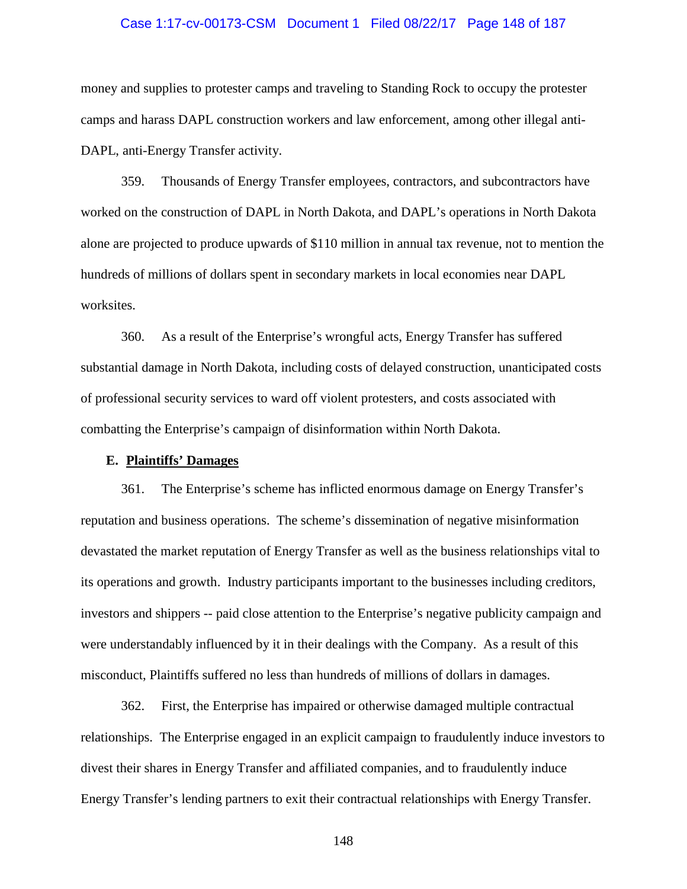#### Case 1:17-cv-00173-CSM Document 1 Filed 08/22/17 Page 148 of 187

money and supplies to protester camps and traveling to Standing Rock to occupy the protester camps and harass DAPL construction workers and law enforcement, among other illegal anti-DAPL, anti-Energy Transfer activity.

359. Thousands of Energy Transfer employees, contractors, and subcontractors have worked on the construction of DAPL in North Dakota, and DAPL's operations in North Dakota alone are projected to produce upwards of \$110 million in annual tax revenue, not to mention the hundreds of millions of dollars spent in secondary markets in local economies near DAPL worksites.

360. As a result of the Enterprise's wrongful acts, Energy Transfer has suffered substantial damage in North Dakota, including costs of delayed construction, unanticipated costs of professional security services to ward off violent protesters, and costs associated with combatting the Enterprise's campaign of disinformation within North Dakota.

#### **E. Plaintiffs' Damages**

361. The Enterprise's scheme has inflicted enormous damage on Energy Transfer's reputation and business operations. The scheme's dissemination of negative misinformation devastated the market reputation of Energy Transfer as well as the business relationships vital to its operations and growth. Industry participants important to the businesses including creditors, investors and shippers -- paid close attention to the Enterprise's negative publicity campaign and were understandably influenced by it in their dealings with the Company. As a result of this misconduct, Plaintiffs suffered no less than hundreds of millions of dollars in damages.

362. First, the Enterprise has impaired or otherwise damaged multiple contractual relationships. The Enterprise engaged in an explicit campaign to fraudulently induce investors to divest their shares in Energy Transfer and affiliated companies, and to fraudulently induce Energy Transfer's lending partners to exit their contractual relationships with Energy Transfer.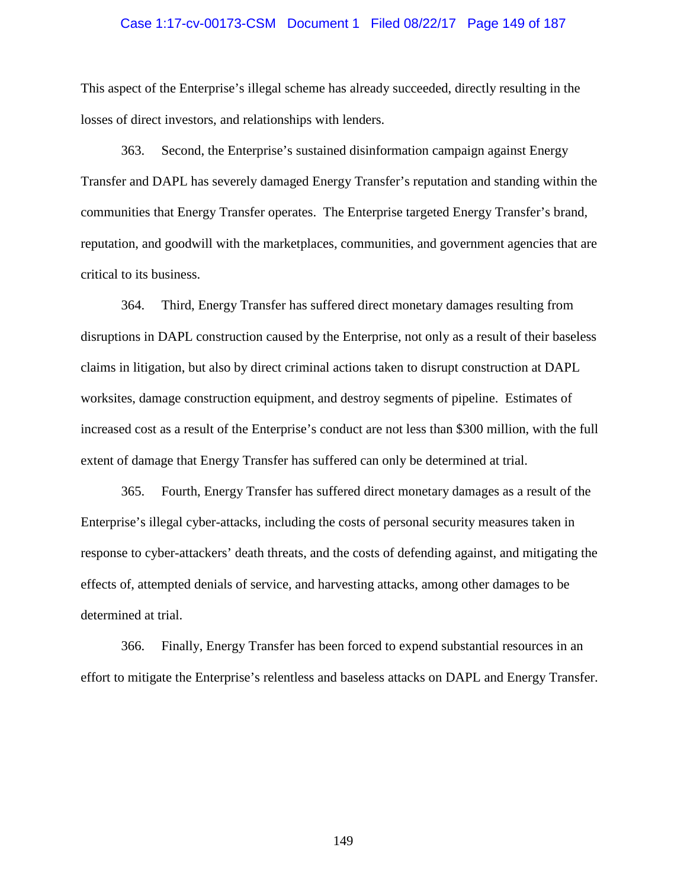#### Case 1:17-cv-00173-CSM Document 1 Filed 08/22/17 Page 149 of 187

This aspect of the Enterprise's illegal scheme has already succeeded, directly resulting in the losses of direct investors, and relationships with lenders.

363. Second, the Enterprise's sustained disinformation campaign against Energy Transfer and DAPL has severely damaged Energy Transfer's reputation and standing within the communities that Energy Transfer operates. The Enterprise targeted Energy Transfer's brand, reputation, and goodwill with the marketplaces, communities, and government agencies that are critical to its business.

364. Third, Energy Transfer has suffered direct monetary damages resulting from disruptions in DAPL construction caused by the Enterprise, not only as a result of their baseless claims in litigation, but also by direct criminal actions taken to disrupt construction at DAPL worksites, damage construction equipment, and destroy segments of pipeline. Estimates of increased cost as a result of the Enterprise's conduct are not less than \$300 million, with the full extent of damage that Energy Transfer has suffered can only be determined at trial.

365. Fourth, Energy Transfer has suffered direct monetary damages as a result of the Enterprise's illegal cyber-attacks, including the costs of personal security measures taken in response to cyber-attackers' death threats, and the costs of defending against, and mitigating the effects of, attempted denials of service, and harvesting attacks, among other damages to be determined at trial.

366. Finally, Energy Transfer has been forced to expend substantial resources in an effort to mitigate the Enterprise's relentless and baseless attacks on DAPL and Energy Transfer.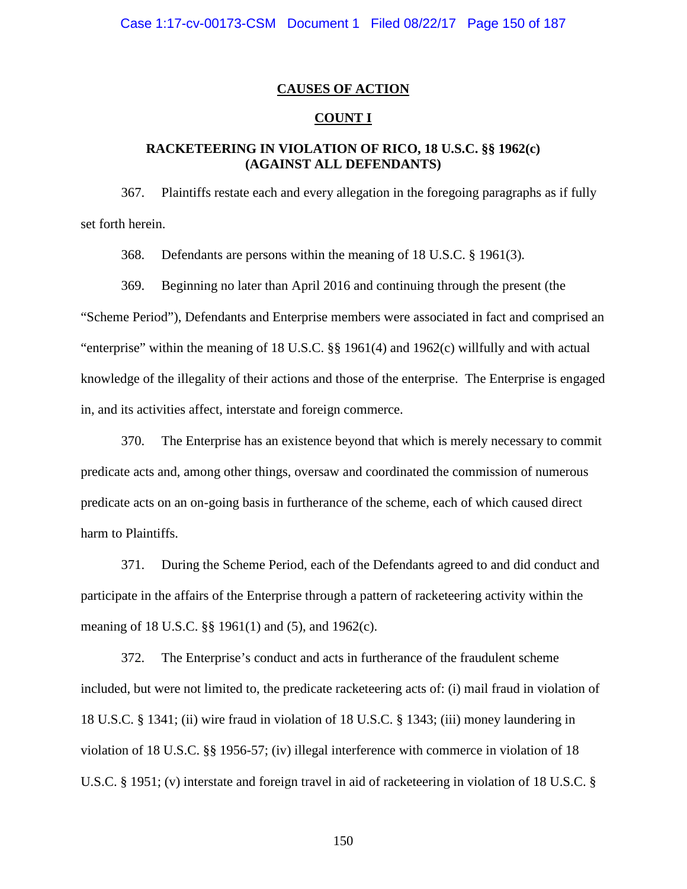## **CAUSES OF ACTION**

## **COUNT I**

## **RACKETEERING IN VIOLATION OF RICO, 18 U.S.C. §§ 1962(c) (AGAINST ALL DEFENDANTS)**

367. Plaintiffs restate each and every allegation in the foregoing paragraphs as if fully set forth herein.

368. Defendants are persons within the meaning of 18 U.S.C. § 1961(3).

369. Beginning no later than April 2016 and continuing through the present (the "Scheme Period"), Defendants and Enterprise members were associated in fact and comprised an "enterprise" within the meaning of 18 U.S.C. §§ 1961(4) and 1962(c) willfully and with actual knowledge of the illegality of their actions and those of the enterprise. The Enterprise is engaged in, and its activities affect, interstate and foreign commerce.

370. The Enterprise has an existence beyond that which is merely necessary to commit predicate acts and, among other things, oversaw and coordinated the commission of numerous predicate acts on an on-going basis in furtherance of the scheme, each of which caused direct harm to Plaintiffs.

371. During the Scheme Period, each of the Defendants agreed to and did conduct and participate in the affairs of the Enterprise through a pattern of racketeering activity within the meaning of 18 U.S.C. §§ 1961(1) and (5), and 1962(c).

372. The Enterprise's conduct and acts in furtherance of the fraudulent scheme included, but were not limited to, the predicate racketeering acts of: (i) mail fraud in violation of 18 U.S.C. § 1341; (ii) wire fraud in violation of 18 U.S.C. § 1343; (iii) money laundering in violation of 18 U.S.C. §§ 1956-57; (iv) illegal interference with commerce in violation of 18 U.S.C. § 1951; (v) interstate and foreign travel in aid of racketeering in violation of 18 U.S.C. §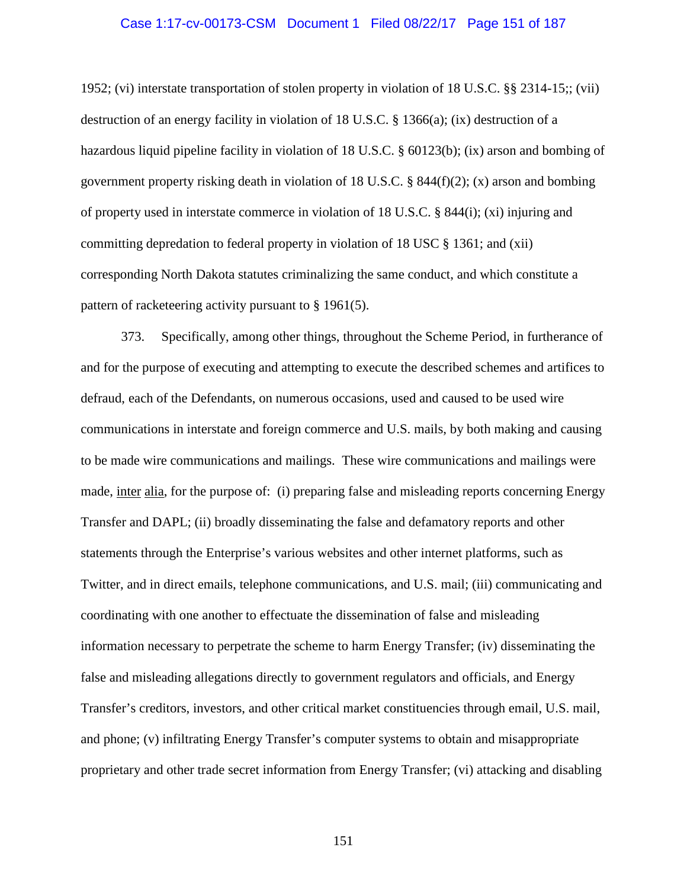#### Case 1:17-cv-00173-CSM Document 1 Filed 08/22/17 Page 151 of 187

1952; (vi) interstate transportation of stolen property in violation of 18 U.S.C. §§ 2314-15;; (vii) destruction of an energy facility in violation of 18 U.S.C. § 1366(a); (ix) destruction of a hazardous liquid pipeline facility in violation of 18 U.S.C. § 60123(b); (ix) arson and bombing of government property risking death in violation of 18 U.S.C. § 844(f)(2); (x) arson and bombing of property used in interstate commerce in violation of 18 U.S.C. § 844(i); (xi) injuring and committing depredation to federal property in violation of 18 USC § 1361; and (xii) corresponding North Dakota statutes criminalizing the same conduct, and which constitute a pattern of racketeering activity pursuant to § 1961(5).

373. Specifically, among other things, throughout the Scheme Period, in furtherance of and for the purpose of executing and attempting to execute the described schemes and artifices to defraud, each of the Defendants, on numerous occasions, used and caused to be used wire communications in interstate and foreign commerce and U.S. mails, by both making and causing to be made wire communications and mailings. These wire communications and mailings were made, inter alia, for the purpose of: (i) preparing false and misleading reports concerning Energy Transfer and DAPL; (ii) broadly disseminating the false and defamatory reports and other statements through the Enterprise's various websites and other internet platforms, such as Twitter, and in direct emails, telephone communications, and U.S. mail; (iii) communicating and coordinating with one another to effectuate the dissemination of false and misleading information necessary to perpetrate the scheme to harm Energy Transfer; (iv) disseminating the false and misleading allegations directly to government regulators and officials, and Energy Transfer's creditors, investors, and other critical market constituencies through email, U.S. mail, and phone; (v) infiltrating Energy Transfer's computer systems to obtain and misappropriate proprietary and other trade secret information from Energy Transfer; (vi) attacking and disabling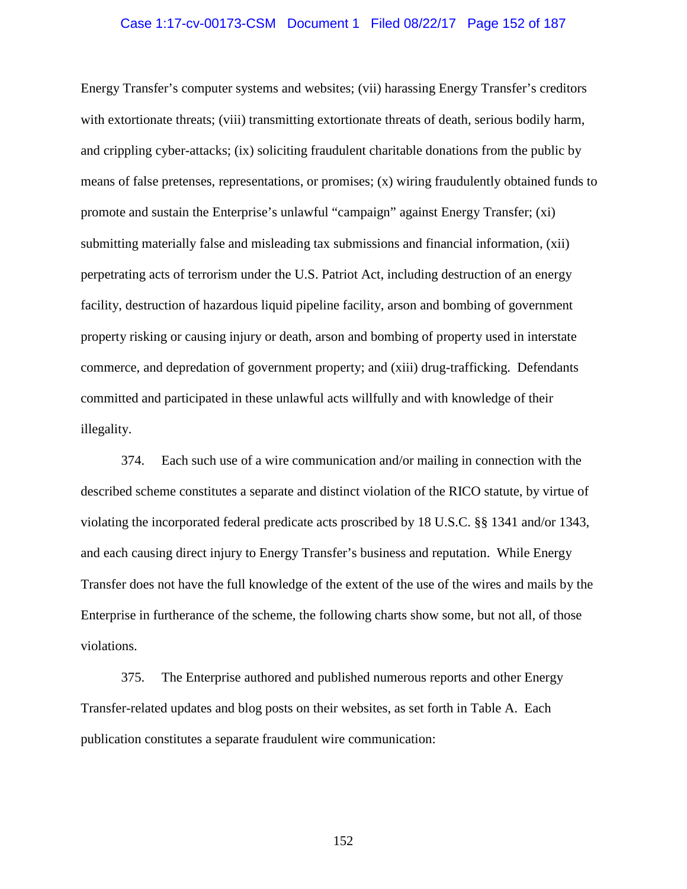#### Case 1:17-cv-00173-CSM Document 1 Filed 08/22/17 Page 152 of 187

Energy Transfer's computer systems and websites; (vii) harassing Energy Transfer's creditors with extortionate threats; (viii) transmitting extortionate threats of death, serious bodily harm, and crippling cyber-attacks; (ix) soliciting fraudulent charitable donations from the public by means of false pretenses, representations, or promises; (x) wiring fraudulently obtained funds to promote and sustain the Enterprise's unlawful "campaign" against Energy Transfer; (xi) submitting materially false and misleading tax submissions and financial information, (xii) perpetrating acts of terrorism under the U.S. Patriot Act, including destruction of an energy facility, destruction of hazardous liquid pipeline facility, arson and bombing of government property risking or causing injury or death, arson and bombing of property used in interstate commerce, and depredation of government property; and (xiii) drug-trafficking. Defendants committed and participated in these unlawful acts willfully and with knowledge of their illegality.

374. Each such use of a wire communication and/or mailing in connection with the described scheme constitutes a separate and distinct violation of the RICO statute, by virtue of violating the incorporated federal predicate acts proscribed by 18 U.S.C. §§ 1341 and/or 1343, and each causing direct injury to Energy Transfer's business and reputation. While Energy Transfer does not have the full knowledge of the extent of the use of the wires and mails by the Enterprise in furtherance of the scheme, the following charts show some, but not all, of those violations.

375. The Enterprise authored and published numerous reports and other Energy Transfer-related updates and blog posts on their websites, as set forth in Table A. Each publication constitutes a separate fraudulent wire communication: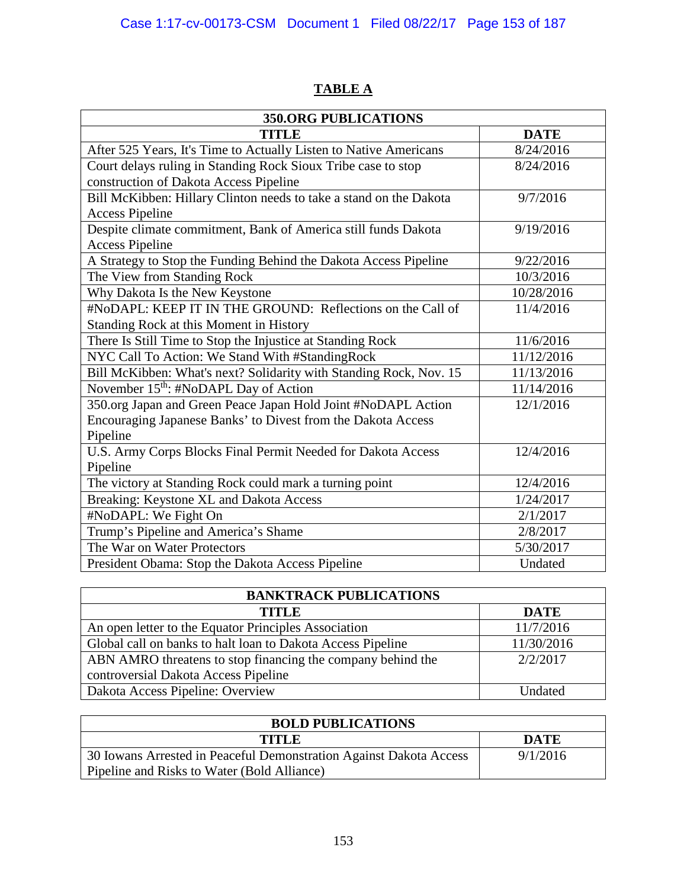| <b>350.ORG PUBLICATIONS</b>                                        |             |  |  |
|--------------------------------------------------------------------|-------------|--|--|
| TITLE                                                              | <b>DATE</b> |  |  |
| After 525 Years, It's Time to Actually Listen to Native Americans  | 8/24/2016   |  |  |
| Court delays ruling in Standing Rock Sioux Tribe case to stop      | 8/24/2016   |  |  |
| construction of Dakota Access Pipeline                             |             |  |  |
| Bill McKibben: Hillary Clinton needs to take a stand on the Dakota | 9/7/2016    |  |  |
| <b>Access Pipeline</b>                                             |             |  |  |
| Despite climate commitment, Bank of America still funds Dakota     | 9/19/2016   |  |  |
| <b>Access Pipeline</b>                                             |             |  |  |
| A Strategy to Stop the Funding Behind the Dakota Access Pipeline   | 9/22/2016   |  |  |
| The View from Standing Rock                                        | 10/3/2016   |  |  |
| Why Dakota Is the New Keystone                                     | 10/28/2016  |  |  |
| #NoDAPL: KEEP IT IN THE GROUND: Reflections on the Call of         | 11/4/2016   |  |  |
| Standing Rock at this Moment in History                            |             |  |  |
| There Is Still Time to Stop the Injustice at Standing Rock         | 11/6/2016   |  |  |
| NYC Call To Action: We Stand With #StandingRock                    | 11/12/2016  |  |  |
| Bill McKibben: What's next? Solidarity with Standing Rock, Nov. 15 | 11/13/2016  |  |  |
| November 15 <sup>th</sup> : #NoDAPL Day of Action                  | 11/14/2016  |  |  |
| 350.org Japan and Green Peace Japan Hold Joint #NoDAPL Action      | 12/1/2016   |  |  |
| Encouraging Japanese Banks' to Divest from the Dakota Access       |             |  |  |
| Pipeline                                                           |             |  |  |
| U.S. Army Corps Blocks Final Permit Needed for Dakota Access       | 12/4/2016   |  |  |
| Pipeline                                                           |             |  |  |
| The victory at Standing Rock could mark a turning point            | 12/4/2016   |  |  |
| Breaking: Keystone XL and Dakota Access                            | 1/24/2017   |  |  |
| #NoDAPL: We Fight On                                               | 2/1/2017    |  |  |
| Trump's Pipeline and America's Shame                               | 2/8/2017    |  |  |
| The War on Water Protectors                                        | 5/30/2017   |  |  |
| President Obama: Stop the Dakota Access Pipeline                   | Undated     |  |  |

# **TABLE A**

| <b>BANKTRACK PUBLICATIONS</b>                               |                |  |
|-------------------------------------------------------------|----------------|--|
| <b>TITLE</b>                                                | <b>DATE</b>    |  |
| An open letter to the Equator Principles Association        | 11/7/2016      |  |
| Global call on banks to halt loan to Dakota Access Pipeline | 11/30/2016     |  |
| ABN AMRO threatens to stop financing the company behind the | 2/2/2017       |  |
| controversial Dakota Access Pipeline                        |                |  |
| Dakota Access Pipeline: Overview                            | <b>Undated</b> |  |

| <b>BOLD PUBLICATIONS</b>                                           |             |  |
|--------------------------------------------------------------------|-------------|--|
| <b>TITLE</b>                                                       | <b>DATE</b> |  |
| 30 Iowans Arrested in Peaceful Demonstration Against Dakota Access | 9/1/2016    |  |
| Pipeline and Risks to Water (Bold Alliance)                        |             |  |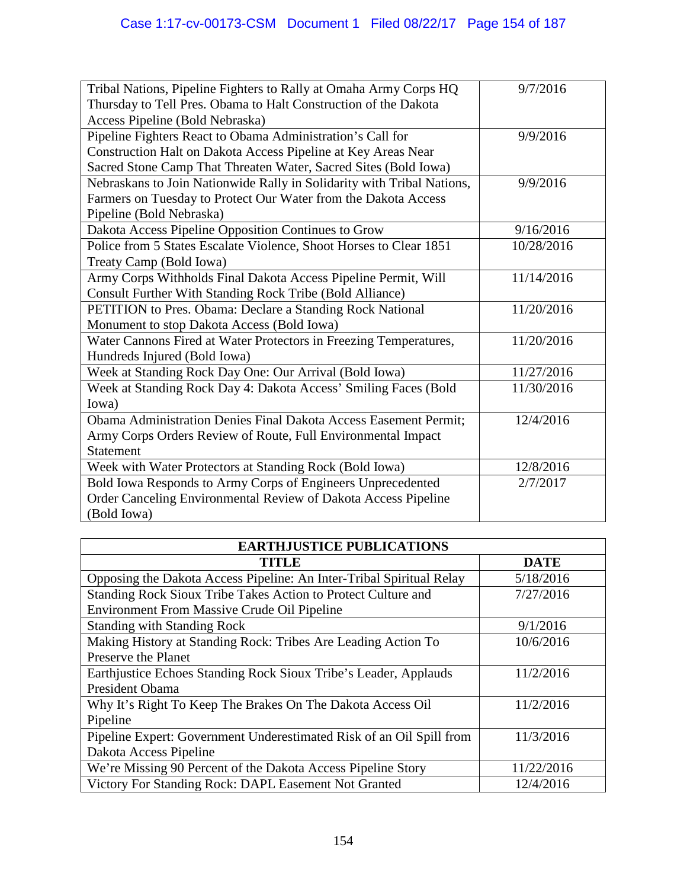| Tribal Nations, Pipeline Fighters to Rally at Omaha Army Corps HQ      | 9/7/2016   |
|------------------------------------------------------------------------|------------|
| Thursday to Tell Pres. Obama to Halt Construction of the Dakota        |            |
| Access Pipeline (Bold Nebraska)                                        |            |
| Pipeline Fighters React to Obama Administration's Call for             | 9/9/2016   |
| Construction Halt on Dakota Access Pipeline at Key Areas Near          |            |
| Sacred Stone Camp That Threaten Water, Sacred Sites (Bold Iowa)        |            |
| Nebraskans to Join Nationwide Rally in Solidarity with Tribal Nations, | 9/9/2016   |
| Farmers on Tuesday to Protect Our Water from the Dakota Access         |            |
| Pipeline (Bold Nebraska)                                               |            |
| Dakota Access Pipeline Opposition Continues to Grow                    | 9/16/2016  |
| Police from 5 States Escalate Violence, Shoot Horses to Clear 1851     | 10/28/2016 |
| Treaty Camp (Bold Iowa)                                                |            |
| Army Corps Withholds Final Dakota Access Pipeline Permit, Will         | 11/14/2016 |
| Consult Further With Standing Rock Tribe (Bold Alliance)               |            |
| PETITION to Pres. Obama: Declare a Standing Rock National              | 11/20/2016 |
| Monument to stop Dakota Access (Bold Iowa)                             |            |
| Water Cannons Fired at Water Protectors in Freezing Temperatures,      | 11/20/2016 |
| Hundreds Injured (Bold Iowa)                                           |            |
| Week at Standing Rock Day One: Our Arrival (Bold Iowa)                 | 11/27/2016 |
| Week at Standing Rock Day 4: Dakota Access' Smiling Faces (Bold        | 11/30/2016 |
| Iowa)                                                                  |            |
| Obama Administration Denies Final Dakota Access Easement Permit;       | 12/4/2016  |
| Army Corps Orders Review of Route, Full Environmental Impact           |            |
| <b>Statement</b>                                                       |            |
| Week with Water Protectors at Standing Rock (Bold Iowa)                | 12/8/2016  |
| Bold Iowa Responds to Army Corps of Engineers Unprecedented            | 2/7/2017   |
| Order Canceling Environmental Review of Dakota Access Pipeline         |            |
| (Bold Iowa)                                                            |            |

| <b>EARTHJUSTICE PUBLICATIONS</b>                                     |             |  |  |
|----------------------------------------------------------------------|-------------|--|--|
| <b>TITLE</b>                                                         | <b>DATE</b> |  |  |
| Opposing the Dakota Access Pipeline: An Inter-Tribal Spiritual Relay | 5/18/2016   |  |  |
| Standing Rock Sioux Tribe Takes Action to Protect Culture and        | 7/27/2016   |  |  |
| <b>Environment From Massive Crude Oil Pipeline</b>                   |             |  |  |
| <b>Standing with Standing Rock</b>                                   | 9/1/2016    |  |  |
| Making History at Standing Rock: Tribes Are Leading Action To        | 10/6/2016   |  |  |
| Preserve the Planet                                                  |             |  |  |
| Earthjustice Echoes Standing Rock Sioux Tribe's Leader, Applauds     | 11/2/2016   |  |  |
| President Obama                                                      |             |  |  |
| Why It's Right To Keep The Brakes On The Dakota Access Oil           | 11/2/2016   |  |  |
| Pipeline                                                             |             |  |  |
| Pipeline Expert: Government Underestimated Risk of an Oil Spill from | 11/3/2016   |  |  |
| Dakota Access Pipeline                                               |             |  |  |
| We're Missing 90 Percent of the Dakota Access Pipeline Story         | 11/22/2016  |  |  |
| Victory For Standing Rock: DAPL Easement Not Granted                 | 12/4/2016   |  |  |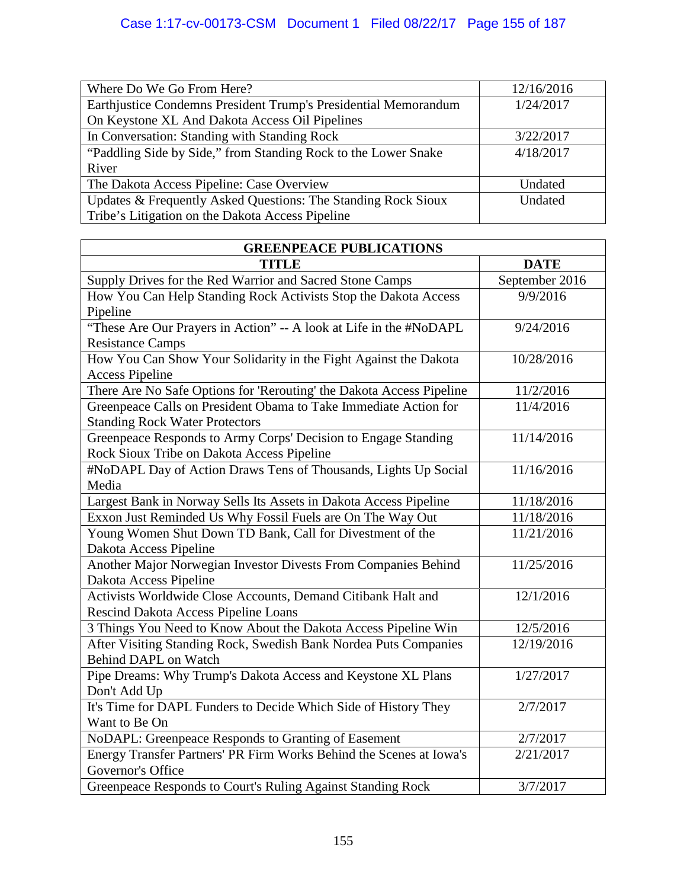| Where Do We Go From Here?                                       | 12/16/2016 |
|-----------------------------------------------------------------|------------|
| Earthjustice Condemns President Trump's Presidential Memorandum | 1/24/2017  |
| On Keystone XL And Dakota Access Oil Pipelines                  |            |
| In Conversation: Standing with Standing Rock                    | 3/22/2017  |
| "Paddling Side by Side," from Standing Rock to the Lower Snake  | 4/18/2017  |
| River                                                           |            |
| The Dakota Access Pipeline: Case Overview                       | Undated    |
| Updates & Frequently Asked Questions: The Standing Rock Sioux   | Undated    |
| Tribe's Litigation on the Dakota Access Pipeline                |            |

| <b>GREENPEACE PUBLICATIONS</b>                                       |                |  |
|----------------------------------------------------------------------|----------------|--|
| <b>TITLE</b>                                                         | <b>DATE</b>    |  |
| Supply Drives for the Red Warrior and Sacred Stone Camps             | September 2016 |  |
| How You Can Help Standing Rock Activists Stop the Dakota Access      | 9/9/2016       |  |
| Pipeline                                                             |                |  |
| "These Are Our Prayers in Action" -- A look at Life in the #NoDAPL   | 9/24/2016      |  |
| <b>Resistance Camps</b>                                              |                |  |
| How You Can Show Your Solidarity in the Fight Against the Dakota     | 10/28/2016     |  |
| <b>Access Pipeline</b>                                               |                |  |
| There Are No Safe Options for 'Rerouting' the Dakota Access Pipeline | 11/2/2016      |  |
| Greenpeace Calls on President Obama to Take Immediate Action for     | 11/4/2016      |  |
| <b>Standing Rock Water Protectors</b>                                |                |  |
| Greenpeace Responds to Army Corps' Decision to Engage Standing       | 11/14/2016     |  |
| Rock Sioux Tribe on Dakota Access Pipeline                           |                |  |
| #NoDAPL Day of Action Draws Tens of Thousands, Lights Up Social      | 11/16/2016     |  |
| Media                                                                |                |  |
| Largest Bank in Norway Sells Its Assets in Dakota Access Pipeline    | 11/18/2016     |  |
| Exxon Just Reminded Us Why Fossil Fuels are On The Way Out           | 11/18/2016     |  |
| Young Women Shut Down TD Bank, Call for Divestment of the            | 11/21/2016     |  |
| Dakota Access Pipeline                                               |                |  |
| Another Major Norwegian Investor Divests From Companies Behind       | 11/25/2016     |  |
| Dakota Access Pipeline                                               |                |  |
| Activists Worldwide Close Accounts, Demand Citibank Halt and         | 12/1/2016      |  |
| Rescind Dakota Access Pipeline Loans                                 |                |  |
| 3 Things You Need to Know About the Dakota Access Pipeline Win       | 12/5/2016      |  |
| After Visiting Standing Rock, Swedish Bank Nordea Puts Companies     | 12/19/2016     |  |
| Behind DAPL on Watch                                                 |                |  |
| Pipe Dreams: Why Trump's Dakota Access and Keystone XL Plans         | 1/27/2017      |  |
| Don't Add Up                                                         |                |  |
| It's Time for DAPL Funders to Decide Which Side of History They      | 2/7/2017       |  |
| Want to Be On                                                        |                |  |
| NoDAPL: Greenpeace Responds to Granting of Easement                  | 2/7/2017       |  |
| Energy Transfer Partners' PR Firm Works Behind the Scenes at Iowa's  | 2/21/2017      |  |
| Governor's Office                                                    |                |  |
| Greenpeace Responds to Court's Ruling Against Standing Rock          | 3/7/2017       |  |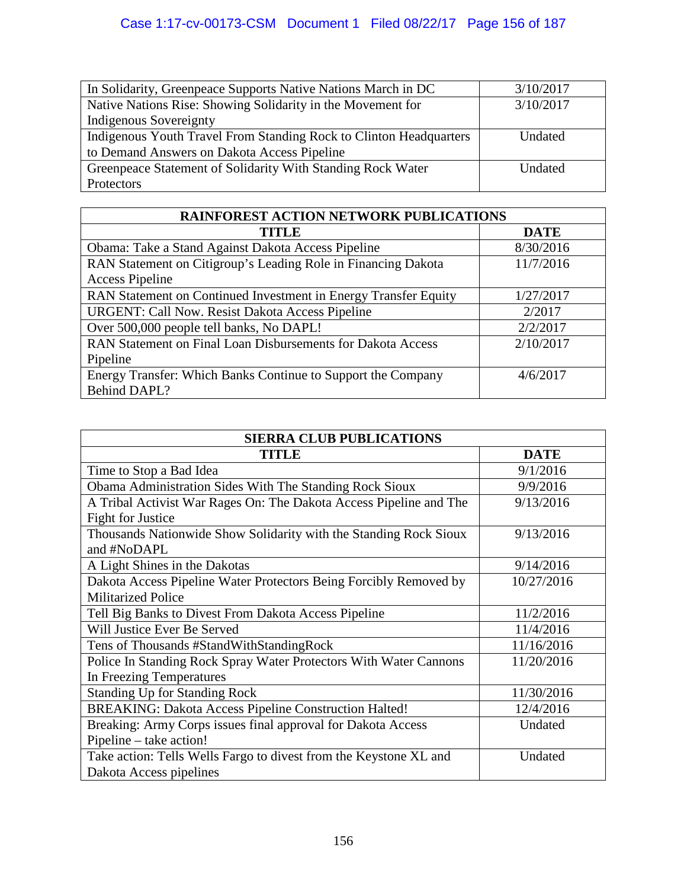| In Solidarity, Greenpeace Supports Native Nations March in DC      | 3/10/2017 |
|--------------------------------------------------------------------|-----------|
|                                                                    |           |
| Native Nations Rise: Showing Solidarity in the Movement for        | 3/10/2017 |
| Indigenous Sovereignty                                             |           |
| Indigenous Youth Travel From Standing Rock to Clinton Headquarters | Undated   |
| to Demand Answers on Dakota Access Pipeline                        |           |
| Greenpeace Statement of Solidarity With Standing Rock Water        | Undated   |
| Protectors                                                         |           |

| <b>RAINFOREST ACTION NETWORK PUBLICATIONS</b>                   |             |  |  |
|-----------------------------------------------------------------|-------------|--|--|
| TITLE                                                           | <b>DATE</b> |  |  |
| Obama: Take a Stand Against Dakota Access Pipeline              | 8/30/2016   |  |  |
| RAN Statement on Citigroup's Leading Role in Financing Dakota   | 11/7/2016   |  |  |
| <b>Access Pipeline</b>                                          |             |  |  |
| RAN Statement on Continued Investment in Energy Transfer Equity | 1/27/2017   |  |  |
| <b>URGENT: Call Now. Resist Dakota Access Pipeline</b>          | 2/2017      |  |  |
| Over 500,000 people tell banks, No DAPL!                        | 2/2/2017    |  |  |
| RAN Statement on Final Loan Disbursements for Dakota Access     | 2/10/2017   |  |  |
| Pipeline                                                        |             |  |  |
| Energy Transfer: Which Banks Continue to Support the Company    | 4/6/2017    |  |  |
| Behind DAPL?                                                    |             |  |  |

| <b>SIERRA CLUB PUBLICATIONS</b>                                    |             |  |  |
|--------------------------------------------------------------------|-------------|--|--|
| <b>TITLE</b>                                                       | <b>DATE</b> |  |  |
| Time to Stop a Bad Idea                                            | 9/1/2016    |  |  |
| Obama Administration Sides With The Standing Rock Sioux            | 9/9/2016    |  |  |
| A Tribal Activist War Rages On: The Dakota Access Pipeline and The | 9/13/2016   |  |  |
| <b>Fight for Justice</b>                                           |             |  |  |
| Thousands Nationwide Show Solidarity with the Standing Rock Sioux  | 9/13/2016   |  |  |
| and #NoDAPL                                                        |             |  |  |
| A Light Shines in the Dakotas                                      | 9/14/2016   |  |  |
| Dakota Access Pipeline Water Protectors Being Forcibly Removed by  | 10/27/2016  |  |  |
| <b>Militarized Police</b>                                          |             |  |  |
| Tell Big Banks to Divest From Dakota Access Pipeline               | 11/2/2016   |  |  |
| Will Justice Ever Be Served                                        | 11/4/2016   |  |  |
| Tens of Thousands #StandWithStandingRock                           | 11/16/2016  |  |  |
| Police In Standing Rock Spray Water Protectors With Water Cannons  | 11/20/2016  |  |  |
| In Freezing Temperatures                                           |             |  |  |
| <b>Standing Up for Standing Rock</b>                               | 11/30/2016  |  |  |
| <b>BREAKING: Dakota Access Pipeline Construction Halted!</b>       | 12/4/2016   |  |  |
| Breaking: Army Corps issues final approval for Dakota Access       | Undated     |  |  |
| Pipeline – take action!                                            |             |  |  |
| Take action: Tells Wells Fargo to divest from the Keystone XL and  | Undated     |  |  |
| Dakota Access pipelines                                            |             |  |  |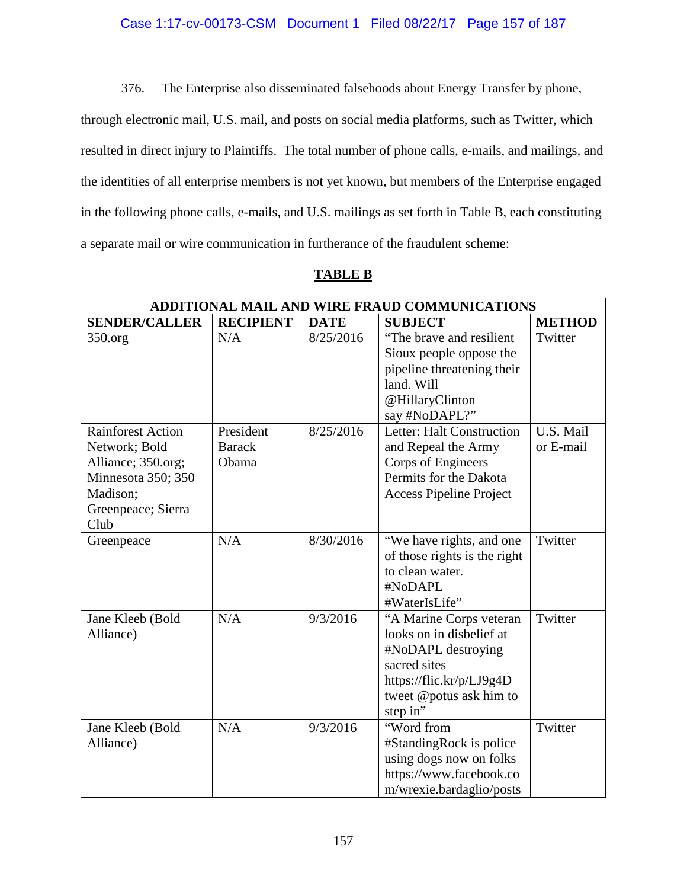# Case 1:17-cv-00173-CSM Document 1 Filed 08/22/17 Page 157 of 187

376. The Enterprise also disseminated falsehoods about Energy Transfer by phone,

through electronic mail, U.S. mail, and posts on social media platforms, such as Twitter, which resulted in direct injury to Plaintiffs. The total number of phone calls, e-mails, and mailings, and the identities of all enterprise members is not yet known, but members of the Enterprise engaged in the following phone calls, e-mails, and U.S. mailings as set forth in Table B, each constituting a separate mail or wire communication in furtherance of the fraudulent scheme:

| וכ<br>٠,<br>. .<br>ю |  |
|----------------------|--|
|                      |  |

| ADDITIONAL MAIL AND WIRE FRAUD COMMUNICATIONS                                                                                   |                                     |             |                                                                                                                                                              |                        |
|---------------------------------------------------------------------------------------------------------------------------------|-------------------------------------|-------------|--------------------------------------------------------------------------------------------------------------------------------------------------------------|------------------------|
| <b>SENDER/CALLER</b>                                                                                                            | <b>RECIPIENT</b>                    | <b>DATE</b> | <b>SUBJECT</b>                                                                                                                                               | <b>METHOD</b>          |
| 350.org                                                                                                                         | N/A                                 | 8/25/2016   | "The brave and resilient<br>Sioux people oppose the<br>pipeline threatening their<br>land. Will<br>@HillaryClinton<br>say #NoDAPL?"                          | Twitter                |
| <b>Rainforest Action</b><br>Network; Bold<br>Alliance; 350.org;<br>Minnesota 350; 350<br>Madison;<br>Greenpeace; Sierra<br>Club | President<br><b>Barack</b><br>Obama | 8/25/2016   | Letter: Halt Construction<br>and Repeal the Army<br>Corps of Engineers<br>Permits for the Dakota<br><b>Access Pipeline Project</b>                           | U.S. Mail<br>or E-mail |
| Greenpeace                                                                                                                      | N/A                                 | 8/30/2016   | "We have rights, and one<br>of those rights is the right<br>to clean water.<br>#NoDAPL<br>#WaterIsLife"                                                      | Twitter                |
| Jane Kleeb (Bold<br>Alliance)                                                                                                   | N/A                                 | 9/3/2016    | "A Marine Corps veteran<br>looks on in disbelief at<br>#NoDAPL destroying<br>sacred sites<br>https://flic.kr/p/LJ9g4D<br>tweet @potus ask him to<br>step in" | Twitter                |
| Jane Kleeb (Bold<br>Alliance)                                                                                                   | N/A                                 | 9/3/2016    | "Word from<br>#StandingRock is police<br>using dogs now on folks<br>https://www.facebook.co<br>m/wrexie.bardaglio/posts                                      | Twitter                |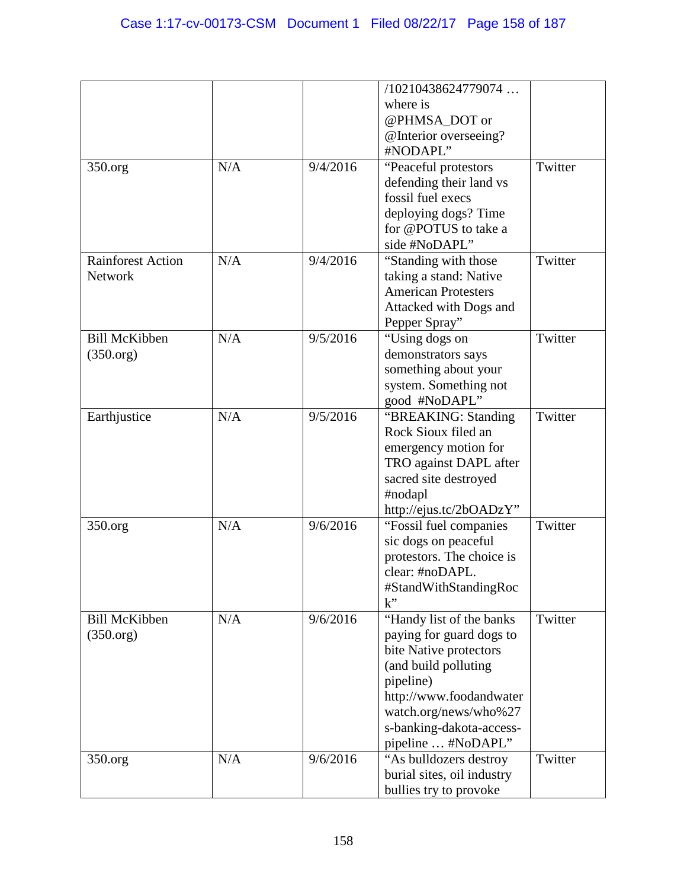|                          |     |          | /10210438624779074                           |         |
|--------------------------|-----|----------|----------------------------------------------|---------|
|                          |     |          | where is                                     |         |
|                          |     |          | @PHMSA_DOT or                                |         |
|                          |     |          | @Interior overseeing?                        |         |
|                          |     |          | #NODAPL"                                     |         |
| 350.org                  | N/A | 9/4/2016 | "Peaceful protestors                         | Twitter |
|                          |     |          | defending their land vs                      |         |
|                          |     |          | fossil fuel execs                            |         |
|                          |     |          | deploying dogs? Time                         |         |
|                          |     |          | for @POTUS to take a                         |         |
|                          |     |          | side #NoDAPL"                                |         |
| <b>Rainforest Action</b> | N/A | 9/4/2016 | "Standing with those"                        | Twitter |
| Network                  |     |          | taking a stand: Native                       |         |
|                          |     |          | <b>American Protesters</b>                   |         |
|                          |     |          | Attacked with Dogs and                       |         |
|                          |     |          | Pepper Spray"                                |         |
| <b>Bill McKibben</b>     | N/A | 9/5/2016 | "Using dogs on                               | Twitter |
| (350.org)                |     |          | demonstrators says                           |         |
|                          |     |          | something about your                         |         |
|                          |     |          | system. Something not                        |         |
|                          |     |          | good #NoDAPL"                                |         |
| Earthjustice             | N/A | 9/5/2016 | "BREAKING: Standing                          | Twitter |
|                          |     |          | Rock Sioux filed an                          |         |
|                          |     |          | emergency motion for                         |         |
|                          |     |          | TRO against DAPL after                       |         |
|                          |     |          | sacred site destroyed                        |         |
|                          |     |          | #nodapl                                      |         |
|                          | N/A | 9/6/2016 | http://ejus.tc/2bOADzY"                      | Twitter |
| 350.org                  |     |          | "Fossil fuel companies                       |         |
|                          |     |          | sic dogs on peaceful                         |         |
|                          |     |          | protestors. The choice is<br>clear: #noDAPL. |         |
|                          |     |          | #StandWithStandingRoc                        |         |
|                          |     |          | k"                                           |         |
| <b>Bill McKibben</b>     | N/A | 9/6/2016 | "Handy list of the banks"                    | Twitter |
| (350.org)                |     |          | paying for guard dogs to                     |         |
|                          |     |          | bite Native protectors                       |         |
|                          |     |          | (and build polluting                         |         |
|                          |     |          | pipeline)                                    |         |
|                          |     |          | http://www.foodandwater                      |         |
|                          |     |          | watch.org/news/who%27                        |         |
|                          |     |          | s-banking-dakota-access-                     |         |
|                          |     |          | pipeline  #NoDAPL"                           |         |
| 350.org                  | N/A | 9/6/2016 | "As bulldozers destroy                       | Twitter |
|                          |     |          | burial sites, oil industry                   |         |
|                          |     |          | bullies try to provoke                       |         |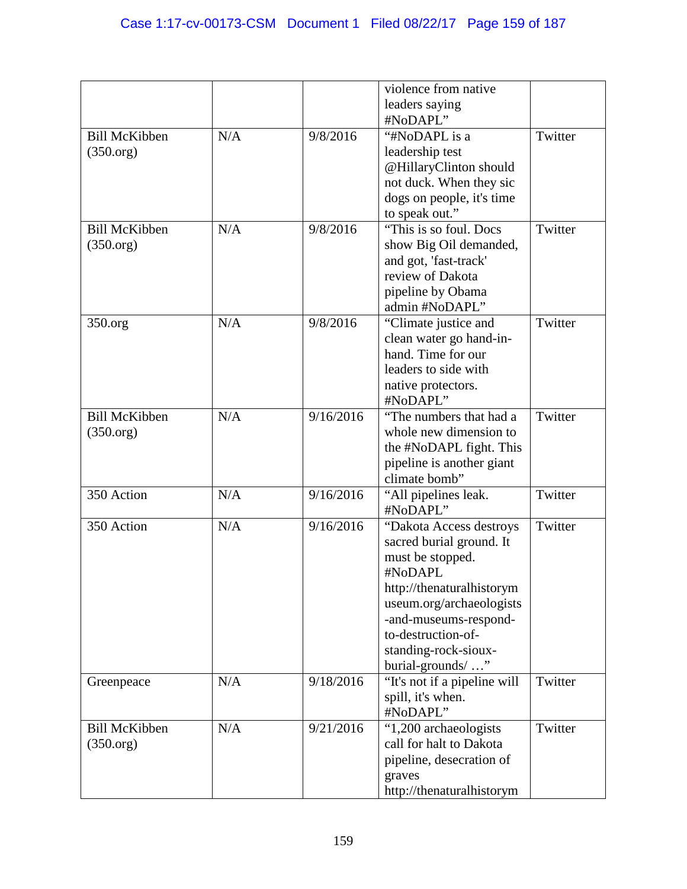|                      |     |           | violence from native         |         |
|----------------------|-----|-----------|------------------------------|---------|
|                      |     |           | leaders saying               |         |
|                      |     |           | #NoDAPL"                     |         |
| <b>Bill McKibben</b> | N/A | 9/8/2016  | "#NoDAPL is a                | Twitter |
| (350.org)            |     |           | leadership test              |         |
|                      |     |           | @HillaryClinton should       |         |
|                      |     |           | not duck. When they sic      |         |
|                      |     |           | dogs on people, it's time    |         |
|                      |     |           | to speak out."               |         |
| <b>Bill McKibben</b> | N/A | 9/8/2016  | "This is so foul. Docs"      | Twitter |
| (350.org)            |     |           | show Big Oil demanded,       |         |
|                      |     |           | and got, 'fast-track'        |         |
|                      |     |           | review of Dakota             |         |
|                      |     |           | pipeline by Obama            |         |
|                      |     |           | admin #NoDAPL"               |         |
| 350.org              | N/A | 9/8/2016  | "Climate justice and         | Twitter |
|                      |     |           | clean water go hand-in-      |         |
|                      |     |           | hand. Time for our           |         |
|                      |     |           | leaders to side with         |         |
|                      |     |           | native protectors.           |         |
|                      |     |           | #NoDAPL"                     |         |
| <b>Bill McKibben</b> | N/A | 9/16/2016 | "The numbers that had a      | Twitter |
| (350.org)            |     |           | whole new dimension to       |         |
|                      |     |           | the #NoDAPL fight. This      |         |
|                      |     |           | pipeline is another giant    |         |
|                      |     |           | climate bomb"                |         |
| 350 Action           | N/A | 9/16/2016 | "All pipelines leak.         | Twitter |
|                      |     |           | #NoDAPL"                     |         |
| 350 Action           | N/A | 9/16/2016 | "Dakota Access destroys      | Twitter |
|                      |     |           | sacred burial ground. It     |         |
|                      |     |           | must be stopped.             |         |
|                      |     |           | #NoDAPL                      |         |
|                      |     |           | http://thenaturalhistorym    |         |
|                      |     |           | useum.org/archaeologists     |         |
|                      |     |           | -and-museums-respond-        |         |
|                      |     |           | to-destruction-of-           |         |
|                      |     |           | standing-rock-sioux-         |         |
|                      |     |           | burial-grounds/"             |         |
| Greenpeace           | N/A | 9/18/2016 | "It's not if a pipeline will | Twitter |
|                      |     |           | spill, it's when.            |         |
|                      |     |           | #NoDAPL"                     |         |
| <b>Bill McKibben</b> | N/A | 9/21/2016 | "1,200 archaeologists        | Twitter |
| (350.org)            |     |           | call for halt to Dakota      |         |
|                      |     |           | pipeline, desecration of     |         |
|                      |     |           | graves                       |         |
|                      |     |           | http://thenaturalhistorym    |         |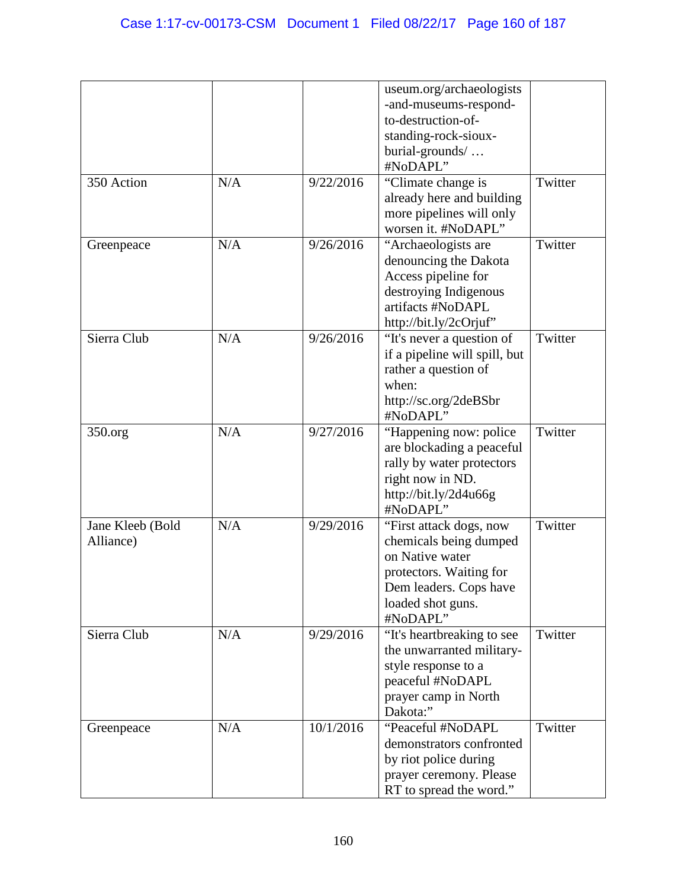|                  |     |           | useum.org/archaeologists                    |         |
|------------------|-----|-----------|---------------------------------------------|---------|
|                  |     |           | -and-museums-respond-<br>to-destruction-of- |         |
|                  |     |           |                                             |         |
|                  |     |           | standing-rock-sioux-                        |         |
|                  |     |           | burial-grounds/                             |         |
|                  |     |           | #NoDAPL"                                    |         |
| 350 Action       | N/A | 9/22/2016 | "Climate change is                          | Twitter |
|                  |     |           | already here and building                   |         |
|                  |     |           | more pipelines will only                    |         |
|                  |     |           | worsen it. #NoDAPL"                         |         |
| Greenpeace       | N/A | 9/26/2016 | "Archaeologists are                         | Twitter |
|                  |     |           | denouncing the Dakota                       |         |
|                  |     |           | Access pipeline for                         |         |
|                  |     |           | destroying Indigenous                       |         |
|                  |     |           | artifacts #NoDAPL                           |         |
|                  |     |           | http://bit.ly/2cOrjuf"                      |         |
| Sierra Club      | N/A | 9/26/2016 | "It's never a question of                   | Twitter |
|                  |     |           | if a pipeline will spill, but               |         |
|                  |     |           | rather a question of                        |         |
|                  |     |           | when:                                       |         |
|                  |     |           | http://sc.org/2deBSbr                       |         |
|                  |     |           | #NoDAPL"                                    |         |
| 350.org          | N/A | 9/27/2016 | "Happening now: police"                     | Twitter |
|                  |     |           |                                             |         |
|                  |     |           | are blockading a peaceful                   |         |
|                  |     |           | rally by water protectors                   |         |
|                  |     |           | right now in ND.                            |         |
|                  |     |           | http://bit.ly/2d4u66g                       |         |
|                  |     |           | #NoDAPL"                                    |         |
| Jane Kleeb (Bold | N/A | 9/29/2016 | "First attack dogs, now                     | Twitter |
| Alliance)        |     |           | chemicals being dumped                      |         |
|                  |     |           | on Native water                             |         |
|                  |     |           | protectors. Waiting for                     |         |
|                  |     |           | Dem leaders. Cops have                      |         |
|                  |     |           | loaded shot guns.                           |         |
|                  |     |           | #NoDAPL"                                    |         |
| Sierra Club      | N/A | 9/29/2016 | "It's heartbreaking to see                  | Twitter |
|                  |     |           | the unwarranted military-                   |         |
|                  |     |           | style response to a                         |         |
|                  |     |           | peaceful #NoDAPL                            |         |
|                  |     |           | prayer camp in North                        |         |
|                  |     |           | Dakota:"                                    |         |
| Greenpeace       | N/A | 10/1/2016 | "Peaceful #NoDAPL                           | Twitter |
|                  |     |           | demonstrators confronted                    |         |
|                  |     |           | by riot police during                       |         |
|                  |     |           | prayer ceremony. Please                     |         |
|                  |     |           | RT to spread the word."                     |         |
|                  |     |           |                                             |         |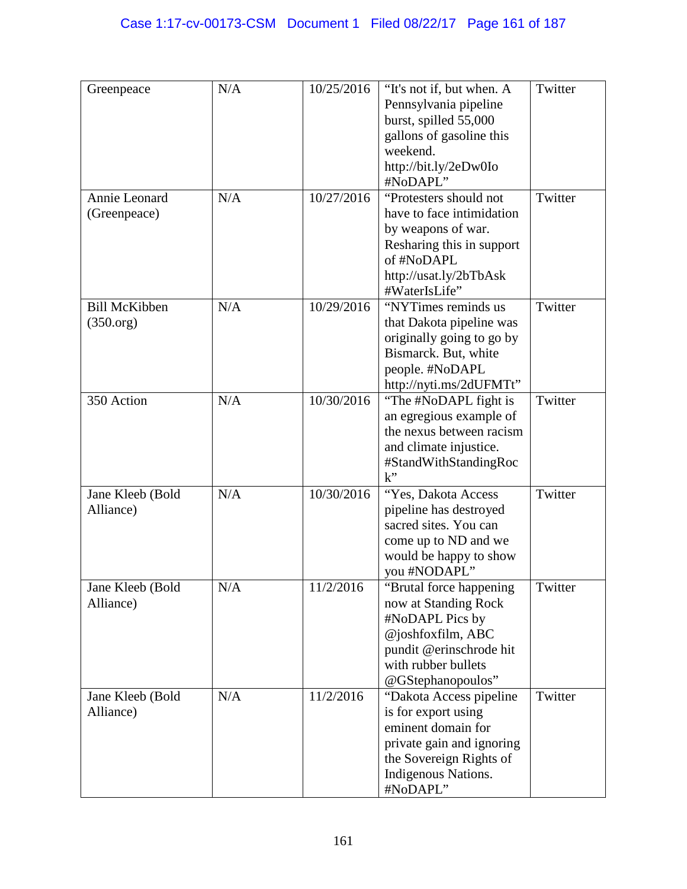| Greenpeace                        | N/A | 10/25/2016 | "It's not if, but when. A<br>Pennsylvania pipeline<br>burst, spilled 55,000<br>gallons of gasoline this<br>weekend.<br>http://bit.ly/2eDw0Io<br>#NoDAPL"         | Twitter |
|-----------------------------------|-----|------------|------------------------------------------------------------------------------------------------------------------------------------------------------------------|---------|
| Annie Leonard<br>(Greenpeace)     | N/A | 10/27/2016 | "Protesters should not<br>have to face intimidation<br>by weapons of war.<br>Resharing this in support<br>of #NoDAPL<br>http://usat.ly/2bTbAsk<br>#WaterIsLife"  | Twitter |
| <b>Bill McKibben</b><br>(350.org) | N/A | 10/29/2016 | "NYTimes reminds us<br>that Dakota pipeline was<br>originally going to go by<br>Bismarck. But, white<br>people. #NoDAPL<br>http://nyti.ms/2dUFMTt"               | Twitter |
| 350 Action                        | N/A | 10/30/2016 | "The #NoDAPL fight is<br>an egregious example of<br>the nexus between racism<br>and climate injustice.<br>#StandWithStandingRoc<br>$k$ "                         | Twitter |
| Jane Kleeb (Bold<br>Alliance)     | N/A | 10/30/2016 | "Yes, Dakota Access<br>pipeline has destroyed<br>sacred sites. You can<br>come up to ND and we<br>would be happy to show<br>you #NODAPL"                         | Twitter |
| Jane Kleeb (Bold<br>Alliance)     | N/A | 11/2/2016  | "Brutal force happening<br>now at Standing Rock<br>#NoDAPL Pics by<br>@joshfoxfilm, ABC<br>pundit @erinschrode hit<br>with rubber bullets<br>@GStephanopoulos"   | Twitter |
| Jane Kleeb (Bold<br>Alliance)     | N/A | 11/2/2016  | "Dakota Access pipeline"<br>is for export using<br>eminent domain for<br>private gain and ignoring<br>the Sovereign Rights of<br>Indigenous Nations.<br>#NoDAPL" | Twitter |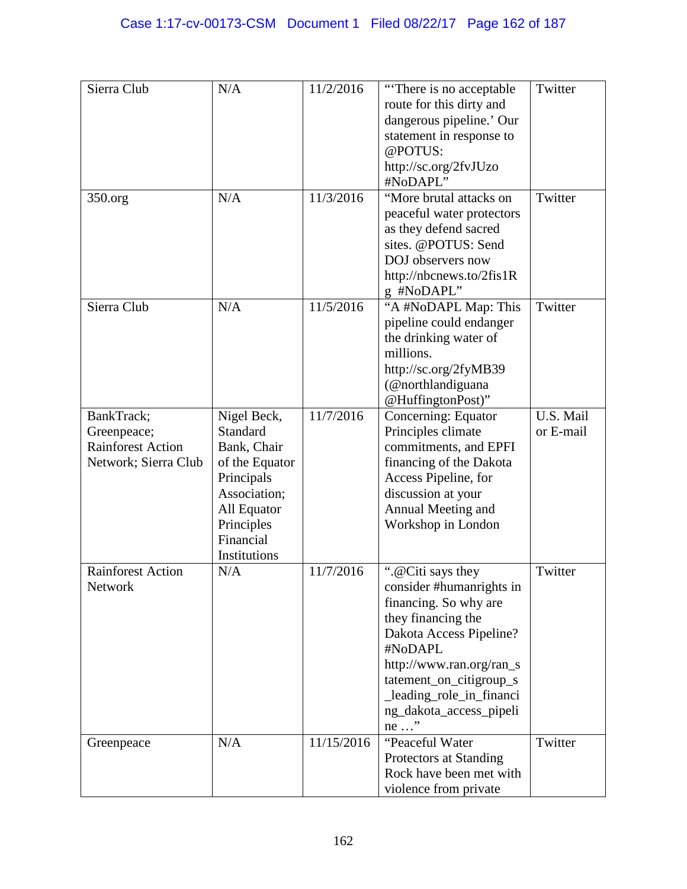| Sierra Club                                                                   | N/A                                                                                                                                              | 11/2/2016  | "There is no acceptable"<br>route for this dirty and<br>dangerous pipeline.' Our<br>statement in response to<br>@POTUS:<br>http://sc.org/2fvJUzo<br>#NoDAPL"                                                                                             | Twitter                |
|-------------------------------------------------------------------------------|--------------------------------------------------------------------------------------------------------------------------------------------------|------------|----------------------------------------------------------------------------------------------------------------------------------------------------------------------------------------------------------------------------------------------------------|------------------------|
| 350.org                                                                       | N/A                                                                                                                                              | 11/3/2016  | "More brutal attacks on<br>peaceful water protectors<br>as they defend sacred<br>sites. @POTUS: Send<br>DOJ observers now<br>http://nbcnews.to/2fis1R<br>g #NoDAPL"                                                                                      | Twitter                |
| Sierra Club                                                                   | N/A                                                                                                                                              | 11/5/2016  | "A #NoDAPL Map: This<br>pipeline could endanger<br>the drinking water of<br>millions.<br>http://sc.org/2fyMB39<br>(@northlandiguana<br>@HuffingtonPost)"                                                                                                 | Twitter                |
| BankTrack;<br>Greenpeace;<br><b>Rainforest Action</b><br>Network; Sierra Club | Nigel Beck,<br>Standard<br>Bank, Chair<br>of the Equator<br>Principals<br>Association;<br>All Equator<br>Principles<br>Financial<br>Institutions | 11/7/2016  | Concerning: Equator<br>Principles climate<br>commitments, and EPFI<br>financing of the Dakota<br>Access Pipeline, for<br>discussion at your<br>Annual Meeting and<br>Workshop in London                                                                  | U.S. Mail<br>or E-mail |
| <b>Rainforest Action</b><br><b>Network</b>                                    | N/A                                                                                                                                              | 11/7/2016  | ".@Citi says they<br>consider #humanrights in<br>financing. So why are<br>they financing the<br>Dakota Access Pipeline?<br>#NoDAPL<br>http://www.ran.org/ran_s<br>tatement_on_citigroup_s<br>_leading_role_in_financi<br>ng_dakota_access_pipeli<br>ne " | Twitter                |
| Greenpeace                                                                    | N/A                                                                                                                                              | 11/15/2016 | "Peaceful Water<br>Protectors at Standing<br>Rock have been met with<br>violence from private                                                                                                                                                            | Twitter                |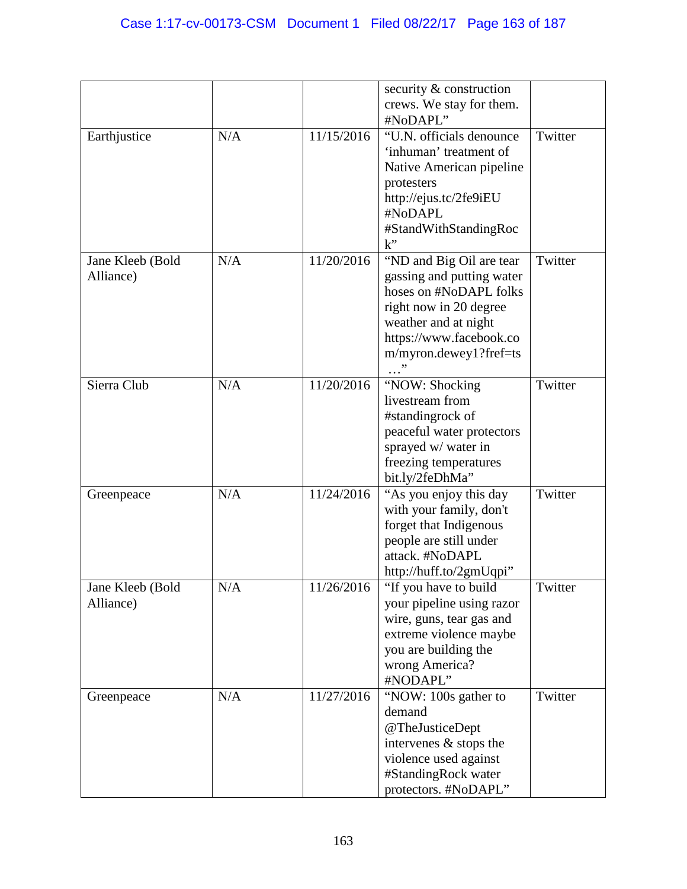|                               |     |            | security & construction<br>crews. We stay for them.                                                                                                                                    |         |
|-------------------------------|-----|------------|----------------------------------------------------------------------------------------------------------------------------------------------------------------------------------------|---------|
| Earthjustice                  | N/A | 11/15/2016 | #NoDAPL"<br>"U.N. officials denounce<br>'inhuman' treatment of<br>Native American pipeline<br>protesters<br>http://ejus.tc/2fe9iEU<br>#NoDAPL<br>#StandWithStandingRoc<br>$k$ "        | Twitter |
| Jane Kleeb (Bold<br>Alliance) | N/A | 11/20/2016 | "ND and Big Oil are tear<br>gassing and putting water<br>hoses on #NoDAPL folks<br>right now in 20 degree<br>weather and at night<br>https://www.facebook.co<br>m/myron.dewey1?fref=ts | Twitter |
| Sierra Club                   | N/A | 11/20/2016 | "NOW: Shocking<br>livestream from<br>#standingrock of<br>peaceful water protectors<br>sprayed w/ water in<br>freezing temperatures<br>bit.ly/2feDhMa"                                  | Twitter |
| Greenpeace                    | N/A | 11/24/2016 | "As you enjoy this day"<br>with your family, don't<br>forget that Indigenous<br>people are still under<br>attack. #NoDAPL<br>http://huff.to/2gmUqpi"                                   | Twitter |
| Jane Kleeb (Bold<br>Alliance) | N/A | 11/26/2016 | "If you have to build<br>your pipeline using razor<br>wire, guns, tear gas and<br>extreme violence maybe<br>you are building the<br>wrong America?<br>#NODAPL"                         | Twitter |
| Greenpeace                    | N/A | 11/27/2016 | "NOW: 100s gather to<br>demand<br>@TheJusticeDept<br>intervenes & stops the<br>violence used against<br>#StandingRock water<br>protectors. #NoDAPL"                                    | Twitter |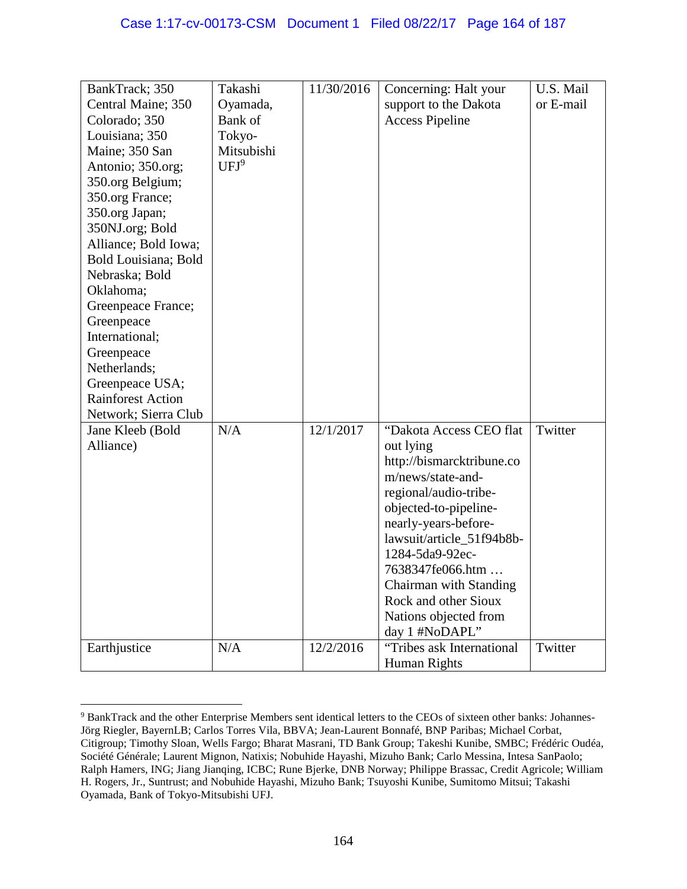| BankTrack; 350           | Takashi          | 11/30/2016 | Concerning: Halt your     | U.S. Mail |
|--------------------------|------------------|------------|---------------------------|-----------|
| Central Maine; 350       | Oyamada,         |            | support to the Dakota     | or E-mail |
| Colorado; 350            | Bank of          |            | <b>Access Pipeline</b>    |           |
| Louisiana; 350           | Tokyo-           |            |                           |           |
|                          | Mitsubishi       |            |                           |           |
| Maine; 350 San           | UFJ <sup>9</sup> |            |                           |           |
| Antonio; 350.org;        |                  |            |                           |           |
| 350.org Belgium;         |                  |            |                           |           |
| 350.org France;          |                  |            |                           |           |
| 350.org Japan;           |                  |            |                           |           |
| 350NJ.org; Bold          |                  |            |                           |           |
| Alliance; Bold Iowa;     |                  |            |                           |           |
| Bold Louisiana; Bold     |                  |            |                           |           |
| Nebraska; Bold           |                  |            |                           |           |
| Oklahoma;                |                  |            |                           |           |
| Greenpeace France;       |                  |            |                           |           |
| Greenpeace               |                  |            |                           |           |
| International;           |                  |            |                           |           |
| Greenpeace               |                  |            |                           |           |
| Netherlands;             |                  |            |                           |           |
| Greenpeace USA;          |                  |            |                           |           |
| <b>Rainforest Action</b> |                  |            |                           |           |
| Network; Sierra Club     |                  |            |                           |           |
| Jane Kleeb (Bold         | N/A              | 12/1/2017  | "Dakota Access CEO flat   | Twitter   |
| Alliance)                |                  |            | out lying                 |           |
|                          |                  |            | http://bismarcktribune.co |           |
|                          |                  |            | m/news/state-and-         |           |
|                          |                  |            | regional/audio-tribe-     |           |
|                          |                  |            | objected-to-pipeline-     |           |
|                          |                  |            | nearly-years-before-      |           |
|                          |                  |            | lawsuit/article_51f94b8b- |           |
|                          |                  |            | 1284-5da9-92ec-           |           |
|                          |                  |            | 7638347fe066.htm          |           |
|                          |                  |            | Chairman with Standing    |           |
|                          |                  |            | Rock and other Sioux      |           |
|                          |                  |            | Nations objected from     |           |
|                          |                  |            | day 1 #NoDAPL"            |           |
| Earthjustice             | N/A              | 12/2/2016  | "Tribes ask International | Twitter   |
|                          |                  |            | Human Rights              |           |

<sup>9</sup> BankTrack and the other Enterprise Members sent identical letters to the CEOs of sixteen other banks: Johannes-Jörg Riegler, BayernLB; Carlos Torres Vila, BBVA; Jean-Laurent Bonnafé, BNP Paribas; Michael Corbat, Citigroup; Timothy Sloan, Wells Fargo; Bharat Masrani, TD Bank Group; Takeshi Kunibe, SMBC; Frédéric Oudéa, Société Générale; Laurent Mignon, Natixis; Nobuhide Hayashi, Mizuho Bank; Carlo Messina, Intesa SanPaolo; Ralph Hamers, ING; Jiang Jianqing, ICBC; Rune Bjerke, DNB Norway; Philippe Brassac, Credit Agricole; William H. Rogers, Jr., Suntrust; and Nobuhide Hayashi, Mizuho Bank; Tsuyoshi Kunibe, Sumitomo Mitsui; Takashi Oyamada, Bank of Tokyo-Mitsubishi UFJ.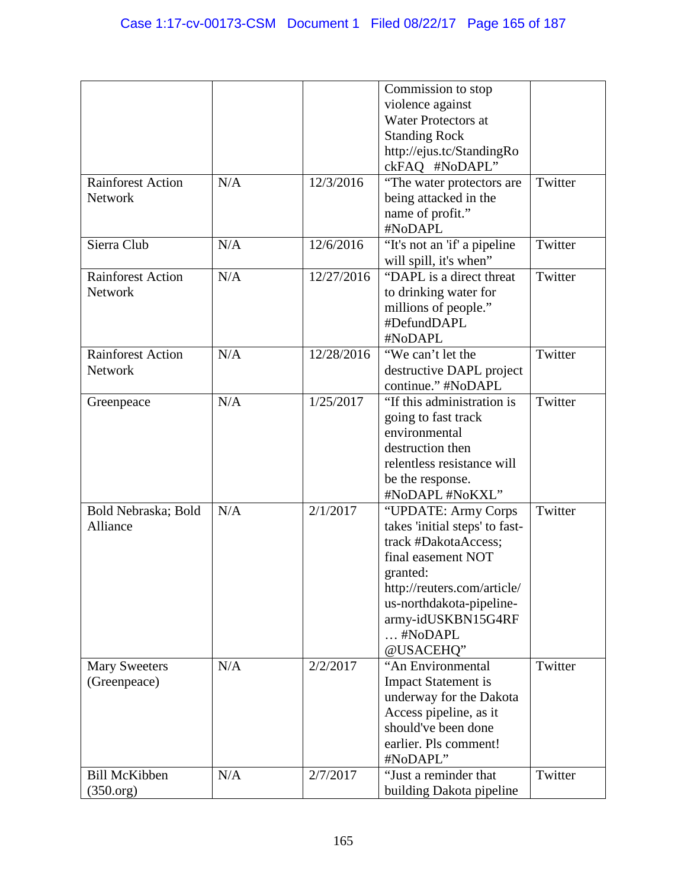|                          |     |            | Commission to stop             |         |
|--------------------------|-----|------------|--------------------------------|---------|
|                          |     |            | violence against               |         |
|                          |     |            | <b>Water Protectors at</b>     |         |
|                          |     |            | <b>Standing Rock</b>           |         |
|                          |     |            | http://ejus.tc/StandingRo      |         |
|                          |     |            | ckFAQ #NoDAPL"                 |         |
| <b>Rainforest Action</b> | N/A | 12/3/2016  | "The water protectors are      | Twitter |
| Network                  |     |            | being attacked in the          |         |
|                          |     |            | name of profit."               |         |
|                          |     |            | #NoDAPL                        |         |
|                          | N/A |            |                                | Twitter |
| Sierra Club              |     | 12/6/2016  | "It's not an 'if' a pipeline   |         |
|                          |     |            | will spill, it's when"         |         |
| <b>Rainforest Action</b> | N/A | 12/27/2016 | "DAPL is a direct threat       | Twitter |
| Network                  |     |            | to drinking water for          |         |
|                          |     |            | millions of people."           |         |
|                          |     |            | #DefundDAPL                    |         |
|                          |     |            | #NoDAPL                        |         |
| <b>Rainforest Action</b> | N/A | 12/28/2016 | "We can't let the              | Twitter |
| Network                  |     |            | destructive DAPL project       |         |
|                          |     |            | continue." #NoDAPL             |         |
| Greenpeace               | N/A | 1/25/2017  | "If this administration is     | Twitter |
|                          |     |            | going to fast track            |         |
|                          |     |            | environmental                  |         |
|                          |     |            |                                |         |
|                          |     |            | destruction then               |         |
|                          |     |            | relentless resistance will     |         |
|                          |     |            | be the response.               |         |
|                          |     |            | #NoDAPL #NoKXL"                |         |
| Bold Nebraska; Bold      | N/A | 2/1/2017   | "UPDATE: Army Corps            | Twitter |
| Alliance                 |     |            | takes 'initial steps' to fast- |         |
|                          |     |            | track #DakotaAccess;           |         |
|                          |     |            | final easement NOT             |         |
|                          |     |            | granted:                       |         |
|                          |     |            | http://reuters.com/article/    |         |
|                          |     |            | us-northdakota-pipeline-       |         |
|                          |     |            | army-idUSKBN15G4RF             |         |
|                          |     |            | #NoDAPL                        |         |
|                          |     |            |                                |         |
|                          |     |            | @USACEHQ"                      |         |
| <b>Mary Sweeters</b>     | N/A | 2/2/2017   | "An Environmental              | Twitter |
| (Greenpeace)             |     |            | <b>Impact Statement is</b>     |         |
|                          |     |            | underway for the Dakota        |         |
|                          |     |            | Access pipeline, as it         |         |
|                          |     |            | should've been done            |         |
|                          |     |            | earlier. Pls comment!          |         |
|                          |     |            | #NoDAPL"                       |         |
| <b>Bill McKibben</b>     | N/A | 2/7/2017   | "Just a reminder that          | Twitter |
| (350.org)                |     |            | building Dakota pipeline       |         |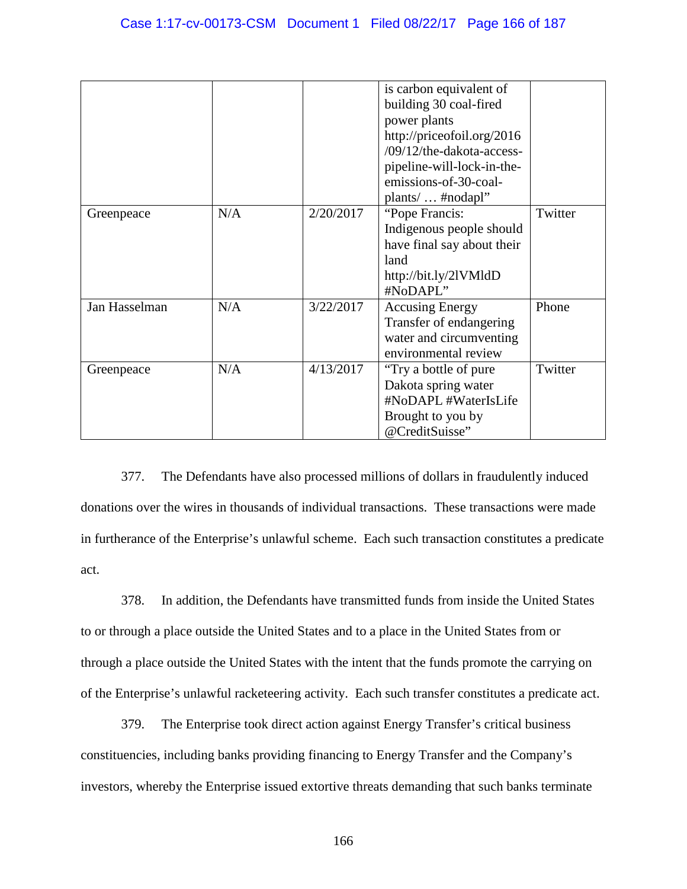|               |     |           | is carbon equivalent of<br>building 30 coal-fired<br>power plants<br>http://priceofoil.org/2016<br>/09/12/the-dakota-access-<br>pipeline-will-lock-in-the-<br>emissions-of-30-coal-<br>plants/ $\ldots$ #nodapl" |         |
|---------------|-----|-----------|------------------------------------------------------------------------------------------------------------------------------------------------------------------------------------------------------------------|---------|
| Greenpeace    | N/A | 2/20/2017 | "Pope Francis:<br>Indigenous people should<br>have final say about their<br>land<br>http://bit.ly/2lVMldD<br>#NoDAPL"                                                                                            | Twitter |
| Jan Hasselman | N/A | 3/22/2017 | <b>Accusing Energy</b><br>Transfer of endangering<br>water and circumventing<br>environmental review                                                                                                             | Phone   |
| Greenpeace    | N/A | 4/13/2017 | "Try a bottle of pure"<br>Dakota spring water<br>#NoDAPL #WaterIsLife<br>Brought to you by<br>@CreditSuisse"                                                                                                     | Twitter |

377. The Defendants have also processed millions of dollars in fraudulently induced donations over the wires in thousands of individual transactions. These transactions were made in furtherance of the Enterprise's unlawful scheme. Each such transaction constitutes a predicate act.

378. In addition, the Defendants have transmitted funds from inside the United States to or through a place outside the United States and to a place in the United States from or through a place outside the United States with the intent that the funds promote the carrying on of the Enterprise's unlawful racketeering activity. Each such transfer constitutes a predicate act.

379. The Enterprise took direct action against Energy Transfer's critical business constituencies, including banks providing financing to Energy Transfer and the Company's investors, whereby the Enterprise issued extortive threats demanding that such banks terminate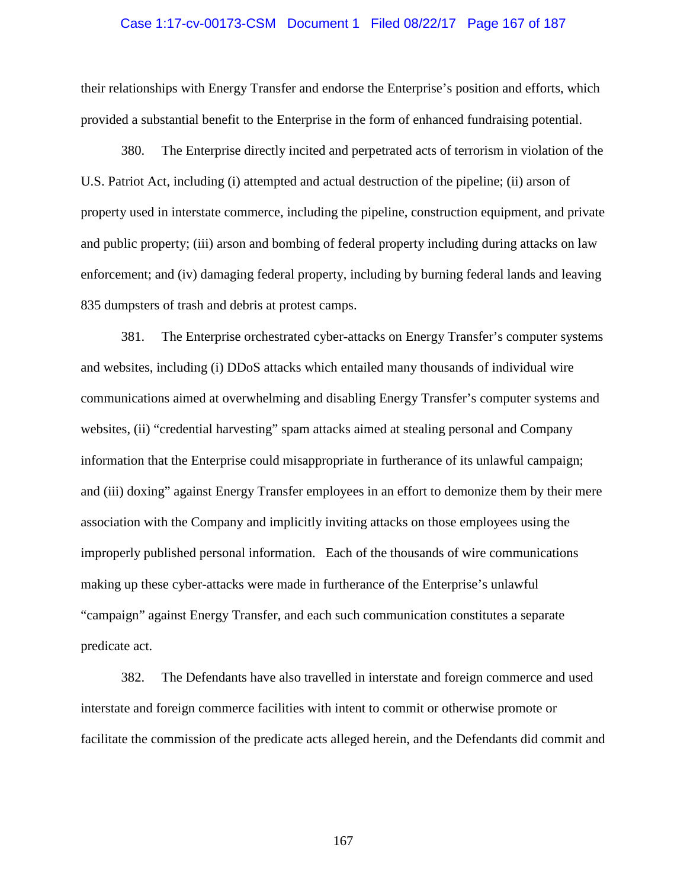#### Case 1:17-cv-00173-CSM Document 1 Filed 08/22/17 Page 167 of 187

their relationships with Energy Transfer and endorse the Enterprise's position and efforts, which provided a substantial benefit to the Enterprise in the form of enhanced fundraising potential.

380. The Enterprise directly incited and perpetrated acts of terrorism in violation of the U.S. Patriot Act, including (i) attempted and actual destruction of the pipeline; (ii) arson of property used in interstate commerce, including the pipeline, construction equipment, and private and public property; (iii) arson and bombing of federal property including during attacks on law enforcement; and (iv) damaging federal property, including by burning federal lands and leaving 835 dumpsters of trash and debris at protest camps.

381. The Enterprise orchestrated cyber-attacks on Energy Transfer's computer systems and websites, including (i) DDoS attacks which entailed many thousands of individual wire communications aimed at overwhelming and disabling Energy Transfer's computer systems and websites, (ii) "credential harvesting" spam attacks aimed at stealing personal and Company information that the Enterprise could misappropriate in furtherance of its unlawful campaign; and (iii) doxing" against Energy Transfer employees in an effort to demonize them by their mere association with the Company and implicitly inviting attacks on those employees using the improperly published personal information. Each of the thousands of wire communications making up these cyber-attacks were made in furtherance of the Enterprise's unlawful "campaign" against Energy Transfer, and each such communication constitutes a separate predicate act.

382. The Defendants have also travelled in interstate and foreign commerce and used interstate and foreign commerce facilities with intent to commit or otherwise promote or facilitate the commission of the predicate acts alleged herein, and the Defendants did commit and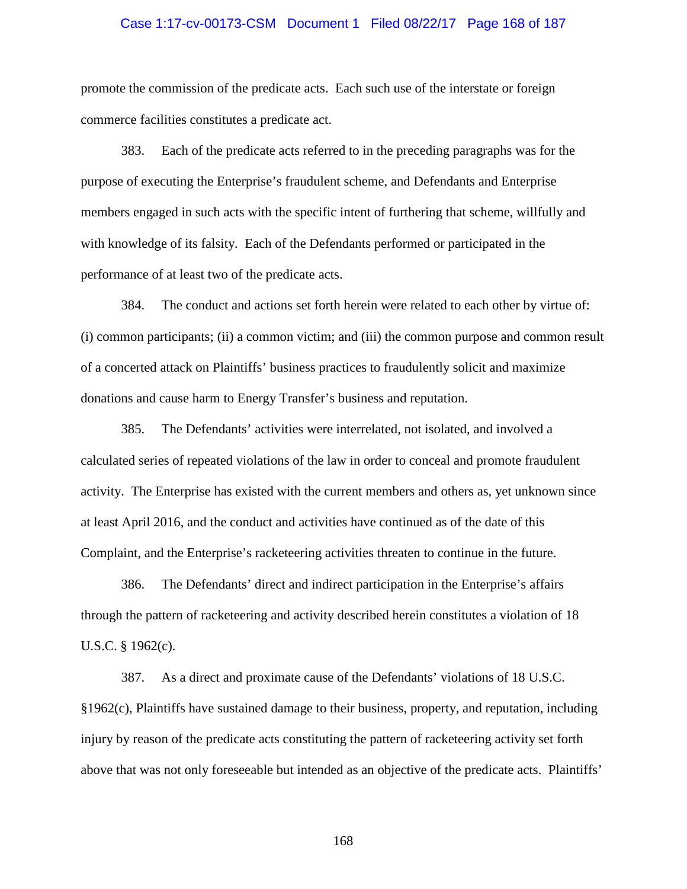#### Case 1:17-cv-00173-CSM Document 1 Filed 08/22/17 Page 168 of 187

promote the commission of the predicate acts. Each such use of the interstate or foreign commerce facilities constitutes a predicate act.

383. Each of the predicate acts referred to in the preceding paragraphs was for the purpose of executing the Enterprise's fraudulent scheme, and Defendants and Enterprise members engaged in such acts with the specific intent of furthering that scheme, willfully and with knowledge of its falsity. Each of the Defendants performed or participated in the performance of at least two of the predicate acts.

384. The conduct and actions set forth herein were related to each other by virtue of: (i) common participants; (ii) a common victim; and (iii) the common purpose and common result of a concerted attack on Plaintiffs' business practices to fraudulently solicit and maximize donations and cause harm to Energy Transfer's business and reputation.

385. The Defendants' activities were interrelated, not isolated, and involved a calculated series of repeated violations of the law in order to conceal and promote fraudulent activity. The Enterprise has existed with the current members and others as, yet unknown since at least April 2016, and the conduct and activities have continued as of the date of this Complaint, and the Enterprise's racketeering activities threaten to continue in the future.

386. The Defendants' direct and indirect participation in the Enterprise's affairs through the pattern of racketeering and activity described herein constitutes a violation of 18 U.S.C. § 1962(c).

387. As a direct and proximate cause of the Defendants' violations of 18 U.S.C. §1962(c), Plaintiffs have sustained damage to their business, property, and reputation, including injury by reason of the predicate acts constituting the pattern of racketeering activity set forth above that was not only foreseeable but intended as an objective of the predicate acts. Plaintiffs'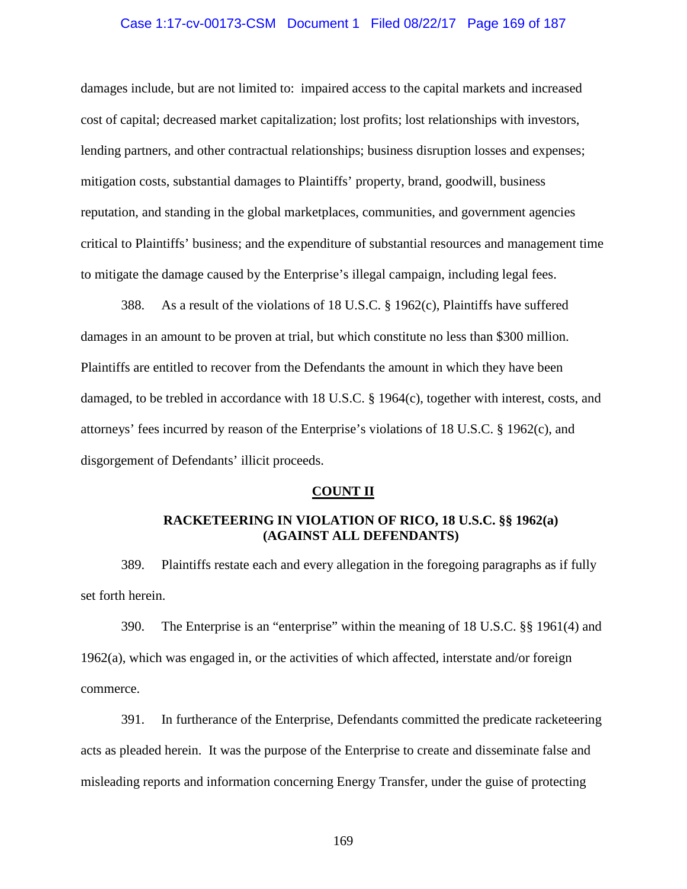#### Case 1:17-cv-00173-CSM Document 1 Filed 08/22/17 Page 169 of 187

damages include, but are not limited to: impaired access to the capital markets and increased cost of capital; decreased market capitalization; lost profits; lost relationships with investors, lending partners, and other contractual relationships; business disruption losses and expenses; mitigation costs, substantial damages to Plaintiffs' property, brand, goodwill, business reputation, and standing in the global marketplaces, communities, and government agencies critical to Plaintiffs' business; and the expenditure of substantial resources and management time to mitigate the damage caused by the Enterprise's illegal campaign, including legal fees.

388. As a result of the violations of 18 U.S.C. § 1962(c), Plaintiffs have suffered damages in an amount to be proven at trial, but which constitute no less than \$300 million. Plaintiffs are entitled to recover from the Defendants the amount in which they have been damaged, to be trebled in accordance with 18 U.S.C. § 1964(c), together with interest, costs, and attorneys' fees incurred by reason of the Enterprise's violations of 18 U.S.C. § 1962(c), and disgorgement of Defendants' illicit proceeds.

#### **COUNT II**

## **RACKETEERING IN VIOLATION OF RICO, 18 U.S.C. §§ 1962(a) (AGAINST ALL DEFENDANTS)**

389. Plaintiffs restate each and every allegation in the foregoing paragraphs as if fully set forth herein.

390. The Enterprise is an "enterprise" within the meaning of 18 U.S.C. §§ 1961(4) and  $1962(a)$ , which was engaged in, or the activities of which affected, interstate and/or foreign commerce.

391. In furtherance of the Enterprise, Defendants committed the predicate racketeering acts as pleaded herein. It was the purpose of the Enterprise to create and disseminate false and misleading reports and information concerning Energy Transfer, under the guise of protecting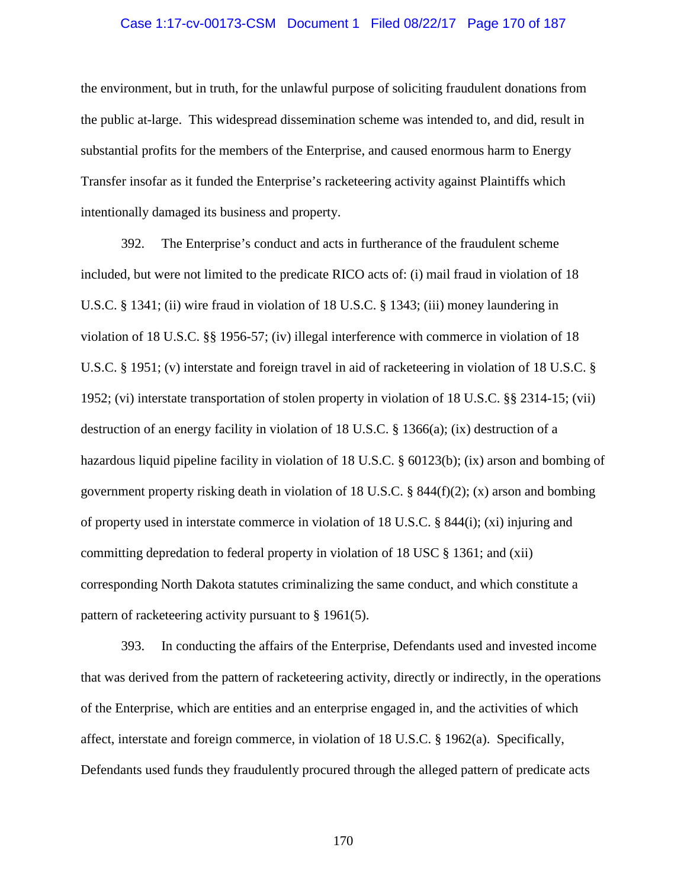#### Case 1:17-cv-00173-CSM Document 1 Filed 08/22/17 Page 170 of 187

the environment, but in truth, for the unlawful purpose of soliciting fraudulent donations from the public at-large. This widespread dissemination scheme was intended to, and did, result in substantial profits for the members of the Enterprise, and caused enormous harm to Energy Transfer insofar as it funded the Enterprise's racketeering activity against Plaintiffs which intentionally damaged its business and property.

392. The Enterprise's conduct and acts in furtherance of the fraudulent scheme included, but were not limited to the predicate RICO acts of: (i) mail fraud in violation of 18 U.S.C. § 1341; (ii) wire fraud in violation of 18 U.S.C. § 1343; (iii) money laundering in violation of 18 U.S.C. §§ 1956-57; (iv) illegal interference with commerce in violation of 18 U.S.C. § 1951; (v) interstate and foreign travel in aid of racketeering in violation of 18 U.S.C. § 1952; (vi) interstate transportation of stolen property in violation of 18 U.S.C. §§ 2314-15; (vii) destruction of an energy facility in violation of 18 U.S.C. § 1366(a); (ix) destruction of a hazardous liquid pipeline facility in violation of 18 U.S.C. § 60123(b); (ix) arson and bombing of government property risking death in violation of 18 U.S.C. § 844(f)(2); (x) arson and bombing of property used in interstate commerce in violation of 18 U.S.C. § 844(i); (xi) injuring and committing depredation to federal property in violation of 18 USC § 1361; and (xii) corresponding North Dakota statutes criminalizing the same conduct, and which constitute a pattern of racketeering activity pursuant to § 1961(5).

393. In conducting the affairs of the Enterprise, Defendants used and invested income that was derived from the pattern of racketeering activity, directly or indirectly, in the operations of the Enterprise, which are entities and an enterprise engaged in, and the activities of which affect, interstate and foreign commerce, in violation of 18 U.S.C. § 1962(a). Specifically, Defendants used funds they fraudulently procured through the alleged pattern of predicate acts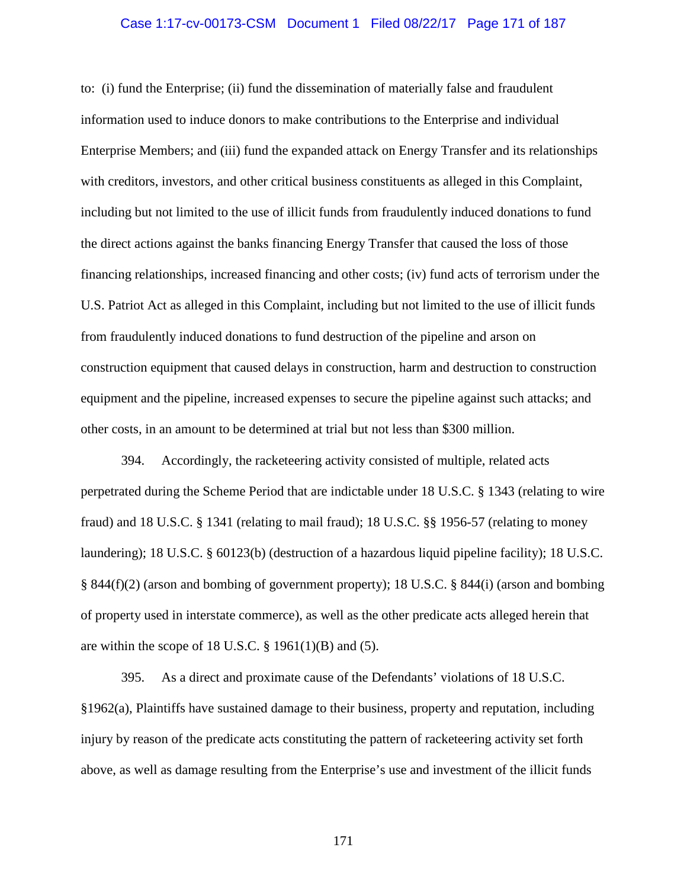#### Case 1:17-cv-00173-CSM Document 1 Filed 08/22/17 Page 171 of 187

to: (i) fund the Enterprise; (ii) fund the dissemination of materially false and fraudulent information used to induce donors to make contributions to the Enterprise and individual Enterprise Members; and (iii) fund the expanded attack on Energy Transfer and its relationships with creditors, investors, and other critical business constituents as alleged in this Complaint, including but not limited to the use of illicit funds from fraudulently induced donations to fund the direct actions against the banks financing Energy Transfer that caused the loss of those financing relationships, increased financing and other costs; (iv) fund acts of terrorism under the U.S. Patriot Act as alleged in this Complaint, including but not limited to the use of illicit funds from fraudulently induced donations to fund destruction of the pipeline and arson on construction equipment that caused delays in construction, harm and destruction to construction equipment and the pipeline, increased expenses to secure the pipeline against such attacks; and other costs, in an amount to be determined at trial but not less than \$300 million.

394. Accordingly, the racketeering activity consisted of multiple, related acts perpetrated during the Scheme Period that are indictable under 18 U.S.C. § 1343 (relating to wire fraud) and 18 U.S.C. § 1341 (relating to mail fraud); 18 U.S.C. §§ 1956-57 (relating to money laundering); 18 U.S.C. § 60123(b) (destruction of a hazardous liquid pipeline facility); 18 U.S.C. § 844(f)(2) (arson and bombing of government property); 18 U.S.C. § 844(i) (arson and bombing of property used in interstate commerce), as well as the other predicate acts alleged herein that are within the scope of 18 U.S.C.  $\S$  1961(1)(B) and (5).

395. As a direct and proximate cause of the Defendants' violations of 18 U.S.C. §1962(a), Plaintiffs have sustained damage to their business, property and reputation, including injury by reason of the predicate acts constituting the pattern of racketeering activity set forth above, as well as damage resulting from the Enterprise's use and investment of the illicit funds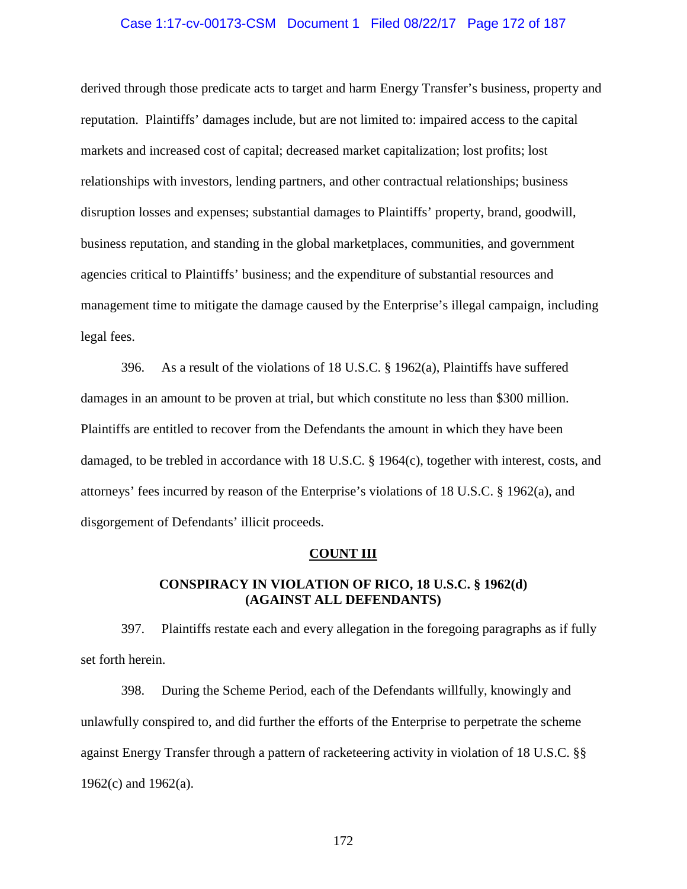#### Case 1:17-cv-00173-CSM Document 1 Filed 08/22/17 Page 172 of 187

derived through those predicate acts to target and harm Energy Transfer's business, property and reputation. Plaintiffs' damages include, but are not limited to: impaired access to the capital markets and increased cost of capital; decreased market capitalization; lost profits; lost relationships with investors, lending partners, and other contractual relationships; business disruption losses and expenses; substantial damages to Plaintiffs' property, brand, goodwill, business reputation, and standing in the global marketplaces, communities, and government agencies critical to Plaintiffs' business; and the expenditure of substantial resources and management time to mitigate the damage caused by the Enterprise's illegal campaign, including legal fees.

396. As a result of the violations of 18 U.S.C. § 1962(a), Plaintiffs have suffered damages in an amount to be proven at trial, but which constitute no less than \$300 million. Plaintiffs are entitled to recover from the Defendants the amount in which they have been damaged, to be trebled in accordance with 18 U.S.C. § 1964(c), together with interest, costs, and attorneys' fees incurred by reason of the Enterprise's violations of 18 U.S.C. § 1962(a), and disgorgement of Defendants' illicit proceeds.

#### **COUNT III**

## **CONSPIRACY IN VIOLATION OF RICO, 18 U.S.C. § 1962(d) (AGAINST ALL DEFENDANTS)**

397. Plaintiffs restate each and every allegation in the foregoing paragraphs as if fully set forth herein.

398. During the Scheme Period, each of the Defendants willfully, knowingly and unlawfully conspired to, and did further the efforts of the Enterprise to perpetrate the scheme against Energy Transfer through a pattern of racketeering activity in violation of 18 U.S.C. §§ 1962(c) and 1962(a).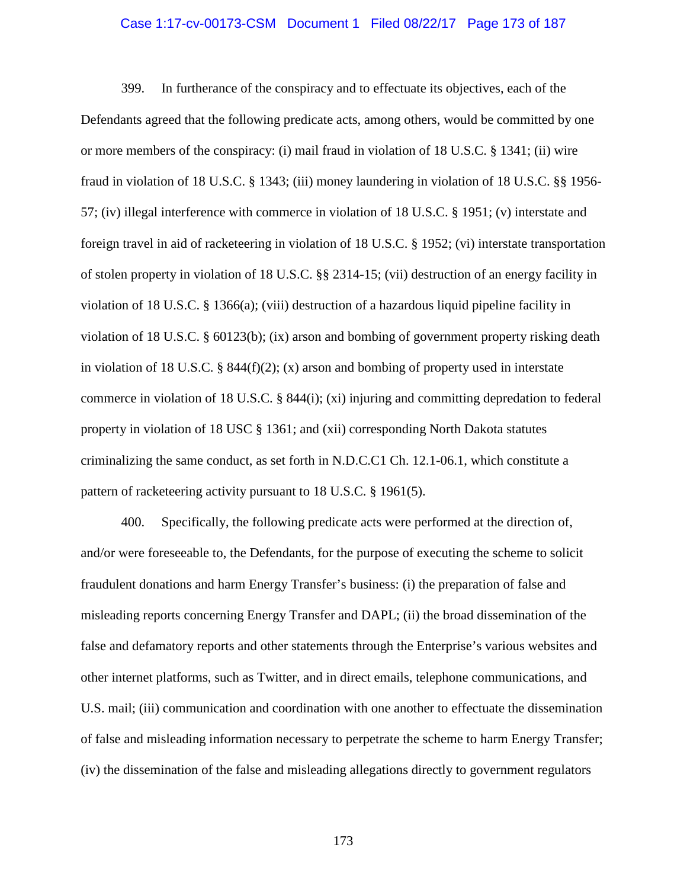#### Case 1:17-cv-00173-CSM Document 1 Filed 08/22/17 Page 173 of 187

399. In furtherance of the conspiracy and to effectuate its objectives, each of the Defendants agreed that the following predicate acts, among others, would be committed by one or more members of the conspiracy: (i) mail fraud in violation of 18 U.S.C. § 1341; (ii) wire fraud in violation of 18 U.S.C. § 1343; (iii) money laundering in violation of 18 U.S.C. §§ 1956- 57; (iv) illegal interference with commerce in violation of 18 U.S.C. § 1951; (v) interstate and foreign travel in aid of racketeering in violation of 18 U.S.C. § 1952; (vi) interstate transportation of stolen property in violation of 18 U.S.C. §§ 2314-15; (vii) destruction of an energy facility in violation of 18 U.S.C. § 1366(a); (viii) destruction of a hazardous liquid pipeline facility in violation of 18 U.S.C. § 60123(b); (ix) arson and bombing of government property risking death in violation of 18 U.S.C. § 844(f)(2); (x) arson and bombing of property used in interstate commerce in violation of 18 U.S.C. § 844(i); (xi) injuring and committing depredation to federal property in violation of 18 USC § 1361; and (xii) corresponding North Dakota statutes criminalizing the same conduct, as set forth in N.D.C.C1 Ch. 12.1-06.1, which constitute a pattern of racketeering activity pursuant to 18 U.S.C. § 1961(5).

400. Specifically, the following predicate acts were performed at the direction of, and/or were foreseeable to, the Defendants, for the purpose of executing the scheme to solicit fraudulent donations and harm Energy Transfer's business: (i) the preparation of false and misleading reports concerning Energy Transfer and DAPL; (ii) the broad dissemination of the false and defamatory reports and other statements through the Enterprise's various websites and other internet platforms, such as Twitter, and in direct emails, telephone communications, and U.S. mail; (iii) communication and coordination with one another to effectuate the dissemination of false and misleading information necessary to perpetrate the scheme to harm Energy Transfer; (iv) the dissemination of the false and misleading allegations directly to government regulators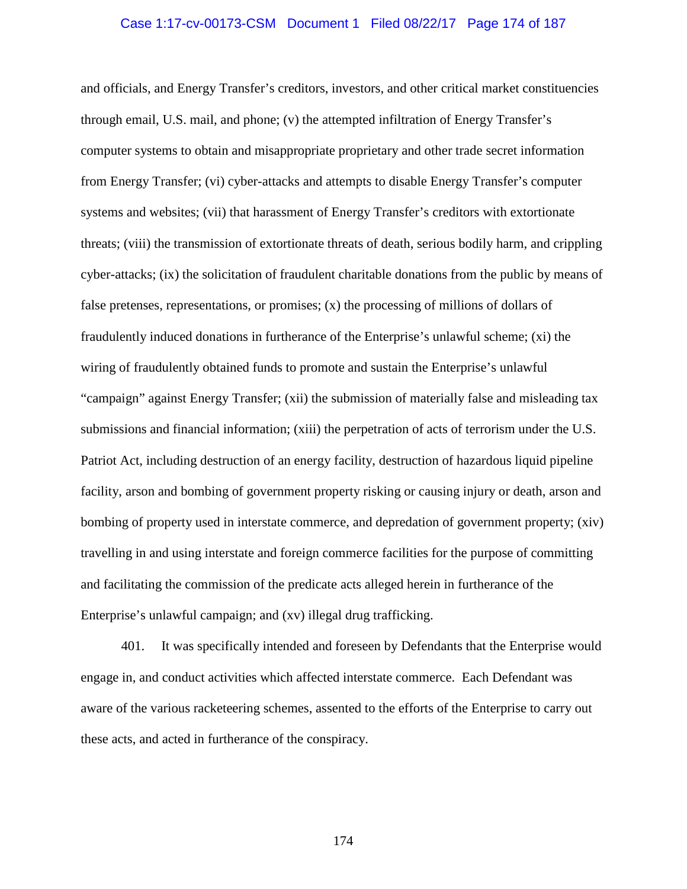#### Case 1:17-cv-00173-CSM Document 1 Filed 08/22/17 Page 174 of 187

and officials, and Energy Transfer's creditors, investors, and other critical market constituencies through email, U.S. mail, and phone; (v) the attempted infiltration of Energy Transfer's computer systems to obtain and misappropriate proprietary and other trade secret information from Energy Transfer; (vi) cyber-attacks and attempts to disable Energy Transfer's computer systems and websites; (vii) that harassment of Energy Transfer's creditors with extortionate threats; (viii) the transmission of extortionate threats of death, serious bodily harm, and crippling cyber-attacks; (ix) the solicitation of fraudulent charitable donations from the public by means of false pretenses, representations, or promises; (x) the processing of millions of dollars of fraudulently induced donations in furtherance of the Enterprise's unlawful scheme; (xi) the wiring of fraudulently obtained funds to promote and sustain the Enterprise's unlawful "campaign" against Energy Transfer; (xii) the submission of materially false and misleading tax submissions and financial information; (xiii) the perpetration of acts of terrorism under the U.S. Patriot Act, including destruction of an energy facility, destruction of hazardous liquid pipeline facility, arson and bombing of government property risking or causing injury or death, arson and bombing of property used in interstate commerce, and depredation of government property; (xiv) travelling in and using interstate and foreign commerce facilities for the purpose of committing and facilitating the commission of the predicate acts alleged herein in furtherance of the Enterprise's unlawful campaign; and (xv) illegal drug trafficking.

401. It was specifically intended and foreseen by Defendants that the Enterprise would engage in, and conduct activities which affected interstate commerce. Each Defendant was aware of the various racketeering schemes, assented to the efforts of the Enterprise to carry out these acts, and acted in furtherance of the conspiracy.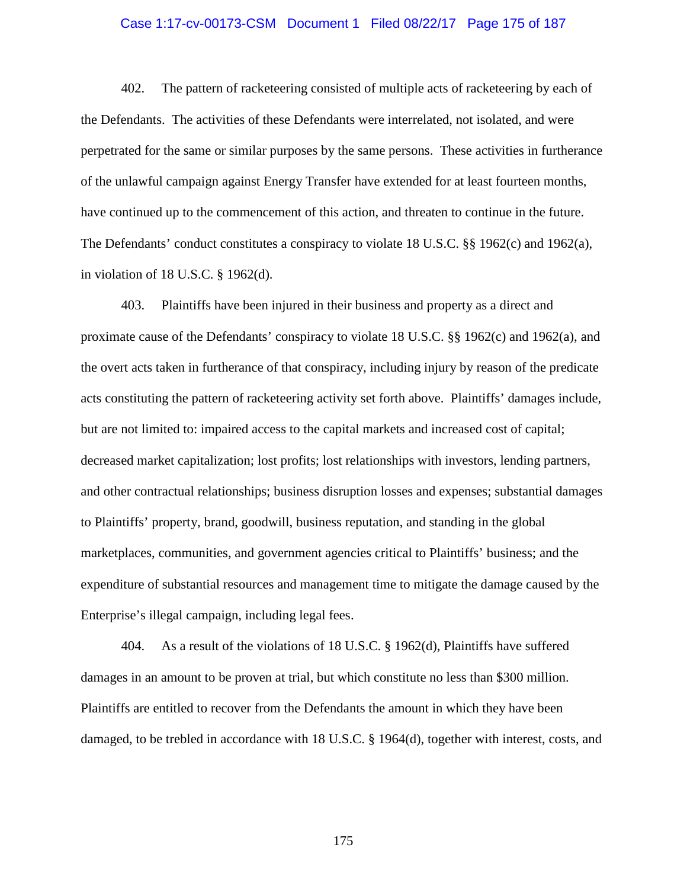#### Case 1:17-cv-00173-CSM Document 1 Filed 08/22/17 Page 175 of 187

402. The pattern of racketeering consisted of multiple acts of racketeering by each of the Defendants. The activities of these Defendants were interrelated, not isolated, and were perpetrated for the same or similar purposes by the same persons. These activities in furtherance of the unlawful campaign against Energy Transfer have extended for at least fourteen months, have continued up to the commencement of this action, and threaten to continue in the future. The Defendants' conduct constitutes a conspiracy to violate 18 U.S.C. §§ 1962(c) and 1962(a), in violation of 18 U.S.C. § 1962(d).

403. Plaintiffs have been injured in their business and property as a direct and proximate cause of the Defendants' conspiracy to violate 18 U.S.C. §§ 1962(c) and 1962(a), and the overt acts taken in furtherance of that conspiracy, including injury by reason of the predicate acts constituting the pattern of racketeering activity set forth above. Plaintiffs' damages include, but are not limited to: impaired access to the capital markets and increased cost of capital; decreased market capitalization; lost profits; lost relationships with investors, lending partners, and other contractual relationships; business disruption losses and expenses; substantial damages to Plaintiffs' property, brand, goodwill, business reputation, and standing in the global marketplaces, communities, and government agencies critical to Plaintiffs' business; and the expenditure of substantial resources and management time to mitigate the damage caused by the Enterprise's illegal campaign, including legal fees.

404. As a result of the violations of 18 U.S.C. § 1962(d), Plaintiffs have suffered damages in an amount to be proven at trial, but which constitute no less than \$300 million. Plaintiffs are entitled to recover from the Defendants the amount in which they have been damaged, to be trebled in accordance with 18 U.S.C. § 1964(d), together with interest, costs, and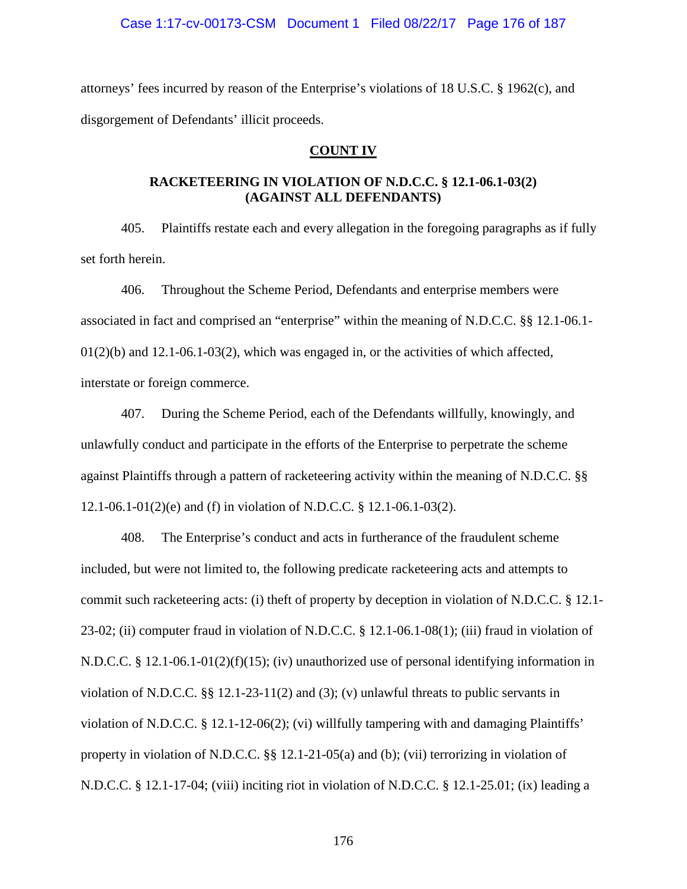#### Case 1:17-cv-00173-CSM Document 1 Filed 08/22/17 Page 176 of 187

attorneys' fees incurred by reason of the Enterprise's violations of 18 U.S.C. § 1962(c), and disgorgement of Defendants' illicit proceeds.

## **COUNT IV**

# **RACKETEERING IN VIOLATION OF N.D.C.C. § 12.1-06.1-03(2) (AGAINST ALL DEFENDANTS)**

405. Plaintiffs restate each and every allegation in the foregoing paragraphs as if fully set forth herein.

406. Throughout the Scheme Period, Defendants and enterprise members were associated in fact and comprised an "enterprise" within the meaning of N.D.C.C. §§ 12.1-06.1-  $01(2)(b)$  and  $12.1-06.1-03(2)$ , which was engaged in, or the activities of which affected, interstate or foreign commerce.

407. During the Scheme Period, each of the Defendants willfully, knowingly, and unlawfully conduct and participate in the efforts of the Enterprise to perpetrate the scheme against Plaintiffs through a pattern of racketeering activity within the meaning of N.D.C.C. §§ 12.1-06.1-01(2)(e) and (f) in violation of N.D.C.C. § 12.1-06.1-03(2).

408. The Enterprise's conduct and acts in furtherance of the fraudulent scheme included, but were not limited to, the following predicate racketeering acts and attempts to commit such racketeering acts: (i) theft of property by deception in violation of N.D.C.C. § 12.1- 23-02; (ii) computer fraud in violation of N.D.C.C. § 12.1-06.1-08(1); (iii) fraud in violation of N.D.C.C. § 12.1-06.1-01(2)(f)(15); (iv) unauthorized use of personal identifying information in violation of N.D.C.C. §§ 12.1-23-11(2) and (3); (v) unlawful threats to public servants in violation of N.D.C.C. § 12.1-12-06(2); (vi) willfully tampering with and damaging Plaintiffs' property in violation of N.D.C.C. §§ 12.1-21-05(a) and (b); (vii) terrorizing in violation of N.D.C.C. § 12.1-17-04; (viii) inciting riot in violation of N.D.C.C. § 12.1-25.01; (ix) leading a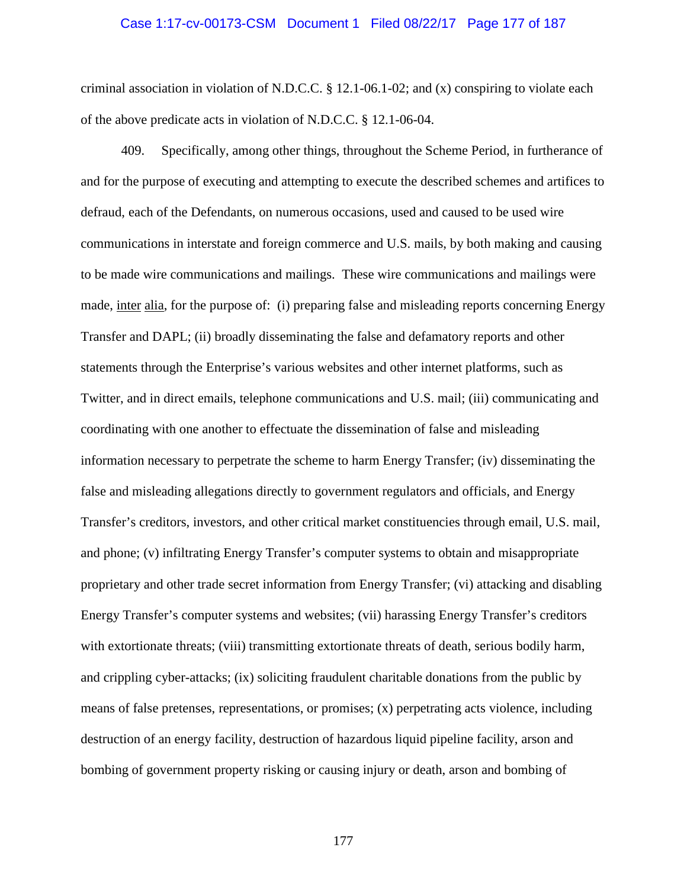#### Case 1:17-cv-00173-CSM Document 1 Filed 08/22/17 Page 177 of 187

criminal association in violation of N.D.C.C.  $\S 12.1-06.1-02$ ; and (x) conspiring to violate each of the above predicate acts in violation of N.D.C.C. § 12.1-06-04.

409. Specifically, among other things, throughout the Scheme Period, in furtherance of and for the purpose of executing and attempting to execute the described schemes and artifices to defraud, each of the Defendants, on numerous occasions, used and caused to be used wire communications in interstate and foreign commerce and U.S. mails, by both making and causing to be made wire communications and mailings. These wire communications and mailings were made, inter alia, for the purpose of: (i) preparing false and misleading reports concerning Energy Transfer and DAPL; (ii) broadly disseminating the false and defamatory reports and other statements through the Enterprise's various websites and other internet platforms, such as Twitter, and in direct emails, telephone communications and U.S. mail; (iii) communicating and coordinating with one another to effectuate the dissemination of false and misleading information necessary to perpetrate the scheme to harm Energy Transfer; (iv) disseminating the false and misleading allegations directly to government regulators and officials, and Energy Transfer's creditors, investors, and other critical market constituencies through email, U.S. mail, and phone; (v) infiltrating Energy Transfer's computer systems to obtain and misappropriate proprietary and other trade secret information from Energy Transfer; (vi) attacking and disabling Energy Transfer's computer systems and websites; (vii) harassing Energy Transfer's creditors with extortionate threats; (viii) transmitting extortionate threats of death, serious bodily harm, and crippling cyber-attacks; (ix) soliciting fraudulent charitable donations from the public by means of false pretenses, representations, or promises; (x) perpetrating acts violence, including destruction of an energy facility, destruction of hazardous liquid pipeline facility, arson and bombing of government property risking or causing injury or death, arson and bombing of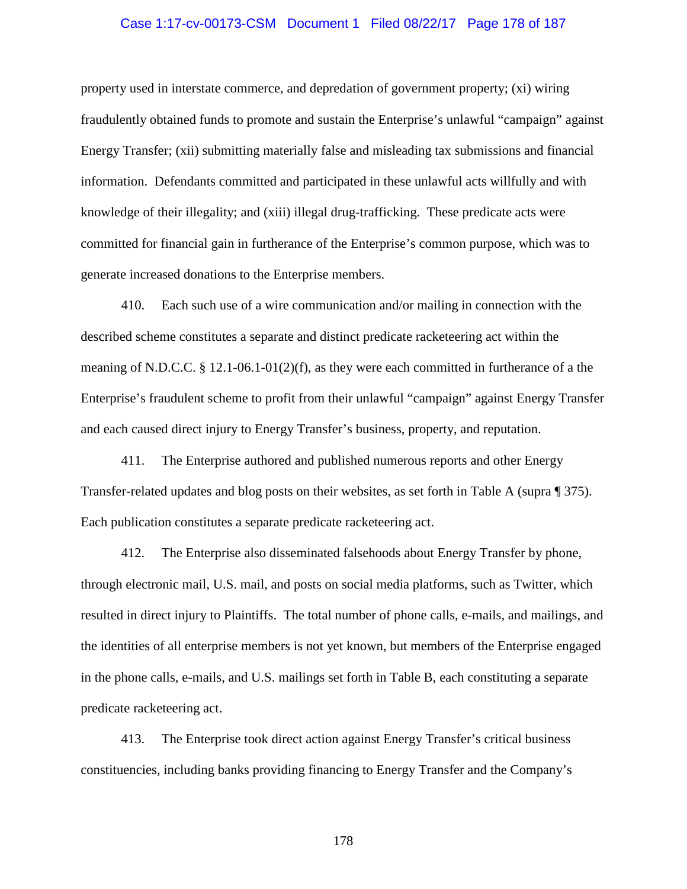#### Case 1:17-cv-00173-CSM Document 1 Filed 08/22/17 Page 178 of 187

property used in interstate commerce, and depredation of government property; (xi) wiring fraudulently obtained funds to promote and sustain the Enterprise's unlawful "campaign" against Energy Transfer; (xii) submitting materially false and misleading tax submissions and financial information. Defendants committed and participated in these unlawful acts willfully and with knowledge of their illegality; and (xiii) illegal drug-trafficking. These predicate acts were committed for financial gain in furtherance of the Enterprise's common purpose, which was to generate increased donations to the Enterprise members.

410. Each such use of a wire communication and/or mailing in connection with the described scheme constitutes a separate and distinct predicate racketeering act within the meaning of N.D.C.C. § 12.1-06.1-01(2)(f), as they were each committed in furtherance of a the Enterprise's fraudulent scheme to profit from their unlawful "campaign" against Energy Transfer and each caused direct injury to Energy Transfer's business, property, and reputation.

411. The Enterprise authored and published numerous reports and other Energy Transfer-related updates and blog posts on their websites, as set forth in Table A (supra ¶ 375). Each publication constitutes a separate predicate racketeering act.

412. The Enterprise also disseminated falsehoods about Energy Transfer by phone, through electronic mail, U.S. mail, and posts on social media platforms, such as Twitter, which resulted in direct injury to Plaintiffs. The total number of phone calls, e-mails, and mailings, and the identities of all enterprise members is not yet known, but members of the Enterprise engaged in the phone calls, e-mails, and U.S. mailings set forth in Table B, each constituting a separate predicate racketeering act.

413. The Enterprise took direct action against Energy Transfer's critical business constituencies, including banks providing financing to Energy Transfer and the Company's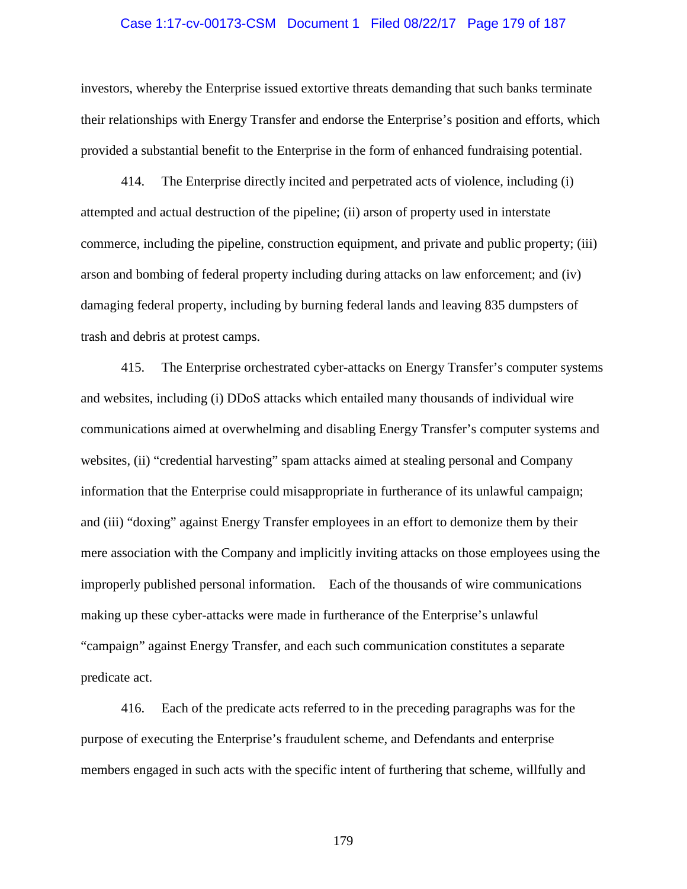#### Case 1:17-cv-00173-CSM Document 1 Filed 08/22/17 Page 179 of 187

investors, whereby the Enterprise issued extortive threats demanding that such banks terminate their relationships with Energy Transfer and endorse the Enterprise's position and efforts, which provided a substantial benefit to the Enterprise in the form of enhanced fundraising potential.

414. The Enterprise directly incited and perpetrated acts of violence, including (i) attempted and actual destruction of the pipeline; (ii) arson of property used in interstate commerce, including the pipeline, construction equipment, and private and public property; (iii) arson and bombing of federal property including during attacks on law enforcement; and (iv) damaging federal property, including by burning federal lands and leaving 835 dumpsters of trash and debris at protest camps.

415. The Enterprise orchestrated cyber-attacks on Energy Transfer's computer systems and websites, including (i) DDoS attacks which entailed many thousands of individual wire communications aimed at overwhelming and disabling Energy Transfer's computer systems and websites, (ii) "credential harvesting" spam attacks aimed at stealing personal and Company information that the Enterprise could misappropriate in furtherance of its unlawful campaign; and (iii) "doxing" against Energy Transfer employees in an effort to demonize them by their mere association with the Company and implicitly inviting attacks on those employees using the improperly published personal information. Each of the thousands of wire communications making up these cyber-attacks were made in furtherance of the Enterprise's unlawful "campaign" against Energy Transfer, and each such communication constitutes a separate predicate act.

416. Each of the predicate acts referred to in the preceding paragraphs was for the purpose of executing the Enterprise's fraudulent scheme, and Defendants and enterprise members engaged in such acts with the specific intent of furthering that scheme, willfully and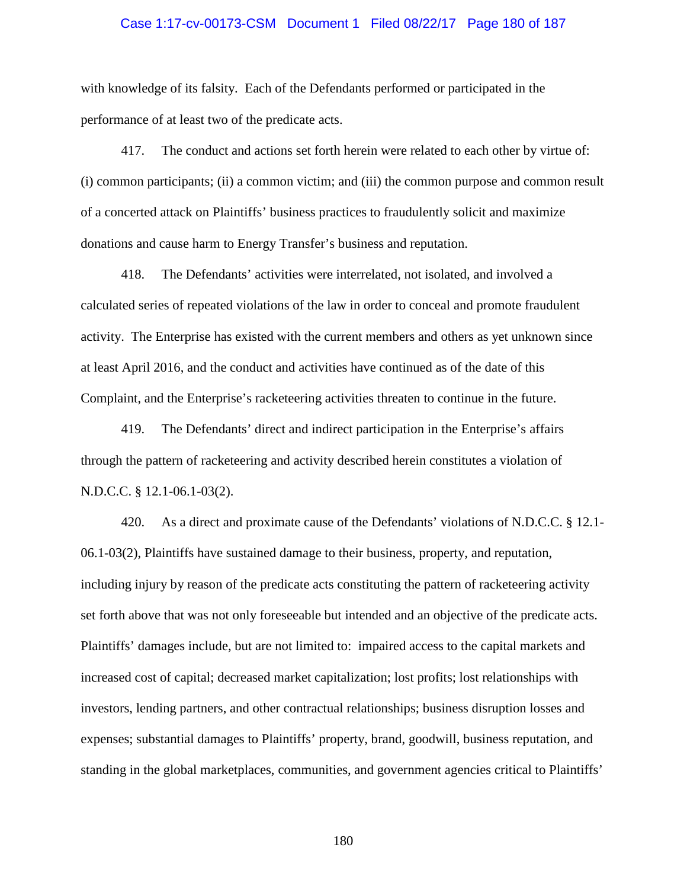#### Case 1:17-cv-00173-CSM Document 1 Filed 08/22/17 Page 180 of 187

with knowledge of its falsity. Each of the Defendants performed or participated in the performance of at least two of the predicate acts.

417. The conduct and actions set forth herein were related to each other by virtue of: (i) common participants; (ii) a common victim; and (iii) the common purpose and common result of a concerted attack on Plaintiffs' business practices to fraudulently solicit and maximize donations and cause harm to Energy Transfer's business and reputation.

418. The Defendants' activities were interrelated, not isolated, and involved a calculated series of repeated violations of the law in order to conceal and promote fraudulent activity. The Enterprise has existed with the current members and others as yet unknown since at least April 2016, and the conduct and activities have continued as of the date of this Complaint, and the Enterprise's racketeering activities threaten to continue in the future.

419. The Defendants' direct and indirect participation in the Enterprise's affairs through the pattern of racketeering and activity described herein constitutes a violation of N.D.C.C. § 12.1-06.1-03(2).

420. As a direct and proximate cause of the Defendants' violations of N.D.C.C. § 12.1- 06.1-03(2), Plaintiffs have sustained damage to their business, property, and reputation, including injury by reason of the predicate acts constituting the pattern of racketeering activity set forth above that was not only foreseeable but intended and an objective of the predicate acts. Plaintiffs' damages include, but are not limited to: impaired access to the capital markets and increased cost of capital; decreased market capitalization; lost profits; lost relationships with investors, lending partners, and other contractual relationships; business disruption losses and expenses; substantial damages to Plaintiffs' property, brand, goodwill, business reputation, and standing in the global marketplaces, communities, and government agencies critical to Plaintiffs'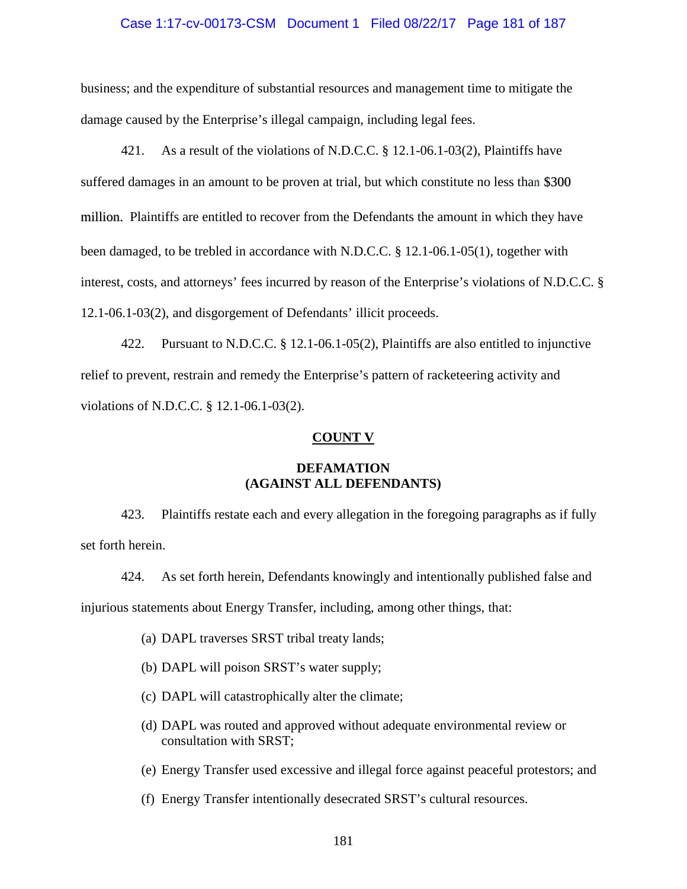#### Case 1:17-cv-00173-CSM Document 1 Filed 08/22/17 Page 181 of 187

business; and the expenditure of substantial resources and management time to mitigate the damage caused by the Enterprise's illegal campaign, including legal fees.

421. As a result of the violations of N.D.C.C. § 12.1-06.1-03(2), Plaintiffs have suffered damages in an amount to be proven at trial, but which constitute no less than \$300 million. Plaintiffs are entitled to recover from the Defendants the amount in which they have been damaged, to be trebled in accordance with N.D.C.C. § 12.1-06.1-05(1), together with interest, costs, and attorneys' fees incurred by reason of the Enterprise's violations of N.D.C.C. § 12.1-06.1-03(2), and disgorgement of Defendants' illicit proceeds.

422. Pursuant to N.D.C.C. § 12.1-06.1-05(2), Plaintiffs are also entitled to injunctive relief to prevent, restrain and remedy the Enterprise's pattern of racketeering activity and violations of N.D.C.C. § 12.1-06.1-03(2).

### **COUNT V**

## **DEFAMATION (AGAINST ALL DEFENDANTS)**

423. Plaintiffs restate each and every allegation in the foregoing paragraphs as if fully set forth herein.

424. As set forth herein, Defendants knowingly and intentionally published false and injurious statements about Energy Transfer, including, among other things, that:

- (a) DAPL traverses SRST tribal treaty lands;
- (b) DAPL will poison SRST's water supply;
- (c) DAPL will catastrophically alter the climate;
- (d) DAPL was routed and approved without adequate environmental review or consultation with SRST;
- (e) Energy Transfer used excessive and illegal force against peaceful protestors; and
- (f) Energy Transfer intentionally desecrated SRST's cultural resources.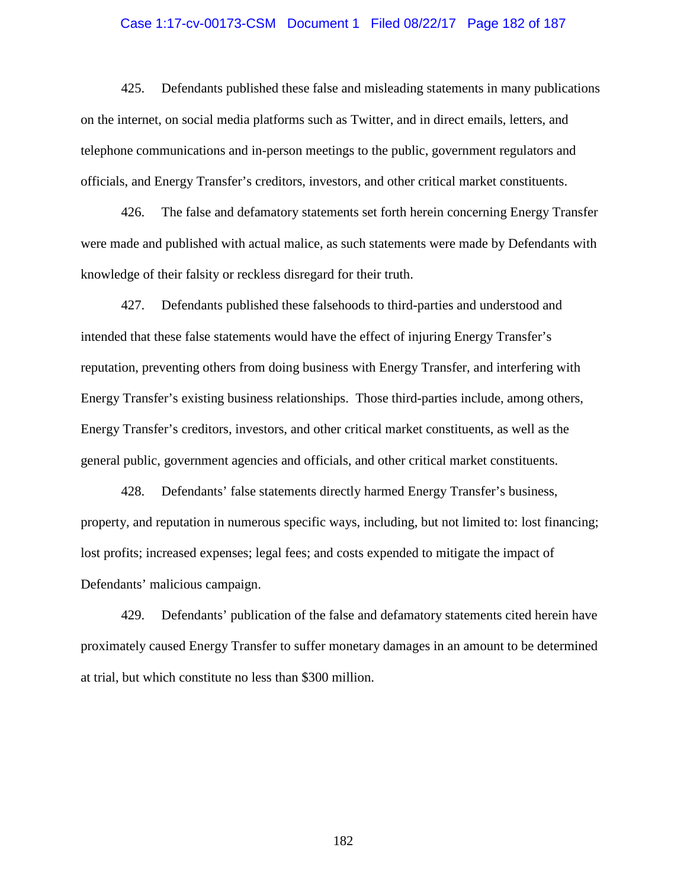#### Case 1:17-cv-00173-CSM Document 1 Filed 08/22/17 Page 182 of 187

425. Defendants published these false and misleading statements in many publications on the internet, on social media platforms such as Twitter, and in direct emails, letters, and telephone communications and in-person meetings to the public, government regulators and officials, and Energy Transfer's creditors, investors, and other critical market constituents.

426. The false and defamatory statements set forth herein concerning Energy Transfer were made and published with actual malice, as such statements were made by Defendants with knowledge of their falsity or reckless disregard for their truth.

427. Defendants published these falsehoods to third-parties and understood and intended that these false statements would have the effect of injuring Energy Transfer's reputation, preventing others from doing business with Energy Transfer, and interfering with Energy Transfer's existing business relationships. Those third-parties include, among others, Energy Transfer's creditors, investors, and other critical market constituents, as well as the general public, government agencies and officials, and other critical market constituents.

428. Defendants' false statements directly harmed Energy Transfer's business, property, and reputation in numerous specific ways, including, but not limited to: lost financing; lost profits; increased expenses; legal fees; and costs expended to mitigate the impact of Defendants' malicious campaign.

429. Defendants' publication of the false and defamatory statements cited herein have proximately caused Energy Transfer to suffer monetary damages in an amount to be determined at trial, but which constitute no less than \$300 million.

182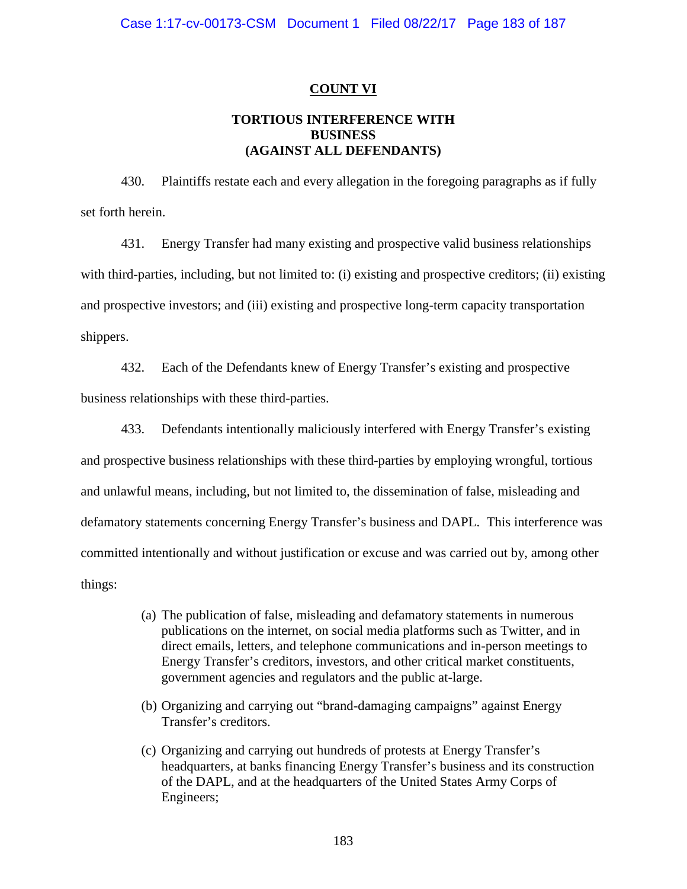### **COUNT VI**

## **TORTIOUS INTERFERENCE WITH BUSINESS (AGAINST ALL DEFENDANTS)**

430. Plaintiffs restate each and every allegation in the foregoing paragraphs as if fully set forth herein.

431. Energy Transfer had many existing and prospective valid business relationships with third-parties, including, but not limited to: (i) existing and prospective creditors; (ii) existing and prospective investors; and (iii) existing and prospective long-term capacity transportation shippers.

432. Each of the Defendants knew of Energy Transfer's existing and prospective business relationships with these third-parties.

433. Defendants intentionally maliciously interfered with Energy Transfer's existing and prospective business relationships with these third-parties by employing wrongful, tortious and unlawful means, including, but not limited to, the dissemination of false, misleading and defamatory statements concerning Energy Transfer's business and DAPL. This interference was committed intentionally and without justification or excuse and was carried out by, among other things:

- (a) The publication of false, misleading and defamatory statements in numerous publications on the internet, on social media platforms such as Twitter, and in direct emails, letters, and telephone communications and in-person meetings to Energy Transfer's creditors, investors, and other critical market constituents, government agencies and regulators and the public at-large.
- (b) Organizing and carrying out "brand-damaging campaigns" against Energy Transfer's creditors.
- (c) Organizing and carrying out hundreds of protests at Energy Transfer's headquarters, at banks financing Energy Transfer's business and its construction of the DAPL, and at the headquarters of the United States Army Corps of Engineers;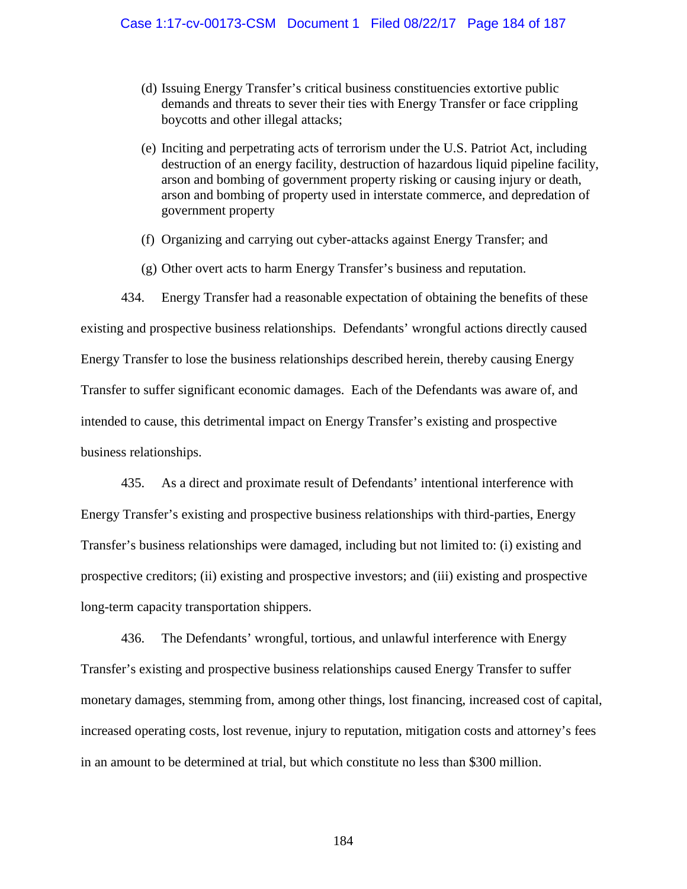- (d) Issuing Energy Transfer's critical business constituencies extortive public demands and threats to sever their ties with Energy Transfer or face crippling boycotts and other illegal attacks;
- (e) Inciting and perpetrating acts of terrorism under the U.S. Patriot Act, including destruction of an energy facility, destruction of hazardous liquid pipeline facility, arson and bombing of government property risking or causing injury or death, arson and bombing of property used in interstate commerce, and depredation of government property
- (f) Organizing and carrying out cyber-attacks against Energy Transfer; and
- (g) Other overt acts to harm Energy Transfer's business and reputation.

434. Energy Transfer had a reasonable expectation of obtaining the benefits of these existing and prospective business relationships. Defendants' wrongful actions directly caused Energy Transfer to lose the business relationships described herein, thereby causing Energy Transfer to suffer significant economic damages. Each of the Defendants was aware of, and intended to cause, this detrimental impact on Energy Transfer's existing and prospective business relationships.

435. As a direct and proximate result of Defendants' intentional interference with Energy Transfer's existing and prospective business relationships with third-parties, Energy Transfer's business relationships were damaged, including but not limited to: (i) existing and prospective creditors; (ii) existing and prospective investors; and (iii) existing and prospective long-term capacity transportation shippers.

436. The Defendants' wrongful, tortious, and unlawful interference with Energy Transfer's existing and prospective business relationships caused Energy Transfer to suffer monetary damages, stemming from, among other things, lost financing, increased cost of capital, increased operating costs, lost revenue, injury to reputation, mitigation costs and attorney's fees in an amount to be determined at trial, but which constitute no less than \$300 million.

184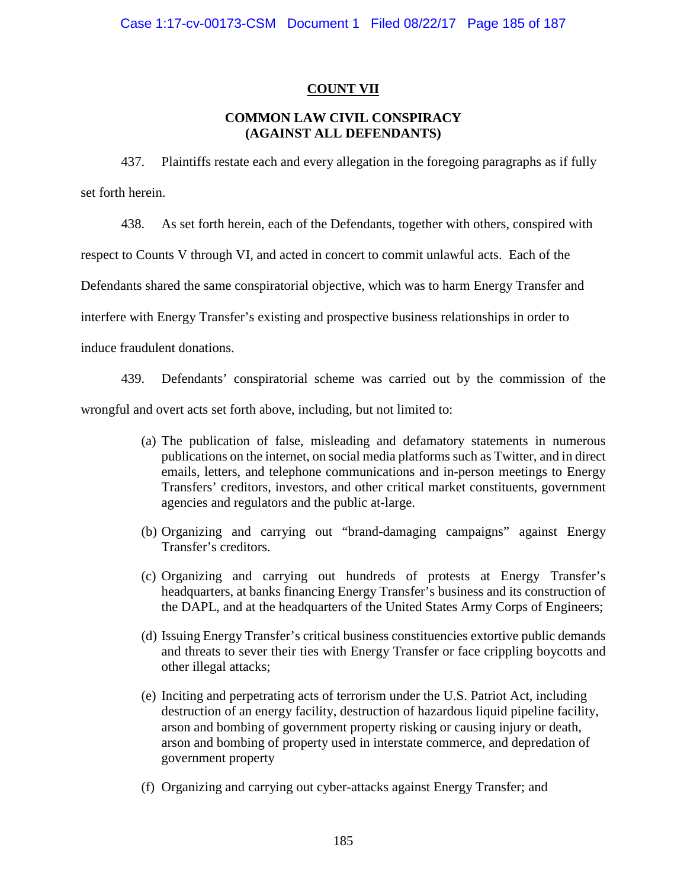# **COUNT VII**

# **COMMON LAW CIVIL CONSPIRACY (AGAINST ALL DEFENDANTS)**

437. Plaintiffs restate each and every allegation in the foregoing paragraphs as if fully set forth herein.

438. As set forth herein, each of the Defendants, together with others, conspired with

respect to Counts V through VI, and acted in concert to commit unlawful acts. Each of the

Defendants shared the same conspiratorial objective, which was to harm Energy Transfer and

interfere with Energy Transfer's existing and prospective business relationships in order to

induce fraudulent donations.

439. Defendants' conspiratorial scheme was carried out by the commission of the

wrongful and overt acts set forth above, including, but not limited to:

- (a) The publication of false, misleading and defamatory statements in numerous publications on the internet, on social media platforms such as Twitter, and in direct emails, letters, and telephone communications and in-person meetings to Energy Transfers' creditors, investors, and other critical market constituents, government agencies and regulators and the public at-large.
- (b) Organizing and carrying out "brand-damaging campaigns" against Energy Transfer's creditors.
- (c) Organizing and carrying out hundreds of protests at Energy Transfer's headquarters, at banks financing Energy Transfer's business and its construction of the DAPL, and at the headquarters of the United States Army Corps of Engineers;
- (d) Issuing Energy Transfer's critical business constituencies extortive public demands and threats to sever their ties with Energy Transfer or face crippling boycotts and other illegal attacks;
- (e) Inciting and perpetrating acts of terrorism under the U.S. Patriot Act, including destruction of an energy facility, destruction of hazardous liquid pipeline facility, arson and bombing of government property risking or causing injury or death, arson and bombing of property used in interstate commerce, and depredation of government property
- (f) Organizing and carrying out cyber-attacks against Energy Transfer; and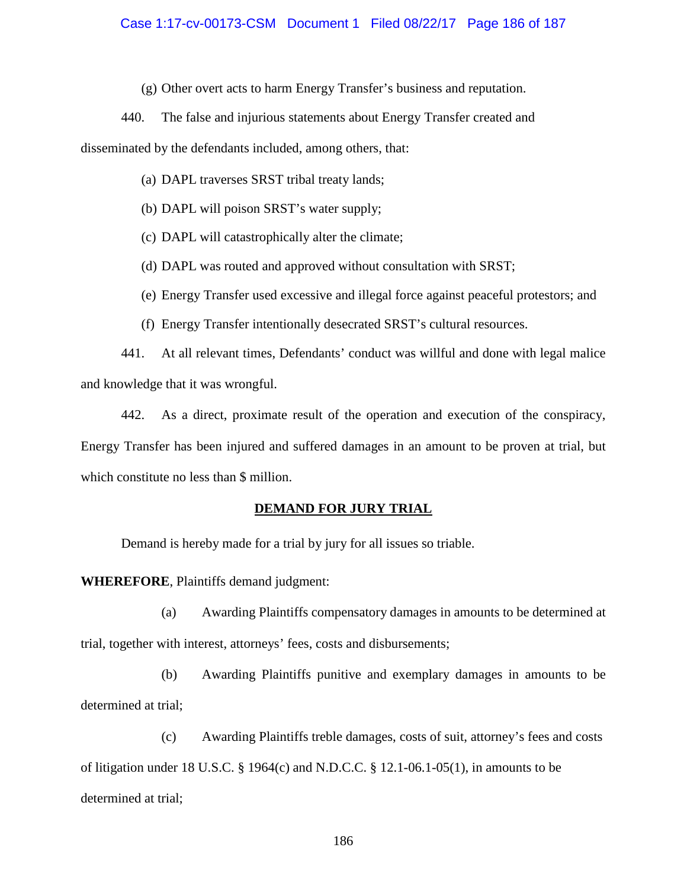### Case 1:17-cv-00173-CSM Document 1 Filed 08/22/17 Page 186 of 187

(g) Other overt acts to harm Energy Transfer's business and reputation.

440. The false and injurious statements about Energy Transfer created and

disseminated by the defendants included, among others, that:

- (a) DAPL traverses SRST tribal treaty lands;
- (b) DAPL will poison SRST's water supply;
- (c) DAPL will catastrophically alter the climate;
- (d) DAPL was routed and approved without consultation with SRST;
- (e) Energy Transfer used excessive and illegal force against peaceful protestors; and
- (f) Energy Transfer intentionally desecrated SRST's cultural resources.

441. At all relevant times, Defendants' conduct was willful and done with legal malice and knowledge that it was wrongful.

442. As a direct, proximate result of the operation and execution of the conspiracy, Energy Transfer has been injured and suffered damages in an amount to be proven at trial, but which constitute no less than \$ million.

### **DEMAND FOR JURY TRIAL**

Demand is hereby made for a trial by jury for all issues so triable.

**WHEREFORE**, Plaintiffs demand judgment:

(a) Awarding Plaintiffs compensatory damages in amounts to be determined at trial, together with interest, attorneys' fees, costs and disbursements;

(b) Awarding Plaintiffs punitive and exemplary damages in amounts to be determined at trial;

(c) Awarding Plaintiffs treble damages, costs of suit, attorney's fees and costs of litigation under 18 U.S.C. § 1964(c) and N.D.C.C. § 12.1-06.1-05(1), in amounts to be determined at trial;